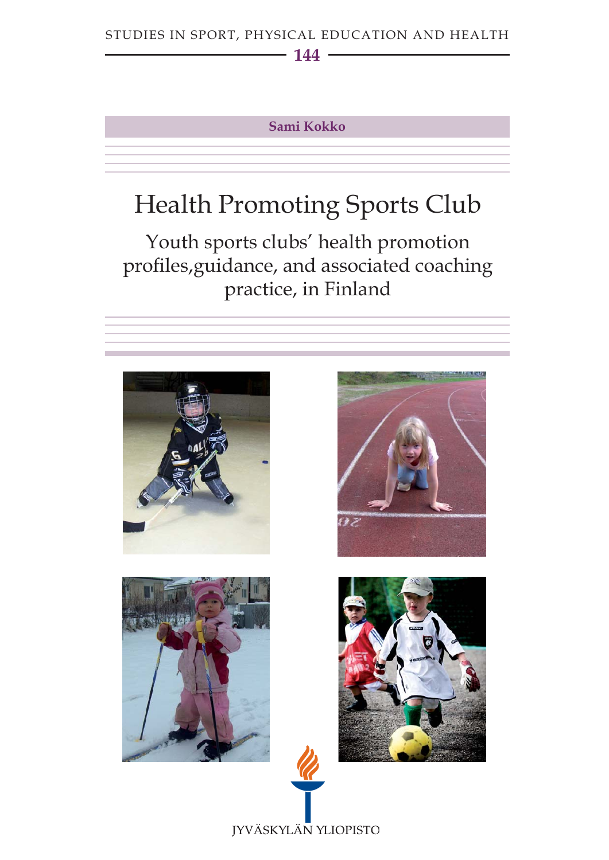## STUDIES IN SPORT, PHYSICAL EDUCATION AND HEALTH

## **144**

## **Sami Kokko**

# Health Promoting Sports Club

Youth sports clubs' health promotion profiles,guidance, and associated coaching practice, in Finland

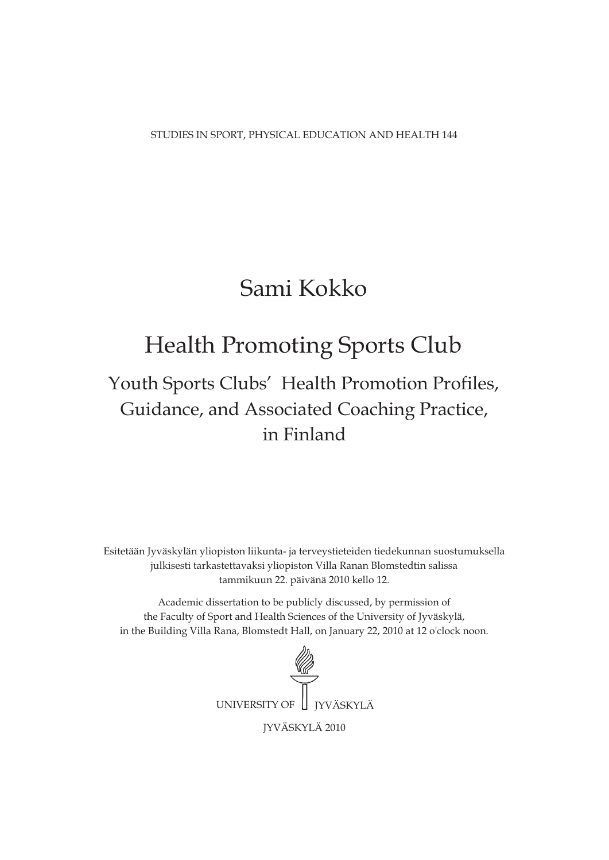STUDIES IN SPORT, PHYSICAL EDUCATION AND HEALTH 144

## Sami Kokko

## Health Promoting Sports Club

## Guidance, and Associated Coaching Practice, in Finland Youth Sports Clubs' Health Promotion Profiles,

Esitetään Jyväskylän yliopiston liikunta- ja terveystieteiden tiedekunnan suostumuksella julkisesti tarkastettavaksi yliopiston Villa Ranan Blomstedtin salissa tammikuun 22. päivänä 2010 kello 12.

Academic dissertation to be publicly discussed, by permission of the Faculty of Sport and Health Sciences of the University of Jyväskylä, in the Building Villa Rana, Blomstedt Hall, on January 22, 2010 at 12 o'clock noon.

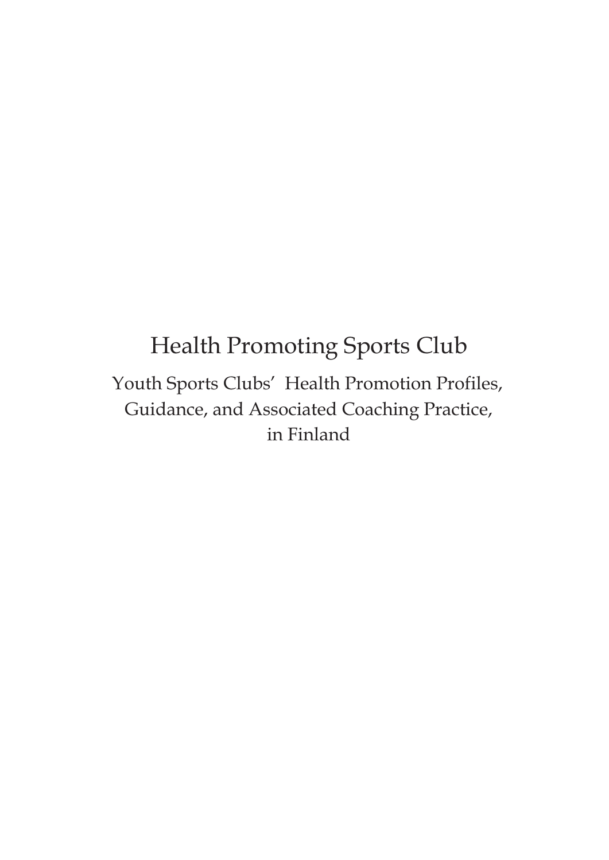## Health Promoting Sports Club

Youth Sports Clubs' Health Promotion Profiles, Guidance, and Associated Coaching Practice, in Finland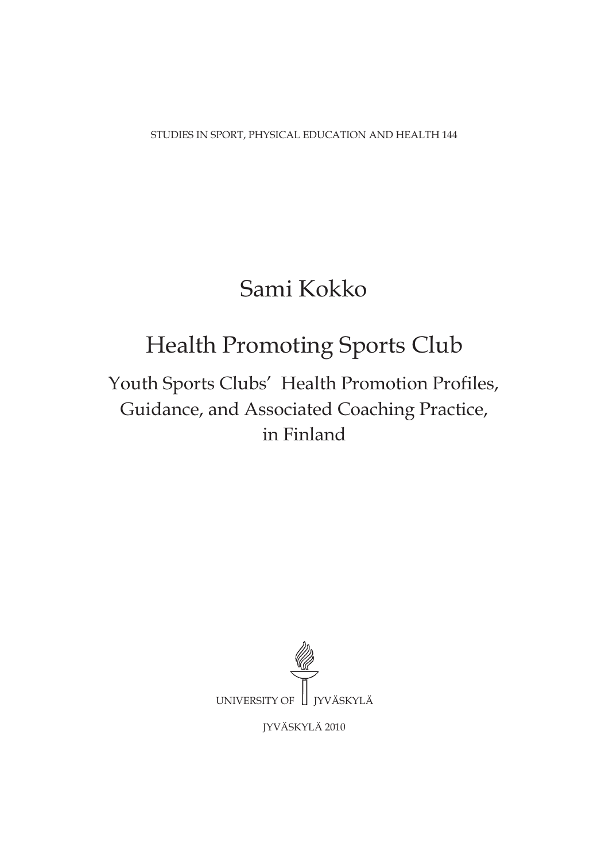STUDIES IN SPORT, PHYSICAL EDUCATION AND HEALTH 144

## Sami Kokko

# Health Promoting Sports Club

## Youth Sports Clubs' Health Promotion Profiles, Guidance, and Associated Coaching Practice, in Finland



JYVÄSKYLÄ 2010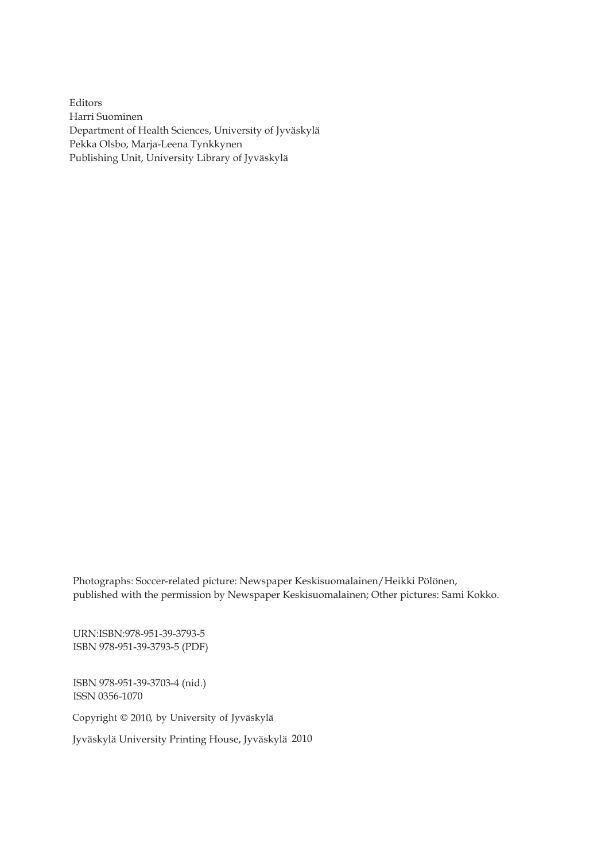Editors Harri Suominen Department of Health Sciences, University of Jyväskylä Pekka Olsbo, Marja-Leena Tynkkynen Publishing Unit, University Library of Jyväskylä

Photographs: Soccer-related picture: Newspaper Keskisuomalainen/Heikki Pölönen, published with the permission by Newspaper Keskisuomalainen; Other pictures: Sami Kokko.

URN:ISBN:978-951-39-3793-5 ISBN 978-951-39-3793-5 (PDF)

ISBN 978-951-39-3703-4 (nid.) ISSN 0356-1070

Copyright © 2010, by University of Jyväskylä

Jyväskylä University Printing House, Jyväskylä 2010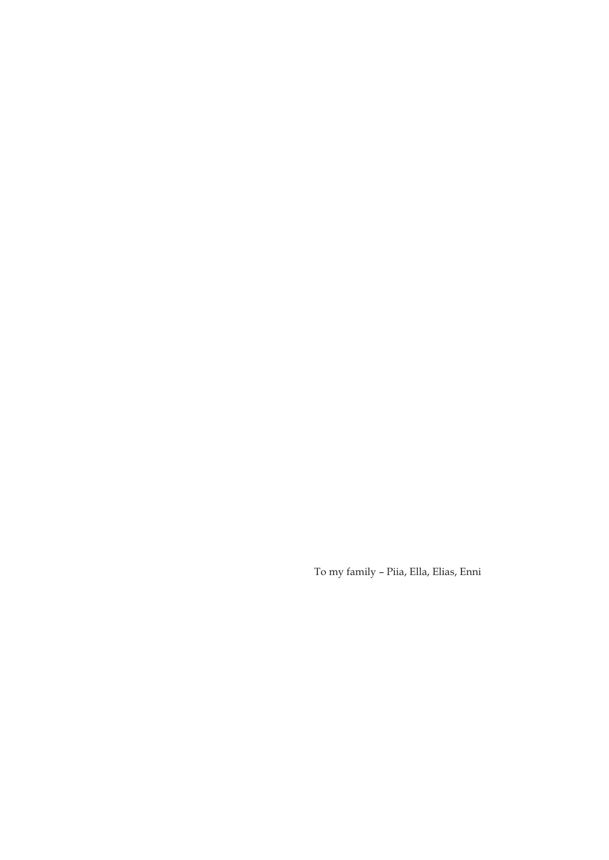To my family – Piia, Ella, Elias, Enni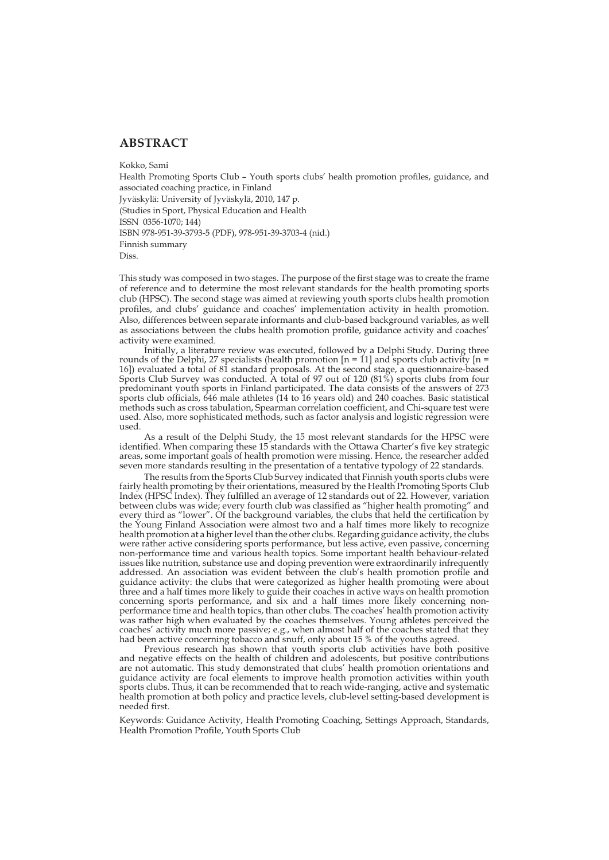## **ABSTRACT**

Kokko, Sami Health Promoting Sports Club – Youth sports clubs' health promotion profiles, guidance, and associated coaching practice, in Finland Jyväskylä: University of Jyväskylä, 2010, 147 p. (Studies in Sport, Physical Education and Health ISSN 0356-1070; 144) ISBN 978-951-39-3793-5 (PDF), 978-951-39-3703-4 (nid.) Finnish summary Diss.

This study was composed in two stages. The purpose of the first stage was to create the frame of reference and to determine the most relevant standards for the health promoting sports club (HPSC). The second stage was aimed at reviewing youth sports clubs health promotion profiles, and clubs' guidance and coaches' implementation activity in health promotion. Also, differences between separate informants and club-based background variables, as well as associations between the clubs health promotion profile, guidance activity and coaches' activity were examined.

Initially, a literature review was executed, followed by a Delphi Study. During three rounds of the Delphi, 27 specialists (health promotion  $[n = 11]$  and sports club activity  $[n = 11]$ 16]) evaluated a total of 81 standard proposals. At the second stage, a questionnaire-based Sports Club Survey was conducted. A total of 97 out of 120 (81%) sports clubs from four predominant youth sports in Finland participated. The data consists of the answers of 273 sports club officials, 646 male athletes (14 to 16 years old) and 240 coaches. Basic statistical methods such as cross tabulation, Spearman correlation coefficient, and Chi-square test were used. Also, more sophisticated methods, such as factor analysis and logistic regression were used.

As a result of the Delphi Study, the 15 most relevant standards for the HPSC were identified. When comparing these 15 standards with the Ottawa Charter's five key strategic areas, some important goals of health promotion were missing. Hence, the researcher added seven more standards resulting in the presentation of a tentative typology of 22 standards.

The results from the Sports Club Survey indicated that Finnish youth sports clubs were fairly health promoting by their orientations, measured by the Health Promoting Sports Club Index (HPSC Index). They fulfilled an average of 12 standards out of 22. However, variation between clubs was wide; every fourth club was classified as "higher health promoting" and every third as "lower". Of the background variables, the clubs that held the certification by the Young Finland Association were almost two and a half times more likely to recognize health promotion at a higher level than the other clubs. Regarding guidance activity, the clubs were rather active considering sports performance, but less active, even passive, concerning non-performance time and various health topics. Some important health behaviour-related issues like nutrition, substance use and doping prevention were extraordinarily infrequently addressed. An association was evident between the club's health promotion profile and guidance activity: the clubs that were categorized as higher health promoting were about three and a half times more likely to guide their coaches in active ways on health promotion concerning sports performance, and six and a half times more likely concerning nonperformance time and health topics, than other clubs. The coaches' health promotion activity was rather high when evaluated by the coaches themselves. Young athletes perceived the coaches' activity much more passive; e.g., when almost half of the coaches stated that they had been active concerning tobacco and snuff, only about 15 % of the youths agreed.

Previous research has shown that youth sports club activities have both positive and negative effects on the health of children and adolescents, but positive contributions are not automatic. This study demonstrated that clubs' health promotion orientations and guidance activity are focal elements to improve health promotion activities within youth sports clubs. Thus, it can be recommended that to reach wide-ranging, active and systematic health promotion at both policy and practice levels, club-level setting-based development is needed first.

Keywords: Guidance Activity, Health Promoting Coaching, Settings Approach, Standards, Health Promotion Profile, Youth Sports Club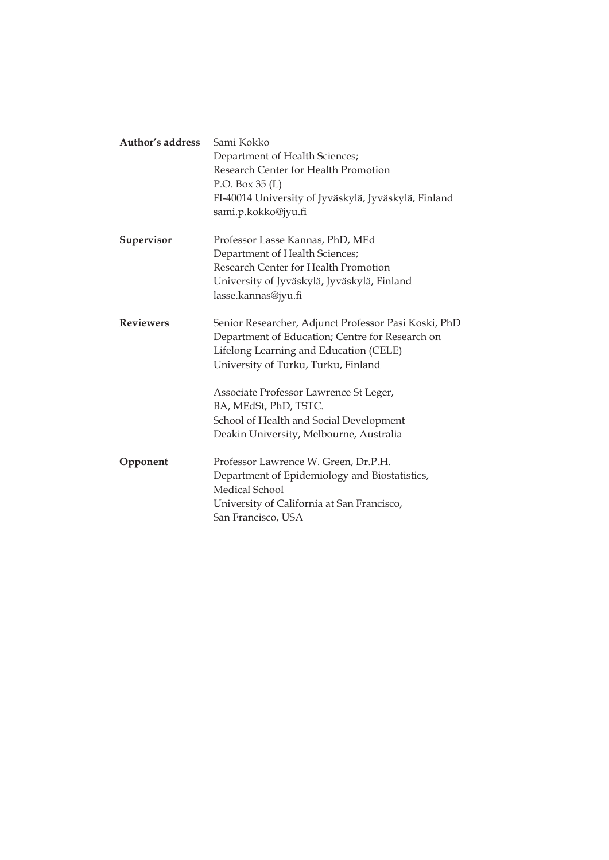| Author's address | Sami Kokko<br>Department of Health Sciences;<br>Research Center for Health Promotion<br>P.O. Box 35 (L)<br>FI-40014 University of Jyväskylä, Jyväskylä, Finland<br>sami.p.kokko@jyu.fi                                                                      |
|------------------|-------------------------------------------------------------------------------------------------------------------------------------------------------------------------------------------------------------------------------------------------------------|
| Supervisor       | Professor Lasse Kannas, PhD, MEd<br>Department of Health Sciences;<br>Research Center for Health Promotion<br>University of Jyväskylä, Jyväskylä, Finland<br>lasse.kannas@jyu.fi                                                                            |
| <b>Reviewers</b> | Senior Researcher, Adjunct Professor Pasi Koski, PhD<br>Department of Education; Centre for Research on<br>Lifelong Learning and Education (CELE)<br>University of Turku, Turku, Finland<br>Associate Professor Lawrence St Leger,<br>BA, MEdSt, PhD, TSTC. |
|                  | School of Health and Social Development<br>Deakin University, Melbourne, Australia                                                                                                                                                                          |
| Opponent         | Professor Lawrence W. Green, Dr.P.H.<br>Department of Epidemiology and Biostatistics,<br>Medical School<br>University of California at San Francisco,<br>San Francisco, USA                                                                                 |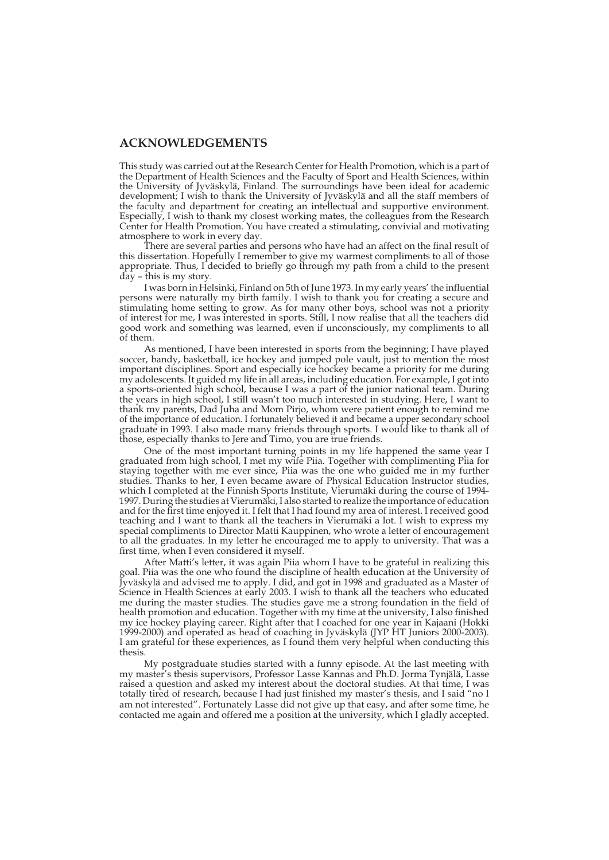### **ACKNOWLEDGEMENTS**

This study was carried out at the Research Center for Health Promotion, which is a part of the Department of Health Sciences and the Faculty of Sport and Health Sciences, within the University of Jyväskylä, Finland. The surroundings have been ideal for academic development; I wish to thank the University of Jyväskylä and all the staff members of the faculty and department for creating an intellectual and supportive environment. Especially, I wish to thank my closest working mates, the colleagues from the Research Center for Health Promotion. You have created a stimulating, convivial and motivating atmosphere to work in every day.

There are several parties and persons who have had an affect on the final result of this dissertation. Hopefully I remember to give my warmest compliments to all of those appropriate. Thus, I decided to briefly go through my path from a child to the present day – this is my story.

I was born in Helsinki, Finland on 5th of June 1973. In my early years' the influential persons were naturally my birth family. I wish to thank you for creating a secure and stimulating home setting to grow. As for many other boys, school was not a priority of interest for me, I was interested in sports. Still, I now realise that all the teachers did good work and something was learned, even if unconsciously, my compliments to all of them.

As mentioned, I have been interested in sports from the beginning; I have played soccer, bandy, basketball, ice hockey and jumped pole vault, just to mention the most important disciplines. Sport and especially ice hockey became a priority for me during my adolescents. It guided my life in all areas, including education. For example, I got into a sports-oriented high school, because I was a part of the junior national team. During the years in high school, I still wasn't too much interested in studying. Here, I want to thank my parents, Dad Juha and Mom Pirjo, whom were patient enough to remind me of the importance of education. I fortunately believed it and became a upper secondary school graduate in 1993. I also made many friends through sports. I would like to thank all of those, especially thanks to Jere and Timo, you are true friends.

One of the most important turning points in my life happened the same year I graduated from high school, I met my wife Piia. Together with complimenting Piia for staying together with me ever since, Piia was the one who guided me in my further studies. Thanks to her, I even became aware of Physical Education Instructor studies, which I completed at the Finnish Sports Institute, Vierumäki during the course of 1994- 1997. During the studies at Vierumäki, I also started to realize the importance of education and for the first time enjoyed it. I felt that I had found my area of interest. I received good teaching and I want to thank all the teachers in Vierumäki a lot. I wish to express my special compliments to Director Matti Kauppinen, who wrote a letter of encouragement to all the graduates. In my letter he encouraged me to apply to university. That was a first time, when I even considered it myself.

After Matti's letter, it was again Piia whom I have to be grateful in realizing this goal. Piia was the one who found the discipline of health education at the University of Jyväskylä and advised me to apply. I did, and got in 1998 and graduated as a Master of Science in Health Sciences at early 2003. I wish to thank all the teachers who educated me during the master studies. The studies gave me a strong foundation in the field of health promotion and education. Together with my time at the university, I also finished my ice hockey playing career. Right after that I coached for one year in Kajaani (Hokki 1999-2000) and operated as head of coaching in Jyväskylä (JYP HT Juniors 2000-2003). I am grateful for these experiences, as I found them very helpful when conducting this thesis.

My postgraduate studies started with a funny episode. At the last meeting with my master's thesis supervisors, Professor Lasse Kannas and Ph.D. Jorma Tynjälä, Lasse raised a question and asked my interest about the doctoral studies. At that time, I was totally tired of research, because I had just finished my master's thesis, and I said "no I am not interested". Fortunately Lasse did not give up that easy, and after some time, he contacted me again and offered me a position at the university, which I gladly accepted.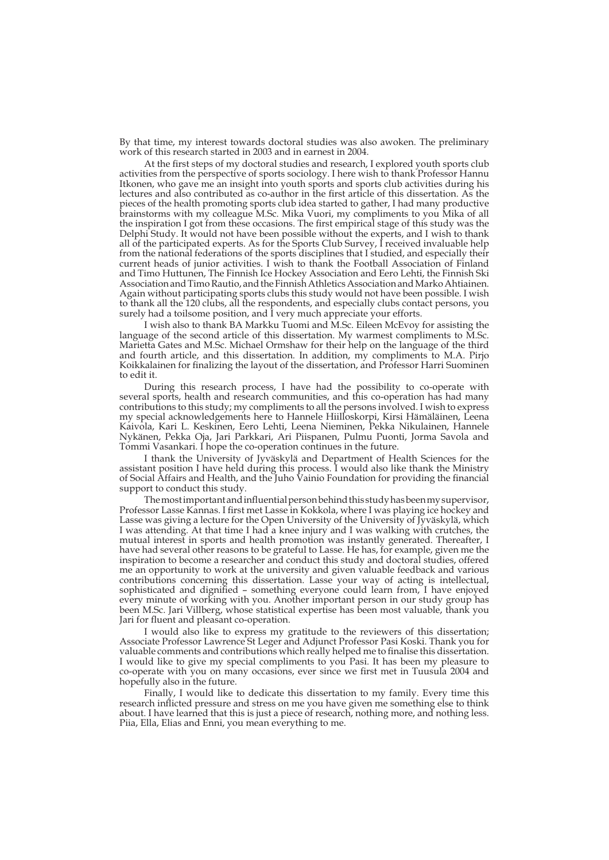By that time, my interest towards doctoral studies was also awoken. The preliminary work of this research started in 2003 and in earnest in 2004.

At the first steps of my doctoral studies and research, I explored youth sports club activities from the perspective of sports sociology. I here wish to thank Professor Hannu Itkonen, who gave me an insight into youth sports and sports club activities during his lectures and also contributed as co-author in the first article of this dissertation. As the pieces of the health promoting sports club idea started to gather, I had many productive brainstorms with my colleague M.Sc. Mika Vuori, my compliments to you Mika of all the inspiration I got from these occasions. The first empirical stage of this study was the Delphi Study. It would not have been possible without the experts, and I wish to thank all of the participated experts. As for the Sports Club Survey, I received invaluable help from the national federations of the sports disciplines that I studied, and especially their current heads of junior activities. I wish to thank the Football Association of Finland and Timo Huttunen, The Finnish Ice Hockey Association and Eero Lehti, the Finnish Ski Association and Timo Rautio, and the Finnish Athletics Association and Marko Ahtiainen. Again without participating sports clubs this study would not have been possible. I wish to thank all the 120 clubs, all the respondents, and especially clubs contact persons, you surely had a toilsome position, and I very much appreciate your efforts.

I wish also to thank BA Markku Tuomi and M.Sc. Eileen McEvoy for assisting the language of the second article of this dissertation. My warmest compliments to M.Sc. Marietta Gates and M.Sc. Michael Ormshaw for their help on the language of the third and fourth article, and this dissertation. In addition, my compliments to M.A. Pirjo Koikkalainen for finalizing the layout of the dissertation, and Professor Harri Suominen to edit it.

During this research process, I have had the possibility to co-operate with several sports, health and research communities, and this co-operation has had many contributions to this study; my compliments to all the persons involved. I wish to express my special acknowledgements here to Hannele Hiilloskorpi, Kirsi Hämäläinen, Leena Kaivola, Kari L. Keskinen, Eero Lehti, Leena Nieminen, Pekka Nikulainen, Hannele Nykänen, Pekka Oja, Jari Parkkari, Ari Piispanen, Pulmu Puonti, Jorma Savola and Tommi Vasankari. I hope the co-operation continues in the future.

I thank the University of Jyväskylä and Department of Health Sciences for the assistant position I have held during this process. I would also like thank the Ministry of Social Affairs and Health, and the Juho Vainio Foundation for providing the financial support to conduct this study.

The most important and influential person behind this study has been my supervisor, Professor Lasse Kannas. I first met Lasse in Kokkola, where I was playing ice hockey and Lasse was giving a lecture for the Open University of the University of Jyväskylä, which I was attending. At that time I had a knee injury and I was walking with crutches, the mutual interest in sports and health promotion was instantly generated. Thereafter, I have had several other reasons to be grateful to Lasse. He has, for example, given me the inspiration to become a researcher and conduct this study and doctoral studies, offered me an opportunity to work at the university and given valuable feedback and various contributions concerning this dissertation. Lasse your way of acting is intellectual, sophisticated and dignified – something everyone could learn from, I have enjoyed every minute of working with you. Another important person in our study group has been M.Sc. Jari Villberg, whose statistical expertise has been most valuable, thank you Jari for fluent and pleasant co-operation.

I would also like to express my gratitude to the reviewers of this dissertation; Associate Professor Lawrence St Leger and Adjunct Professor Pasi Koski. Thank you for valuable comments and contributions which really helped me to finalise this dissertation. I would like to give my special compliments to you Pasi. It has been my pleasure to co-operate with you on many occasions, ever since we first met in Tuusula 2004 and hopefully also in the future.

Finally, I would like to dedicate this dissertation to my family. Every time this research inflicted pressure and stress on me you have given me something else to think about. I have learned that this is just a piece of research, nothing more, and nothing less. Piia, Ella, Elias and Enni, you mean everything to me.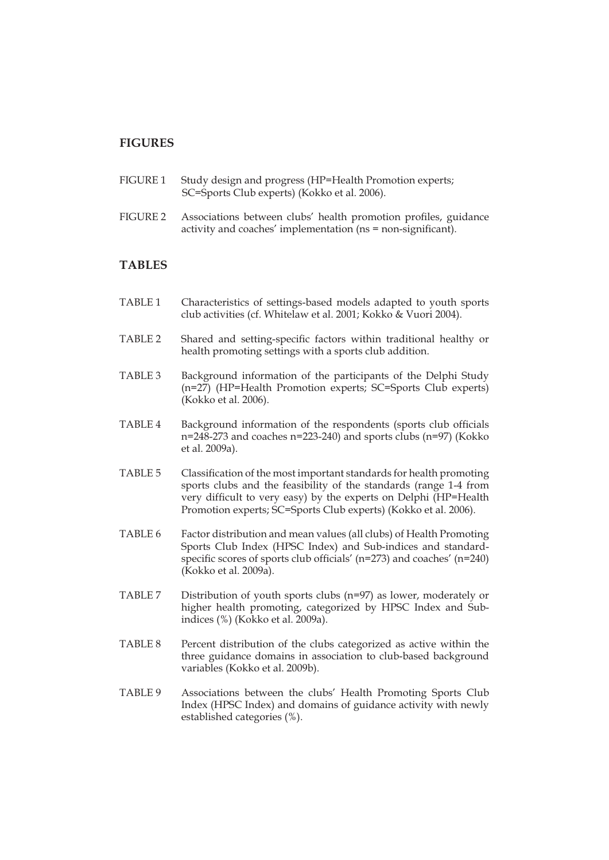## **FIGURES**

- FIGURE 1 Study design and progress (HP=Health Promotion experts; SC=Sports Club experts) (Kokko et al. 2006).
- FIGURE 2 Associations between clubs' health promotion profiles, guidance activity and coaches' implementation (ns = non-significant).

## **TABLES**

- TABLE 1 Characteristics of settings-based models adapted to youth sports club activities (cf. Whitelaw et al. 2001; Kokko & Vuori 2004).
- TABLE 2 Shared and setting-specific factors within traditional healthy or health promoting settings with a sports club addition.
- TABLE 3 Background information of the participants of the Delphi Study (n=27) (HP=Health Promotion experts; SC=Sports Club experts) (Kokko et al. 2006).
- TABLE 4 Background information of the respondents (sports club officials n=248-273 and coaches n=223-240) and sports clubs (n=97) (Kokko et al. 2009a).
- TABLE 5 Classification of the most important standards for health promoting sports clubs and the feasibility of the standards (range 1-4 from very difficult to very easy) by the experts on Delphi (HP=Health Promotion experts; SC=Sports Club experts) (Kokko et al. 2006).
- TABLE 6 Factor distribution and mean values (all clubs) of Health Promoting Sports Club Index (HPSC Index) and Sub-indices and standardspecific scores of sports club officials' (n=273) and coaches' (n=240) (Kokko et al. 2009a).
- TABLE 7 Distribution of youth sports clubs (n=97) as lower, moderately or higher health promoting, categorized by HPSC Index and Subindices (%) (Kokko et al. 2009a).
- TABLE 8 Percent distribution of the clubs categorized as active within the three guidance domains in association to club-based background variables (Kokko et al. 2009b).
- TABLE 9 Associations between the clubs' Health Promoting Sports Club Index (HPSC Index) and domains of guidance activity with newly established categories (%).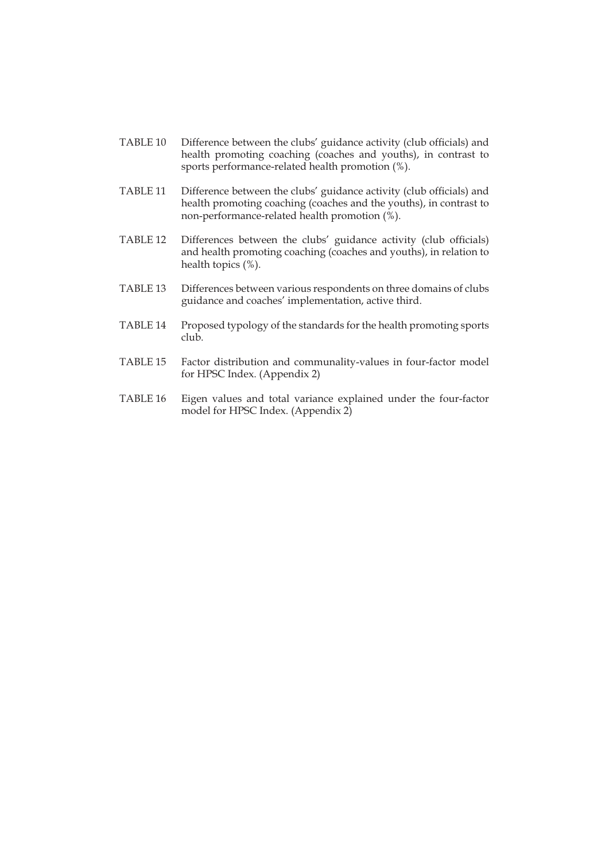- TABLE 10 Difference between the clubs' guidance activity (club officials) and health promoting coaching (coaches and youths), in contrast to sports performance-related health promotion (%).
- TABLE 11 Difference between the clubs' guidance activity (club officials) and health promoting coaching (coaches and the youths), in contrast to non-performance-related health promotion (%).
- TABLE 12 Differences between the clubs' guidance activity (club officials) and health promoting coaching (coaches and youths), in relation to health topics (%).
- TABLE 13 Differences between various respondents on three domains of clubs guidance and coaches' implementation, active third.
- TABLE 14 Proposed typology of the standards for the health promoting sports club.
- TABLE 15 Factor distribution and communality-values in four-factor model for HPSC Index. (Appendix 2)
- TABLE 16 Eigen values and total variance explained under the four-factor model for HPSC Index. (Appendix 2)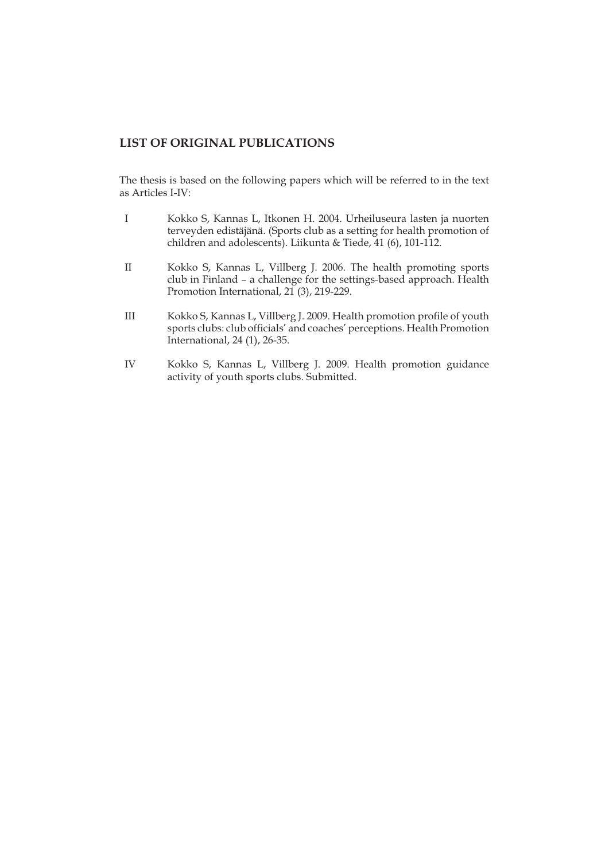## **LIST OF ORIGINAL PUBLICATIONS**

The thesis is based on the following papers which will be referred to in the text as Articles I-IV:

- I Kokko S, Kannas L, Itkonen H. 2004. Urheiluseura lasten ja nuorten terveyden edistäjänä. (Sports club as a setting for health promotion of children and adolescents). Liikunta & Tiede, 41 (6), 101-112.
- II Kokko S, Kannas L, Villberg J. 2006. The health promoting sports club in Finland – a challenge for the settings-based approach. Health Promotion International, 21<sup>(3)</sup>, 219-229.
- III Kokko S, Kannas L, Villberg J. 2009. Health promotion profile of youth sports clubs: club officials' and coaches' perceptions. Health Promotion International, 24 (1), 26-35.
- IV Kokko S, Kannas L, Villberg J. 2009. Health promotion guidance activity of youth sports clubs. Submitted.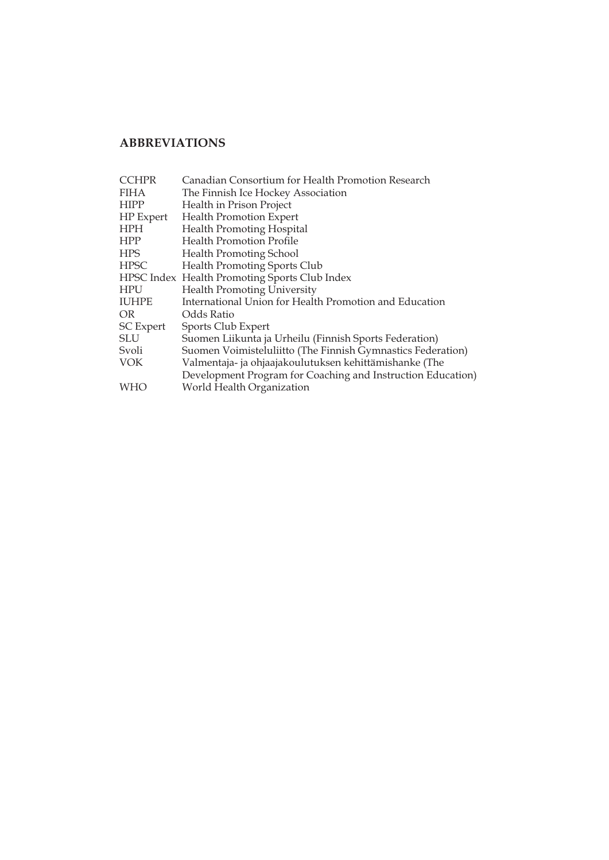## **ABBREVIATIONS**

| <b>CCHPR</b>     | Canadian Consortium for Health Promotion Research           |
|------------------|-------------------------------------------------------------|
| <b>FIHA</b>      | The Finnish Ice Hockey Association                          |
| <b>HIPP</b>      | Health in Prison Project                                    |
| HP Expert        | <b>Health Promotion Expert</b>                              |
| <b>HPH</b>       | <b>Health Promoting Hospital</b>                            |
| <b>HPP</b>       | <b>Health Promotion Profile</b>                             |
| <b>HPS</b>       | <b>Health Promoting School</b>                              |
| <b>HPSC</b>      | <b>Health Promoting Sports Club</b>                         |
|                  | HPSC Index Health Promoting Sports Club Index               |
| <b>HPU</b>       | <b>Health Promoting University</b>                          |
| <b>IUHPE</b>     | International Union for Health Promotion and Education      |
| OR.              | Odds Ratio                                                  |
| <b>SC</b> Expert | Sports Club Expert                                          |
| <b>SLU</b>       | Suomen Liikunta ja Urheilu (Finnish Sports Federation)      |
| Svoli            | Suomen Voimisteluliitto (The Finnish Gymnastics Federation) |
| <b>VOK</b>       | Valmentaja- ja ohjaajakoulutuksen kehittämishanke (The      |
|                  | Development Program for Coaching and Instruction Education) |
| WHO              | World Health Organization                                   |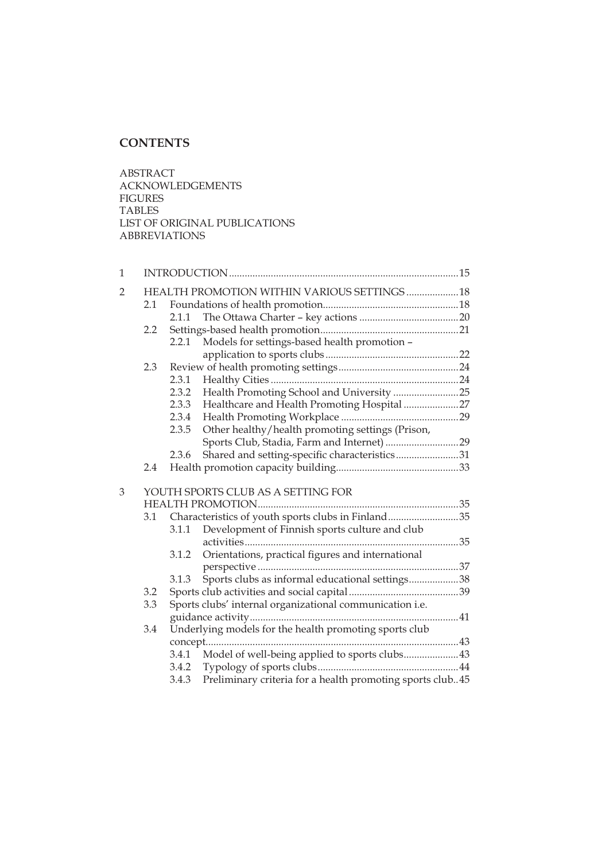## **CONTENTS**

ABSTRACT ACKNOWLEDGEMENTS FIGURES TABLES LIST OF ORIGINAL PUBLICATIONS ABBREVIATIONS

| $\mathbf{1}$   |     |       |                                                           |  |
|----------------|-----|-------|-----------------------------------------------------------|--|
| $\overline{2}$ |     |       | HEALTH PROMOTION WITHIN VARIOUS SETTINGS  18              |  |
|                | 2.1 |       |                                                           |  |
|                |     | 2.1.1 |                                                           |  |
|                | 2.2 |       |                                                           |  |
|                |     | 2.2.1 | Models for settings-based health promotion -              |  |
|                |     |       |                                                           |  |
|                | 2.3 |       |                                                           |  |
|                |     | 2.3.1 |                                                           |  |
|                |     | 2.3.2 | Health Promoting School and University 25                 |  |
|                |     | 2.3.3 | Healthcare and Health Promoting Hospital 27               |  |
|                |     | 2.3.4 |                                                           |  |
|                |     | 2.3.5 | Other healthy/health promoting settings (Prison,          |  |
|                |     |       | Sports Club, Stadia, Farm and Internet) 29                |  |
|                |     | 2.3.6 | Shared and setting-specific characteristics31             |  |
|                | 2.4 |       |                                                           |  |
|                |     |       |                                                           |  |
| 3              |     |       | YOUTH SPORTS CLUB AS A SETTING FOR                        |  |
|                |     |       |                                                           |  |
|                | 3.1 |       | Characteristics of youth sports clubs in Finland35        |  |
|                |     | 3.1.1 | Development of Finnish sports culture and club            |  |
|                |     |       |                                                           |  |
|                |     | 3.1.2 | Orientations, practical figures and international         |  |
|                |     |       |                                                           |  |
|                |     | 3.1.3 | Sports clubs as informal educational settings38           |  |
|                | 3.2 |       |                                                           |  |
|                | 3.3 |       | Sports clubs' internal organizational communication i.e.  |  |
|                |     |       |                                                           |  |
|                | 3.4 |       | Underlying models for the health promoting sports club    |  |
|                |     |       |                                                           |  |
|                |     |       | 3.4.1 Model of well-being applied to sports clubs43       |  |
|                |     |       |                                                           |  |
|                |     | 3.4.3 | Preliminary criteria for a health promoting sports club45 |  |
|                |     |       |                                                           |  |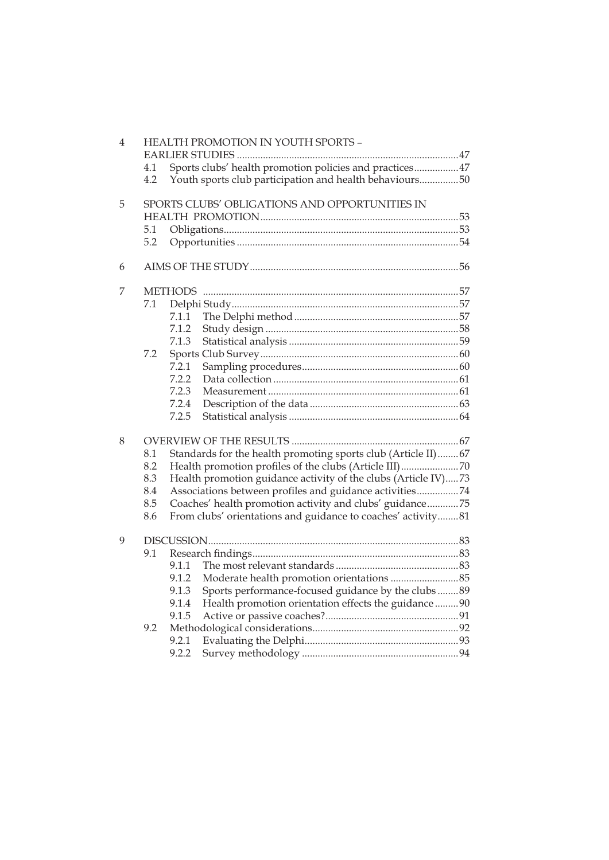| $\overline{4}$ |     |                | HEALTH PROMOTION IN YOUTH SPORTS -                             |  |
|----------------|-----|----------------|----------------------------------------------------------------|--|
|                |     |                |                                                                |  |
|                | 4.1 |                | Sports clubs' health promotion policies and practices47        |  |
|                | 4.2 |                | Youth sports club participation and health behaviours50        |  |
| 5              |     |                | SPORTS CLUBS' OBLIGATIONS AND OPPORTUNITIES IN                 |  |
|                |     |                |                                                                |  |
|                | 5.1 |                |                                                                |  |
|                | 5.2 |                |                                                                |  |
| 6              |     |                |                                                                |  |
| 7              |     | <b>METHODS</b> |                                                                |  |
|                | 7.1 |                |                                                                |  |
|                |     | 7.1.1          |                                                                |  |
|                |     | 7.1.2          |                                                                |  |
|                |     | 7.1.3          |                                                                |  |
|                | 7.2 |                |                                                                |  |
|                |     | 7.2.1          |                                                                |  |
|                |     | 7.2.2          |                                                                |  |
|                |     | 7.2.3          |                                                                |  |
|                |     | 7.2.4          |                                                                |  |
|                |     | 7.2.5          |                                                                |  |
| 8              |     |                |                                                                |  |
|                | 8.1 |                | Standards for the health promoting sports club (Article II)67  |  |
|                | 8.2 |                | Health promotion profiles of the clubs (Article III)70         |  |
|                | 8.3 |                | Health promotion guidance activity of the clubs (Article IV)73 |  |
|                | 8.4 |                | Associations between profiles and guidance activities74        |  |
|                | 8.5 |                | Coaches' health promotion activity and clubs' guidance75       |  |
|                | 8.6 |                | From clubs' orientations and guidance to coaches' activity81   |  |
| 9              |     |                |                                                                |  |
|                | 9.1 |                |                                                                |  |
|                |     | 9.1.1          |                                                                |  |
|                |     | 9.1.2          |                                                                |  |
|                |     | 9.1.3          | Sports performance-focused guidance by the clubs 89            |  |
|                |     | 9.1.4          | Health promotion orientation effects the guidance  90          |  |
|                |     | 9.1.5          |                                                                |  |
|                | 9.2 |                |                                                                |  |
|                |     | 9.2.1          |                                                                |  |
|                |     | 9.2.2          |                                                                |  |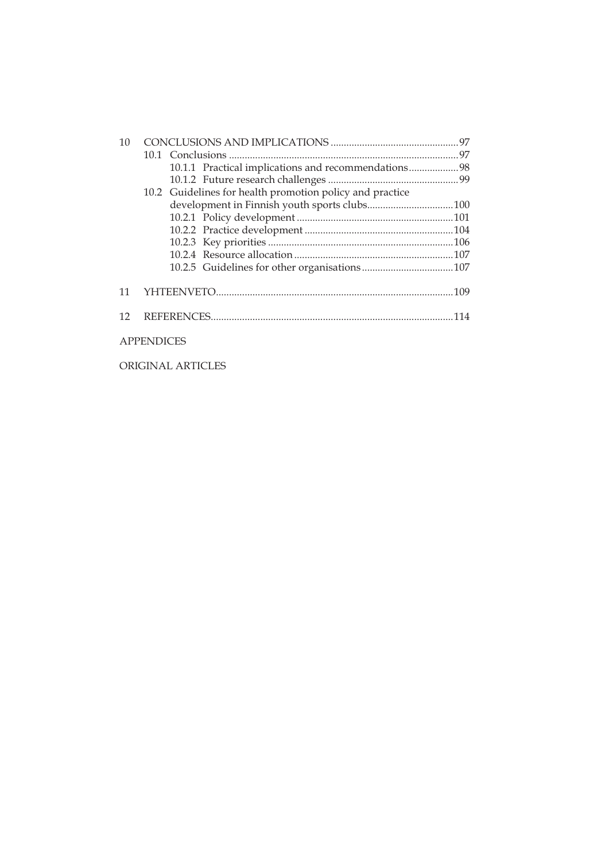| 10 |                                                          |  |
|----|----------------------------------------------------------|--|
|    |                                                          |  |
|    | 10.1.1 Practical implications and recommendations98      |  |
|    |                                                          |  |
|    | 10.2 Guidelines for health promotion policy and practice |  |
|    |                                                          |  |
|    |                                                          |  |
|    |                                                          |  |
|    |                                                          |  |
|    |                                                          |  |
|    |                                                          |  |
| 11 |                                                          |  |
| 12 |                                                          |  |
|    | <b>APPENDICES</b>                                        |  |

ORIGINAL ARTICLES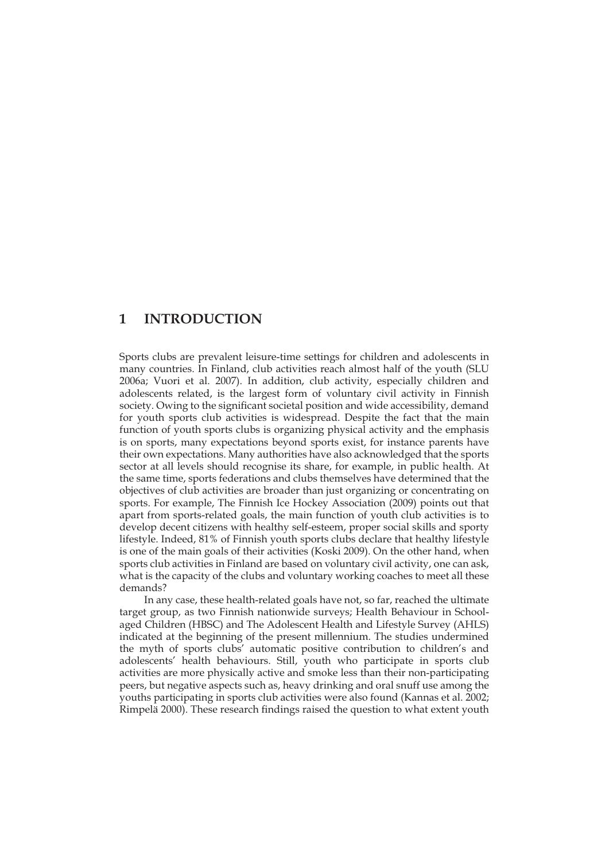## **1 INTRODUCTION**

Sports clubs are prevalent leisure-time settings for children and adolescents in many countries. In Finland, club activities reach almost half of the youth (SLU 2006a; Vuori et al. 2007). In addition, club activity, especially children and adolescents related, is the largest form of voluntary civil activity in Finnish society. Owing to the significant societal position and wide accessibility, demand for youth sports club activities is widespread. Despite the fact that the main function of youth sports clubs is organizing physical activity and the emphasis is on sports, many expectations beyond sports exist, for instance parents have their own expectations. Many authorities have also acknowledged that the sports sector at all levels should recognise its share, for example, in public health. At the same time, sports federations and clubs themselves have determined that the objectives of club activities are broader than just organizing or concentrating on sports. For example, The Finnish Ice Hockey Association (2009) points out that apart from sports-related goals, the main function of youth club activities is to develop decent citizens with healthy self-esteem, proper social skills and sporty lifestyle. Indeed, 81% of Finnish youth sports clubs declare that healthy lifestyle is one of the main goals of their activities (Koski 2009). On the other hand, when sports club activities in Finland are based on voluntary civil activity, one can ask, what is the capacity of the clubs and voluntary working coaches to meet all these demands?

In any case, these health-related goals have not, so far, reached the ultimate target group, as two Finnish nationwide surveys; Health Behaviour in Schoolaged Children (HBSC) and The Adolescent Health and Lifestyle Survey (AHLS) indicated at the beginning of the present millennium. The studies undermined the myth of sports clubs' automatic positive contribution to children's and adolescents' health behaviours. Still, youth who participate in sports club activities are more physically active and smoke less than their non-participating peers, but negative aspects such as, heavy drinking and oral snuff use among the youths participating in sports club activities were also found (Kannas et al. 2002; Rimpelä 2000). These research findings raised the question to what extent youth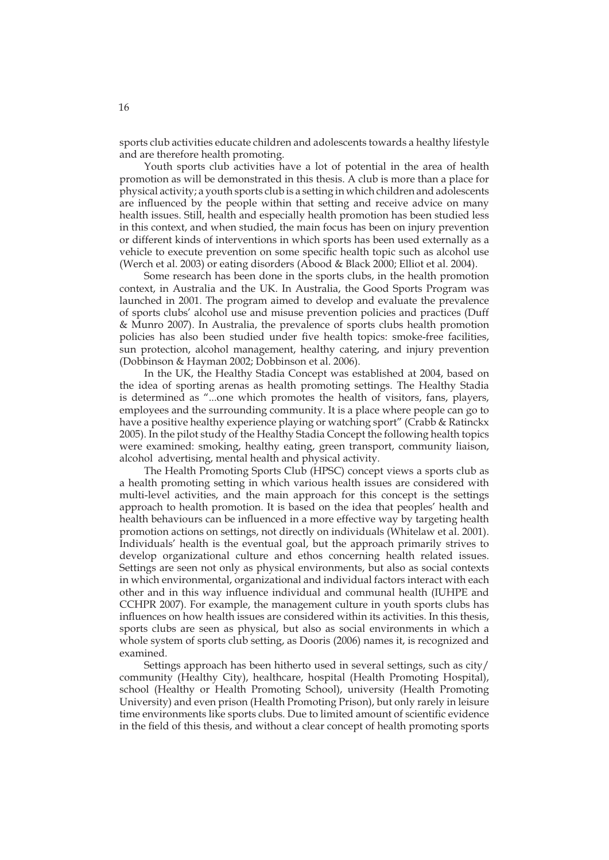sports club activities educate children and adolescents towards a healthy lifestyle and are therefore health promoting.

Youth sports club activities have a lot of potential in the area of health promotion as will be demonstrated in this thesis. A club is more than a place for physical activity; a youth sports club is a setting in which children and adolescents are influenced by the people within that setting and receive advice on many health issues. Still, health and especially health promotion has been studied less in this context, and when studied, the main focus has been on injury prevention or different kinds of interventions in which sports has been used externally as a vehicle to execute prevention on some specific health topic such as alcohol use (Werch et al. 2003) or eating disorders (Abood & Black 2000; Elliot et al. 2004).

Some research has been done in the sports clubs, in the health promotion context, in Australia and the UK. In Australia, the Good Sports Program was launched in 2001. The program aimed to develop and evaluate the prevalence of sports clubs' alcohol use and misuse prevention policies and practices (Duff & Munro 2007). In Australia, the prevalence of sports clubs health promotion policies has also been studied under five health topics: smoke-free facilities, sun protection, alcohol management, healthy catering, and injury prevention (Dobbinson & Hayman 2002; Dobbinson et al. 2006).

In the UK, the Healthy Stadia Concept was established at 2004, based on the idea of sporting arenas as health promoting settings. The Healthy Stadia is determined as "...one which promotes the health of visitors, fans, players, employees and the surrounding community. It is a place where people can go to have a positive healthy experience playing or watching sport" (Crabb & Ratinckx 2005). In the pilot study of the Healthy Stadia Concept the following health topics were examined: smoking, healthy eating, green transport, community liaison, alcohol advertising, mental health and physical activity.

The Health Promoting Sports Club (HPSC) concept views a sports club as a health promoting setting in which various health issues are considered with multi-level activities, and the main approach for this concept is the settings approach to health promotion. It is based on the idea that peoples' health and health behaviours can be influenced in a more effective way by targeting health promotion actions on settings, not directly on individuals (Whitelaw et al. 2001). Individuals' health is the eventual goal, but the approach primarily strives to develop organizational culture and ethos concerning health related issues. Settings are seen not only as physical environments, but also as social contexts in which environmental, organizational and individual factors interact with each other and in this way influence individual and communal health (IUHPE and CCHPR 2007). For example, the management culture in youth sports clubs has influences on how health issues are considered within its activities. In this thesis, sports clubs are seen as physical, but also as social environments in which a whole system of sports club setting, as Dooris (2006) names it, is recognized and examined.

Settings approach has been hitherto used in several settings, such as city/ community (Healthy City), healthcare, hospital (Health Promoting Hospital), school (Healthy or Health Promoting School), university (Health Promoting University) and even prison (Health Promoting Prison), but only rarely in leisure time environments like sports clubs. Due to limited amount of scientific evidence in the field of this thesis, and without a clear concept of health promoting sports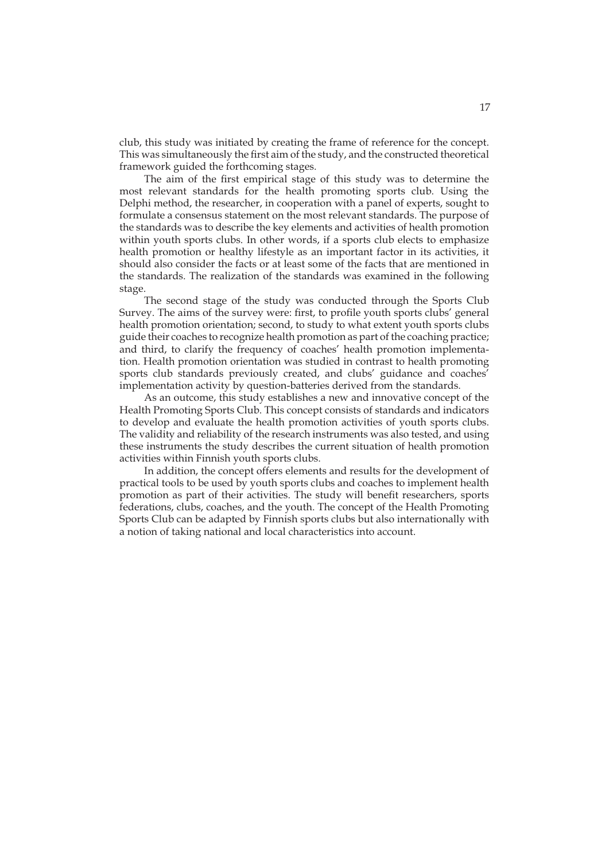club, this study was initiated by creating the frame of reference for the concept. This was simultaneously the first aim of the study, and the constructed theoretical framework guided the forthcoming stages.

The aim of the first empirical stage of this study was to determine the most relevant standards for the health promoting sports club. Using the Delphi method, the researcher, in cooperation with a panel of experts, sought to formulate a consensus statement on the most relevant standards. The purpose of the standards was to describe the key elements and activities of health promotion within youth sports clubs. In other words, if a sports club elects to emphasize health promotion or healthy lifestyle as an important factor in its activities, it should also consider the facts or at least some of the facts that are mentioned in the standards. The realization of the standards was examined in the following stage.

The second stage of the study was conducted through the Sports Club Survey. The aims of the survey were: first, to profile youth sports clubs' general health promotion orientation; second, to study to what extent youth sports clubs guide their coaches to recognize health promotion as part of the coaching practice; and third, to clarify the frequency of coaches' health promotion implementation. Health promotion orientation was studied in contrast to health promoting sports club standards previously created, and clubs' guidance and coaches' implementation activity by question-batteries derived from the standards.

As an outcome, this study establishes a new and innovative concept of the Health Promoting Sports Club. This concept consists of standards and indicators to develop and evaluate the health promotion activities of youth sports clubs. The validity and reliability of the research instruments was also tested, and using these instruments the study describes the current situation of health promotion activities within Finnish youth sports clubs.

In addition, the concept offers elements and results for the development of practical tools to be used by youth sports clubs and coaches to implement health promotion as part of their activities. The study will benefit researchers, sports federations, clubs, coaches, and the youth. The concept of the Health Promoting Sports Club can be adapted by Finnish sports clubs but also internationally with a notion of taking national and local characteristics into account.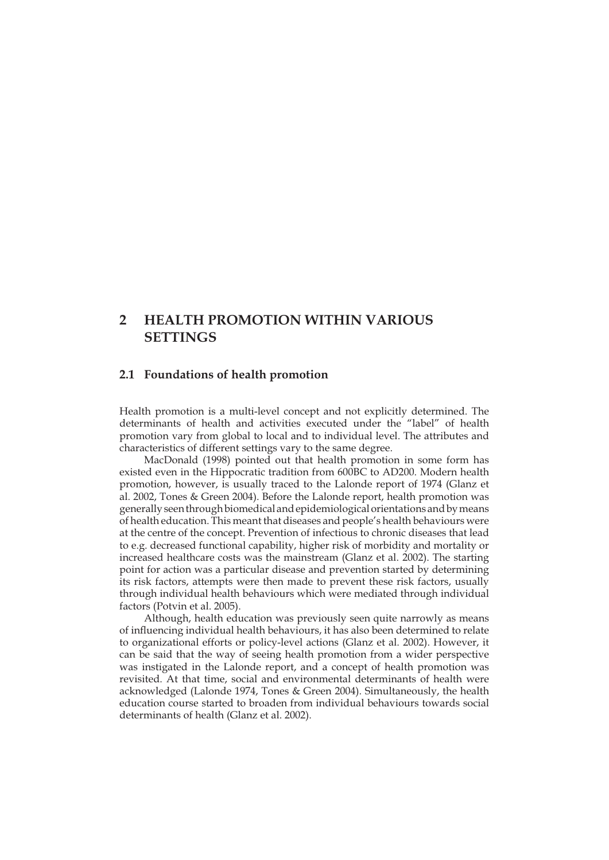## **2 HEALTH PROMOTION WITHIN VARIOUS SETTINGS**

## **2.1 Foundations of health promotion**

Health promotion is a multi-level concept and not explicitly determined. The determinants of health and activities executed under the "label" of health promotion vary from global to local and to individual level. The attributes and characteristics of different settings vary to the same degree.

MacDonald (1998) pointed out that health promotion in some form has existed even in the Hippocratic tradition from 600BC to AD200. Modern health promotion, however, is usually traced to the Lalonde report of 1974 (Glanz et al. 2002, Tones & Green 2004). Before the Lalonde report, health promotion was generally seen through biomedical and epidemiological orientations and by means of health education. This meant that diseases and people's health behaviours were at the centre of the concept. Prevention of infectious to chronic diseases that lead to e.g. decreased functional capability, higher risk of morbidity and mortality or increased healthcare costs was the mainstream (Glanz et al. 2002). The starting point for action was a particular disease and prevention started by determining its risk factors, attempts were then made to prevent these risk factors, usually through individual health behaviours which were mediated through individual factors (Potvin et al. 2005).

Although, health education was previously seen quite narrowly as means of influencing individual health behaviours, it has also been determined to relate to organizational efforts or policy-level actions (Glanz et al. 2002). However, it can be said that the way of seeing health promotion from a wider perspective was instigated in the Lalonde report, and a concept of health promotion was revisited. At that time, social and environmental determinants of health were acknowledged (Lalonde 1974, Tones & Green 2004). Simultaneously, the health education course started to broaden from individual behaviours towards social determinants of health (Glanz et al. 2002).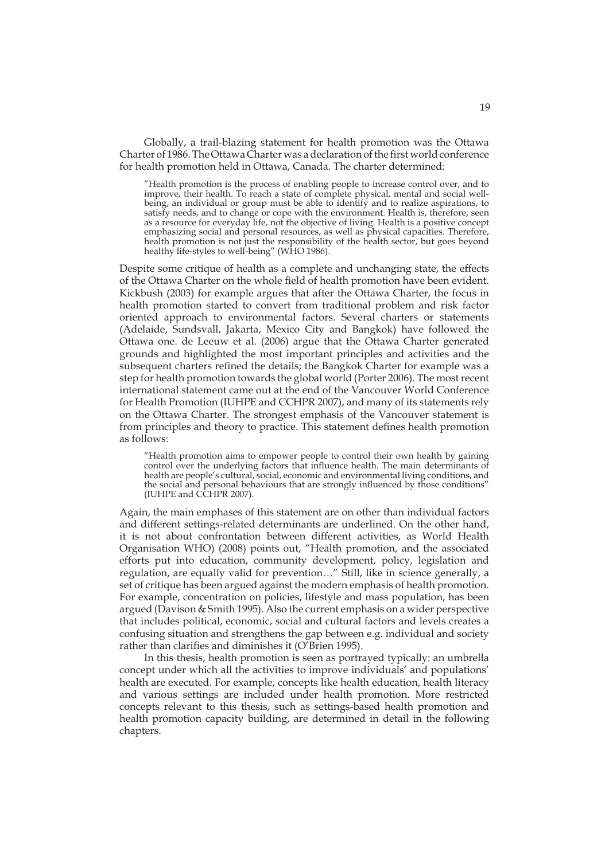Globally, a trail-blazing statement for health promotion was the Ottawa Charter of 1986. The Ottawa Charter was a declaration of the first world conference for health promotion held in Ottawa, Canada. The charter determined:

"Health promotion is the process of enabling people to increase control over, and to improve, their health. To reach a state of complete physical, mental and social wellbeing, an individual or group must be able to identify and to realize aspirations, to satisfy needs, and to change or cope with the environment. Health is, therefore, seen as a resource for everyday life, not the objective of living. Health is a positive concept emphasizing social and personal resources, as well as physical capacities. Therefore, health promotion is not just the responsibility of the health sector, but goes beyond healthy life-styles to well-being" (WHO 1986).

Despite some critique of health as a complete and unchanging state, the effects of the Ottawa Charter on the whole field of health promotion have been evident. Kickbush (2003) for example argues that after the Ottawa Charter, the focus in health promotion started to convert from traditional problem and risk factor oriented approach to environmental factors. Several charters or statements (Adelaide, Sundsvall, Jakarta, Mexico City and Bangkok) have followed the Ottawa one. de Leeuw et al. (2006) argue that the Ottawa Charter generated grounds and highlighted the most important principles and activities and the subsequent charters refined the details; the Bangkok Charter for example was a step for health promotion towards the global world (Porter 2006). The most recent international statement came out at the end of the Vancouver World Conference for Health Promotion (IUHPE and CCHPR 2007), and many of its statements rely on the Ottawa Charter. The strongest emphasis of the Vancouver statement is from principles and theory to practice. This statement defines health promotion as follows:

"Health promotion aims to empower people to control their own health by gaining control over the underlying factors that influence health. The main determinants of health are people's cultural, social, economic and environmental living conditions, and the social and personal behaviours that are strongly influenced by those conditions" (IUHPE and CCHPR 2007).

Again, the main emphases of this statement are on other than individual factors and different settings-related determinants are underlined. On the other hand, it is not about confrontation between different activities, as World Health Organisation WHO) (2008) points out, "Health promotion, and the associated efforts put into education, community development, policy, legislation and regulation, are equally valid for prevention…" Still, like in science generally, a set of critique has been argued against the modern emphasis of health promotion. For example, concentration on policies, lifestyle and mass population, has been argued (Davison & Smith 1995). Also the current emphasis on a wider perspective that includes political, economic, social and cultural factors and levels creates a confusing situation and strengthens the gap between e.g. individual and society rather than clarifies and diminishes it (O'Brien 1995).

In this thesis, health promotion is seen as portrayed typically: an umbrella concept under which all the activities to improve individuals' and populations' health are executed. For example, concepts like health education, health literacy and various settings are included under health promotion. More restricted concepts relevant to this thesis, such as settings-based health promotion and health promotion capacity building, are determined in detail in the following chapters.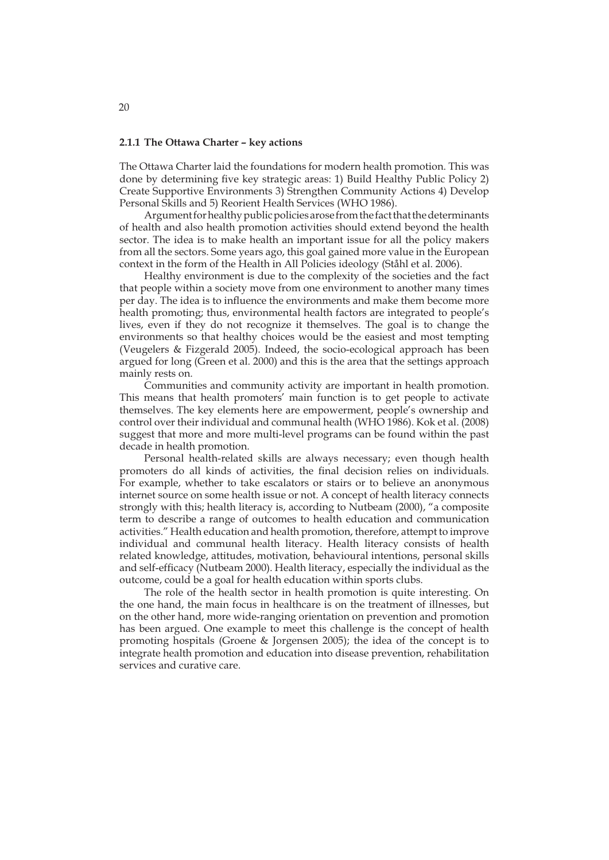#### **2.1.1 The Ottawa Charter – key actions**

The Ottawa Charter laid the foundations for modern health promotion. This was done by determining five key strategic areas: 1) Build Healthy Public Policy 2) Create Supportive Environments 3) Strengthen Community Actions 4) Develop Personal Skills and 5) Reorient Health Services (WHO 1986).

Argument for healthy public policies arose from the fact that the determinants of health and also health promotion activities should extend beyond the health sector. The idea is to make health an important issue for all the policy makers from all the sectors. Some years ago, this goal gained more value in the European context in the form of the Health in All Policies ideology (Ståhl et al. 2006).

Healthy environment is due to the complexity of the societies and the fact that people within a society move from one environment to another many times per day. The idea is to influence the environments and make them become more health promoting; thus, environmental health factors are integrated to people's lives, even if they do not recognize it themselves. The goal is to change the environments so that healthy choices would be the easiest and most tempting (Veugelers & Fizgerald 2005). Indeed, the socio-ecological approach has been argued for long (Green et al. 2000) and this is the area that the settings approach mainly rests on.

Communities and community activity are important in health promotion. This means that health promoters' main function is to get people to activate themselves. The key elements here are empowerment, people's ownership and control over their individual and communal health (WHO 1986). Kok et al. (2008) suggest that more and more multi-level programs can be found within the past decade in health promotion.

Personal health-related skills are always necessary; even though health promoters do all kinds of activities, the final decision relies on individuals. For example, whether to take escalators or stairs or to believe an anonymous internet source on some health issue or not. A concept of health literacy connects strongly with this; health literacy is, according to Nutbeam (2000), "a composite term to describe a range of outcomes to health education and communication activities." Health education and health promotion, therefore, attempt to improve individual and communal health literacy. Health literacy consists of health related knowledge, attitudes, motivation, behavioural intentions, personal skills and self-efficacy (Nutbeam 2000). Health literacy, especially the individual as the outcome, could be a goal for health education within sports clubs.

The role of the health sector in health promotion is quite interesting. On the one hand, the main focus in healthcare is on the treatment of illnesses, but on the other hand, more wide-ranging orientation on prevention and promotion has been argued. One example to meet this challenge is the concept of health promoting hospitals (Groene & Jorgensen 2005); the idea of the concept is to integrate health promotion and education into disease prevention, rehabilitation services and curative care.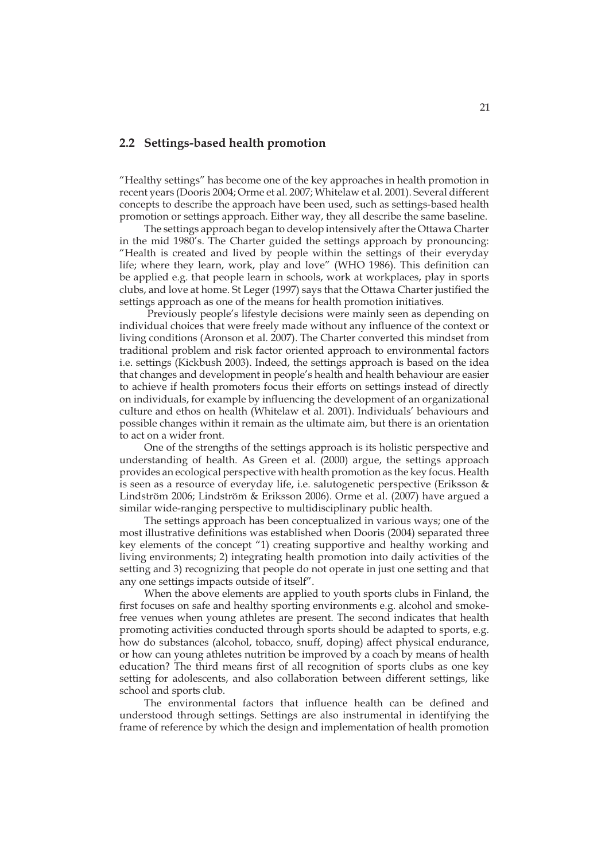### **2.2 Settings-based health promotion**

"Healthy settings" has become one of the key approaches in health promotion in recent years (Dooris 2004; Orme et al. 2007; Whitelaw et al. 2001). Several different concepts to describe the approach have been used, such as settings-based health promotion or settings approach. Either way, they all describe the same baseline.

The settings approach began to develop intensively after the Ottawa Charter in the mid 1980's. The Charter guided the settings approach by pronouncing: "Health is created and lived by people within the settings of their everyday life; where they learn, work, play and love" (WHO 1986). This definition can be applied e.g. that people learn in schools, work at workplaces, play in sports clubs, and love at home. St Leger (1997) says that the Ottawa Charter justified the settings approach as one of the means for health promotion initiatives.

 Previously people's lifestyle decisions were mainly seen as depending on individual choices that were freely made without any influence of the context or living conditions (Aronson et al. 2007). The Charter converted this mindset from traditional problem and risk factor oriented approach to environmental factors i.e. settings (Kickbush 2003). Indeed, the settings approach is based on the idea that changes and development in people's health and health behaviour are easier to achieve if health promoters focus their efforts on settings instead of directly on individuals, for example by influencing the development of an organizational culture and ethos on health (Whitelaw et al. 2001). Individuals' behaviours and possible changes within it remain as the ultimate aim, but there is an orientation to act on a wider front.

One of the strengths of the settings approach is its holistic perspective and understanding of health. As Green et al. (2000) argue, the settings approach provides an ecological perspective with health promotion as the key focus. Health is seen as a resource of everyday life, i.e. salutogenetic perspective (Eriksson & Lindström 2006; Lindström & Eriksson 2006). Orme et al. (2007) have argued a similar wide-ranging perspective to multidisciplinary public health.

The settings approach has been conceptualized in various ways; one of the most illustrative definitions was established when Dooris (2004) separated three key elements of the concept "1) creating supportive and healthy working and living environments; 2) integrating health promotion into daily activities of the setting and 3) recognizing that people do not operate in just one setting and that any one settings impacts outside of itself".

When the above elements are applied to youth sports clubs in Finland, the first focuses on safe and healthy sporting environments e.g. alcohol and smokefree venues when young athletes are present. The second indicates that health promoting activities conducted through sports should be adapted to sports, e.g. how do substances (alcohol, tobacco, snuff, doping) affect physical endurance, or how can young athletes nutrition be improved by a coach by means of health education? The third means first of all recognition of sports clubs as one key setting for adolescents, and also collaboration between different settings, like school and sports club.

The environmental factors that influence health can be defined and understood through settings. Settings are also instrumental in identifying the frame of reference by which the design and implementation of health promotion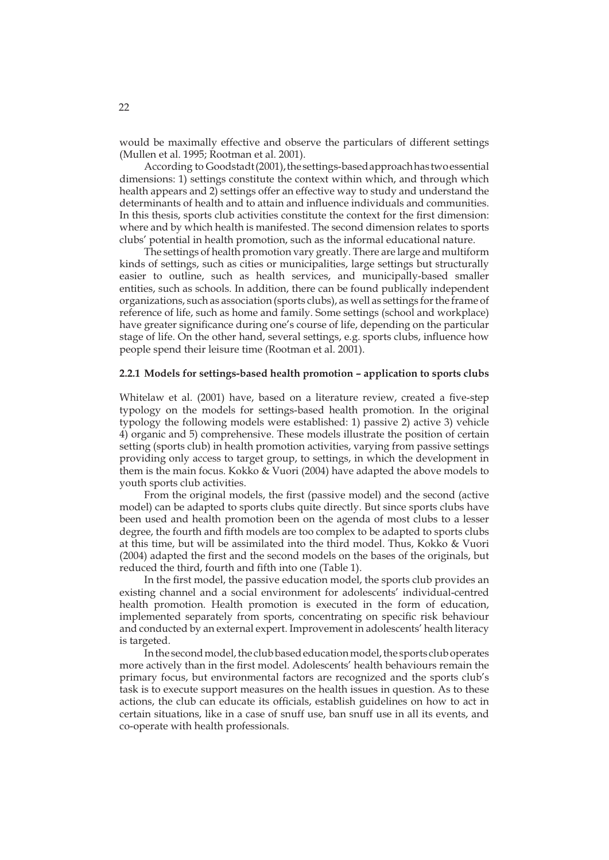would be maximally effective and observe the particulars of different settings (Mullen et al. 1995; Rootman et al. 2001).

According to Goodstadt (2001), the settings-based approach has two essential dimensions: 1) settings constitute the context within which, and through which health appears and 2) settings offer an effective way to study and understand the determinants of health and to attain and influence individuals and communities. In this thesis, sports club activities constitute the context for the first dimension: where and by which health is manifested. The second dimension relates to sports clubs' potential in health promotion, such as the informal educational nature.

The settings of health promotion vary greatly. There are large and multiform kinds of settings, such as cities or municipalities, large settings but structurally easier to outline, such as health services, and municipally-based smaller entities, such as schools. In addition, there can be found publically independent organizations, such as association (sports clubs), as well as settings for the frame of reference of life, such as home and family. Some settings (school and workplace) have greater significance during one's course of life, depending on the particular stage of life. On the other hand, several settings, e.g. sports clubs, influence how people spend their leisure time (Rootman et al. 2001).

### **2.2.1 Models for settings-based health promotion – application to sports clubs**

Whitelaw et al. (2001) have, based on a literature review, created a five-step typology on the models for settings-based health promotion. In the original typology the following models were established: 1) passive 2) active 3) vehicle 4) organic and 5) comprehensive. These models illustrate the position of certain setting (sports club) in health promotion activities, varying from passive settings providing only access to target group, to settings, in which the development in them is the main focus. Kokko & Vuori (2004) have adapted the above models to youth sports club activities.

From the original models, the first (passive model) and the second (active model) can be adapted to sports clubs quite directly. But since sports clubs have been used and health promotion been on the agenda of most clubs to a lesser degree, the fourth and fifth models are too complex to be adapted to sports clubs at this time, but will be assimilated into the third model. Thus, Kokko & Vuori (2004) adapted the first and the second models on the bases of the originals, but reduced the third, fourth and fifth into one (Table 1).

In the first model, the passive education model, the sports club provides an existing channel and a social environment for adolescents' individual-centred health promotion. Health promotion is executed in the form of education, implemented separately from sports, concentrating on specific risk behaviour and conducted by an external expert. Improvement in adolescents' health literacy is targeted.

In the second model, the club based education model, the sports club operates more actively than in the first model. Adolescents' health behaviours remain the primary focus, but environmental factors are recognized and the sports club's task is to execute support measures on the health issues in question. As to these actions, the club can educate its officials, establish guidelines on how to act in certain situations, like in a case of snuff use, ban snuff use in all its events, and co-operate with health professionals.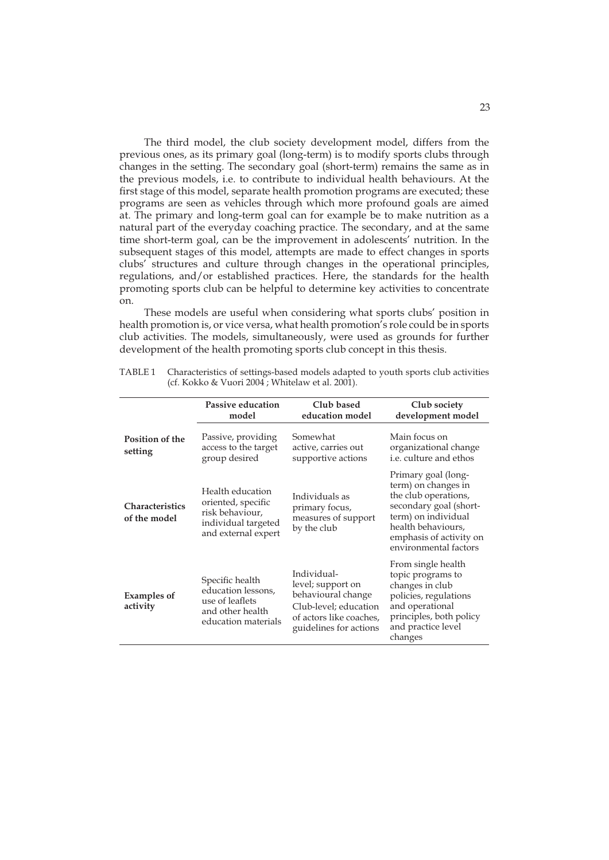The third model, the club society development model, differs from the previous ones, as its primary goal (long-term) is to modify sports clubs through changes in the setting. The secondary goal (short-term) remains the same as in the previous models, i.e. to contribute to individual health behaviours. At the first stage of this model, separate health promotion programs are executed; these programs are seen as vehicles through which more profound goals are aimed at. The primary and long-term goal can for example be to make nutrition as a natural part of the everyday coaching practice. The secondary, and at the same time short-term goal, can be the improvement in adolescents' nutrition. In the subsequent stages of this model, attempts are made to effect changes in sports clubs' structures and culture through changes in the operational principles, regulations, and/or established practices. Here, the standards for the health promoting sports club can be helpful to determine key activities to concentrate on.

These models are useful when considering what sports clubs' position in health promotion is, or vice versa, what health promotion's role could be in sports club activities. The models, simultaneously, were used as grounds for further development of the health promoting sports club concept in this thesis.

|                                        | Passive education<br>model                                                                              | Club based<br>education model                                                                                                        | Club society<br>development model                                                                                                                                                             |
|----------------------------------------|---------------------------------------------------------------------------------------------------------|--------------------------------------------------------------------------------------------------------------------------------------|-----------------------------------------------------------------------------------------------------------------------------------------------------------------------------------------------|
| <b>Position of the</b><br>setting      | Passive, providing<br>access to the target<br>group desired                                             | Somewhat<br>active, carries out<br>supportive actions                                                                                | Main focus on<br>organizational change<br>i.e. culture and ethos                                                                                                                              |
| <b>Characteristics</b><br>of the model | Health education<br>oriented, specific<br>risk behaviour,<br>individual targeted<br>and external expert | Individuals as<br>primary focus,<br>measures of support<br>by the club                                                               | Primary goal (long-<br>term) on changes in<br>the club operations,<br>secondary goal (short-<br>term) on individual<br>health behaviours,<br>emphasis of activity on<br>environmental factors |
| <b>Examples of</b><br>activity         | Specific health<br>education lessons,<br>use of leaflets<br>and other health<br>education materials     | Individual-<br>level; support on<br>behavioural change<br>Club-level; education<br>of actors like coaches,<br>guidelines for actions | From single health<br>topic programs to<br>changes in club<br>policies, regulations<br>and operational<br>principles, both policy<br>and practice level<br>changes                            |

TABLE 1 Characteristics of settings-based models adapted to youth sports club activities (cf. Kokko & Vuori 2004 ; Whitelaw et al. 2001).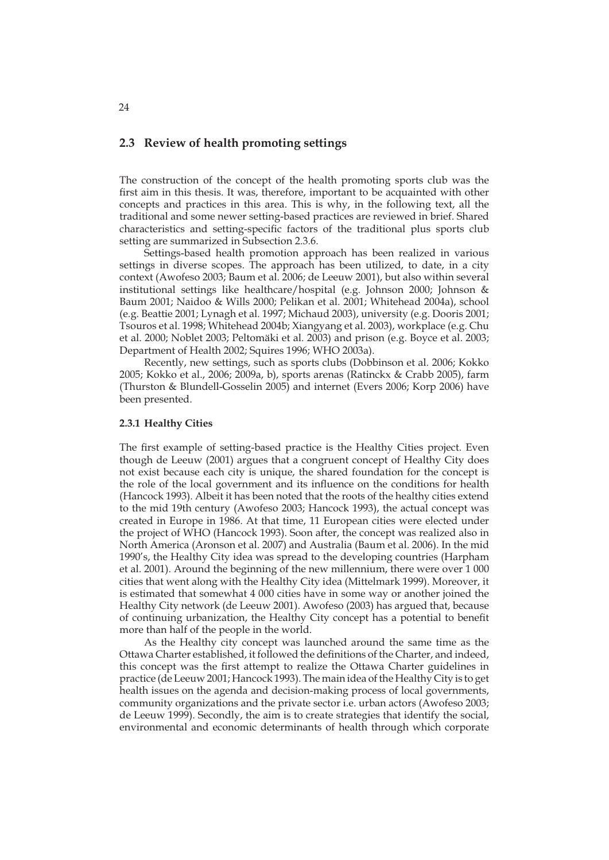### **2.3 Review of health promoting settings**

The construction of the concept of the health promoting sports club was the first aim in this thesis. It was, therefore, important to be acquainted with other concepts and practices in this area. This is why, in the following text, all the traditional and some newer setting-based practices are reviewed in brief. Shared characteristics and setting-specific factors of the traditional plus sports club setting are summarized in Subsection 2.3.6.

Settings-based health promotion approach has been realized in various settings in diverse scopes. The approach has been utilized, to date, in a city context (Awofeso 2003; Baum et al. 2006; de Leeuw 2001), but also within several institutional settings like healthcare/hospital (e.g. Johnson 2000; Johnson & Baum 2001; Naidoo & Wills 2000; Pelikan et al. 2001; Whitehead 2004a), school (e.g. Beattie 2001; Lynagh et al. 1997; Michaud 2003), university (e.g. Dooris 2001; Tsouros et al. 1998; Whitehead 2004b; Xiangyang et al. 2003), workplace (e.g. Chu et al. 2000; Noblet 2003; Peltomäki et al. 2003) and prison (e.g. Boyce et al. 2003; Department of Health 2002; Squires 1996; WHO 2003a).

Recently, new settings, such as sports clubs (Dobbinson et al. 2006; Kokko 2005; Kokko et al., 2006; 2009a, b), sports arenas (Ratinckx & Crabb 2005), farm (Thurston & Blundell-Gosselin 2005) and internet (Evers 2006; Korp 2006) have been presented.

#### **2.3.1 Healthy Cities**

The first example of setting-based practice is the Healthy Cities project. Even though de Leeuw (2001) argues that a congruent concept of Healthy City does not exist because each city is unique, the shared foundation for the concept is the role of the local government and its influence on the conditions for health (Hancock 1993). Albeit it has been noted that the roots of the healthy cities extend to the mid 19th century (Awofeso 2003; Hancock 1993), the actual concept was created in Europe in 1986. At that time, 11 European cities were elected under the project of WHO (Hancock 1993). Soon after, the concept was realized also in North America (Aronson et al. 2007) and Australia (Baum et al. 2006). In the mid 1990's, the Healthy City idea was spread to the developing countries (Harpham et al. 2001). Around the beginning of the new millennium, there were over 1 000 cities that went along with the Healthy City idea (Mittelmark 1999). Moreover, it is estimated that somewhat 4 000 cities have in some way or another joined the Healthy City network (de Leeuw 2001). Awofeso (2003) has argued that, because of continuing urbanization, the Healthy City concept has a potential to benefit more than half of the people in the world.

As the Healthy city concept was launched around the same time as the Ottawa Charter established, it followed the definitions of the Charter, and indeed, this concept was the first attempt to realize the Ottawa Charter guidelines in practice (de Leeuw 2001; Hancock 1993). The main idea of the Healthy City is to get health issues on the agenda and decision-making process of local governments, community organizations and the private sector i.e. urban actors (Awofeso 2003; de Leeuw 1999). Secondly, the aim is to create strategies that identify the social, environmental and economic determinants of health through which corporate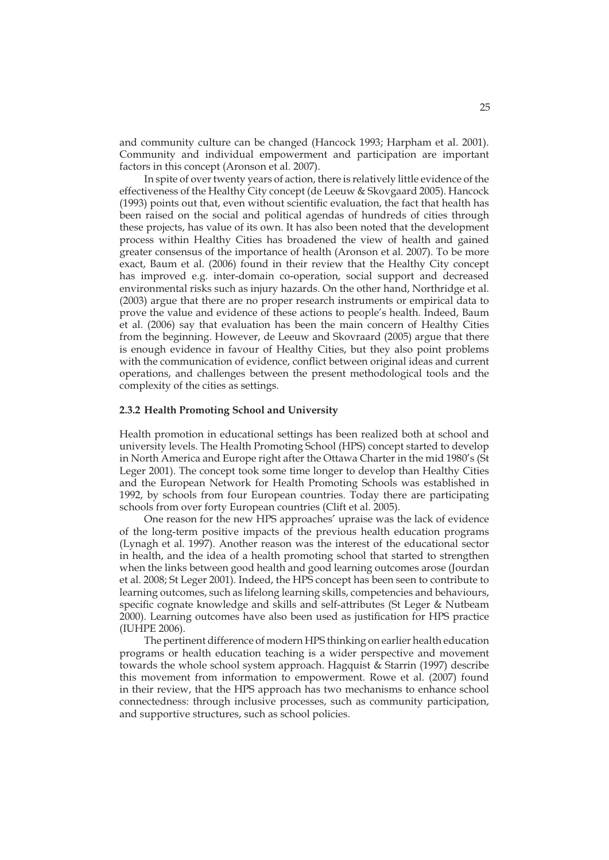and community culture can be changed (Hancock 1993; Harpham et al. 2001). Community and individual empowerment and participation are important factors in this concept (Aronson et al. 2007).

In spite of over twenty years of action, there is relatively little evidence of the effectiveness of the Healthy City concept (de Leeuw & Skovgaard 2005). Hancock (1993) points out that, even without scientific evaluation, the fact that health has been raised on the social and political agendas of hundreds of cities through these projects, has value of its own. It has also been noted that the development process within Healthy Cities has broadened the view of health and gained greater consensus of the importance of health (Aronson et al. 2007). To be more exact, Baum et al. (2006) found in their review that the Healthy City concept has improved e.g. inter-domain co-operation, social support and decreased environmental risks such as injury hazards. On the other hand, Northridge et al. (2003) argue that there are no proper research instruments or empirical data to prove the value and evidence of these actions to people's health. Indeed, Baum et al. (2006) say that evaluation has been the main concern of Healthy Cities from the beginning. However, de Leeuw and Skovraard (2005) argue that there is enough evidence in favour of Healthy Cities, but they also point problems with the communication of evidence, conflict between original ideas and current operations, and challenges between the present methodological tools and the complexity of the cities as settings.

#### **2.3.2 Health Promoting School and University**

Health promotion in educational settings has been realized both at school and university levels. The Health Promoting School (HPS) concept started to develop in North America and Europe right after the Ottawa Charter in the mid 1980's (St Leger 2001). The concept took some time longer to develop than Healthy Cities and the European Network for Health Promoting Schools was established in 1992, by schools from four European countries. Today there are participating schools from over forty European countries (Clift et al. 2005).

One reason for the new HPS approaches' upraise was the lack of evidence of the long-term positive impacts of the previous health education programs (Lynagh et al. 1997). Another reason was the interest of the educational sector in health, and the idea of a health promoting school that started to strengthen when the links between good health and good learning outcomes arose (Jourdan et al. 2008; St Leger 2001). Indeed, the HPS concept has been seen to contribute to learning outcomes, such as lifelong learning skills, competencies and behaviours, specific cognate knowledge and skills and self-attributes (St Leger & Nutbeam 2000). Learning outcomes have also been used as justification for HPS practice (IUHPE 2006).

The pertinent difference of modern HPS thinking on earlier health education programs or health education teaching is a wider perspective and movement towards the whole school system approach. Hagquist & Starrin (1997) describe this movement from information to empowerment. Rowe et al. (2007) found in their review, that the HPS approach has two mechanisms to enhance school connectedness: through inclusive processes, such as community participation, and supportive structures, such as school policies.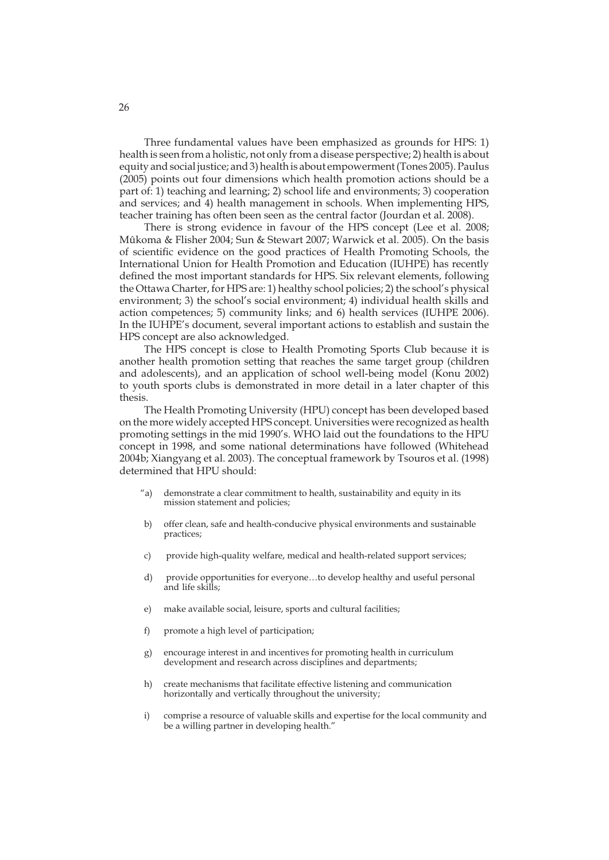Three fundamental values have been emphasized as grounds for HPS: 1) health is seen from a holistic, not only from a disease perspective; 2) health is about equity and social justice; and 3) health is about empowerment (Tones 2005). Paulus (2005) points out four dimensions which health promotion actions should be a part of: 1) teaching and learning; 2) school life and environments; 3) cooperation and services; and 4) health management in schools. When implementing HPS, teacher training has often been seen as the central factor (Jourdan et al. 2008).

There is strong evidence in favour of the HPS concept (Lee et al. 2008; Mûkoma & Flisher 2004; Sun & Stewart 2007; Warwick et al. 2005). On the basis of scientific evidence on the good practices of Health Promoting Schools, the International Union for Health Promotion and Education (IUHPE) has recently defined the most important standards for HPS. Six relevant elements, following the Ottawa Charter, for HPS are: 1) healthy school policies; 2) the school's physical environment; 3) the school's social environment; 4) individual health skills and action competences; 5) community links; and 6) health services (IUHPE 2006). In the IUHPE's document, several important actions to establish and sustain the HPS concept are also acknowledged.

The HPS concept is close to Health Promoting Sports Club because it is another health promotion setting that reaches the same target group (children and adolescents), and an application of school well-being model (Konu 2002) to youth sports clubs is demonstrated in more detail in a later chapter of this thesis.

The Health Promoting University (HPU) concept has been developed based on the more widely accepted HPS concept. Universities were recognized as health promoting settings in the mid 1990's. WHO laid out the foundations to the HPU concept in 1998, and some national determinations have followed (Whitehead 2004b; Xiangyang et al. 2003). The conceptual framework by Tsouros et al. (1998) determined that HPU should:

- "a) demonstrate a clear commitment to health, sustainability and equity in its mission statement and policies;
- b) offer clean, safe and health-conducive physical environments and sustainable practices;
- c) provide high-quality welfare, medical and health-related support services;
- d) provide opportunities for everyone…to develop healthy and useful personal and life skills;
- e) make available social, leisure, sports and cultural facilities;
- f) promote a high level of participation;
- g) encourage interest in and incentives for promoting health in curriculum development and research across disciplines and departments;
- h) create mechanisms that facilitate effective listening and communication horizontally and vertically throughout the university;
- i) comprise a resource of valuable skills and expertise for the local community and be a willing partner in developing health."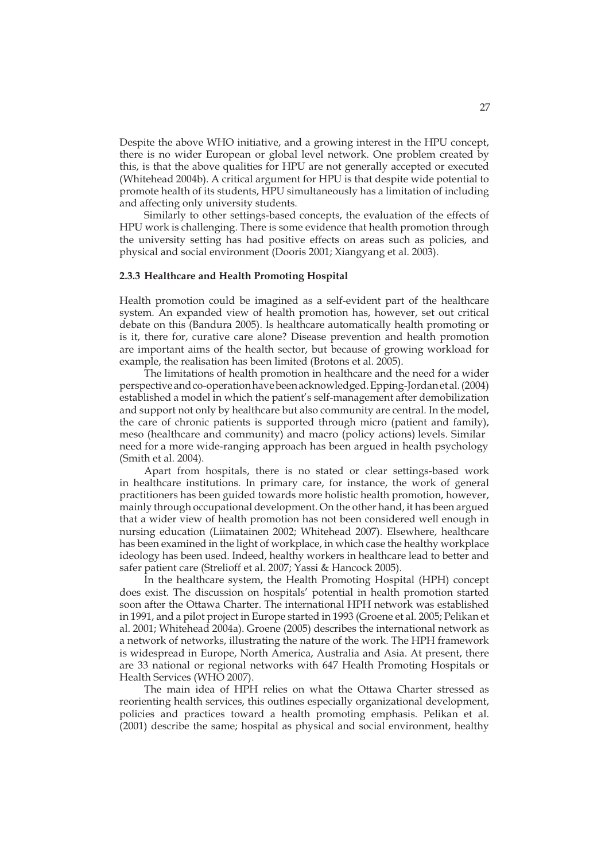Despite the above WHO initiative, and a growing interest in the HPU concept, there is no wider European or global level network. One problem created by this, is that the above qualities for HPU are not generally accepted or executed (Whitehead 2004b). A critical argument for HPU is that despite wide potential to promote health of its students, HPU simultaneously has a limitation of including and affecting only university students.

Similarly to other settings-based concepts, the evaluation of the effects of HPU work is challenging. There is some evidence that health promotion through the university setting has had positive effects on areas such as policies, and physical and social environment (Dooris 2001; Xiangyang et al. 2003).

### **2.3.3 Healthcare and Health Promoting Hospital**

Health promotion could be imagined as a self-evident part of the healthcare system. An expanded view of health promotion has, however, set out critical debate on this (Bandura 2005). Is healthcare automatically health promoting or is it, there for, curative care alone? Disease prevention and health promotion are important aims of the health sector, but because of growing workload for example, the realisation has been limited (Brotons et al. 2005).

The limitations of health promotion in healthcare and the need for a wider perspective and co-operation have been acknowledged. Epping-Jordan et al. (2004) established a model in which the patient's self-management after demobilization and support not only by healthcare but also community are central. In the model, the care of chronic patients is supported through micro (patient and family), meso (healthcare and community) and macro (policy actions) levels. Similar need for a more wide-ranging approach has been argued in health psychology (Smith et al. 2004).

Apart from hospitals, there is no stated or clear settings-based work in healthcare institutions. In primary care, for instance, the work of general practitioners has been guided towards more holistic health promotion, however, mainly through occupational development. On the other hand, it has been argued that a wider view of health promotion has not been considered well enough in nursing education (Liimatainen 2002; Whitehead 2007). Elsewhere, healthcare has been examined in the light of workplace, in which case the healthy workplace ideology has been used. Indeed, healthy workers in healthcare lead to better and safer patient care (Strelioff et al. 2007; Yassi & Hancock 2005).

In the healthcare system, the Health Promoting Hospital (HPH) concept does exist. The discussion on hospitals' potential in health promotion started soon after the Ottawa Charter. The international HPH network was established in 1991, and a pilot project in Europe started in 1993 (Groene et al. 2005; Pelikan et al. 2001; Whitehead 2004a). Groene (2005) describes the international network as a network of networks, illustrating the nature of the work. The HPH framework is widespread in Europe, North America, Australia and Asia. At present, there are 33 national or regional networks with 647 Health Promoting Hospitals or Health Services (WHO 2007).

The main idea of HPH relies on what the Ottawa Charter stressed as reorienting health services, this outlines especially organizational development, policies and practices toward a health promoting emphasis. Pelikan et al. (2001) describe the same; hospital as physical and social environment, healthy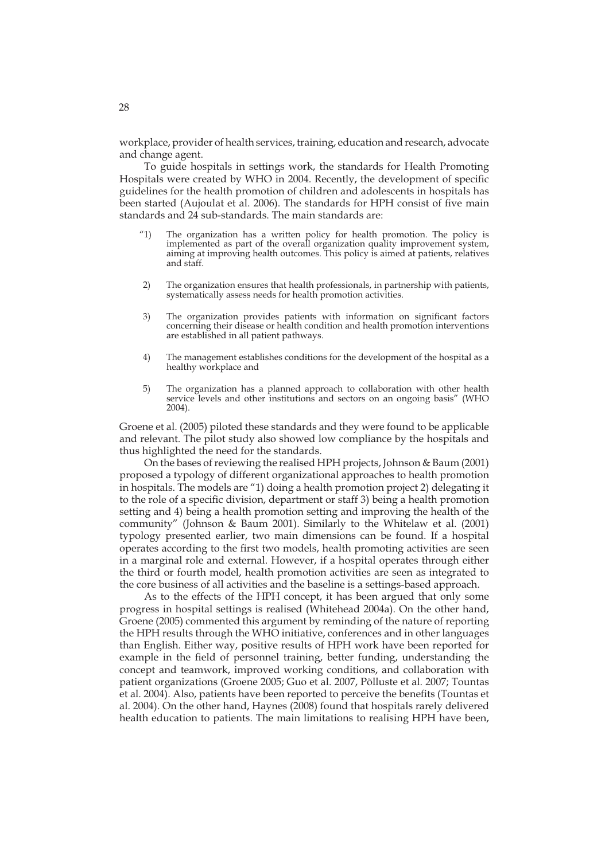workplace, provider of health services, training, education and research, advocate and change agent.

To guide hospitals in settings work, the standards for Health Promoting Hospitals were created by WHO in 2004. Recently, the development of specific guidelines for the health promotion of children and adolescents in hospitals has been started (Aujoulat et al. 2006). The standards for HPH consist of five main standards and 24 sub-standards. The main standards are:

- "1) The organization has a written policy for health promotion. The policy is implemented as part of the overall organization quality improvement system, aiming at improving health outcomes. This policy is aimed at patients, relatives and staff.
- 2) The organization ensures that health professionals, in partnership with patients, systematically assess needs for health promotion activities.
- 3) The organization provides patients with information on significant factors concerning their disease or health condition and health promotion interventions are established in all patient pathways.
- 4) The management establishes conditions for the development of the hospital as a healthy workplace and
- 5) The organization has a planned approach to collaboration with other health service levels and other institutions and sectors on an ongoing basis" (WHO 2004).

Groene et al. (2005) piloted these standards and they were found to be applicable and relevant. The pilot study also showed low compliance by the hospitals and thus highlighted the need for the standards.

On the bases of reviewing the realised HPH projects, Johnson & Baum (2001) proposed a typology of different organizational approaches to health promotion in hospitals. The models are "1) doing a health promotion project 2) delegating it to the role of a specific division, department or staff 3) being a health promotion setting and 4) being a health promotion setting and improving the health of the community" (Johnson & Baum 2001). Similarly to the Whitelaw et al. (2001) typology presented earlier, two main dimensions can be found. If a hospital operates according to the first two models, health promoting activities are seen in a marginal role and external. However, if a hospital operates through either the third or fourth model, health promotion activities are seen as integrated to the core business of all activities and the baseline is a settings-based approach.

As to the effects of the HPH concept, it has been argued that only some progress in hospital settings is realised (Whitehead 2004a). On the other hand, Groene (2005) commented this argument by reminding of the nature of reporting the HPH results through the WHO initiative, conferences and in other languages than English. Either way, positive results of HPH work have been reported for example in the field of personnel training, better funding, understanding the concept and teamwork, improved working conditions, and collaboration with patient organizations (Groene 2005; Guo et al. 2007, Põlluste et al. 2007; Tountas et al. 2004). Also, patients have been reported to perceive the benefits (Tountas et al. 2004). On the other hand, Haynes (2008) found that hospitals rarely delivered health education to patients. The main limitations to realising HPH have been,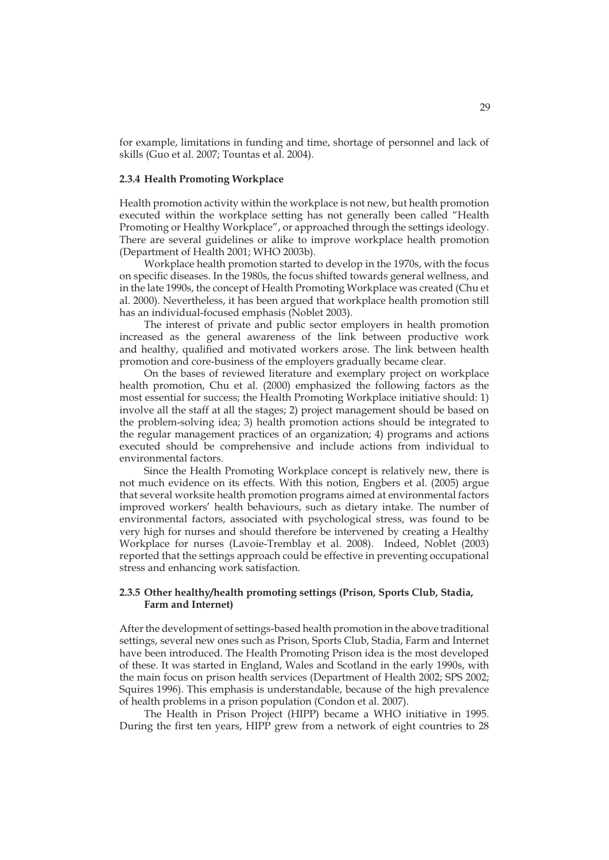for example, limitations in funding and time, shortage of personnel and lack of skills (Guo et al. 2007; Tountas et al. 2004).

#### **2.3.4 Health Promoting Workplace**

Health promotion activity within the workplace is not new, but health promotion executed within the workplace setting has not generally been called "Health Promoting or Healthy Workplace", or approached through the settings ideology. There are several guidelines or alike to improve workplace health promotion (Department of Health 2001; WHO 2003b).

Workplace health promotion started to develop in the 1970s, with the focus on specific diseases. In the 1980s, the focus shifted towards general wellness, and in the late 1990s, the concept of Health Promoting Workplace was created (Chu et al. 2000). Nevertheless, it has been argued that workplace health promotion still has an individual-focused emphasis (Noblet 2003).

The interest of private and public sector employers in health promotion increased as the general awareness of the link between productive work and healthy, qualified and motivated workers arose. The link between health promotion and core-business of the employers gradually became clear.

On the bases of reviewed literature and exemplary project on workplace health promotion, Chu et al. (2000) emphasized the following factors as the most essential for success; the Health Promoting Workplace initiative should: 1) involve all the staff at all the stages; 2) project management should be based on the problem-solving idea; 3) health promotion actions should be integrated to the regular management practices of an organization; 4) programs and actions executed should be comprehensive and include actions from individual to environmental factors.

Since the Health Promoting Workplace concept is relatively new, there is not much evidence on its effects. With this notion, Engbers et al. (2005) argue that several worksite health promotion programs aimed at environmental factors improved workers' health behaviours, such as dietary intake. The number of environmental factors, associated with psychological stress, was found to be very high for nurses and should therefore be intervened by creating a Healthy Workplace for nurses (Lavoie-Tremblay et al. 2008). Indeed, Noblet (2003) reported that the settings approach could be effective in preventing occupational stress and enhancing work satisfaction.

### **2.3.5 Other healthy/health promoting settings (Prison, Sports Club, Stadia, Farm and Internet)**

After the development of settings-based health promotion in the above traditional settings, several new ones such as Prison, Sports Club, Stadia, Farm and Internet have been introduced. The Health Promoting Prison idea is the most developed of these. It was started in England, Wales and Scotland in the early 1990s, with the main focus on prison health services (Department of Health 2002; SPS 2002; Squires 1996). This emphasis is understandable, because of the high prevalence of health problems in a prison population (Condon et al. 2007).

The Health in Prison Project (HIPP) became a WHO initiative in 1995. During the first ten years, HIPP grew from a network of eight countries to 28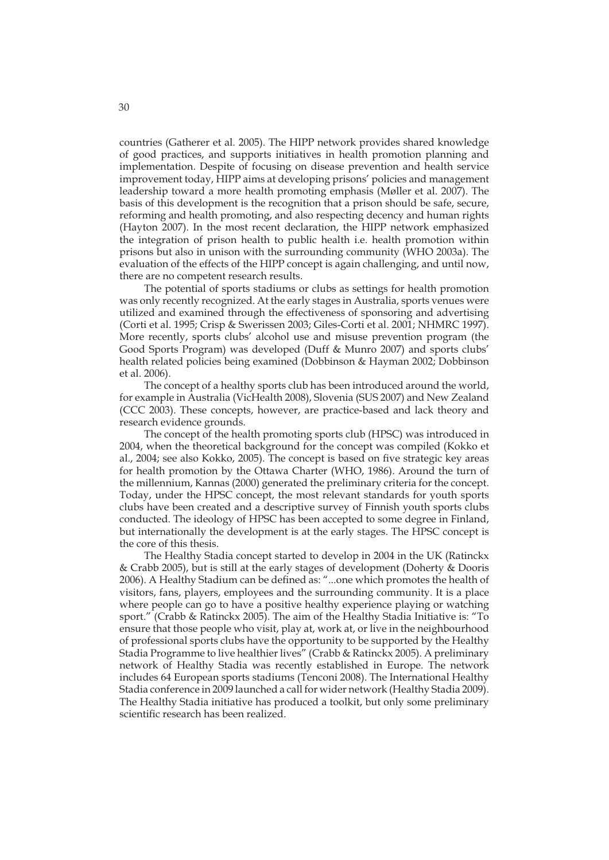countries (Gatherer et al. 2005). The HIPP network provides shared knowledge of good practices, and supports initiatives in health promotion planning and implementation. Despite of focusing on disease prevention and health service improvement today, HIPP aims at developing prisons' policies and management leadership toward a more health promoting emphasis (Møller et al. 2007). The basis of this development is the recognition that a prison should be safe, secure, reforming and health promoting, and also respecting decency and human rights (Hayton 2007). In the most recent declaration, the HIPP network emphasized the integration of prison health to public health i.e. health promotion within prisons but also in unison with the surrounding community (WHO 2003a). The evaluation of the effects of the HIPP concept is again challenging, and until now, there are no competent research results.

The potential of sports stadiums or clubs as settings for health promotion was only recently recognized. At the early stages in Australia, sports venues were utilized and examined through the effectiveness of sponsoring and advertising (Corti et al. 1995; Crisp & Swerissen 2003; Giles-Corti et al. 2001; NHMRC 1997). More recently, sports clubs' alcohol use and misuse prevention program (the Good Sports Program) was developed (Duff & Munro 2007) and sports clubs' health related policies being examined (Dobbinson & Hayman 2002; Dobbinson et al. 2006).

The concept of a healthy sports club has been introduced around the world, for example in Australia (VicHealth 2008), Slovenia (SUS 2007) and New Zealand (CCC 2003). These concepts, however, are practice-based and lack theory and research evidence grounds.

The concept of the health promoting sports club (HPSC) was introduced in 2004, when the theoretical background for the concept was compiled (Kokko et al., 2004; see also Kokko, 2005). The concept is based on five strategic key areas for health promotion by the Ottawa Charter (WHO, 1986). Around the turn of the millennium, Kannas (2000) generated the preliminary criteria for the concept. Today, under the HPSC concept, the most relevant standards for youth sports clubs have been created and a descriptive survey of Finnish youth sports clubs conducted. The ideology of HPSC has been accepted to some degree in Finland, but internationally the development is at the early stages. The HPSC concept is the core of this thesis.

The Healthy Stadia concept started to develop in 2004 in the UK (Ratinckx & Crabb 2005), but is still at the early stages of development (Doherty & Dooris 2006). A Healthy Stadium can be defined as: "...one which promotes the health of visitors, fans, players, employees and the surrounding community. It is a place where people can go to have a positive healthy experience playing or watching sport." (Crabb & Ratinckx 2005). The aim of the Healthy Stadia Initiative is: "To ensure that those people who visit, play at, work at, or live in the neighbourhood of professional sports clubs have the opportunity to be supported by the Healthy Stadia Programme to live healthier lives" (Crabb & Ratinckx 2005). A preliminary network of Healthy Stadia was recently established in Europe. The network includes 64 European sports stadiums (Tenconi 2008). The International Healthy Stadia conference in 2009 launched a call for wider network (Healthy Stadia 2009). The Healthy Stadia initiative has produced a toolkit, but only some preliminary scientific research has been realized.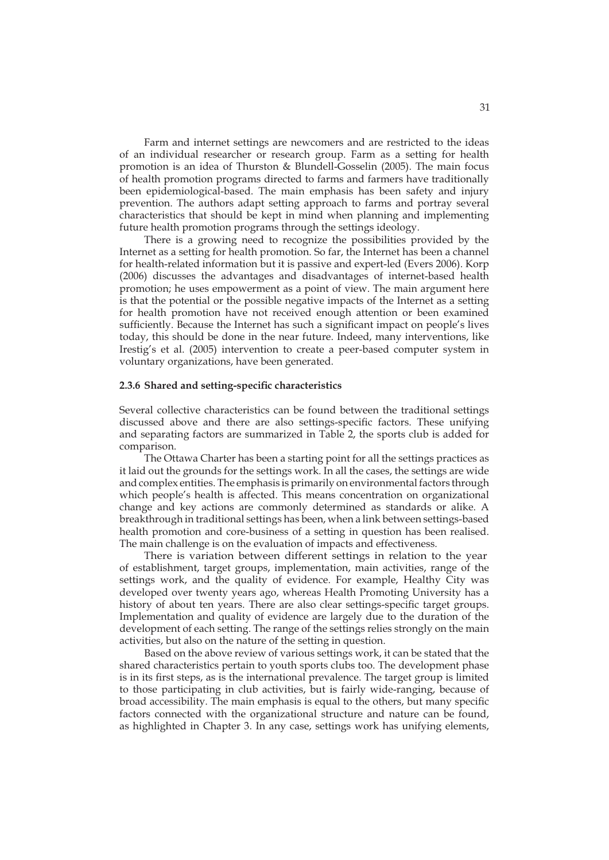Farm and internet settings are newcomers and are restricted to the ideas of an individual researcher or research group. Farm as a setting for health promotion is an idea of Thurston & Blundell-Gosselin (2005). The main focus of health promotion programs directed to farms and farmers have traditionally been epidemiological-based. The main emphasis has been safety and injury prevention. The authors adapt setting approach to farms and portray several characteristics that should be kept in mind when planning and implementing future health promotion programs through the settings ideology.

There is a growing need to recognize the possibilities provided by the Internet as a setting for health promotion. So far, the Internet has been a channel for health-related information but it is passive and expert-led (Evers 2006). Korp (2006) discusses the advantages and disadvantages of internet-based health promotion; he uses empowerment as a point of view. The main argument here is that the potential or the possible negative impacts of the Internet as a setting for health promotion have not received enough attention or been examined sufficiently. Because the Internet has such a significant impact on people's lives today, this should be done in the near future. Indeed, many interventions, like Irestig's et al. (2005) intervention to create a peer-based computer system in voluntary organizations, have been generated.

#### **2.3.6 Shared and setting-specific characteristics**

Several collective characteristics can be found between the traditional settings discussed above and there are also settings-specific factors. These unifying and separating factors are summarized in Table 2, the sports club is added for comparison.

The Ottawa Charter has been a starting point for all the settings practices as it laid out the grounds for the settings work. In all the cases, the settings are wide and complex entities. The emphasis is primarily on environmental factors through which people's health is affected. This means concentration on organizational change and key actions are commonly determined as standards or alike. A breakthrough in traditional settings has been, when a link between settings-based health promotion and core-business of a setting in question has been realised. The main challenge is on the evaluation of impacts and effectiveness.

There is variation between different settings in relation to the year of establishment, target groups, implementation, main activities, range of the settings work, and the quality of evidence. For example, Healthy City was developed over twenty years ago, whereas Health Promoting University has a history of about ten years. There are also clear settings-specific target groups. Implementation and quality of evidence are largely due to the duration of the development of each setting. The range of the settings relies strongly on the main activities, but also on the nature of the setting in question.

Based on the above review of various settings work, it can be stated that the shared characteristics pertain to youth sports clubs too. The development phase is in its first steps, as is the international prevalence. The target group is limited to those participating in club activities, but is fairly wide-ranging, because of broad accessibility. The main emphasis is equal to the others, but many specific factors connected with the organizational structure and nature can be found, as highlighted in Chapter 3. In any case, settings work has unifying elements,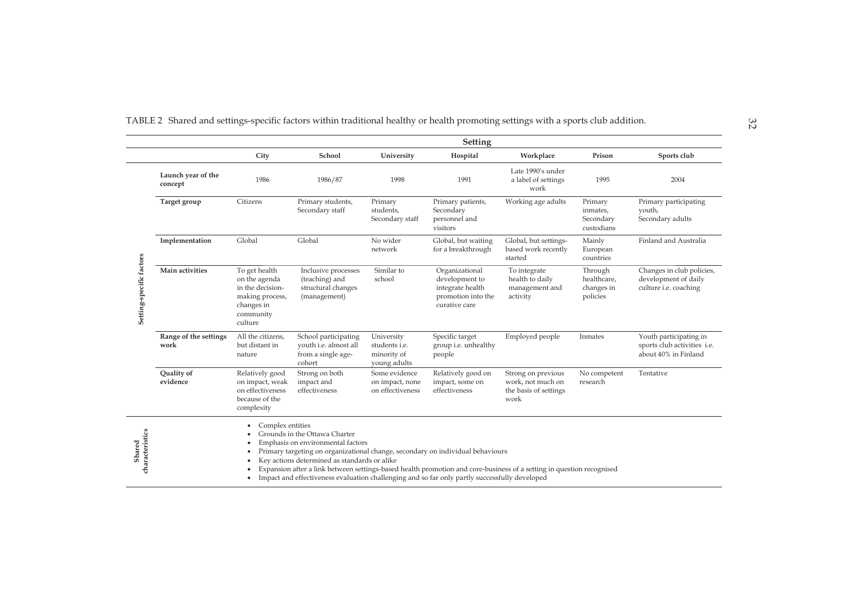| TABLE 2 Shared and settings-specific factors within traditional healthy or health promoting settings with a sports club addition. |  |  |  |  |  |
|-----------------------------------------------------------------------------------------------------------------------------------|--|--|--|--|--|
|                                                                                                                                   |  |  |  |  |  |

|                           |                               |                                                                                                             |                                                                                                                                                                                                                                                                                                       |                                                            | Setting                                                                                     |                                                                                                                      |                                                  |                                                                               |
|---------------------------|-------------------------------|-------------------------------------------------------------------------------------------------------------|-------------------------------------------------------------------------------------------------------------------------------------------------------------------------------------------------------------------------------------------------------------------------------------------------------|------------------------------------------------------------|---------------------------------------------------------------------------------------------|----------------------------------------------------------------------------------------------------------------------|--------------------------------------------------|-------------------------------------------------------------------------------|
|                           |                               | City                                                                                                        | School                                                                                                                                                                                                                                                                                                | University                                                 | Hospital                                                                                    | Workplace                                                                                                            | Prison                                           | Sports club                                                                   |
|                           | Launch year of the<br>concept | 1986                                                                                                        | 1986/87                                                                                                                                                                                                                                                                                               | 1998                                                       | 1991                                                                                        | Late 1990's under<br>a label of settings<br>work                                                                     | 1995                                             | 2004                                                                          |
|                           | Target group                  | Citizens                                                                                                    | Primary students,<br>Secondary staff                                                                                                                                                                                                                                                                  | Primary<br>students,<br>Secondary staff                    | Primary patients,<br>Secondary<br>personnel and<br>visitors                                 | Working age adults                                                                                                   | Primary<br>inmates,<br>Secondary<br>custodians   | Primary participating<br>youth,<br>Secondary adults                           |
|                           | Implementation                | Global                                                                                                      | Global                                                                                                                                                                                                                                                                                                | No wider<br>network                                        | Global, but waiting<br>for a breakthrough                                                   | Global, but settings-<br>based work recently<br>started                                                              | Mainly<br>European<br>countries                  | Finland and Australia                                                         |
| Setting-specific factors  | Main activities               | To get health<br>on the agenda<br>in the decision-<br>making process,<br>changes in<br>community<br>culture | Inclusive processes<br>(teaching) and<br>structural changes<br>(management)                                                                                                                                                                                                                           | Similar to<br>school                                       | Organizational<br>development to<br>integrate health<br>promotion into the<br>curative care | To integrate<br>health to daily<br>management and<br>activity                                                        | Through<br>healthcare,<br>changes in<br>policies | Changes in club policies,<br>development of daily<br>culture i.e. coaching    |
|                           | Range of the settings<br>work | All the citizens,<br>but distant in<br>nature                                                               | School participating<br>youth i.e. almost all<br>from a single age-<br>cohort                                                                                                                                                                                                                         | University<br>students i.e.<br>minority of<br>young adults | Specific target<br>group i.e. unhealthy<br>people                                           | Employed people                                                                                                      | Inmates                                          | Youth participating in<br>sports club activities i.e.<br>about 40% in Finland |
|                           | Quality of<br>evidence        | Relatively good<br>on impact, weak<br>on effectiveness<br>because of the<br>complexity                      | Strong on both<br>impact and<br>effectiveness                                                                                                                                                                                                                                                         | Some evidence<br>on impact, none<br>on effectiveness       | Relatively good on<br>impact, some on<br>effectiveness                                      | Strong on previous<br>work, not much on<br>the basis of settings<br>work                                             | No competent<br>research                         | Tentative                                                                     |
| characteristics<br>Shared |                               | Complex entities                                                                                            | Grounds in the Ottawa Charter<br>Emphasis on environmental factors<br>Primary targeting on organizational change, secondary on individual behaviours<br>Key actions determined as standards or alike<br>Impact and effectiveness evaluation challenging and so far only partly successfully developed |                                                            |                                                                                             | Expansion after a link between settings-based health promotion and core-business of a setting in question recognised |                                                  |                                                                               |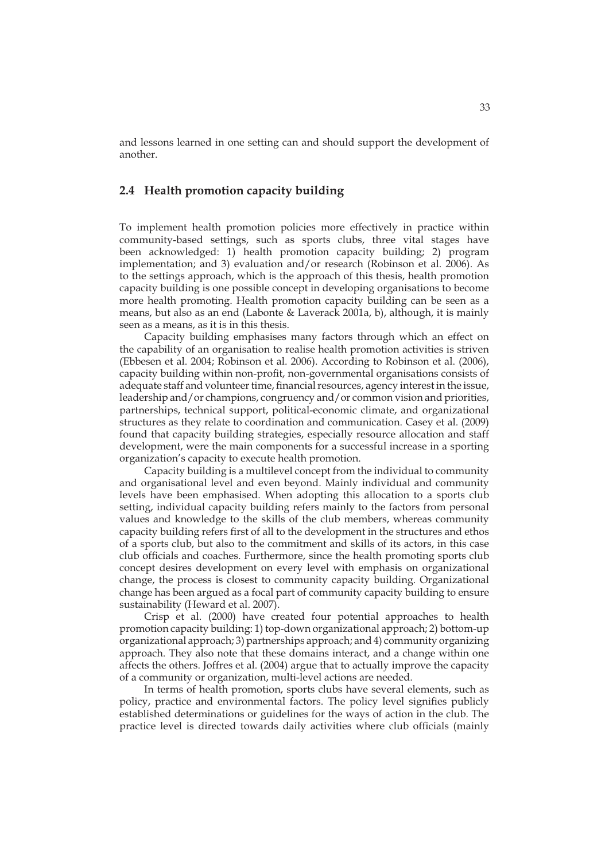and lessons learned in one setting can and should support the development of another.

### **2.4 Health promotion capacity building**

To implement health promotion policies more effectively in practice within community-based settings, such as sports clubs, three vital stages have been acknowledged: 1) health promotion capacity building; 2) program implementation; and 3) evaluation and/or research (Robinson et al. 2006). As to the settings approach, which is the approach of this thesis, health promotion capacity building is one possible concept in developing organisations to become more health promoting. Health promotion capacity building can be seen as a means, but also as an end (Labonte & Laverack 2001a, b), although, it is mainly seen as a means, as it is in this thesis.

Capacity building emphasises many factors through which an effect on the capability of an organisation to realise health promotion activities is striven (Ebbesen et al. 2004; Robinson et al. 2006). According to Robinson et al. (2006), capacity building within non-profit, non-governmental organisations consists of adequate staff and volunteer time, financial resources, agency interest in the issue, leadership and/or champions, congruency and/or common vision and priorities, partnerships, technical support, political-economic climate, and organizational structures as they relate to coordination and communication. Casey et al. (2009) found that capacity building strategies, especially resource allocation and staff development, were the main components for a successful increase in a sporting organization's capacity to execute health promotion.

Capacity building is a multilevel concept from the individual to community and organisational level and even beyond. Mainly individual and community levels have been emphasised. When adopting this allocation to a sports club setting, individual capacity building refers mainly to the factors from personal values and knowledge to the skills of the club members, whereas community capacity building refers first of all to the development in the structures and ethos of a sports club, but also to the commitment and skills of its actors, in this case club officials and coaches. Furthermore, since the health promoting sports club concept desires development on every level with emphasis on organizational change, the process is closest to community capacity building. Organizational change has been argued as a focal part of community capacity building to ensure sustainability (Heward et al. 2007).

Crisp et al. (2000) have created four potential approaches to health promotion capacity building: 1) top-down organizational approach; 2) bottom-up organizational approach; 3) partnerships approach; and 4) community organizing approach. They also note that these domains interact, and a change within one affects the others. Joffres et al. (2004) argue that to actually improve the capacity of a community or organization, multi-level actions are needed.

In terms of health promotion, sports clubs have several elements, such as policy, practice and environmental factors. The policy level signifies publicly established determinations or guidelines for the ways of action in the club. The practice level is directed towards daily activities where club officials (mainly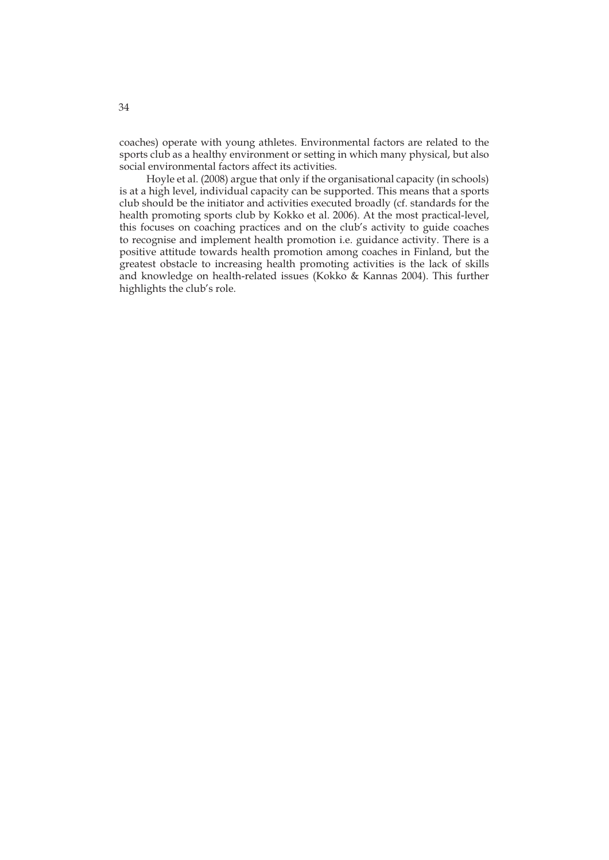coaches) operate with young athletes. Environmental factors are related to the sports club as a healthy environment or setting in which many physical, but also social environmental factors affect its activities.

 Hoyle et al. (2008) argue that only if the organisational capacity (in schools) is at a high level, individual capacity can be supported. This means that a sports club should be the initiator and activities executed broadly (cf. standards for the health promoting sports club by Kokko et al. 2006). At the most practical-level, this focuses on coaching practices and on the club's activity to guide coaches to recognise and implement health promotion i.e. guidance activity. There is a positive attitude towards health promotion among coaches in Finland, but the greatest obstacle to increasing health promoting activities is the lack of skills and knowledge on health-related issues (Kokko & Kannas 2004). This further highlights the club's role.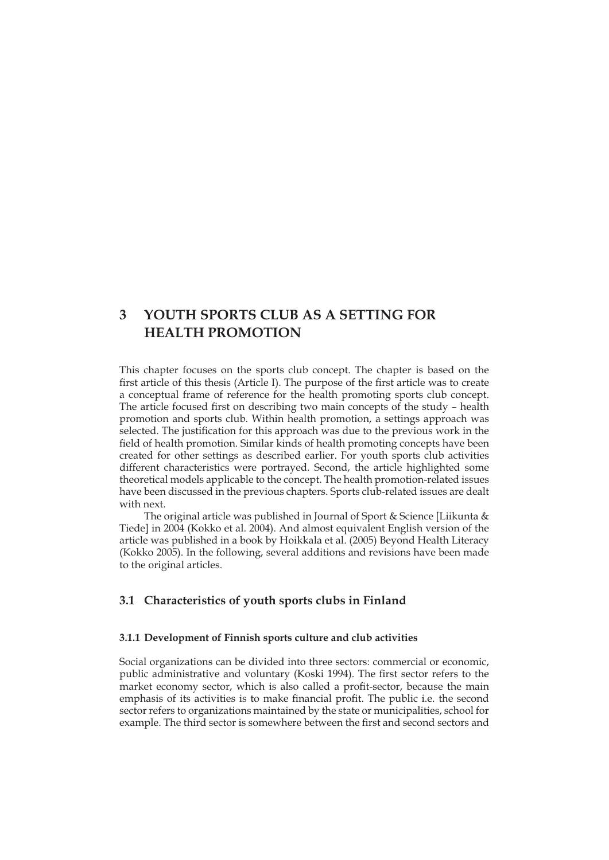## **3 YOUTH SPORTS CLUB AS A SETTING FOR HEALTH PROMOTION**

This chapter focuses on the sports club concept. The chapter is based on the first article of this thesis (Article I). The purpose of the first article was to create a conceptual frame of reference for the health promoting sports club concept. The article focused first on describing two main concepts of the study – health promotion and sports club. Within health promotion, a settings approach was selected. The justification for this approach was due to the previous work in the field of health promotion. Similar kinds of health promoting concepts have been created for other settings as described earlier. For youth sports club activities different characteristics were portrayed. Second, the article highlighted some theoretical models applicable to the concept. The health promotion-related issues have been discussed in the previous chapters. Sports club-related issues are dealt with next.

The original article was published in Journal of Sport & Science [Liikunta & Tiede] in 2004 (Kokko et al. 2004). And almost equivalent English version of the article was published in a book by Hoikkala et al. (2005) Beyond Health Literacy (Kokko 2005). In the following, several additions and revisions have been made to the original articles.

## **3.1 Characteristics of youth sports clubs in Finland**

### **3.1.1 Development of Finnish sports culture and club activities**

Social organizations can be divided into three sectors: commercial or economic, public administrative and voluntary (Koski 1994). The first sector refers to the market economy sector, which is also called a profit-sector, because the main emphasis of its activities is to make financial profit. The public i.e. the second sector refers to organizations maintained by the state or municipalities, school for example. The third sector is somewhere between the first and second sectors and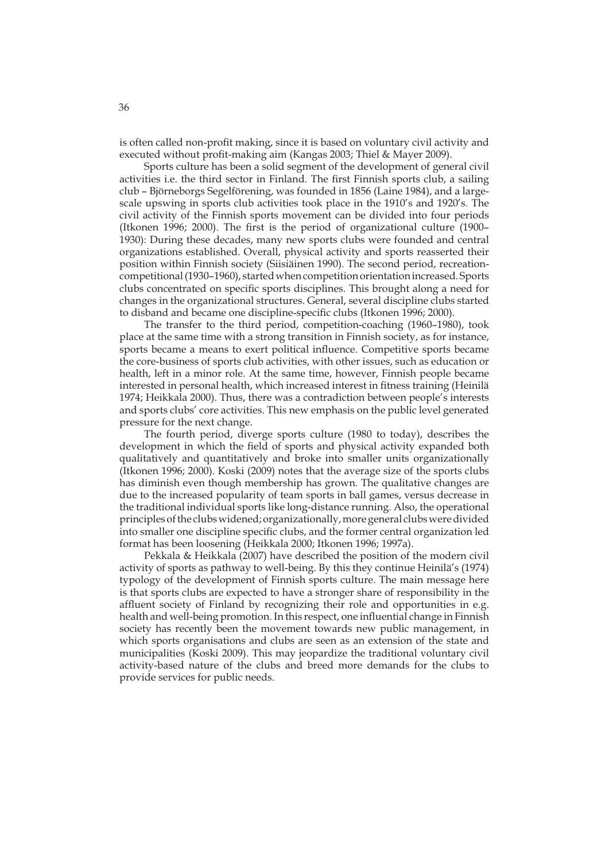is often called non-profit making, since it is based on voluntary civil activity and executed without profit-making aim (Kangas 2003; Thiel & Mayer 2009).

Sports culture has been a solid segment of the development of general civil activities i.e. the third sector in Finland. The first Finnish sports club, a sailing club – Björneborgs Segelförening, was founded in 1856 (Laine 1984), and a largescale upswing in sports club activities took place in the 1910's and 1920's. The civil activity of the Finnish sports movement can be divided into four periods (Itkonen 1996; 2000). The first is the period of organizational culture (1900– 1930): During these decades, many new sports clubs were founded and central organizations established. Overall, physical activity and sports reasserted their position within Finnish society (Siisiäinen 1990). The second period, recreationcompetitional (1930–1960), started when competition orientation increased. Sports clubs concentrated on specific sports disciplines. This brought along a need for changes in the organizational structures. General, several discipline clubs started to disband and became one discipline-specific clubs (Itkonen 1996; 2000).

The transfer to the third period, competition-coaching (1960–1980), took place at the same time with a strong transition in Finnish society, as for instance, sports became a means to exert political influence. Competitive sports became the core-business of sports club activities, with other issues, such as education or health, left in a minor role. At the same time, however, Finnish people became interested in personal health, which increased interest in fitness training (Heinilä 1974; Heikkala 2000). Thus, there was a contradiction between people's interests and sports clubs' core activities. This new emphasis on the public level generated pressure for the next change.

The fourth period, diverge sports culture (1980 to today), describes the development in which the field of sports and physical activity expanded both qualitatively and quantitatively and broke into smaller units organizationally (Itkonen 1996; 2000). Koski (2009) notes that the average size of the sports clubs has diminish even though membership has grown. The qualitative changes are due to the increased popularity of team sports in ball games, versus decrease in the traditional individual sports like long-distance running. Also, the operational principles of the clubs widened; organizationally, more general clubs were divided into smaller one discipline specific clubs, and the former central organization led format has been loosening (Heikkala 2000; Itkonen 1996; 1997a).

Pekkala & Heikkala (2007) have described the position of the modern civil activity of sports as pathway to well-being. By this they continue Heinilä's (1974) typology of the development of Finnish sports culture. The main message here is that sports clubs are expected to have a stronger share of responsibility in the affluent society of Finland by recognizing their role and opportunities in e.g. health and well-being promotion. In this respect, one influential change in Finnish society has recently been the movement towards new public management, in which sports organisations and clubs are seen as an extension of the state and municipalities (Koski 2009). This may jeopardize the traditional voluntary civil activity-based nature of the clubs and breed more demands for the clubs to provide services for public needs.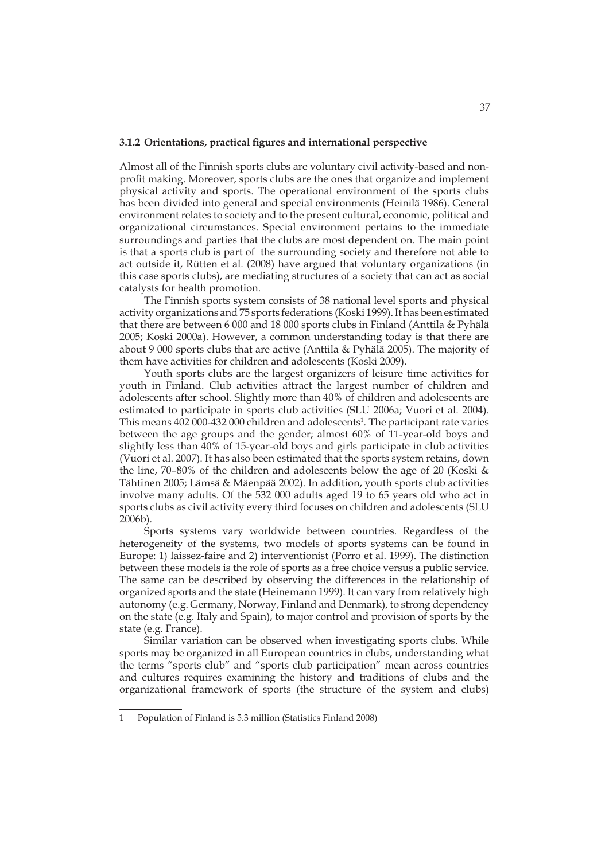### **3.1.2 Orientations, practical figures and international perspective**

Almost all of the Finnish sports clubs are voluntary civil activity-based and nonprofit making. Moreover, sports clubs are the ones that organize and implement physical activity and sports. The operational environment of the sports clubs has been divided into general and special environments (Heinilä 1986). General environment relates to society and to the present cultural, economic, political and organizational circumstances. Special environment pertains to the immediate surroundings and parties that the clubs are most dependent on. The main point is that a sports club is part of the surrounding society and therefore not able to act outside it, Rütten et al. (2008) have argued that voluntary organizations (in this case sports clubs), are mediating structures of a society that can act as social catalysts for health promotion.

The Finnish sports system consists of 38 national level sports and physical activity organizations and 75 sports federations (Koski 1999). It has been estimated that there are between 6 000 and 18 000 sports clubs in Finland (Anttila & Pyhälä 2005; Koski 2000a). However, a common understanding today is that there are about 9 000 sports clubs that are active (Anttila & Pyhälä 2005). The majority of them have activities for children and adolescents (Koski 2009).

Youth sports clubs are the largest organizers of leisure time activities for youth in Finland. Club activities attract the largest number of children and adolescents after school. Slightly more than 40% of children and adolescents are estimated to participate in sports club activities (SLU 2006a; Vuori et al. 2004). This means  $402\,000$ -432 000 children and adolescents<sup>1</sup>. The participant rate varies between the age groups and the gender; almost 60% of 11-year-old boys and slightly less than 40% of 15-year-old boys and girls participate in club activities (Vuori et al. 2007). It has also been estimated that the sports system retains, down the line, 70–80% of the children and adolescents below the age of 20 (Koski & Tähtinen 2005; Lämsä & Mäenpää 2002). In addition, youth sports club activities involve many adults. Of the 532 000 adults aged 19 to 65 years old who act in sports clubs as civil activity every third focuses on children and adolescents (SLU 2006b).

Sports systems vary worldwide between countries. Regardless of the heterogeneity of the systems, two models of sports systems can be found in Europe: 1) laissez-faire and 2) interventionist (Porro et al. 1999). The distinction between these models is the role of sports as a free choice versus a public service. The same can be described by observing the differences in the relationship of organized sports and the state (Heinemann 1999). It can vary from relatively high autonomy (e.g. Germany, Norway, Finland and Denmark), to strong dependency on the state (e.g. Italy and Spain), to major control and provision of sports by the state (e.g. France).

Similar variation can be observed when investigating sports clubs. While sports may be organized in all European countries in clubs, understanding what the terms "sports club" and "sports club participation" mean across countries and cultures requires examining the history and traditions of clubs and the organizational framework of sports (the structure of the system and clubs)

<sup>1</sup> Population of Finland is 5.3 million (Statistics Finland 2008)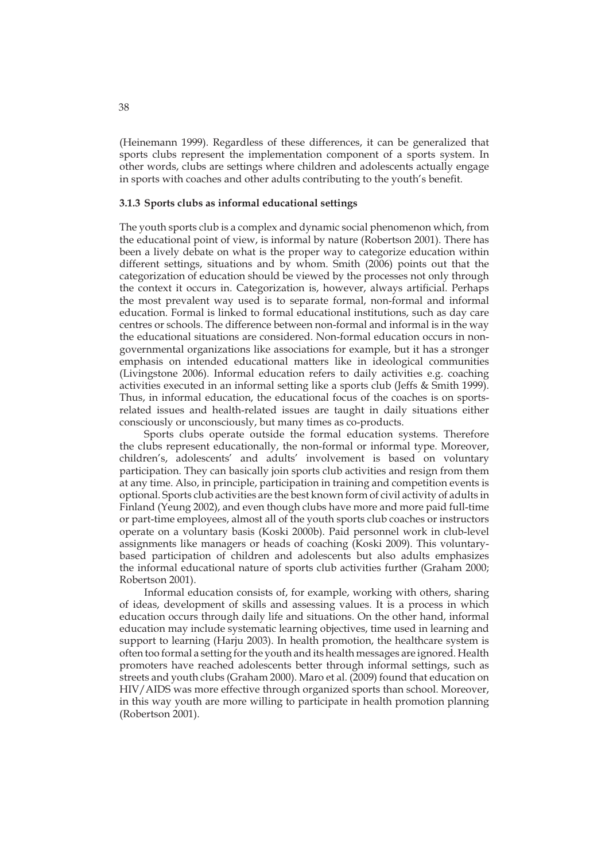(Heinemann 1999). Regardless of these differences, it can be generalized that sports clubs represent the implementation component of a sports system. In other words, clubs are settings where children and adolescents actually engage in sports with coaches and other adults contributing to the youth's benefit.

### **3.1.3 Sports clubs as informal educational settings**

The youth sports club is a complex and dynamic social phenomenon which, from the educational point of view, is informal by nature (Robertson 2001). There has been a lively debate on what is the proper way to categorize education within different settings, situations and by whom. Smith (2006) points out that the categorization of education should be viewed by the processes not only through the context it occurs in. Categorization is, however, always artificial. Perhaps the most prevalent way used is to separate formal, non-formal and informal education. Formal is linked to formal educational institutions, such as day care centres or schools. The difference between non-formal and informal is in the way the educational situations are considered. Non-formal education occurs in nongovernmental organizations like associations for example, but it has a stronger emphasis on intended educational matters like in ideological communities (Livingstone 2006). Informal education refers to daily activities e.g. coaching activities executed in an informal setting like a sports club (Jeffs & Smith 1999). Thus, in informal education, the educational focus of the coaches is on sportsrelated issues and health-related issues are taught in daily situations either consciously or unconsciously, but many times as co-products.

Sports clubs operate outside the formal education systems. Therefore the clubs represent educationally, the non-formal or informal type. Moreover, children's, adolescents' and adults' involvement is based on voluntary participation. They can basically join sports club activities and resign from them at any time. Also, in principle, participation in training and competition events is optional. Sports club activities are the best known form of civil activity of adults in Finland (Yeung 2002), and even though clubs have more and more paid full-time or part-time employees, almost all of the youth sports club coaches or instructors operate on a voluntary basis (Koski 2000b). Paid personnel work in club-level assignments like managers or heads of coaching (Koski 2009). This voluntarybased participation of children and adolescents but also adults emphasizes the informal educational nature of sports club activities further (Graham 2000; Robertson 2001).

Informal education consists of, for example, working with others, sharing of ideas, development of skills and assessing values. It is a process in which education occurs through daily life and situations. On the other hand, informal education may include systematic learning objectives, time used in learning and support to learning (Harju 2003). In health promotion, the healthcare system is often too formal a setting for the youth and its health messages are ignored. Health promoters have reached adolescents better through informal settings, such as streets and youth clubs (Graham 2000). Maro et al. (2009) found that education on HIV/AIDS was more effective through organized sports than school. Moreover, in this way youth are more willing to participate in health promotion planning (Robertson 2001).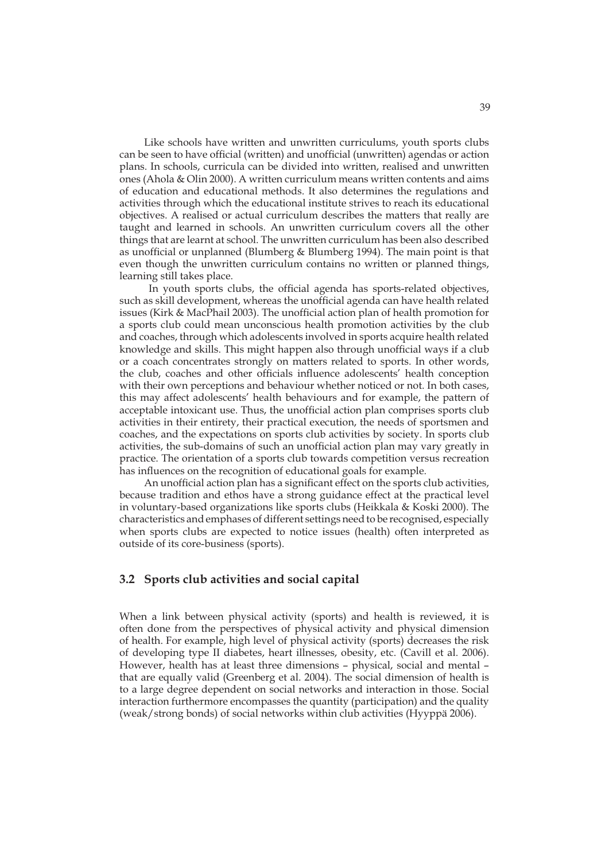Like schools have written and unwritten curriculums, youth sports clubs can be seen to have official (written) and unofficial (unwritten) agendas or action plans. In schools, curricula can be divided into written, realised and unwritten ones (Ahola & Olin 2000). A written curriculum means written contents and aims of education and educational methods. It also determines the regulations and activities through which the educational institute strives to reach its educational objectives. A realised or actual curriculum describes the matters that really are taught and learned in schools. An unwritten curriculum covers all the other things that are learnt at school. The unwritten curriculum has been also described as unofficial or unplanned (Blumberg & Blumberg 1994). The main point is that even though the unwritten curriculum contains no written or planned things, learning still takes place.

 In youth sports clubs, the official agenda has sports-related objectives, such as skill development, whereas the unofficial agenda can have health related issues (Kirk & MacPhail 2003). The unofficial action plan of health promotion for a sports club could mean unconscious health promotion activities by the club and coaches, through which adolescents involved in sports acquire health related knowledge and skills. This might happen also through unofficial ways if a club or a coach concentrates strongly on matters related to sports. In other words, the club, coaches and other officials influence adolescents' health conception with their own perceptions and behaviour whether noticed or not. In both cases, this may affect adolescents' health behaviours and for example, the pattern of acceptable intoxicant use. Thus, the unofficial action plan comprises sports club activities in their entirety, their practical execution, the needs of sportsmen and coaches, and the expectations on sports club activities by society. In sports club activities, the sub-domains of such an unofficial action plan may vary greatly in practice. The orientation of a sports club towards competition versus recreation has influences on the recognition of educational goals for example.

An unofficial action plan has a significant effect on the sports club activities, because tradition and ethos have a strong guidance effect at the practical level in voluntary-based organizations like sports clubs (Heikkala & Koski 2000). The characteristics and emphases of different settings need to be recognised, especially when sports clubs are expected to notice issues (health) often interpreted as outside of its core-business (sports).

### **3.2 Sports club activities and social capital**

When a link between physical activity (sports) and health is reviewed, it is often done from the perspectives of physical activity and physical dimension of health. For example, high level of physical activity (sports) decreases the risk of developing type II diabetes, heart illnesses, obesity, etc. (Cavill et al. 2006). However, health has at least three dimensions – physical, social and mental – that are equally valid (Greenberg et al. 2004). The social dimension of health is to a large degree dependent on social networks and interaction in those. Social interaction furthermore encompasses the quantity (participation) and the quality (weak/strong bonds) of social networks within club activities (Hyyppä 2006).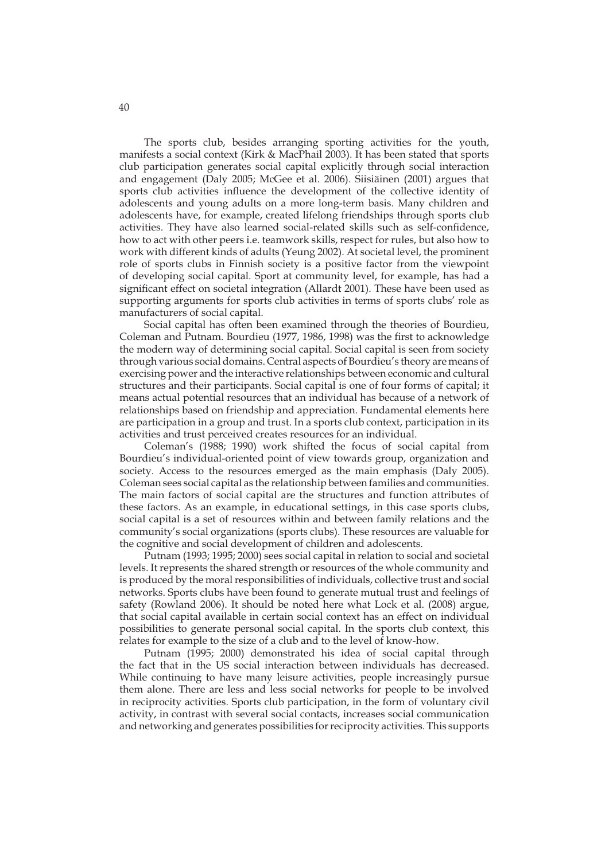The sports club, besides arranging sporting activities for the youth, manifests a social context (Kirk & MacPhail 2003). It has been stated that sports club participation generates social capital explicitly through social interaction and engagement (Daly 2005; McGee et al. 2006). Siisiäinen (2001) argues that sports club activities influence the development of the collective identity of adolescents and young adults on a more long-term basis. Many children and adolescents have, for example, created lifelong friendships through sports club activities. They have also learned social-related skills such as self-confidence, how to act with other peers i.e. teamwork skills, respect for rules, but also how to work with different kinds of adults (Yeung 2002). At societal level, the prominent role of sports clubs in Finnish society is a positive factor from the viewpoint of developing social capital. Sport at community level, for example, has had a significant effect on societal integration (Allardt 2001). These have been used as supporting arguments for sports club activities in terms of sports clubs' role as manufacturers of social capital.

Social capital has often been examined through the theories of Bourdieu, Coleman and Putnam. Bourdieu (1977, 1986, 1998) was the first to acknowledge the modern way of determining social capital. Social capital is seen from society through various social domains. Central aspects of Bourdieu's theory are means of exercising power and the interactive relationships between economic and cultural structures and their participants. Social capital is one of four forms of capital; it means actual potential resources that an individual has because of a network of relationships based on friendship and appreciation. Fundamental elements here are participation in a group and trust. In a sports club context, participation in its activities and trust perceived creates resources for an individual.

Coleman's (1988; 1990) work shifted the focus of social capital from Bourdieu's individual-oriented point of view towards group, organization and society. Access to the resources emerged as the main emphasis (Daly 2005). Coleman sees social capital as the relationship between families and communities. The main factors of social capital are the structures and function attributes of these factors. As an example, in educational settings, in this case sports clubs, social capital is a set of resources within and between family relations and the community's social organizations (sports clubs). These resources are valuable for the cognitive and social development of children and adolescents.

Putnam (1993; 1995; 2000) sees social capital in relation to social and societal levels. It represents the shared strength or resources of the whole community and is produced by the moral responsibilities of individuals, collective trust and social networks. Sports clubs have been found to generate mutual trust and feelings of safety (Rowland 2006). It should be noted here what Lock et al. (2008) argue, that social capital available in certain social context has an effect on individual possibilities to generate personal social capital. In the sports club context, this relates for example to the size of a club and to the level of know-how.

Putnam (1995; 2000) demonstrated his idea of social capital through the fact that in the US social interaction between individuals has decreased. While continuing to have many leisure activities, people increasingly pursue them alone. There are less and less social networks for people to be involved in reciprocity activities. Sports club participation, in the form of voluntary civil activity, in contrast with several social contacts, increases social communication and networking and generates possibilities for reciprocity activities. This supports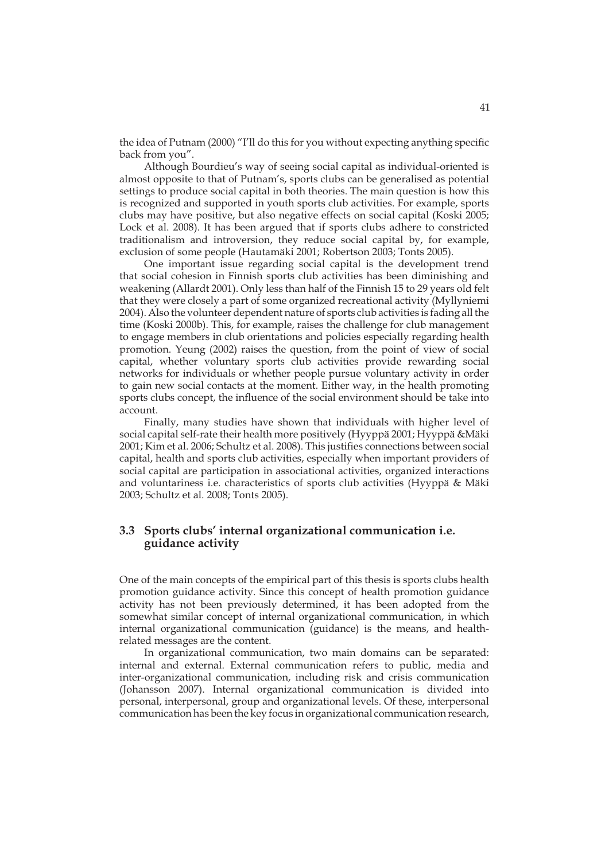the idea of Putnam (2000) "I'll do this for you without expecting anything specific back from you".

Although Bourdieu's way of seeing social capital as individual-oriented is almost opposite to that of Putnam's, sports clubs can be generalised as potential settings to produce social capital in both theories. The main question is how this is recognized and supported in youth sports club activities. For example, sports clubs may have positive, but also negative effects on social capital (Koski 2005; Lock et al. 2008). It has been argued that if sports clubs adhere to constricted traditionalism and introversion, they reduce social capital by, for example, exclusion of some people (Hautamäki 2001; Robertson 2003; Tonts 2005).

One important issue regarding social capital is the development trend that social cohesion in Finnish sports club activities has been diminishing and weakening (Allardt 2001). Only less than half of the Finnish 15 to 29 years old felt that they were closely a part of some organized recreational activity (Myllyniemi 2004). Also the volunteer dependent nature of sports club activities is fading all the time (Koski 2000b). This, for example, raises the challenge for club management to engage members in club orientations and policies especially regarding health promotion. Yeung (2002) raises the question, from the point of view of social capital, whether voluntary sports club activities provide rewarding social networks for individuals or whether people pursue voluntary activity in order to gain new social contacts at the moment. Either way, in the health promoting sports clubs concept, the influence of the social environment should be take into account.

Finally, many studies have shown that individuals with higher level of social capital self-rate their health more positively (Hyyppä 2001; Hyyppä &Mäki 2001; Kim et al. 2006; Schultz et al. 2008). This justifies connections between social capital, health and sports club activities, especially when important providers of social capital are participation in associational activities, organized interactions and voluntariness i.e. characteristics of sports club activities (Hyyppä & Mäki 2003; Schultz et al. 2008; Tonts 2005).

## **3.3 Sports clubs' internal organizational communication i.e. guidance activity**

One of the main concepts of the empirical part of this thesis is sports clubs health promotion guidance activity. Since this concept of health promotion guidance activity has not been previously determined, it has been adopted from the somewhat similar concept of internal organizational communication, in which internal organizational communication (guidance) is the means, and healthrelated messages are the content.

In organizational communication, two main domains can be separated: internal and external. External communication refers to public, media and inter-organizational communication, including risk and crisis communication (Johansson 2007). Internal organizational communication is divided into personal, interpersonal, group and organizational levels. Of these, interpersonal communication has been the key focus in organizational communication research,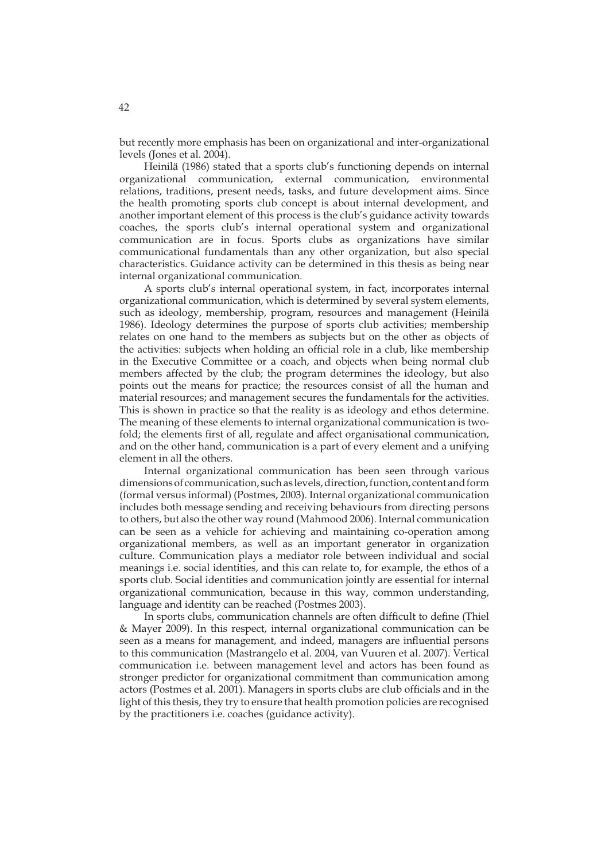but recently more emphasis has been on organizational and inter-organizational levels (Jones et al. 2004).

Heinilä (1986) stated that a sports club's functioning depends on internal organizational communication, external communication, environmental relations, traditions, present needs, tasks, and future development aims. Since the health promoting sports club concept is about internal development, and another important element of this process is the club's guidance activity towards coaches, the sports club's internal operational system and organizational communication are in focus. Sports clubs as organizations have similar communicational fundamentals than any other organization, but also special characteristics. Guidance activity can be determined in this thesis as being near internal organizational communication.

A sports club's internal operational system, in fact, incorporates internal organizational communication, which is determined by several system elements, such as ideology, membership, program, resources and management (Heinilä 1986). Ideology determines the purpose of sports club activities; membership relates on one hand to the members as subjects but on the other as objects of the activities: subjects when holding an official role in a club, like membership in the Executive Committee or a coach, and objects when being normal club members affected by the club; the program determines the ideology, but also points out the means for practice; the resources consist of all the human and material resources; and management secures the fundamentals for the activities. This is shown in practice so that the reality is as ideology and ethos determine. The meaning of these elements to internal organizational communication is twofold; the elements first of all, regulate and affect organisational communication, and on the other hand, communication is a part of every element and a unifying element in all the others.

Internal organizational communication has been seen through various dimensions of communication, such as levels, direction, function, content and form (formal versus informal) (Postmes, 2003). Internal organizational communication includes both message sending and receiving behaviours from directing persons to others, but also the other way round (Mahmood 2006). Internal communication can be seen as a vehicle for achieving and maintaining co-operation among organizational members, as well as an important generator in organization culture. Communication plays a mediator role between individual and social meanings i.e. social identities, and this can relate to, for example, the ethos of a sports club. Social identities and communication jointly are essential for internal organizational communication, because in this way, common understanding, language and identity can be reached (Postmes 2003).

In sports clubs, communication channels are often difficult to define (Thiel & Mayer 2009). In this respect, internal organizational communication can be seen as a means for management, and indeed, managers are influential persons to this communication (Mastrangelo et al. 2004, van Vuuren et al. 2007). Vertical communication i.e. between management level and actors has been found as stronger predictor for organizational commitment than communication among actors (Postmes et al. 2001). Managers in sports clubs are club officials and in the light of this thesis, they try to ensure that health promotion policies are recognised by the practitioners i.e. coaches (guidance activity).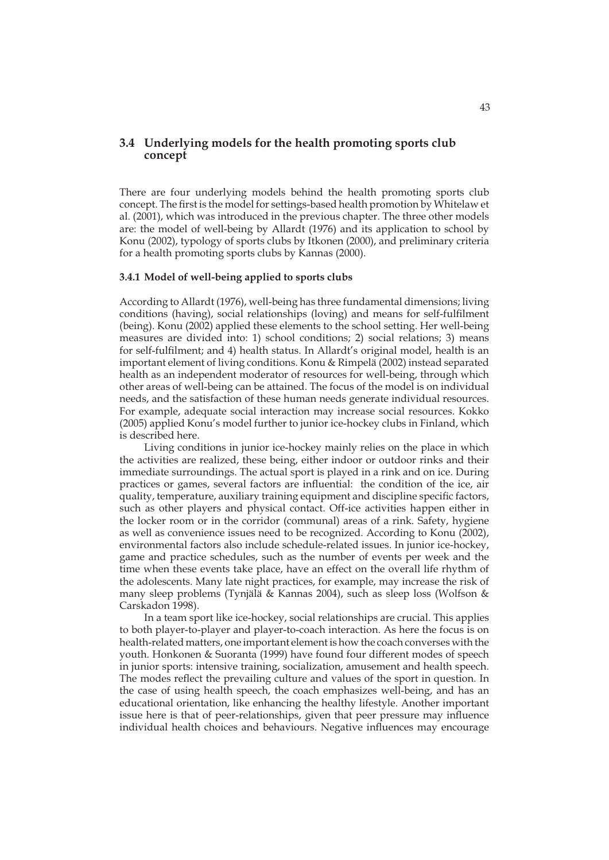## **3.4 Underlying models for the health promoting sports club concept**

There are four underlying models behind the health promoting sports club concept. The first is the model for settings-based health promotion by Whitelaw et al. (2001), which was introduced in the previous chapter. The three other models are: the model of well-being by Allardt (1976) and its application to school by Konu (2002), typology of sports clubs by Itkonen (2000), and preliminary criteria for a health promoting sports clubs by Kannas (2000).

### **3.4.1 Model of well-being applied to sports clubs**

According to Allardt (1976), well-being has three fundamental dimensions; living conditions (having), social relationships (loving) and means for self-fulfilment (being). Konu (2002) applied these elements to the school setting. Her well-being measures are divided into: 1) school conditions; 2) social relations; 3) means for self-fulfilment; and 4) health status. In Allardt's original model, health is an important element of living conditions. Konu & Rimpelä (2002) instead separated health as an independent moderator of resources for well-being, through which other areas of well-being can be attained. The focus of the model is on individual needs, and the satisfaction of these human needs generate individual resources. For example, adequate social interaction may increase social resources. Kokko (2005) applied Konu's model further to junior ice-hockey clubs in Finland, which is described here.

Living conditions in junior ice-hockey mainly relies on the place in which the activities are realized, these being, either indoor or outdoor rinks and their immediate surroundings. The actual sport is played in a rink and on ice. During practices or games, several factors are influential: the condition of the ice, air quality, temperature, auxiliary training equipment and discipline specific factors, such as other players and physical contact. Off-ice activities happen either in the locker room or in the corridor (communal) areas of a rink. Safety, hygiene as well as convenience issues need to be recognized. According to Konu (2002), environmental factors also include schedule-related issues. In junior ice-hockey, game and practice schedules, such as the number of events per week and the time when these events take place, have an effect on the overall life rhythm of the adolescents. Many late night practices, for example, may increase the risk of many sleep problems (Tynjälä & Kannas 2004), such as sleep loss (Wolfson & Carskadon 1998).

In a team sport like ice-hockey, social relationships are crucial. This applies to both player-to-player and player-to-coach interaction. As here the focus is on health-related matters, one important element is how the coach converses with the youth. Honkonen & Suoranta (1999) have found four different modes of speech in junior sports: intensive training, socialization, amusement and health speech. The modes reflect the prevailing culture and values of the sport in question. In the case of using health speech, the coach emphasizes well-being, and has an educational orientation, like enhancing the healthy lifestyle. Another important issue here is that of peer-relationships, given that peer pressure may influence individual health choices and behaviours. Negative influences may encourage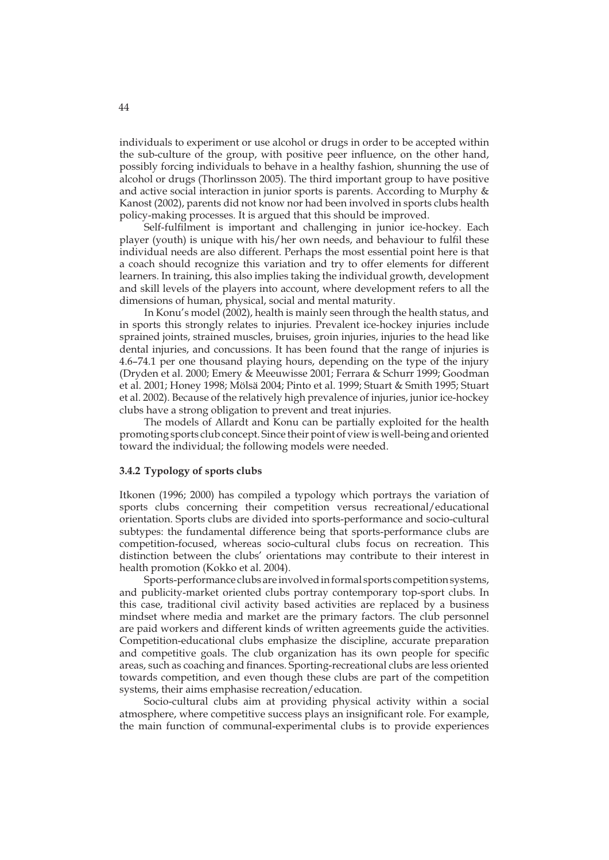individuals to experiment or use alcohol or drugs in order to be accepted within the sub-culture of the group, with positive peer influence, on the other hand, possibly forcing individuals to behave in a healthy fashion, shunning the use of alcohol or drugs (Thorlinsson 2005). The third important group to have positive and active social interaction in junior sports is parents. According to Murphy & Kanost (2002), parents did not know nor had been involved in sports clubs health policy-making processes. It is argued that this should be improved.

Self-fulfilment is important and challenging in junior ice-hockey. Each player (youth) is unique with his/her own needs, and behaviour to fulfil these individual needs are also different. Perhaps the most essential point here is that a coach should recognize this variation and try to offer elements for different learners. In training, this also implies taking the individual growth, development and skill levels of the players into account, where development refers to all the dimensions of human, physical, social and mental maturity.

In Konu's model (2002), health is mainly seen through the health status, and in sports this strongly relates to injuries. Prevalent ice-hockey injuries include sprained joints, strained muscles, bruises, groin injuries, injuries to the head like dental injuries, and concussions. It has been found that the range of injuries is 4.6–74.1 per one thousand playing hours, depending on the type of the injury (Dryden et al. 2000; Emery & Meeuwisse 2001; Ferrara & Schurr 1999; Goodman et al. 2001; Honey 1998; Mölsä 2004; Pinto et al. 1999; Stuart & Smith 1995; Stuart et al. 2002). Because of the relatively high prevalence of injuries, junior ice-hockey clubs have a strong obligation to prevent and treat injuries.

The models of Allardt and Konu can be partially exploited for the health promoting sports club concept. Since their point of view is well-being and oriented toward the individual; the following models were needed.

### **3.4.2 Typology of sports clubs**

Itkonen (1996; 2000) has compiled a typology which portrays the variation of sports clubs concerning their competition versus recreational/educational orientation. Sports clubs are divided into sports-performance and socio-cultural subtypes: the fundamental difference being that sports-performance clubs are competition-focused, whereas socio-cultural clubs focus on recreation. This distinction between the clubs' orientations may contribute to their interest in health promotion (Kokko et al. 2004).

Sports-performance clubs are involved in formal sports competition systems, and publicity-market oriented clubs portray contemporary top-sport clubs. In this case, traditional civil activity based activities are replaced by a business mindset where media and market are the primary factors. The club personnel are paid workers and different kinds of written agreements guide the activities. Competition-educational clubs emphasize the discipline, accurate preparation and competitive goals. The club organization has its own people for specific areas, such as coaching and finances. Sporting-recreational clubs are less oriented towards competition, and even though these clubs are part of the competition systems, their aims emphasise recreation/education.

Socio-cultural clubs aim at providing physical activity within a social atmosphere, where competitive success plays an insignificant role. For example, the main function of communal-experimental clubs is to provide experiences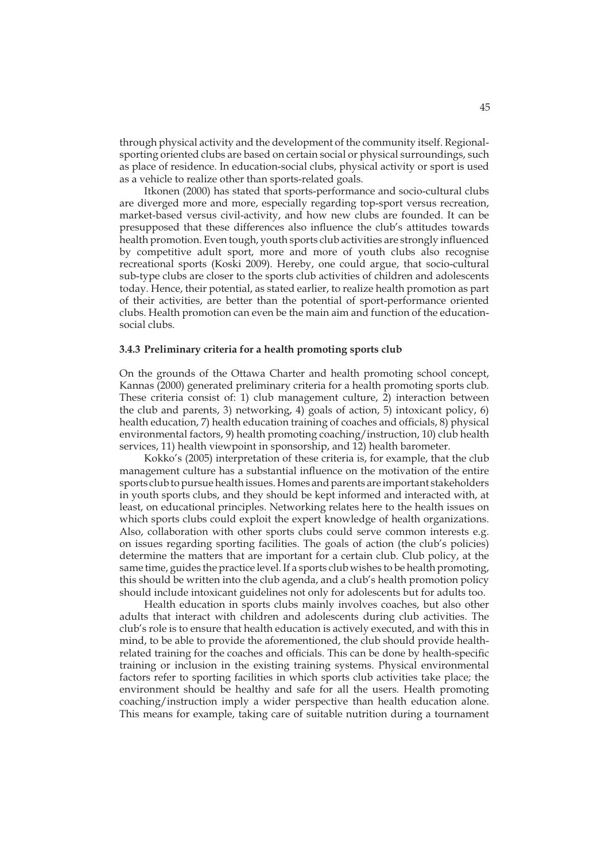through physical activity and the development of the community itself. Regionalsporting oriented clubs are based on certain social or physical surroundings, such as place of residence. In education-social clubs, physical activity or sport is used as a vehicle to realize other than sports-related goals.

Itkonen (2000) has stated that sports-performance and socio-cultural clubs are diverged more and more, especially regarding top-sport versus recreation, market-based versus civil-activity, and how new clubs are founded. It can be presupposed that these differences also influence the club's attitudes towards health promotion. Even tough, youth sports club activities are strongly influenced by competitive adult sport, more and more of youth clubs also recognise recreational sports (Koski 2009). Hereby, one could argue, that socio-cultural sub-type clubs are closer to the sports club activities of children and adolescents today. Hence, their potential, as stated earlier, to realize health promotion as part of their activities, are better than the potential of sport-performance oriented clubs. Health promotion can even be the main aim and function of the educationsocial clubs.

#### **3.4.3 Preliminary criteria for a health promoting sports club**

On the grounds of the Ottawa Charter and health promoting school concept, Kannas (2000) generated preliminary criteria for a health promoting sports club. These criteria consist of: 1) club management culture, 2) interaction between the club and parents, 3) networking, 4) goals of action, 5) intoxicant policy, 6) health education, 7) health education training of coaches and officials, 8) physical environmental factors, 9) health promoting coaching/instruction, 10) club health services, 11) health viewpoint in sponsorship, and 12) health barometer.

Kokko's (2005) interpretation of these criteria is, for example, that the club management culture has a substantial influence on the motivation of the entire sports club to pursue health issues. Homes and parents are important stakeholders in youth sports clubs, and they should be kept informed and interacted with, at least, on educational principles. Networking relates here to the health issues on which sports clubs could exploit the expert knowledge of health organizations. Also, collaboration with other sports clubs could serve common interests e.g. on issues regarding sporting facilities. The goals of action (the club's policies) determine the matters that are important for a certain club. Club policy, at the same time, guides the practice level. If a sports club wishes to be health promoting, this should be written into the club agenda, and a club's health promotion policy should include intoxicant guidelines not only for adolescents but for adults too.

Health education in sports clubs mainly involves coaches, but also other adults that interact with children and adolescents during club activities. The club's role is to ensure that health education is actively executed, and with this in mind, to be able to provide the aforementioned, the club should provide healthrelated training for the coaches and officials. This can be done by health-specific training or inclusion in the existing training systems. Physical environmental factors refer to sporting facilities in which sports club activities take place; the environment should be healthy and safe for all the users. Health promoting coaching/instruction imply a wider perspective than health education alone. This means for example, taking care of suitable nutrition during a tournament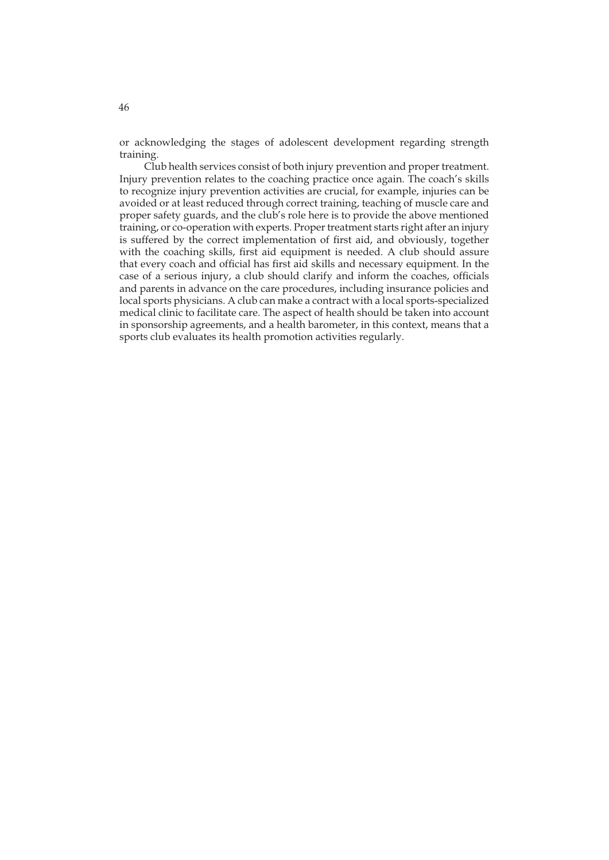or acknowledging the stages of adolescent development regarding strength training.

Club health services consist of both injury prevention and proper treatment. Injury prevention relates to the coaching practice once again. The coach's skills to recognize injury prevention activities are crucial, for example, injuries can be avoided or at least reduced through correct training, teaching of muscle care and proper safety guards, and the club's role here is to provide the above mentioned training, or co-operation with experts. Proper treatment starts right after an injury is suffered by the correct implementation of first aid, and obviously, together with the coaching skills, first aid equipment is needed. A club should assure that every coach and official has first aid skills and necessary equipment. In the case of a serious injury, a club should clarify and inform the coaches, officials and parents in advance on the care procedures, including insurance policies and local sports physicians. A club can make a contract with a local sports-specialized medical clinic to facilitate care. The aspect of health should be taken into account in sponsorship agreements, and a health barometer, in this context, means that a sports club evaluates its health promotion activities regularly.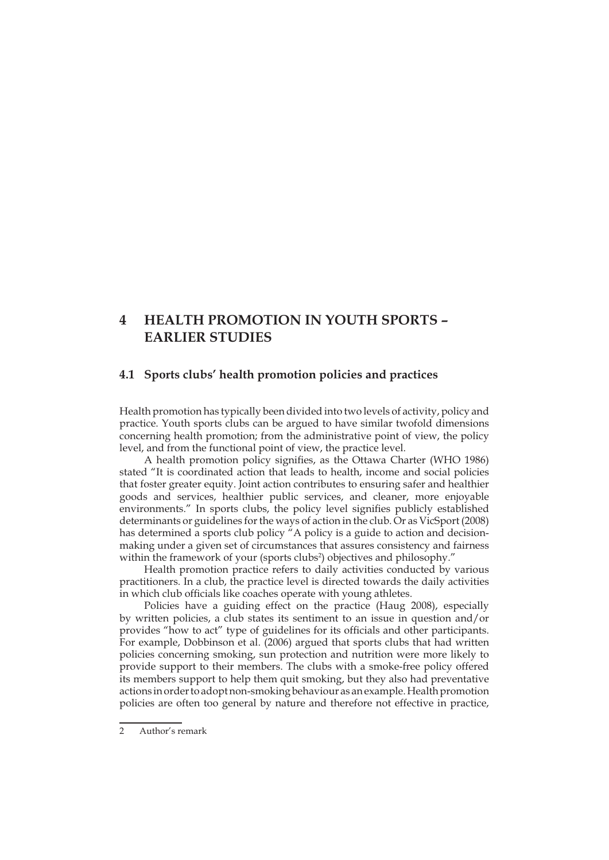# **4 HEALTH PROMOTION IN YOUTH SPORTS – EARLIER STUDIES**

## **4.1 Sports clubs' health promotion policies and practices**

Health promotion has typically been divided into two levels of activity, policy and practice. Youth sports clubs can be argued to have similar twofold dimensions concerning health promotion; from the administrative point of view, the policy level, and from the functional point of view, the practice level.

A health promotion policy signifies, as the Ottawa Charter (WHO 1986) stated "It is coordinated action that leads to health, income and social policies that foster greater equity. Joint action contributes to ensuring safer and healthier goods and services, healthier public services, and cleaner, more enjoyable environments." In sports clubs, the policy level signifies publicly established determinants or guidelines for the ways of action in the club. Or as VicSport (2008) has determined a sports club policy "A policy is a guide to action and decisionmaking under a given set of circumstances that assures consistency and fairness within the framework of your (sports clubs<sup>2</sup>) objectives and philosophy."

Health promotion practice refers to daily activities conducted by various practitioners. In a club, the practice level is directed towards the daily activities in which club officials like coaches operate with young athletes.

Policies have a guiding effect on the practice (Haug 2008), especially by written policies, a club states its sentiment to an issue in question and/or provides "how to act" type of guidelines for its officials and other participants. For example, Dobbinson et al. (2006) argued that sports clubs that had written policies concerning smoking, sun protection and nutrition were more likely to provide support to their members. The clubs with a smoke-free policy offered its members support to help them quit smoking, but they also had preventative actions in order to adopt non-smoking behaviour as an example. Health promotion policies are often too general by nature and therefore not effective in practice,

<sup>2</sup> Author's remark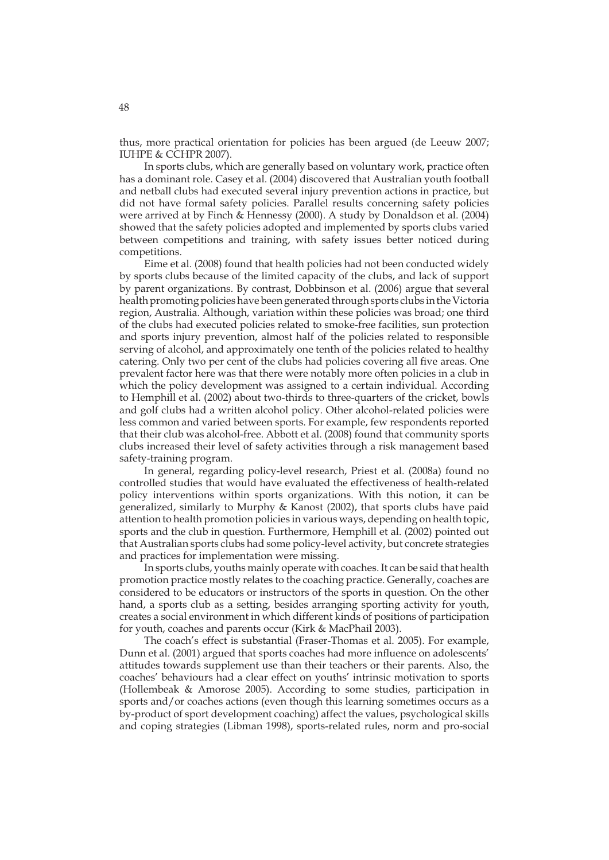thus, more practical orientation for policies has been argued (de Leeuw 2007; IUHPE & CCHPR 2007).

In sports clubs, which are generally based on voluntary work, practice often has a dominant role. Casey et al. (2004) discovered that Australian youth football and netball clubs had executed several injury prevention actions in practice, but did not have formal safety policies. Parallel results concerning safety policies were arrived at by Finch & Hennessy (2000). A study by Donaldson et al. (2004) showed that the safety policies adopted and implemented by sports clubs varied between competitions and training, with safety issues better noticed during competitions.

Eime et al. (2008) found that health policies had not been conducted widely by sports clubs because of the limited capacity of the clubs, and lack of support by parent organizations. By contrast, Dobbinson et al. (2006) argue that several health promoting policies have been generated through sports clubs in the Victoria region, Australia. Although, variation within these policies was broad; one third of the clubs had executed policies related to smoke-free facilities, sun protection and sports injury prevention, almost half of the policies related to responsible serving of alcohol, and approximately one tenth of the policies related to healthy catering. Only two per cent of the clubs had policies covering all five areas. One prevalent factor here was that there were notably more often policies in a club in which the policy development was assigned to a certain individual. According to Hemphill et al. (2002) about two-thirds to three-quarters of the cricket, bowls and golf clubs had a written alcohol policy. Other alcohol-related policies were less common and varied between sports. For example, few respondents reported that their club was alcohol-free. Abbott et al. (2008) found that community sports clubs increased their level of safety activities through a risk management based safety-training program.

In general, regarding policy-level research, Priest et al. (2008a) found no controlled studies that would have evaluated the effectiveness of health-related policy interventions within sports organizations. With this notion, it can be generalized, similarly to Murphy & Kanost (2002), that sports clubs have paid attention to health promotion policies in various ways, depending on health topic, sports and the club in question. Furthermore, Hemphill et al. (2002) pointed out that Australian sports clubs had some policy-level activity, but concrete strategies and practices for implementation were missing.

In sports clubs, youths mainly operate with coaches. It can be said that health promotion practice mostly relates to the coaching practice. Generally, coaches are considered to be educators or instructors of the sports in question. On the other hand, a sports club as a setting, besides arranging sporting activity for youth, creates a social environment in which different kinds of positions of participation for youth, coaches and parents occur (Kirk & MacPhail 2003).

The coach's effect is substantial (Fraser-Thomas et al. 2005). For example, Dunn et al. (2001) argued that sports coaches had more influence on adolescents' attitudes towards supplement use than their teachers or their parents. Also, the coaches' behaviours had a clear effect on youths' intrinsic motivation to sports (Hollembeak & Amorose 2005). According to some studies, participation in sports and/or coaches actions (even though this learning sometimes occurs as a by-product of sport development coaching) affect the values, psychological skills and coping strategies (Libman 1998), sports-related rules, norm and pro-social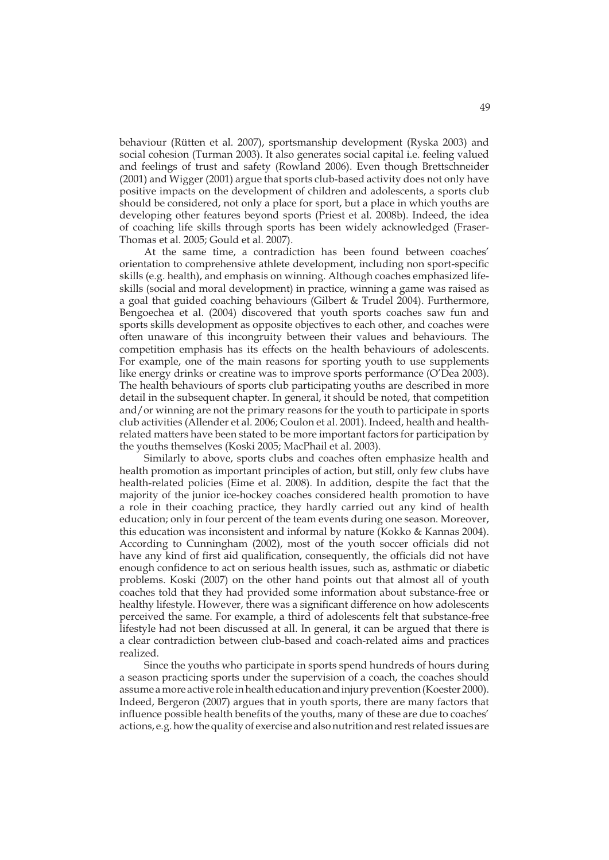behaviour (Rütten et al. 2007), sportsmanship development (Ryska 2003) and social cohesion (Turman 2003). It also generates social capital i.e. feeling valued and feelings of trust and safety (Rowland 2006). Even though Brettschneider (2001) and Wigger (2001) argue that sports club-based activity does not only have positive impacts on the development of children and adolescents, a sports club should be considered, not only a place for sport, but a place in which youths are developing other features beyond sports (Priest et al. 2008b). Indeed, the idea of coaching life skills through sports has been widely acknowledged (Fraser-Thomas et al. 2005; Gould et al. 2007).

At the same time, a contradiction has been found between coaches' orientation to comprehensive athlete development, including non sport-specific skills (e.g. health), and emphasis on winning. Although coaches emphasized lifeskills (social and moral development) in practice, winning a game was raised as a goal that guided coaching behaviours (Gilbert & Trudel 2004). Furthermore, Bengoechea et al. (2004) discovered that youth sports coaches saw fun and sports skills development as opposite objectives to each other, and coaches were often unaware of this incongruity between their values and behaviours. The competition emphasis has its effects on the health behaviours of adolescents. For example, one of the main reasons for sporting youth to use supplements like energy drinks or creatine was to improve sports performance (O'Dea 2003). The health behaviours of sports club participating youths are described in more detail in the subsequent chapter. In general, it should be noted, that competition and/or winning are not the primary reasons for the youth to participate in sports club activities (Allender et al. 2006; Coulon et al. 2001). Indeed, health and healthrelated matters have been stated to be more important factors for participation by the youths themselves (Koski 2005; MacPhail et al. 2003).

Similarly to above, sports clubs and coaches often emphasize health and health promotion as important principles of action, but still, only few clubs have health-related policies (Eime et al. 2008). In addition, despite the fact that the majority of the junior ice-hockey coaches considered health promotion to have a role in their coaching practice, they hardly carried out any kind of health education; only in four percent of the team events during one season. Moreover, this education was inconsistent and informal by nature (Kokko & Kannas 2004). According to Cunningham (2002), most of the youth soccer officials did not have any kind of first aid qualification, consequently, the officials did not have enough confidence to act on serious health issues, such as, asthmatic or diabetic problems. Koski (2007) on the other hand points out that almost all of youth coaches told that they had provided some information about substance-free or healthy lifestyle. However, there was a significant difference on how adolescents perceived the same. For example, a third of adolescents felt that substance-free lifestyle had not been discussed at all. In general, it can be argued that there is a clear contradiction between club-based and coach-related aims and practices realized.

Since the youths who participate in sports spend hundreds of hours during a season practicing sports under the supervision of a coach, the coaches should assume a more active role in health education and injury prevention (Koester 2000). Indeed, Bergeron (2007) argues that in youth sports, there are many factors that influence possible health benefits of the youths, many of these are due to coaches' actions, e.g. how the quality of exercise and also nutrition and rest related issues are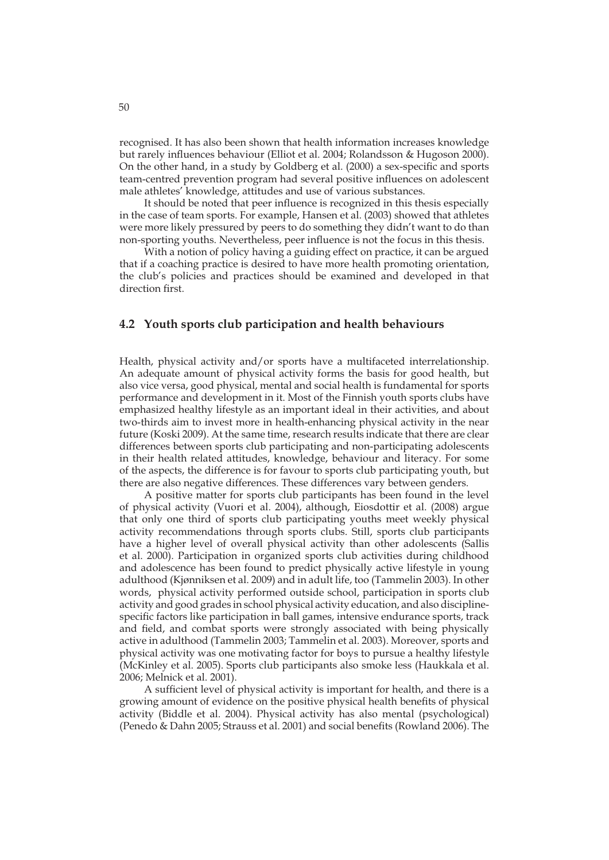recognised. It has also been shown that health information increases knowledge but rarely influences behaviour (Elliot et al. 2004; Rolandsson & Hugoson 2000). On the other hand, in a study by Goldberg et al. (2000) a sex-specific and sports team-centred prevention program had several positive influences on adolescent male athletes' knowledge, attitudes and use of various substances.

It should be noted that peer influence is recognized in this thesis especially in the case of team sports. For example, Hansen et al. (2003) showed that athletes were more likely pressured by peers to do something they didn't want to do than non-sporting youths. Nevertheless, peer influence is not the focus in this thesis.

With a notion of policy having a guiding effect on practice, it can be argued that if a coaching practice is desired to have more health promoting orientation, the club's policies and practices should be examined and developed in that direction first.

### **4.2 Youth sports club participation and health behaviours**

Health, physical activity and/or sports have a multifaceted interrelationship. An adequate amount of physical activity forms the basis for good health, but also vice versa, good physical, mental and social health is fundamental for sports performance and development in it. Most of the Finnish youth sports clubs have emphasized healthy lifestyle as an important ideal in their activities, and about two-thirds aim to invest more in health-enhancing physical activity in the near future (Koski 2009). At the same time, research results indicate that there are clear differences between sports club participating and non-participating adolescents in their health related attitudes, knowledge, behaviour and literacy. For some of the aspects, the difference is for favour to sports club participating youth, but there are also negative differences. These differences vary between genders.

A positive matter for sports club participants has been found in the level of physical activity (Vuori et al. 2004), although, Eiosdottir et al. (2008) argue that only one third of sports club participating youths meet weekly physical activity recommendations through sports clubs. Still, sports club participants have a higher level of overall physical activity than other adolescents (Sallis et al. 2000). Participation in organized sports club activities during childhood and adolescence has been found to predict physically active lifestyle in young adulthood (Kjønniksen et al. 2009) and in adult life, too (Tammelin 2003). In other words, physical activity performed outside school, participation in sports club activity and good grades in school physical activity education, and also disciplinespecific factors like participation in ball games, intensive endurance sports, track and field, and combat sports were strongly associated with being physically active in adulthood (Tammelin 2003; Tammelin et al. 2003). Moreover, sports and physical activity was one motivating factor for boys to pursue a healthy lifestyle (McKinley et al. 2005). Sports club participants also smoke less (Haukkala et al. 2006; Melnick et al. 2001).

A sufficient level of physical activity is important for health, and there is a growing amount of evidence on the positive physical health benefits of physical activity (Biddle et al. 2004). Physical activity has also mental (psychological) (Penedo & Dahn 2005; Strauss et al. 2001) and social benefits (Rowland 2006). The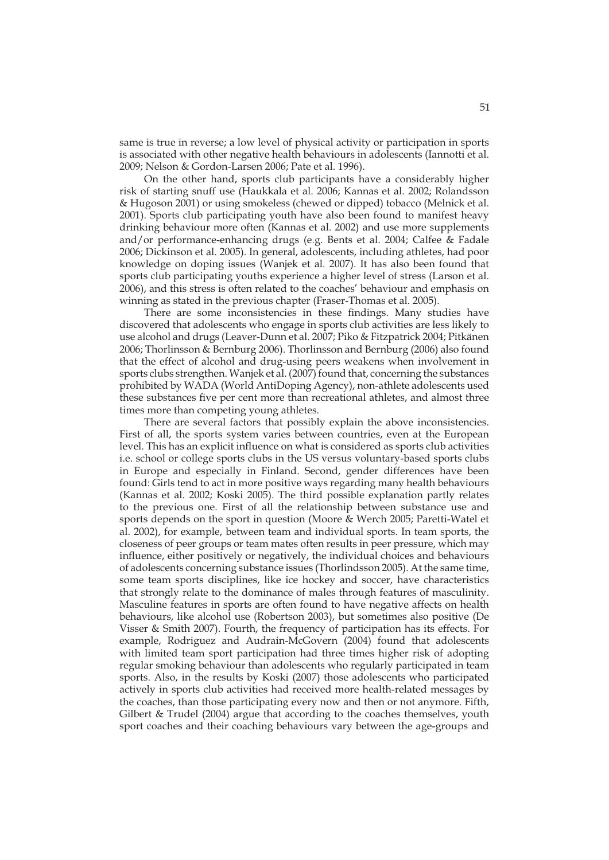same is true in reverse; a low level of physical activity or participation in sports is associated with other negative health behaviours in adolescents (Iannotti et al. 2009; Nelson & Gordon-Larsen 2006; Pate et al. 1996).

On the other hand, sports club participants have a considerably higher risk of starting snuff use (Haukkala et al. 2006; Kannas et al. 2002; Rolandsson & Hugoson 2001) or using smokeless (chewed or dipped) tobacco (Melnick et al. 2001). Sports club participating youth have also been found to manifest heavy drinking behaviour more often (Kannas et al. 2002) and use more supplements and/or performance-enhancing drugs (e.g. Bents et al. 2004; Calfee & Fadale 2006; Dickinson et al. 2005). In general, adolescents, including athletes, had poor knowledge on doping issues (Wanjek et al. 2007). It has also been found that sports club participating youths experience a higher level of stress (Larson et al. 2006), and this stress is often related to the coaches' behaviour and emphasis on winning as stated in the previous chapter (Fraser-Thomas et al. 2005).

There are some inconsistencies in these findings. Many studies have discovered that adolescents who engage in sports club activities are less likely to use alcohol and drugs (Leaver-Dunn et al. 2007; Piko & Fitzpatrick 2004; Pitkänen 2006; Thorlinsson & Bernburg 2006). Thorlinsson and Bernburg (2006) also found that the effect of alcohol and drug-using peers weakens when involvement in sports clubs strengthen. Wanjek et al. (2007) found that, concerning the substances prohibited by WADA (World AntiDoping Agency), non-athlete adolescents used these substances five per cent more than recreational athletes, and almost three times more than competing young athletes.

There are several factors that possibly explain the above inconsistencies. First of all, the sports system varies between countries, even at the European level. This has an explicit influence on what is considered as sports club activities i.e. school or college sports clubs in the US versus voluntary-based sports clubs in Europe and especially in Finland. Second, gender differences have been found: Girls tend to act in more positive ways regarding many health behaviours (Kannas et al. 2002; Koski 2005). The third possible explanation partly relates to the previous one. First of all the relationship between substance use and sports depends on the sport in question (Moore & Werch 2005; Paretti-Watel et al. 2002), for example, between team and individual sports. In team sports, the closeness of peer groups or team mates often results in peer pressure, which may influence, either positively or negatively, the individual choices and behaviours of adolescents concerning substance issues (Thorlindsson 2005). At the same time, some team sports disciplines, like ice hockey and soccer, have characteristics that strongly relate to the dominance of males through features of masculinity. Masculine features in sports are often found to have negative affects on health behaviours, like alcohol use (Robertson 2003), but sometimes also positive (De Visser & Smith 2007). Fourth, the frequency of participation has its effects. For example, Rodriguez and Audrain-McGovern (2004) found that adolescents with limited team sport participation had three times higher risk of adopting regular smoking behaviour than adolescents who regularly participated in team sports. Also, in the results by Koski (2007) those adolescents who participated actively in sports club activities had received more health-related messages by the coaches, than those participating every now and then or not anymore. Fifth, Gilbert & Trudel (2004) argue that according to the coaches themselves, youth sport coaches and their coaching behaviours vary between the age-groups and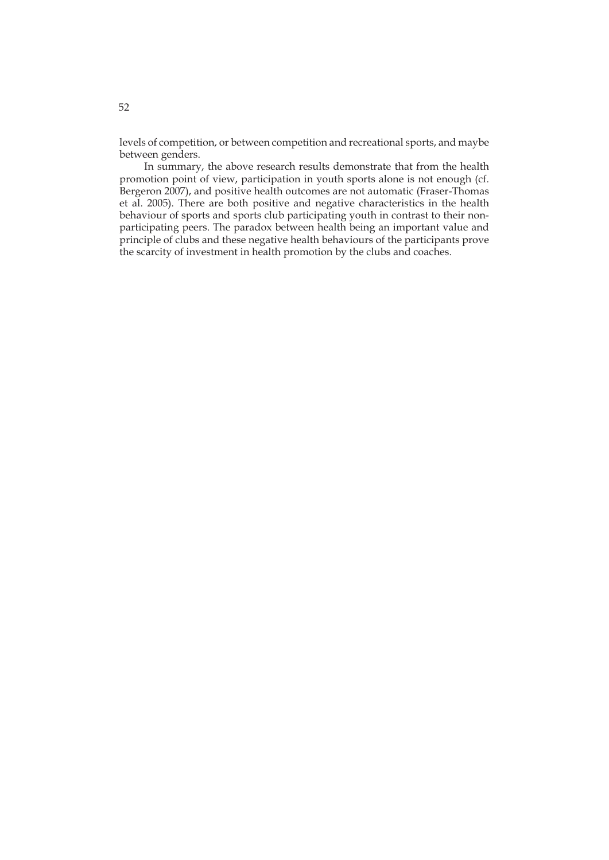levels of competition, or between competition and recreational sports, and maybe between genders.

In summary, the above research results demonstrate that from the health promotion point of view, participation in youth sports alone is not enough (cf. Bergeron 2007), and positive health outcomes are not automatic (Fraser-Thomas et al. 2005). There are both positive and negative characteristics in the health behaviour of sports and sports club participating youth in contrast to their nonparticipating peers. The paradox between health being an important value and principle of clubs and these negative health behaviours of the participants prove the scarcity of investment in health promotion by the clubs and coaches.

52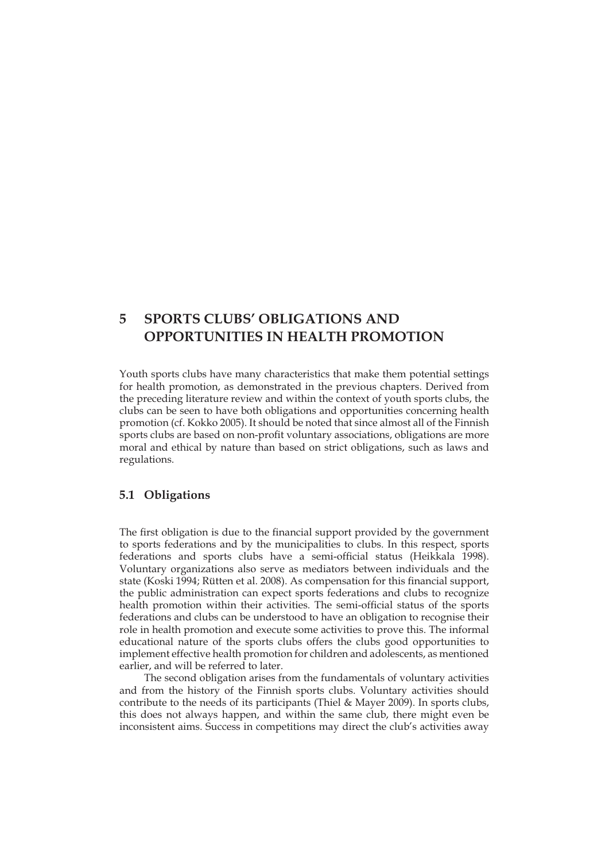# **5 SPORTS CLUBS' OBLIGATIONS AND OPPORTUNITIES IN HEALTH PROMOTION**

Youth sports clubs have many characteristics that make them potential settings for health promotion, as demonstrated in the previous chapters. Derived from the preceding literature review and within the context of youth sports clubs, the clubs can be seen to have both obligations and opportunities concerning health promotion (cf. Kokko 2005). It should be noted that since almost all of the Finnish sports clubs are based on non-profit voluntary associations, obligations are more moral and ethical by nature than based on strict obligations, such as laws and regulations.

## **5.1 Obligations**

The first obligation is due to the financial support provided by the government to sports federations and by the municipalities to clubs. In this respect, sports federations and sports clubs have a semi-official status (Heikkala 1998). Voluntary organizations also serve as mediators between individuals and the state (Koski 1994; Rütten et al. 2008). As compensation for this financial support, the public administration can expect sports federations and clubs to recognize health promotion within their activities. The semi-official status of the sports federations and clubs can be understood to have an obligation to recognise their role in health promotion and execute some activities to prove this. The informal educational nature of the sports clubs offers the clubs good opportunities to implement effective health promotion for children and adolescents, as mentioned earlier, and will be referred to later.

The second obligation arises from the fundamentals of voluntary activities and from the history of the Finnish sports clubs. Voluntary activities should contribute to the needs of its participants (Thiel & Mayer 2009). In sports clubs, this does not always happen, and within the same club, there might even be inconsistent aims. Success in competitions may direct the club's activities away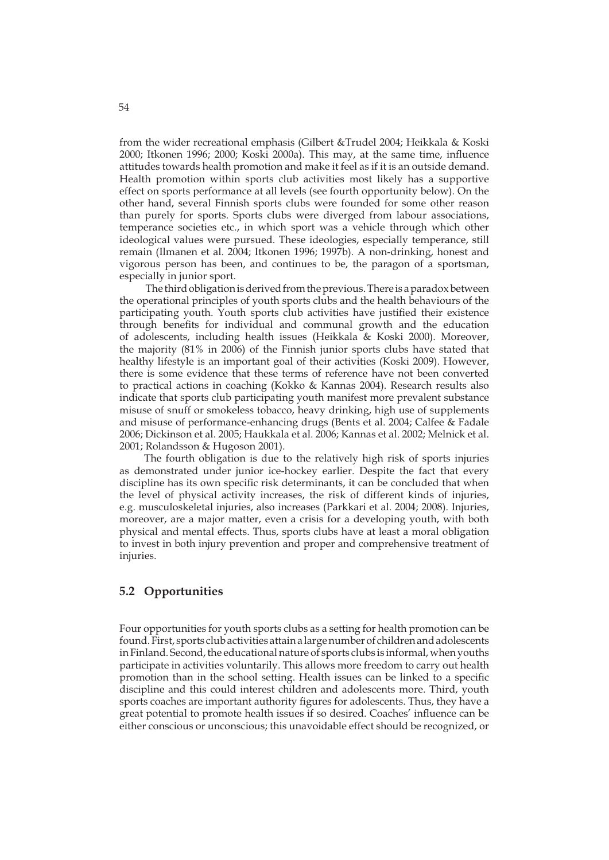from the wider recreational emphasis (Gilbert &Trudel 2004; Heikkala & Koski 2000; Itkonen 1996; 2000; Koski 2000a). This may, at the same time, influence attitudes towards health promotion and make it feel as if it is an outside demand. Health promotion within sports club activities most likely has a supportive effect on sports performance at all levels (see fourth opportunity below). On the other hand, several Finnish sports clubs were founded for some other reason than purely for sports. Sports clubs were diverged from labour associations, temperance societies etc., in which sport was a vehicle through which other ideological values were pursued. These ideologies, especially temperance, still remain (Ilmanen et al. 2004; Itkonen 1996; 1997b). A non-drinking, honest and vigorous person has been, and continues to be, the paragon of a sportsman, especially in junior sport.

 The third obligation is derived from the previous. There is a paradox between the operational principles of youth sports clubs and the health behaviours of the participating youth. Youth sports club activities have justified their existence through benefits for individual and communal growth and the education of adolescents, including health issues (Heikkala & Koski 2000). Moreover, the majority (81% in 2006) of the Finnish junior sports clubs have stated that healthy lifestyle is an important goal of their activities (Koski 2009). However, there is some evidence that these terms of reference have not been converted to practical actions in coaching (Kokko & Kannas 2004). Research results also indicate that sports club participating youth manifest more prevalent substance misuse of snuff or smokeless tobacco, heavy drinking, high use of supplements and misuse of performance-enhancing drugs (Bents et al. 2004; Calfee & Fadale 2006; Dickinson et al. 2005; Haukkala et al. 2006; Kannas et al. 2002; Melnick et al. 2001; Rolandsson & Hugoson 2001).

The fourth obligation is due to the relatively high risk of sports injuries as demonstrated under junior ice-hockey earlier. Despite the fact that every discipline has its own specific risk determinants, it can be concluded that when the level of physical activity increases, the risk of different kinds of injuries, e.g. musculoskeletal injuries, also increases (Parkkari et al. 2004; 2008). Injuries, moreover, are a major matter, even a crisis for a developing youth, with both physical and mental effects. Thus, sports clubs have at least a moral obligation to invest in both injury prevention and proper and comprehensive treatment of injuries.

## **5.2 Opportunities**

Four opportunities for youth sports clubs as a setting for health promotion can be found. First, sports club activities attain a large number of children and adolescents in Finland. Second, the educational nature of sports clubs is informal, when youths participate in activities voluntarily. This allows more freedom to carry out health promotion than in the school setting. Health issues can be linked to a specific discipline and this could interest children and adolescents more. Third, youth sports coaches are important authority figures for adolescents. Thus, they have a great potential to promote health issues if so desired. Coaches' influence can be either conscious or unconscious; this unavoidable effect should be recognized, or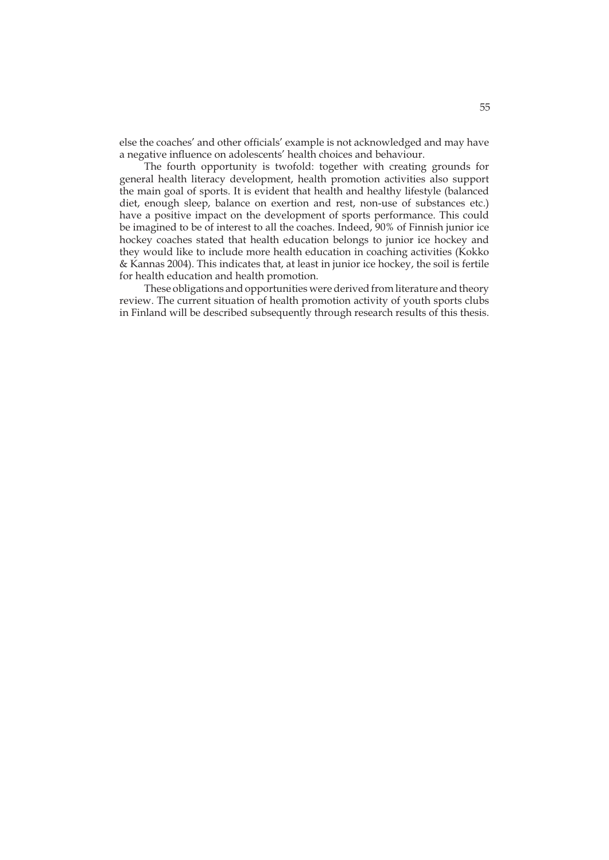else the coaches' and other officials' example is not acknowledged and may have a negative influence on adolescents' health choices and behaviour.

The fourth opportunity is twofold: together with creating grounds for general health literacy development, health promotion activities also support the main goal of sports. It is evident that health and healthy lifestyle (balanced diet, enough sleep, balance on exertion and rest, non-use of substances etc.) have a positive impact on the development of sports performance. This could be imagined to be of interest to all the coaches. Indeed, 90% of Finnish junior ice hockey coaches stated that health education belongs to junior ice hockey and they would like to include more health education in coaching activities (Kokko & Kannas 2004). This indicates that, at least in junior ice hockey, the soil is fertile for health education and health promotion.

These obligations and opportunities were derived from literature and theory review. The current situation of health promotion activity of youth sports clubs in Finland will be described subsequently through research results of this thesis.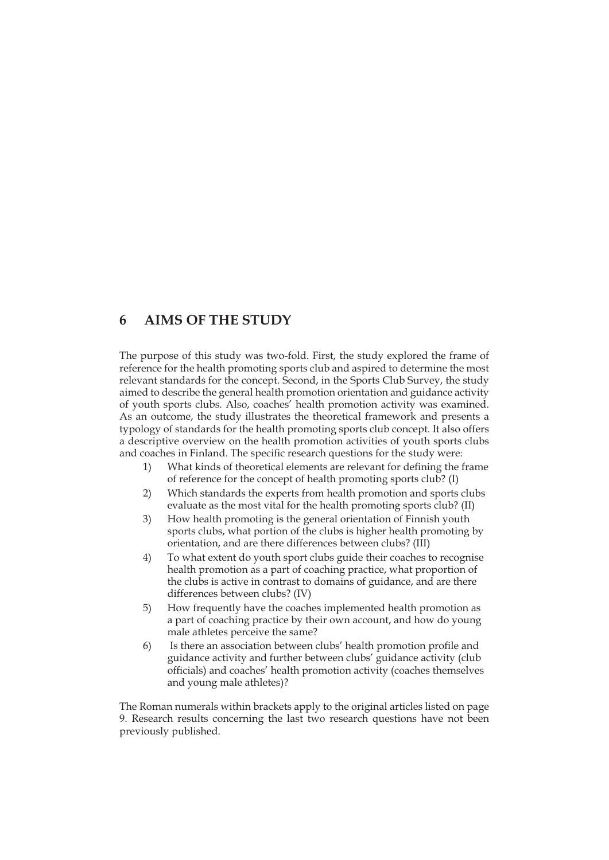## **6 AIMS OF THE STUDY**

The purpose of this study was two-fold. First, the study explored the frame of reference for the health promoting sports club and aspired to determine the most relevant standards for the concept. Second, in the Sports Club Survey, the study aimed to describe the general health promotion orientation and guidance activity of youth sports clubs. Also, coaches' health promotion activity was examined. As an outcome, the study illustrates the theoretical framework and presents a typology of standards for the health promoting sports club concept. It also offers a descriptive overview on the health promotion activities of youth sports clubs and coaches in Finland. The specific research questions for the study were:

- 1) What kinds of theoretical elements are relevant for defining the frame of reference for the concept of health promoting sports club? (I)
- 2) Which standards the experts from health promotion and sports clubs evaluate as the most vital for the health promoting sports club? (II)
- 3) How health promoting is the general orientation of Finnish youth sports clubs, what portion of the clubs is higher health promoting by orientation, and are there differences between clubs? (III)
- 4) To what extent do youth sport clubs guide their coaches to recognise health promotion as a part of coaching practice, what proportion of the clubs is active in contrast to domains of guidance, and are there differences between clubs? (IV)
- 5) How frequently have the coaches implemented health promotion as a part of coaching practice by their own account, and how do young male athletes perceive the same?
- 6) Is there an association between clubs' health promotion profile and guidance activity and further between clubs' guidance activity (club officials) and coaches' health promotion activity (coaches themselves and young male athletes)?

The Roman numerals within brackets apply to the original articles listed on page 9. Research results concerning the last two research questions have not been previously published.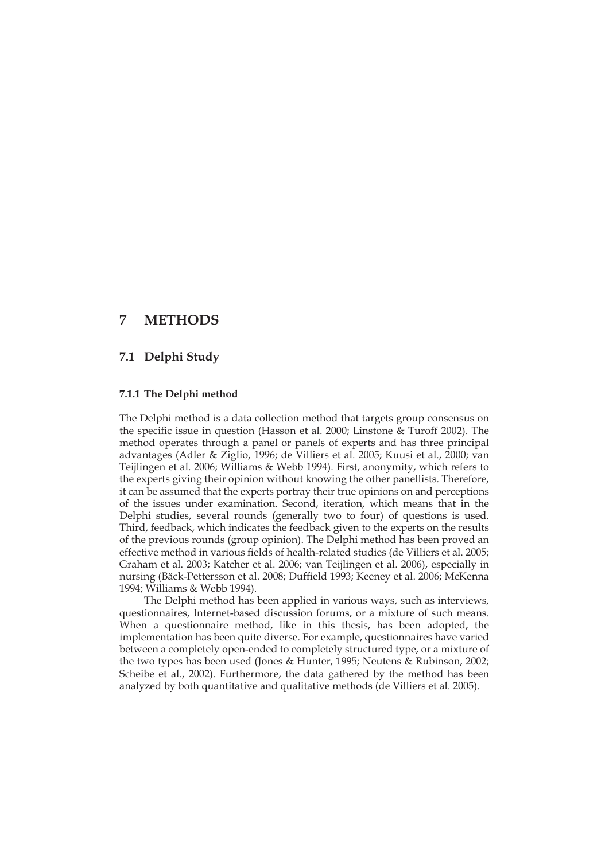## **7 METHODS**

## **7.1 Delphi Study**

### **7.1.1 The Delphi method**

The Delphi method is a data collection method that targets group consensus on the specific issue in question (Hasson et al. 2000; Linstone & Turoff 2002). The method operates through a panel or panels of experts and has three principal advantages (Adler & Ziglio, 1996; de Villiers et al. 2005; Kuusi et al., 2000; van Teijlingen et al. 2006; Williams & Webb 1994). First, anonymity, which refers to the experts giving their opinion without knowing the other panellists. Therefore, it can be assumed that the experts portray their true opinions on and perceptions of the issues under examination. Second, iteration, which means that in the Delphi studies, several rounds (generally two to four) of questions is used. Third, feedback, which indicates the feedback given to the experts on the results of the previous rounds (group opinion). The Delphi method has been proved an effective method in various fields of health-related studies (de Villiers et al. 2005; Graham et al. 2003; Katcher et al. 2006; van Teijlingen et al. 2006), especially in nursing (Bäck-Pettersson et al. 2008; Duffield 1993; Keeney et al. 2006; McKenna 1994; Williams & Webb 1994).

The Delphi method has been applied in various ways, such as interviews, questionnaires, Internet-based discussion forums, or a mixture of such means. When a questionnaire method, like in this thesis, has been adopted, the implementation has been quite diverse. For example, questionnaires have varied between a completely open-ended to completely structured type, or a mixture of the two types has been used (Jones & Hunter, 1995; Neutens & Rubinson, 2002; Scheibe et al., 2002). Furthermore, the data gathered by the method has been analyzed by both quantitative and qualitative methods (de Villiers et al. 2005).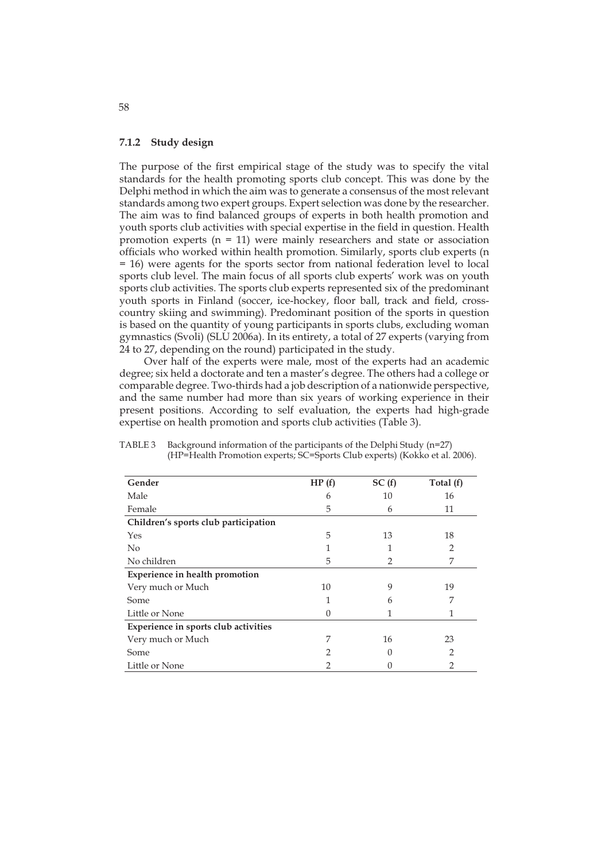### **7.1.2 Study design**

The purpose of the first empirical stage of the study was to specify the vital standards for the health promoting sports club concept. This was done by the Delphi method in which the aim was to generate a consensus of the most relevant standards among two expert groups. Expert selection was done by the researcher. The aim was to find balanced groups of experts in both health promotion and youth sports club activities with special expertise in the field in question. Health promotion experts  $(n = 11)$  were mainly researchers and state or association officials who worked within health promotion. Similarly, sports club experts (n = 16) were agents for the sports sector from national federation level to local sports club level. The main focus of all sports club experts' work was on youth sports club activities. The sports club experts represented six of the predominant youth sports in Finland (soccer, ice-hockey, floor ball, track and field, crosscountry skiing and swimming). Predominant position of the sports in question is based on the quantity of young participants in sports clubs, excluding woman gymnastics (Svoli) (SLU 2006a). In its entirety, a total of 27 experts (varying from 24 to 27, depending on the round) participated in the study.

Over half of the experts were male, most of the experts had an academic degree; six held a doctorate and ten a master's degree. The others had a college or comparable degree. Two-thirds had a job description of a nationwide perspective, and the same number had more than six years of working experience in their present positions. According to self evaluation, the experts had high-grade expertise on health promotion and sports club activities (Table 3).

| Gender                                | HP(f)         | SC(f)            | Total (f) |
|---------------------------------------|---------------|------------------|-----------|
| Male                                  | 6             | 10               | 16        |
| Female                                | 5             | 6                | 11        |
| Children's sports club participation  |               |                  |           |
| Yes                                   | 5             | 13               | 18        |
| No                                    |               | 1                | 2         |
| No children                           | 5             | 2                | 7         |
| <b>Experience in health promotion</b> |               |                  |           |
| Very much or Much                     | 10            | 9                | 19        |
| Some                                  |               | 6                | 7         |
| Little or None                        | $\mathcal{O}$ |                  |           |
| Experience in sports club activities  |               |                  |           |
| Very much or Much                     | 7             | 16               | 23        |
| Some                                  | 2             | $\left( \right)$ | 2         |
| Little or None                        | 2             | 0                | 2         |

TABLE 3 Background information of the participants of the Delphi Study (n=27) (HP=Health Promotion experts; SC=Sports Club experts) (Kokko et al. 2006).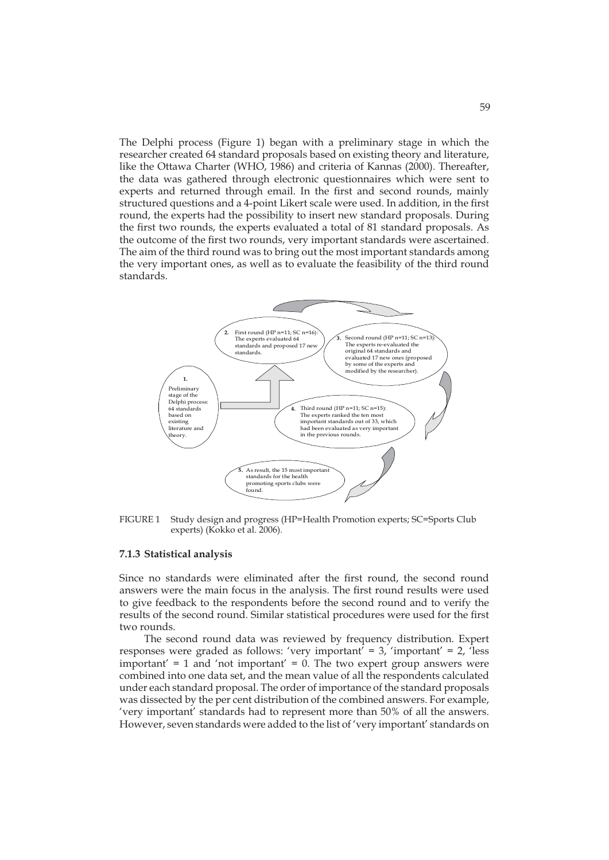The Delphi process (Figure 1) began with a preliminary stage in which the researcher created 64 standard proposals based on existing theory and literature, like the Ottawa Charter (WHO, 1986) and criteria of Kannas (2000). Thereafter, the data was gathered through electronic questionnaires which were sent to experts and returned through email. In the first and second rounds, mainly structured questions and a 4-point Likert scale were used. In addition, in the first round, the experts had the possibility to insert new standard proposals. During the first two rounds, the experts evaluated a total of 81 standard proposals. As the outcome of the first two rounds, very important standards were ascertained. The aim of the third round was to bring out the most important standards among the very important ones, as well as to evaluate the feasibility of the third round standards.



FIGURE 1 Study design and progress (HP=Health Promotion experts; SC=Sports Club experts) (Kokko et al. 2006).

### **7.1.3 Statistical analysis**

Since no standards were eliminated after the first round, the second round answers were the main focus in the analysis. The first round results were used to give feedback to the respondents before the second round and to verify the results of the second round. Similar statistical procedures were used for the first two rounds.

The second round data was reviewed by frequency distribution. Expert responses were graded as follows: 'very important' =  $3$ , 'important' =  $2$ , 'less important' =  $1$  and 'not important' =  $0$ . The two expert group answers were combined into one data set, and the mean value of all the respondents calculated under each standard proposal. The order of importance of the standard proposals was dissected by the per cent distribution of the combined answers. For example, 'very important' standards had to represent more than 50% of all the answers. However, seven standards were added to the list of 'very important' standards on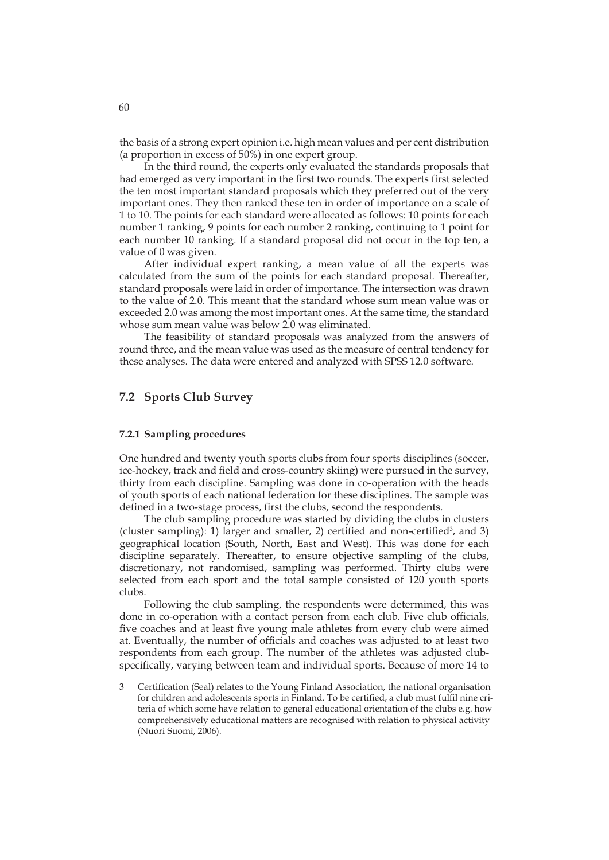the basis of a strong expert opinion i.e. high mean values and per cent distribution (a proportion in excess of 50%) in one expert group.

In the third round, the experts only evaluated the standards proposals that had emerged as very important in the first two rounds. The experts first selected the ten most important standard proposals which they preferred out of the very important ones. They then ranked these ten in order of importance on a scale of 1 to 10. The points for each standard were allocated as follows: 10 points for each number 1 ranking, 9 points for each number 2 ranking, continuing to 1 point for each number 10 ranking. If a standard proposal did not occur in the top ten, a value of 0 was given.

After individual expert ranking, a mean value of all the experts was calculated from the sum of the points for each standard proposal. Thereafter, standard proposals were laid in order of importance. The intersection was drawn to the value of 2.0. This meant that the standard whose sum mean value was or exceeded 2.0 was among the most important ones. At the same time, the standard whose sum mean value was below 2.0 was eliminated.

The feasibility of standard proposals was analyzed from the answers of round three, and the mean value was used as the measure of central tendency for these analyses. The data were entered and analyzed with SPSS 12.0 software.

### **7.2 Sports Club Survey**

### **7.2.1 Sampling procedures**

One hundred and twenty youth sports clubs from four sports disciplines (soccer, ice-hockey, track and field and cross-country skiing) were pursued in the survey, thirty from each discipline. Sampling was done in co-operation with the heads of youth sports of each national federation for these disciplines. The sample was defined in a two-stage process, first the clubs, second the respondents.

The club sampling procedure was started by dividing the clubs in clusters (cluster sampling): 1) larger and smaller, 2) certified and non-certified<sup>3</sup>, and 3) geographical location (South, North, East and West). This was done for each discipline separately. Thereafter, to ensure objective sampling of the clubs, discretionary, not randomised, sampling was performed. Thirty clubs were selected from each sport and the total sample consisted of 120 youth sports clubs.

Following the club sampling, the respondents were determined, this was done in co-operation with a contact person from each club. Five club officials, five coaches and at least five young male athletes from every club were aimed at. Eventually, the number of officials and coaches was adjusted to at least two respondents from each group. The number of the athletes was adjusted clubspecifically, varying between team and individual sports. Because of more 14 to

<sup>3</sup> Certification (Seal) relates to the Young Finland Association, the national organisation for children and adolescents sports in Finland. To be certified, a club must fulfil nine cri teria of which some have relation to general educational orientation of the clubs e.g. how comprehensively educational matters are recognised with relation to physical activity (Nuori Suomi, 2006).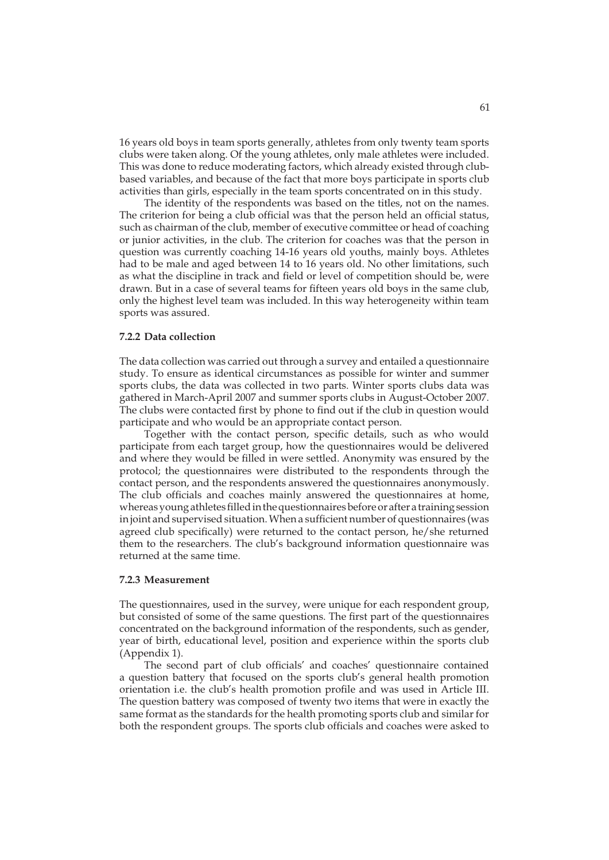16 years old boys in team sports generally, athletes from only twenty team sports clubs were taken along. Of the young athletes, only male athletes were included. This was done to reduce moderating factors, which already existed through clubbased variables, and because of the fact that more boys participate in sports club activities than girls, especially in the team sports concentrated on in this study.

The identity of the respondents was based on the titles, not on the names. The criterion for being a club official was that the person held an official status, such as chairman of the club, member of executive committee or head of coaching or junior activities, in the club. The criterion for coaches was that the person in question was currently coaching 14-16 years old youths, mainly boys. Athletes had to be male and aged between 14 to 16 years old. No other limitations, such as what the discipline in track and field or level of competition should be, were drawn. But in a case of several teams for fifteen years old boys in the same club, only the highest level team was included. In this way heterogeneity within team sports was assured.

### **7.2.2 Data collection**

The data collection was carried out through a survey and entailed a questionnaire study. To ensure as identical circumstances as possible for winter and summer sports clubs, the data was collected in two parts. Winter sports clubs data was gathered in March-April 2007 and summer sports clubs in August-October 2007. The clubs were contacted first by phone to find out if the club in question would participate and who would be an appropriate contact person.

Together with the contact person, specific details, such as who would participate from each target group, how the questionnaires would be delivered and where they would be filled in were settled. Anonymity was ensured by the protocol; the questionnaires were distributed to the respondents through the contact person, and the respondents answered the questionnaires anonymously. The club officials and coaches mainly answered the questionnaires at home, whereas young athletes filled in the questionnaires before or after a training session in joint and supervised situation. When a sufficient number of questionnaires (was agreed club specifically) were returned to the contact person, he/she returned them to the researchers. The club's background information questionnaire was returned at the same time.

#### **7.2.3 Measurement**

The questionnaires, used in the survey, were unique for each respondent group, but consisted of some of the same questions. The first part of the questionnaires concentrated on the background information of the respondents, such as gender, year of birth, educational level, position and experience within the sports club (Appendix 1).

The second part of club officials' and coaches' questionnaire contained a question battery that focused on the sports club's general health promotion orientation i.e. the club's health promotion profile and was used in Article III. The question battery was composed of twenty two items that were in exactly the same format as the standards for the health promoting sports club and similar for both the respondent groups. The sports club officials and coaches were asked to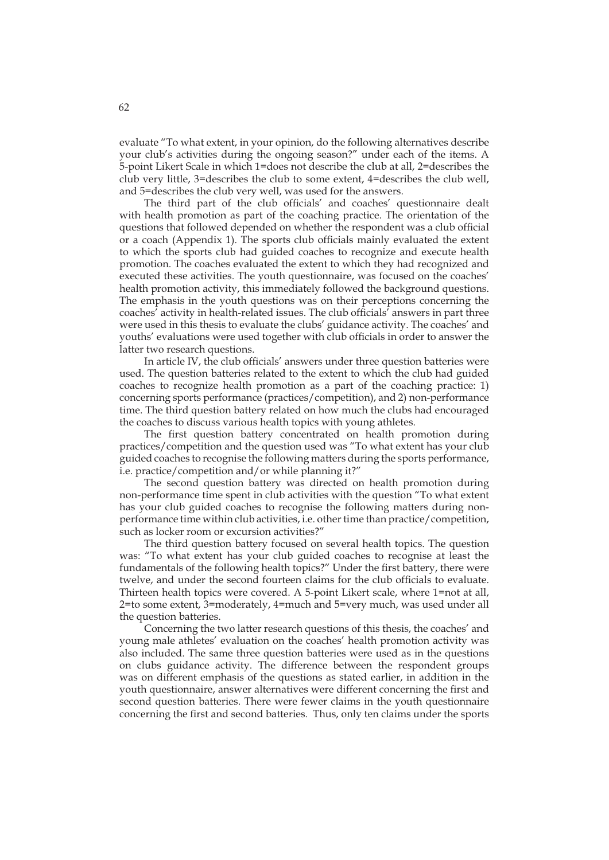evaluate "To what extent, in your opinion, do the following alternatives describe your club's activities during the ongoing season?" under each of the items. A 5-point Likert Scale in which 1=does not describe the club at all, 2=describes the club very little, 3=describes the club to some extent, 4=describes the club well, and 5=describes the club very well, was used for the answers.

The third part of the club officials' and coaches' questionnaire dealt with health promotion as part of the coaching practice. The orientation of the questions that followed depended on whether the respondent was a club official or a coach (Appendix 1). The sports club officials mainly evaluated the extent to which the sports club had guided coaches to recognize and execute health promotion. The coaches evaluated the extent to which they had recognized and executed these activities. The youth questionnaire, was focused on the coaches' health promotion activity, this immediately followed the background questions. The emphasis in the youth questions was on their perceptions concerning the coaches' activity in health-related issues. The club officials' answers in part three were used in this thesis to evaluate the clubs' guidance activity. The coaches' and youths' evaluations were used together with club officials in order to answer the latter two research questions.

In article IV, the club officials' answers under three question batteries were used. The question batteries related to the extent to which the club had guided coaches to recognize health promotion as a part of the coaching practice: 1) concerning sports performance (practices/competition), and 2) non-performance time. The third question battery related on how much the clubs had encouraged the coaches to discuss various health topics with young athletes.

The first question battery concentrated on health promotion during practices/competition and the question used was "To what extent has your club guided coaches to recognise the following matters during the sports performance, i.e. practice/competition and/or while planning it?"

The second question battery was directed on health promotion during non-performance time spent in club activities with the question "To what extent has your club guided coaches to recognise the following matters during nonperformance time within club activities, i.e. other time than practice/competition, such as locker room or excursion activities?"

The third question battery focused on several health topics. The question was: "To what extent has your club guided coaches to recognise at least the fundamentals of the following health topics?" Under the first battery, there were twelve, and under the second fourteen claims for the club officials to evaluate. Thirteen health topics were covered. A 5-point Likert scale, where 1=not at all, 2=to some extent, 3=moderately, 4=much and 5=very much, was used under all the question batteries.

Concerning the two latter research questions of this thesis, the coaches' and young male athletes' evaluation on the coaches' health promotion activity was also included. The same three question batteries were used as in the questions on clubs guidance activity. The difference between the respondent groups was on different emphasis of the questions as stated earlier, in addition in the youth questionnaire, answer alternatives were different concerning the first and second question batteries. There were fewer claims in the youth questionnaire concerning the first and second batteries. Thus, only ten claims under the sports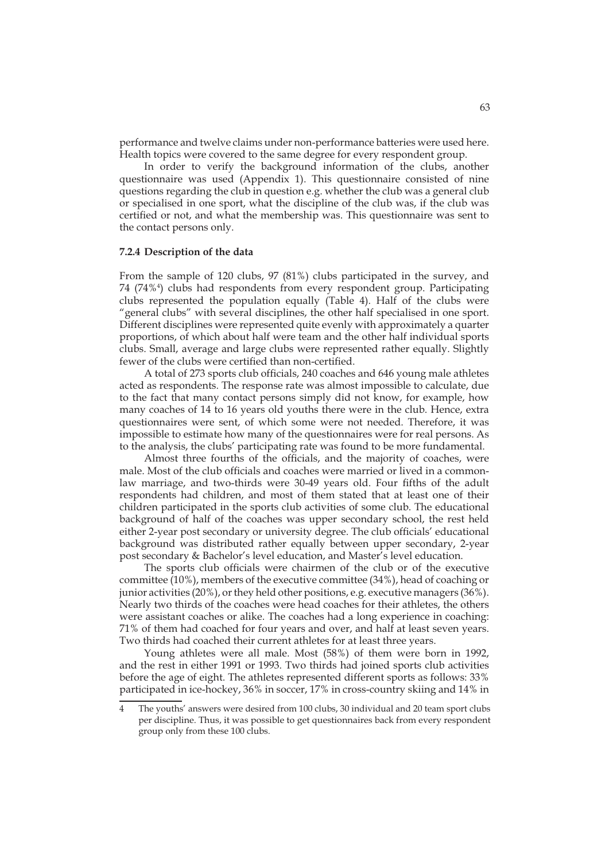performance and twelve claims under non-performance batteries were used here. Health topics were covered to the same degree for every respondent group.

In order to verify the background information of the clubs, another questionnaire was used (Appendix 1). This questionnaire consisted of nine questions regarding the club in question e.g. whether the club was a general club or specialised in one sport, what the discipline of the club was, if the club was certified or not, and what the membership was. This questionnaire was sent to the contact persons only.

### **7.2.4 Description of the data**

From the sample of 120 clubs, 97 (81%) clubs participated in the survey, and 74 (74%4 ) clubs had respondents from every respondent group. Participating clubs represented the population equally (Table 4). Half of the clubs were "general clubs" with several disciplines, the other half specialised in one sport. Different disciplines were represented quite evenly with approximately a quarter proportions, of which about half were team and the other half individual sports clubs. Small, average and large clubs were represented rather equally. Slightly fewer of the clubs were certified than non-certified.

A total of 273 sports club officials, 240 coaches and 646 young male athletes acted as respondents. The response rate was almost impossible to calculate, due to the fact that many contact persons simply did not know, for example, how many coaches of 14 to 16 years old youths there were in the club. Hence, extra questionnaires were sent, of which some were not needed. Therefore, it was impossible to estimate how many of the questionnaires were for real persons. As to the analysis, the clubs' participating rate was found to be more fundamental.

Almost three fourths of the officials, and the majority of coaches, were male. Most of the club officials and coaches were married or lived in a commonlaw marriage, and two-thirds were 30-49 years old. Four fifths of the adult respondents had children, and most of them stated that at least one of their children participated in the sports club activities of some club. The educational background of half of the coaches was upper secondary school, the rest held either 2-year post secondary or university degree. The club officials' educational background was distributed rather equally between upper secondary, 2-year post secondary & Bachelor's level education, and Master's level education.

The sports club officials were chairmen of the club or of the executive committee (10%), members of the executive committee (34%), head of coaching or junior activities (20%), or they held other positions, e.g. executive managers (36%). Nearly two thirds of the coaches were head coaches for their athletes, the others were assistant coaches or alike. The coaches had a long experience in coaching: 71% of them had coached for four years and over, and half at least seven years. Two thirds had coached their current athletes for at least three years.

Young athletes were all male. Most (58%) of them were born in 1992, and the rest in either 1991 or 1993. Two thirds had joined sports club activities before the age of eight. The athletes represented different sports as follows: 33% participated in ice-hockey, 36% in soccer, 17% in cross-country skiing and 14% in

The youths' answers were desired from 100 clubs, 30 individual and 20 team sport clubs per discipline. Thus, it was possible to get questionnaires back from every respondent group only from these 100 clubs.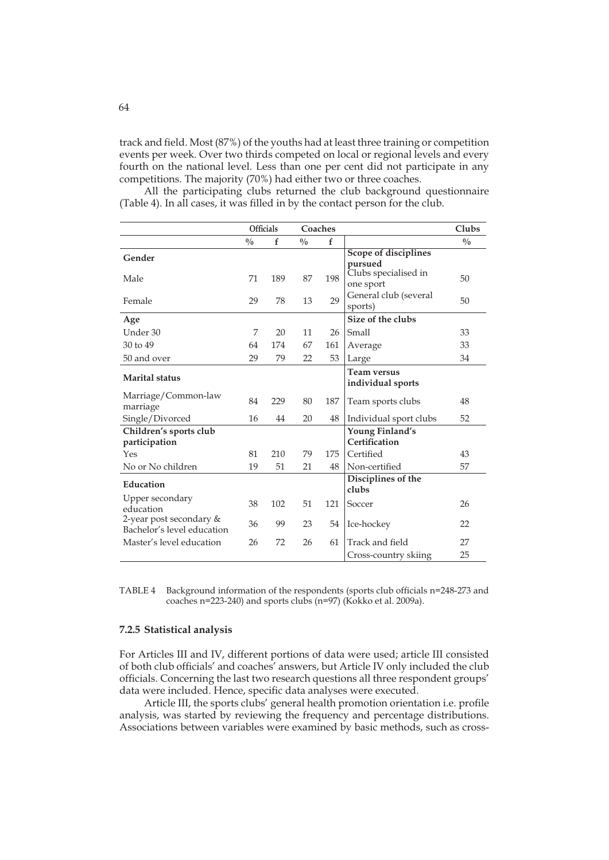track and field. Most (87%) of the youths had at least three training or competition events per week. Over two thirds competed on local or regional levels and every fourth on the national level. Less than one per cent did not participate in any competitions. The majority (70%) had either two or three coaches.

All the participating clubs returned the club background questionnaire (Table 4). In all cases, it was filled in by the contact person for the club.

|                                                       | <b>Officials</b> |     |     | Coaches |                                              | Clubs |
|-------------------------------------------------------|------------------|-----|-----|---------|----------------------------------------------|-------|
|                                                       | $\frac{0}{0}$    | f   | 0/0 | f       |                                              | 0/0   |
| Gender                                                |                  |     |     |         | <b>Scope of disciplines</b>                  |       |
| Male                                                  | 71               | 189 | 87  | 198     | pursued<br>Clubs specialised in<br>one sport | 50    |
| Female                                                | 29               | 78  | 13  | 29      | General club (several<br>sports)             | 50    |
| Age                                                   |                  |     |     |         | Size of the clubs                            |       |
| Under 30                                              | 7                | 20  | 11  | 26      | Small                                        | 33    |
| 30 to 49                                              | 64               | 174 | 67  | 161     | Average                                      | 33    |
| 50 and over                                           | 29               | 79  | 22  | 53      | Large                                        | 34    |
| <b>Marital</b> status                                 |                  |     |     |         | Team versus<br>individual sports             |       |
| Marriage/Common-law<br>marriage                       | 84               | 229 | 80  | 187     | Team sports clubs                            | 48    |
| Single/Divorced                                       | 16               | 44  | 20  | 48      | Individual sport clubs                       | 52    |
| Children's sports club<br>participation               |                  |     |     |         | Young Finland's<br>Certification             |       |
| Yes                                                   | 81               | 210 | 79  | 175     | Certified                                    | 43    |
| No or No children                                     | 19               | 51  | 21  | 48      | Non-certified                                | 57    |
| Education                                             |                  |     |     |         | Disciplines of the<br>clubs                  |       |
| Upper secondary<br>education                          | 38               | 102 | 51  | 121     | Soccer                                       | 26    |
| 2-year post secondary &<br>Bachelor's level education | 36               | 99  | 23  | 54      | Ice-hockey                                   | 22    |
| Master's level education                              | 26               | 72  | 26  | 61      | Track and field                              | 27    |
|                                                       |                  |     |     |         | Cross-country skiing                         | 25    |

TABLE 4 Background information of the respondents (sports club officials n=248-273 and coaches n=223-240) and sports clubs (n=97) (Kokko et al. 2009a).

### **7.2.5 Statistical analysis**

For Articles III and IV, different portions of data were used; article III consisted of both club officials' and coaches' answers, but Article IV only included the club officials. Concerning the last two research questions all three respondent groups' data were included. Hence, specific data analyses were executed.

Article III, the sports clubs' general health promotion orientation i.e. profile analysis, was started by reviewing the frequency and percentage distributions. Associations between variables were examined by basic methods, such as cross-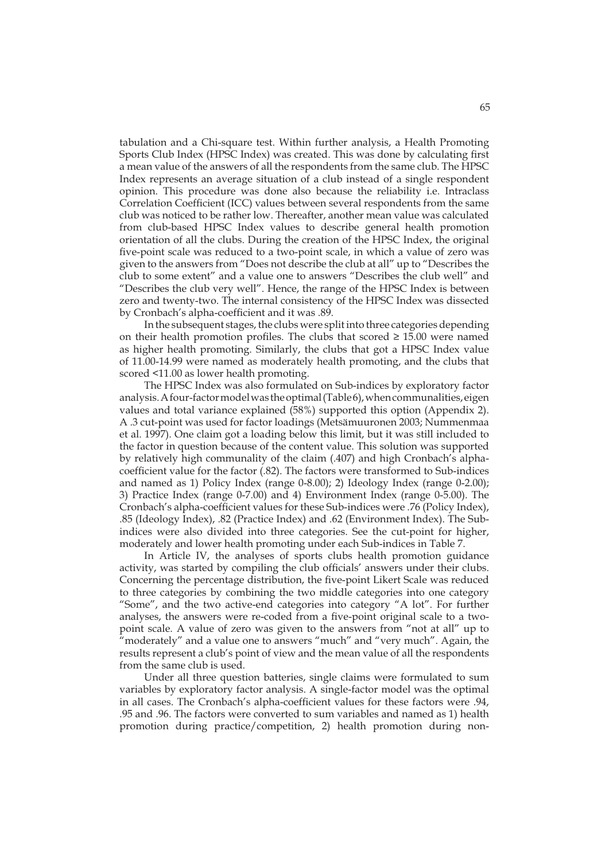tabulation and a Chi-square test. Within further analysis, a Health Promoting Sports Club Index (HPSC Index) was created. This was done by calculating first a mean value of the answers of all the respondents from the same club. The HPSC Index represents an average situation of a club instead of a single respondent opinion. This procedure was done also because the reliability i.e. Intraclass Correlation Coefficient (ICC) values between several respondents from the same club was noticed to be rather low. Thereafter, another mean value was calculated from club-based HPSC Index values to describe general health promotion orientation of all the clubs. During the creation of the HPSC Index, the original five-point scale was reduced to a two-point scale, in which a value of zero was given to the answers from "Does not describe the club at all" up to "Describes the club to some extent" and a value one to answers "Describes the club well" and "Describes the club very well". Hence, the range of the HPSC Index is between zero and twenty-two. The internal consistency of the HPSC Index was dissected by Cronbach's alpha-coefficient and it was .89.

In the subsequent stages, the clubs were split into three categories depending on their health promotion profiles. The clubs that scored  $\geq 15.00$  were named as higher health promoting. Similarly, the clubs that got a HPSC Index value of 11.00-14.99 were named as moderately health promoting, and the clubs that scored <11.00 as lower health promoting.

The HPSC Index was also formulated on Sub-indices by exploratory factor analysis. A four-factor model was the optimal (Table 6), when communalities, eigen values and total variance explained (58%) supported this option (Appendix 2). A .3 cut-point was used for factor loadings (Metsämuuronen 2003; Nummenmaa et al. 1997). One claim got a loading below this limit, but it was still included to the factor in question because of the content value. This solution was supported by relatively high communality of the claim (.407) and high Cronbach's alphacoefficient value for the factor (.82). The factors were transformed to Sub-indices and named as 1) Policy Index (range 0-8.00); 2) Ideology Index (range 0-2.00); 3) Practice Index (range 0-7.00) and 4) Environment Index (range 0-5.00). The Cronbach's alpha-coefficient values for these Sub-indices were .76 (Policy Index), .85 (Ideology Index), .82 (Practice Index) and .62 (Environment Index). The Subindices were also divided into three categories. See the cut-point for higher, moderately and lower health promoting under each Sub-indices in Table 7.

In Article IV, the analyses of sports clubs health promotion guidance activity, was started by compiling the club officials' answers under their clubs. Concerning the percentage distribution, the five-point Likert Scale was reduced to three categories by combining the two middle categories into one category "Some", and the two active-end categories into category "A lot". For further analyses, the answers were re-coded from a five-point original scale to a twopoint scale. A value of zero was given to the answers from "not at all" up to 'moderately" and a value one to answers "much" and "very much". Again, the results represent a club's point of view and the mean value of all the respondents from the same club is used.

Under all three question batteries, single claims were formulated to sum variables by exploratory factor analysis. A single-factor model was the optimal in all cases. The Cronbach's alpha-coefficient values for these factors were .94, .95 and .96. The factors were converted to sum variables and named as 1) health promotion during practice/competition, 2) health promotion during non-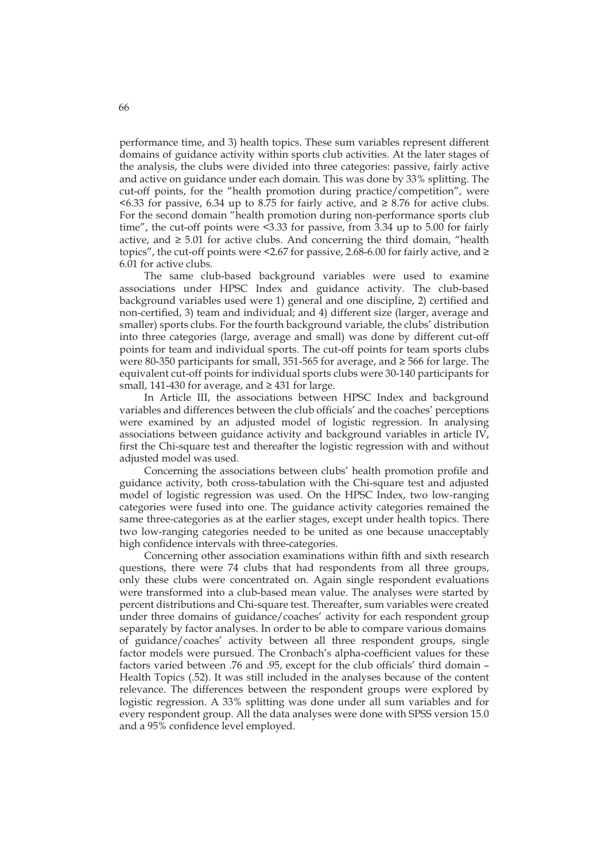performance time, and 3) health topics. These sum variables represent different domains of guidance activity within sports club activities. At the later stages of the analysis, the clubs were divided into three categories: passive, fairly active and active on guidance under each domain. This was done by 33% splitting. The cut-off points, for the "health promotion during practice/competition", were  $\leq$  6.33 for passive, 6.34 up to 8.75 for fairly active, and  $\geq$  8.76 for active clubs. For the second domain "health promotion during non-performance sports club time", the cut-off points were <3.33 for passive, from 3.34 up to 5.00 for fairly active, and  $\geq 5.01$  for active clubs. And concerning the third domain, "health topics", the cut-off points were  $\leq 2.67$  for passive, 2.68-6.00 for fairly active, and  $\geq$ 6.01 for active clubs.

The same club-based background variables were used to examine associations under HPSC Index and guidance activity. The club-based background variables used were 1) general and one discipline, 2) certified and non-certified, 3) team and individual; and 4) different size (larger, average and smaller) sports clubs. For the fourth background variable, the clubs' distribution into three categories (large, average and small) was done by different cut-off points for team and individual sports. The cut-off points for team sports clubs were 80-350 participants for small, 351-565 for average, and  $\geq$  566 for large. The equivalent cut-off points for individual sports clubs were 30-140 participants for small, 141-430 for average, and  $\geq$  431 for large.

In Article III, the associations between HPSC Index and background variables and differences between the club officials' and the coaches' perceptions were examined by an adjusted model of logistic regression. In analysing associations between guidance activity and background variables in article IV, first the Chi-square test and thereafter the logistic regression with and without adjusted model was used.

Concerning the associations between clubs' health promotion profile and guidance activity, both cross-tabulation with the Chi-square test and adjusted model of logistic regression was used. On the HPSC Index, two low-ranging categories were fused into one. The guidance activity categories remained the same three-categories as at the earlier stages, except under health topics. There two low-ranging categories needed to be united as one because unacceptably high confidence intervals with three-categories.

Concerning other association examinations within fifth and sixth research questions, there were 74 clubs that had respondents from all three groups, only these clubs were concentrated on. Again single respondent evaluations were transformed into a club-based mean value. The analyses were started by percent distributions and Chi-square test. Thereafter, sum variables were created under three domains of guidance/coaches' activity for each respondent group separately by factor analyses. In order to be able to compare various domains of guidance/coaches' activity between all three respondent groups, single factor models were pursued. The Cronbach's alpha-coefficient values for these factors varied between .76 and .95, except for the club officials' third domain – Health Topics (.52). It was still included in the analyses because of the content relevance. The differences between the respondent groups were explored by logistic regression. A 33% splitting was done under all sum variables and for every respondent group. All the data analyses were done with SPSS version 15.0 and a 95% confidence level employed.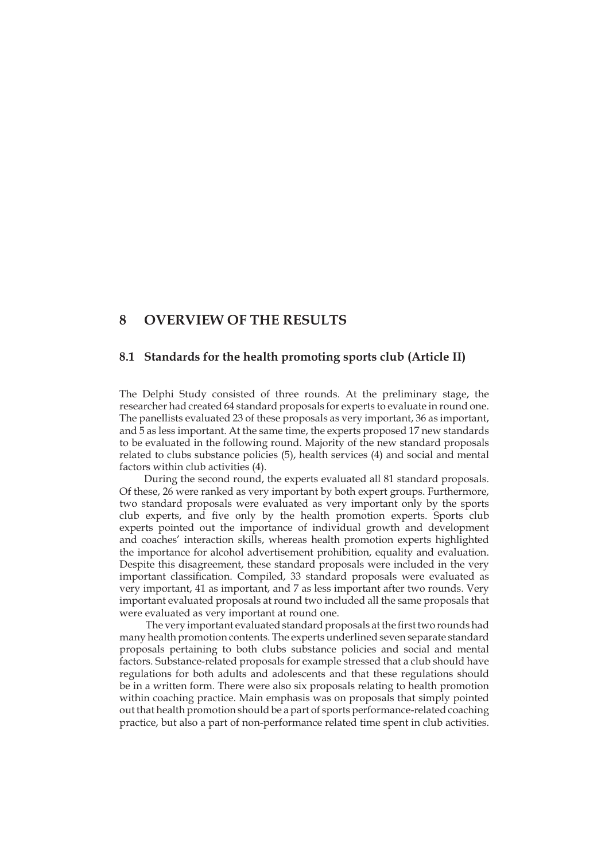## **8 OVERVIEW OF THE RESULTS**

### **8.1 Standards for the health promoting sports club (Article II)**

The Delphi Study consisted of three rounds. At the preliminary stage, the researcher had created 64 standard proposals for experts to evaluate in round one. The panellists evaluated 23 of these proposals as very important, 36 as important, and 5 as less important. At the same time, the experts proposed 17 new standards to be evaluated in the following round. Majority of the new standard proposals related to clubs substance policies (5), health services (4) and social and mental factors within club activities (4).

During the second round, the experts evaluated all 81 standard proposals. Of these, 26 were ranked as very important by both expert groups. Furthermore, two standard proposals were evaluated as very important only by the sports club experts, and five only by the health promotion experts. Sports club experts pointed out the importance of individual growth and development and coaches' interaction skills, whereas health promotion experts highlighted the importance for alcohol advertisement prohibition, equality and evaluation. Despite this disagreement, these standard proposals were included in the very important classification. Compiled, 33 standard proposals were evaluated as very important, 41 as important, and 7 as less important after two rounds. Very important evaluated proposals at round two included all the same proposals that were evaluated as very important at round one.

 The very important evaluated standard proposals at the first two rounds had many health promotion contents. The experts underlined seven separate standard proposals pertaining to both clubs substance policies and social and mental factors. Substance-related proposals for example stressed that a club should have regulations for both adults and adolescents and that these regulations should be in a written form. There were also six proposals relating to health promotion within coaching practice. Main emphasis was on proposals that simply pointed out that health promotion should be a part of sports performance-related coaching practice, but also a part of non-performance related time spent in club activities.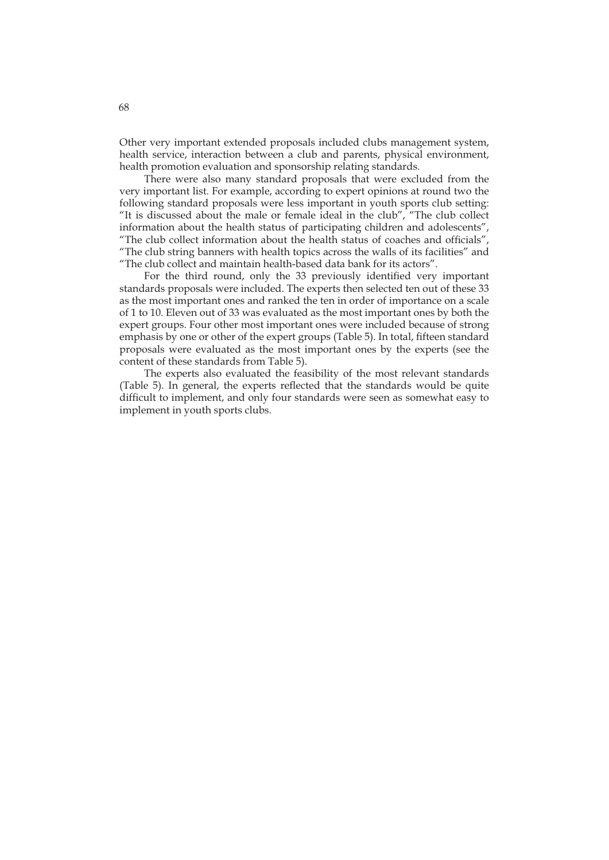Other very important extended proposals included clubs management system, health service, interaction between a club and parents, physical environment, health promotion evaluation and sponsorship relating standards.

There were also many standard proposals that were excluded from the very important list. For example, according to expert opinions at round two the following standard proposals were less important in youth sports club setting: "It is discussed about the male or female ideal in the club", "The club collect information about the health status of participating children and adolescents", "The club collect information about the health status of coaches and officials", "The club string banners with health topics across the walls of its facilities" and "The club collect and maintain health-based data bank for its actors".

For the third round, only the 33 previously identified very important standards proposals were included. The experts then selected ten out of these 33 as the most important ones and ranked the ten in order of importance on a scale of 1 to 10. Eleven out of 33 was evaluated as the most important ones by both the expert groups. Four other most important ones were included because of strong emphasis by one or other of the expert groups (Table 5). In total, fifteen standard proposals were evaluated as the most important ones by the experts (see the content of these standards from Table 5).

The experts also evaluated the feasibility of the most relevant standards (Table 5). In general, the experts reflected that the standards would be quite difficult to implement, and only four standards were seen as somewhat easy to implement in youth sports clubs.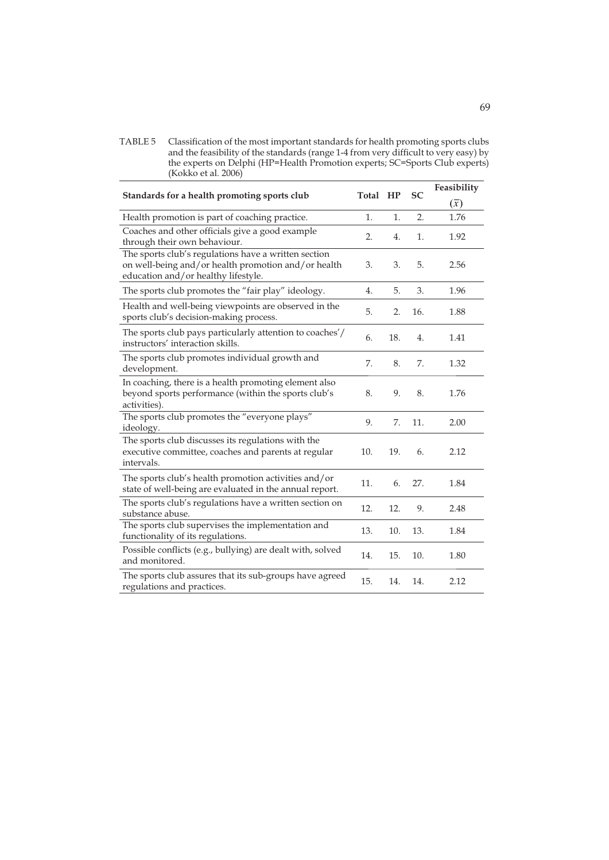TABLE 5 Classification of the most important standards for health promoting sports clubs and the feasibility of the standards (range 1-4 from very difficult to very easy) by the experts on Delphi (HP=Health Promotion experts; SC=Sports Club experts) (Kokko et al. 2006)

| Standards for a health promoting sports club                                                                                                       |     | Total HP | <b>SC</b> | Feasibility |
|----------------------------------------------------------------------------------------------------------------------------------------------------|-----|----------|-----------|-------------|
|                                                                                                                                                    |     |          |           | $(\bar{x})$ |
| Health promotion is part of coaching practice.                                                                                                     | 1.  | 1.       | 2.        | 1.76        |
| Coaches and other officials give a good example<br>through their own behaviour.                                                                    | 2.  | 4.       | 1.        | 1.92        |
| The sports club's regulations have a written section<br>on well-being and/or health promotion and/or health<br>education and/or healthy lifestyle. | 3.  | 3.       | 5.        | 2.56        |
| The sports club promotes the "fair play" ideology.                                                                                                 | 4.  | 5.       | 3.        | 1.96        |
| Health and well-being viewpoints are observed in the<br>sports club's decision-making process.                                                     | 5.  | 2.       | 16.       | 1.88        |
| The sports club pays particularly attention to coaches'/<br>instructors' interaction skills.                                                       | 6.  | 18.      | 4.        | 1.41        |
| The sports club promotes individual growth and<br>development.                                                                                     | 7.  | 8.       | 7.        | 1.32        |
| In coaching, there is a health promoting element also<br>beyond sports performance (within the sports club's<br>activities).                       | 8.  | 9.       | 8.        | 1.76        |
| The sports club promotes the "everyone plays"<br>ideology.                                                                                         | 9.  | 7.       | 11.       | 2.00        |
| The sports club discusses its regulations with the<br>executive committee, coaches and parents at regular<br>intervals.                            | 10. | 19.      | 6.        | 2.12        |
| The sports club's health promotion activities and/or<br>state of well-being are evaluated in the annual report.                                    | 11. | 6.       | 27.       | 1.84        |
| The sports club's regulations have a written section on<br>substance abuse.                                                                        | 12. | 12.      | 9.        | 2.48        |
| The sports club supervises the implementation and<br>functionality of its regulations.                                                             | 13. | 10.      | 13.       | 1.84        |
| Possible conflicts (e.g., bullying) are dealt with, solved<br>and monitored.                                                                       | 14. | 15.      | 10.       | 1.80        |
| The sports club assures that its sub-groups have agreed<br>regulations and practices.                                                              | 15. | 14.      | 14.       | 2.12        |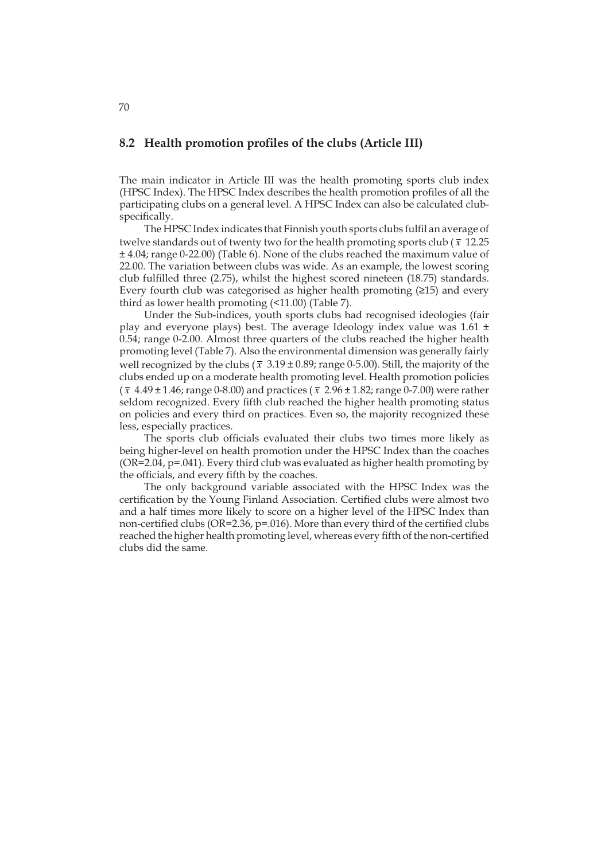## **8.2 Health promotion profiles of the clubs (Article III)**

The main indicator in Article III was the health promoting sports club index (HPSC Index). The HPSC Index describes the health promotion profiles of all the participating clubs on a general level. A HPSC Index can also be calculated clubspecifically.

The HPSC Index indicates that Finnish youth sports clubs fulfil an average of twelve standards out of twenty two for the health promoting sports club ( $\bar{x}$  12.25) ± 4.04; range 0-22.00) (Table 6). None of the clubs reached the maximum value of 22.00. The variation between clubs was wide. As an example, the lowest scoring club fulfilled three (2.75), whilst the highest scored nineteen (18.75) standards. Every fourth club was categorised as higher health promoting (≥15) and every third as lower health promoting (<11.00) (Table 7).

Under the Sub-indices, youth sports clubs had recognised ideologies (fair play and everyone plays) best. The average Ideology index value was 1.61 ± 0.54; range 0-2.00. Almost three quarters of the clubs reached the higher health promoting level (Table 7). Also the environmental dimension was generally fairly well recognized by the clubs ( $\bar{x}$  3.19 ± 0.89; range 0-5.00). Still, the majority of the clubs ended up on a moderate health promoting level. Health promotion policies ( *x* 4.49 ± 1.46; range 0-8.00) and practices ( *x* 2.96 ± 1.82; range 0-7.00) were rather seldom recognized. Every fifth club reached the higher health promoting status on policies and every third on practices. Even so, the majority recognized these less, especially practices.

The sports club officials evaluated their clubs two times more likely as being higher-level on health promotion under the HPSC Index than the coaches (OR=2.04, p=.041). Every third club was evaluated as higher health promoting by the officials, and every fifth by the coaches.

The only background variable associated with the HPSC Index was the certification by the Young Finland Association. Certified clubs were almost two and a half times more likely to score on a higher level of the HPSC Index than non-certified clubs (OR=2.36, p=.016). More than every third of the certified clubs reached the higher health promoting level, whereas every fifth of the non-certified clubs did the same.

70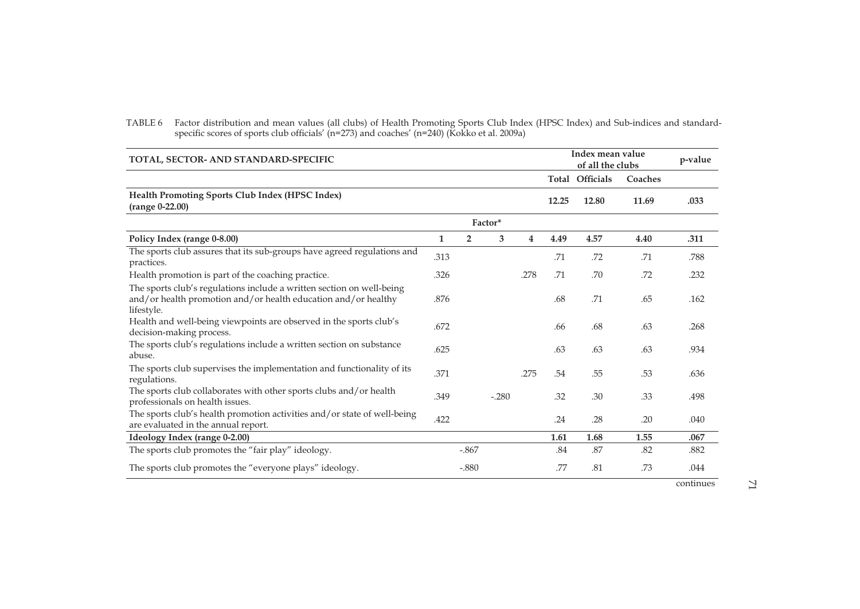TABLE 6 Factor distribution and mean values (all clubs) of Health Promoting Sports Club Index (HPSC Index) and Sub-indices and standardspecific scores of sports club officials' (n=273) and coaches' (n=240) (Kokko et al. 2009a)

| TOTAL, SECTOR- AND STANDARD-SPECIFIC                                                                                                                  |      |                |         |      |       |                        | Index mean value<br>of all the clubs |           |  |
|-------------------------------------------------------------------------------------------------------------------------------------------------------|------|----------------|---------|------|-------|------------------------|--------------------------------------|-----------|--|
|                                                                                                                                                       |      |                |         |      |       | <b>Total Officials</b> | Coaches                              |           |  |
| Health Promoting Sports Club Index (HPSC Index)<br>(range 0-22.00)                                                                                    |      |                |         |      | 12.25 | 12.80                  | 11.69                                | .033      |  |
|                                                                                                                                                       |      |                | Factor* |      |       |                        |                                      |           |  |
| Policy Index (range 0-8.00)                                                                                                                           | 1    | $\overline{2}$ | 3       | 4    | 4.49  | 4.57                   | 4.40                                 | .311      |  |
| The sports club assures that its sub-groups have agreed regulations and<br>practices.                                                                 | .313 |                |         |      | .71   | .72                    | .71                                  | .788      |  |
| Health promotion is part of the coaching practice.                                                                                                    | .326 |                |         | .278 | .71   | .70                    | .72                                  | .232      |  |
| The sports club's regulations include a written section on well-being<br>and/or health promotion and/or health education and/or healthy<br>lifestyle. | .876 |                |         |      | .68   | .71                    | .65                                  | .162      |  |
| Health and well-being viewpoints are observed in the sports club's<br>decision-making process.                                                        | .672 |                |         |      | .66   | .68                    | .63                                  | .268      |  |
| The sports club's regulations include a written section on substance<br>abuse.                                                                        | .625 |                |         |      | .63   | .63                    | .63                                  | .934      |  |
| The sports club supervises the implementation and functionality of its<br>regulations.                                                                | .371 |                |         | .275 | .54   | .55                    | .53                                  | .636      |  |
| The sports club collaborates with other sports clubs and/or health<br>professionals on health issues.                                                 | .349 |                | $-.280$ |      | .32   | .30                    | .33                                  | .498      |  |
| The sports club's health promotion activities and/or state of well-being<br>are evaluated in the annual report.                                       | .422 |                |         |      | .24   | .28                    | .20                                  | .040      |  |
| Ideology Index (range 0-2.00)                                                                                                                         |      |                |         |      | 1.61  | 1.68                   | 1.55                                 | .067      |  |
| The sports club promotes the "fair play" ideology.                                                                                                    |      | $-.867$        |         |      | .84   | .87                    | .82                                  | .882      |  |
| The sports club promotes the "everyone plays" ideology.                                                                                               |      | $-.880$        |         |      | .77   | .81                    | .73                                  | .044      |  |
|                                                                                                                                                       |      |                |         |      |       |                        |                                      | continues |  |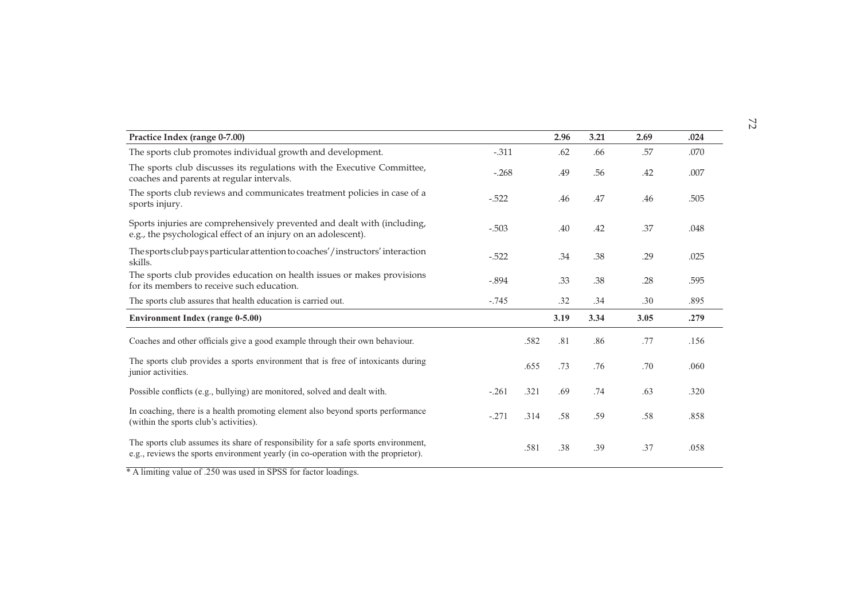| Practice Index (range 0-7.00)                                                                                                                                            |         |      | 2.96 | 3.21 | 2.69 | .024 |
|--------------------------------------------------------------------------------------------------------------------------------------------------------------------------|---------|------|------|------|------|------|
| The sports club promotes individual growth and development.                                                                                                              | $-.311$ |      | .62  | .66  | .57  | .070 |
| The sports club discusses its regulations with the Executive Committee,<br>coaches and parents at regular intervals.                                                     | $-.268$ |      | .49  | .56  | .42  | .007 |
| The sports club reviews and communicates treatment policies in case of a<br>sports injury.                                                                               | $-522$  |      | .46  | .47  | .46  | .505 |
| Sports injuries are comprehensively prevented and dealt with (including,<br>e.g., the psychological effect of an injury on an adolescent).                               | $-.503$ |      | .40  | .42  | .37  | .048 |
| The sports club pays particular attention to coaches'/instructors' interaction<br>skills.                                                                                | $-.522$ |      | .34  | .38  | .29  | .025 |
| The sports club provides education on health issues or makes provisions<br>for its members to receive such education.                                                    | $-.894$ |      | .33  | .38  | .28  | .595 |
| The sports club assures that health education is carried out.                                                                                                            | $-.745$ |      | .32  | .34  | .30  | .895 |
| <b>Environment Index (range 0-5.00)</b>                                                                                                                                  |         |      | 3.19 | 3.34 | 3.05 | .279 |
| Coaches and other officials give a good example through their own behaviour.                                                                                             |         | .582 | .81  | .86  | .77  | .156 |
| The sports club provides a sports environment that is free of intoxicants during<br>junior activities.                                                                   |         | .655 | .73  | .76  | .70  | .060 |
| Possible conflicts (e.g., bullying) are monitored, solved and dealt with.                                                                                                | $-.261$ | .321 | .69  | .74  | .63  | .320 |
| In coaching, there is a health promoting element also beyond sports performance<br>(within the sports club's activities).                                                | $-.271$ | .314 | .58  | .59  | .58  | .858 |
| The sports club assumes its share of responsibility for a safe sports environment,<br>e.g., reviews the sports environment yearly (in co-operation with the proprietor). |         | .581 | .38  | .39  | .37  | .058 |

\* A limiting value of .250 was used in SPSS for factor loadings.

72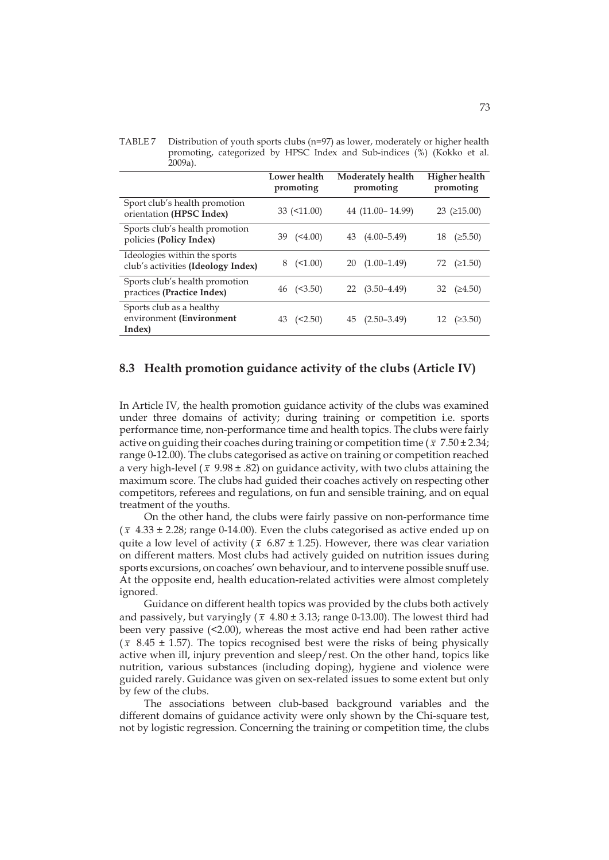| $200\mu$ .                                                         |                           |                                |                            |  |  |
|--------------------------------------------------------------------|---------------------------|--------------------------------|----------------------------|--|--|
|                                                                    | Lower health<br>promoting | Moderately health<br>promoting | Higher health<br>promoting |  |  |
| Sport club's health promotion<br>orientation (HPSC Index)          | $33 \ (-11.00)$           | 44 (11.00 - 14.99)             | $23$ ( $\geq 15.00$ )      |  |  |
| Sports club's health promotion<br>policies (Policy Index)          | $39 \quad (\leq 4.00)$    | 43 (4.00-5.49)                 | $(\geq 5.50)$<br>18        |  |  |
| Ideologies within the sports<br>club's activities (Ideology Index) | $8 \quad (\leq 1.00)$     | $(1.00-1.49)$<br>20            | 72 $(21.50)$               |  |  |
| Sports club's health promotion<br>practices (Practice Index)       | $46 \quad (\leq 3.50)$    | $22(3.50-4.49)$                | 32 $(≥4.50)$               |  |  |
| Sports club as a healthy<br>environment (Environment<br>Index)     | (<2.50)                   | $45(2.50-3.49)$                | (23.50)                    |  |  |

TABLE 7 Distribution of youth sports clubs (n=97) as lower, moderately or higher health promoting, categorized by HPSC Index and Sub-indices (%) (Kokko et al. າດດລ

## **8.3 Health promotion guidance activity of the clubs (Article IV)**

In Article IV, the health promotion guidance activity of the clubs was examined under three domains of activity; during training or competition i.e. sports performance time, non-performance time and health topics. The clubs were fairly active on guiding their coaches during training or competition time ( $\bar{x}$  7.50 ± 2.34; range 0-12.00). The clubs categorised as active on training or competition reached a very high-level ( $\bar{x}$  9.98 ± .82) on guidance activity, with two clubs attaining the maximum score. The clubs had guided their coaches actively on respecting other competitors, referees and regulations, on fun and sensible training, and on equal treatment of the youths.

On the other hand, the clubs were fairly passive on non-performance time  $(\bar{x}$  4.33  $\pm$  2.28; range 0-14.00). Even the clubs categorised as active ended up on quite a low level of activity ( $\bar{x}$  6.87 ± 1.25). However, there was clear variation on different matters. Most clubs had actively guided on nutrition issues during sports excursions, on coaches' own behaviour, and to intervene possible snuff use. At the opposite end, health education-related activities were almost completely ignored.

Guidance on different health topics was provided by the clubs both actively and passively, but varyingly ( $\bar{x}$  4.80  $\pm$  3.13; range 0-13.00). The lowest third had been very passive (<2.00), whereas the most active end had been rather active  $(\bar{x}$  8.45  $\pm$  1.57). The topics recognised best were the risks of being physically active when ill, injury prevention and sleep/rest. On the other hand, topics like nutrition, various substances (including doping), hygiene and violence were guided rarely. Guidance was given on sex-related issues to some extent but only by few of the clubs.

The associations between club-based background variables and the different domains of guidance activity were only shown by the Chi-square test, not by logistic regression. Concerning the training or competition time, the clubs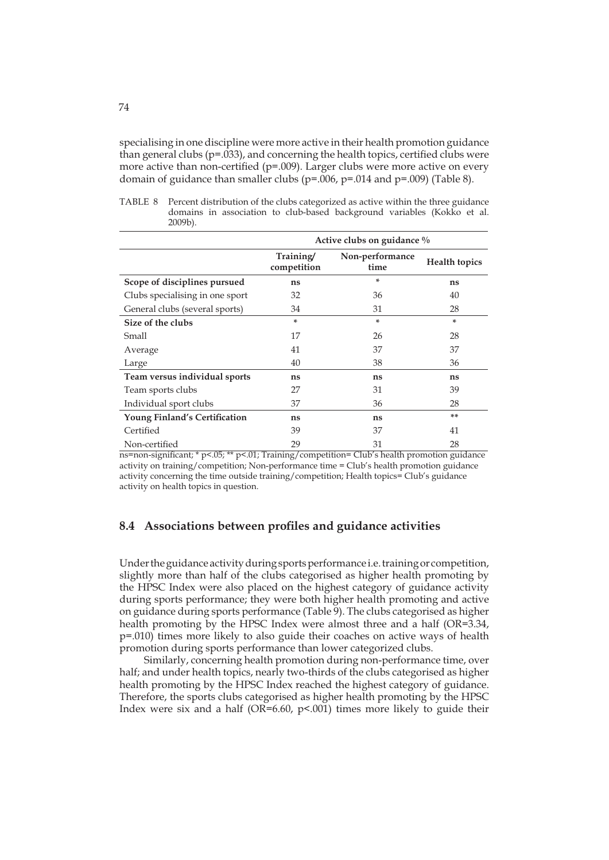specialising in one discipline were more active in their health promotion guidance than general clubs ( $p=0.033$ ), and concerning the health topics, certified clubs were more active than non-certified ( $p=0.009$ ). Larger clubs were more active on every domain of guidance than smaller clubs ( $p=.006$ ,  $p=.014$  and  $p=.009$ ) (Table 8).

|            |  |  | TABLE 8 Percent distribution of the clubs categorized as active within the three guidance |  |  |
|------------|--|--|-------------------------------------------------------------------------------------------|--|--|
|            |  |  | domains in association to club-based background variables (Kokko et al.                   |  |  |
| $2009b$ ). |  |  |                                                                                           |  |  |

|                                 | Active clubs on guidance % |                         |                      |  |  |  |  |  |
|---------------------------------|----------------------------|-------------------------|----------------------|--|--|--|--|--|
|                                 | Training/<br>competition   | Non-performance<br>time | <b>Health topics</b> |  |  |  |  |  |
| Scope of disciplines pursued    | ns                         | ÷                       | ns                   |  |  |  |  |  |
| Clubs specialising in one sport | 32                         | 36                      | 40                   |  |  |  |  |  |
| General clubs (several sports)  | 34                         | 31                      | 28                   |  |  |  |  |  |
| Size of the clubs               | *                          | *                       | ×.                   |  |  |  |  |  |
| Small                           | 17                         | 26                      | 28                   |  |  |  |  |  |
| Average                         | 41                         | 37                      | 37                   |  |  |  |  |  |
| Large                           | 40                         | 38                      | 36                   |  |  |  |  |  |
| Team versus individual sports   | ns                         | ns                      | ns                   |  |  |  |  |  |
| Team sports clubs               | 27                         | 31                      | 39                   |  |  |  |  |  |
| Individual sport clubs          | 37                         | 36                      | 28                   |  |  |  |  |  |
| Young Finland's Certification   | ns                         | ns                      | **                   |  |  |  |  |  |
| Certified                       | 39                         | 37                      | 41                   |  |  |  |  |  |
| Non-certified                   | 29                         | 31                      | 28                   |  |  |  |  |  |

ns=non-significant; \* p<.05; \*\* p<.01; Training/competition= Club's health promotion guidance activity on training/competition; Non-performance time = Club's health promotion guidance activity concerning the time outside training/competition; Health topics= Club's guidance activity on health topics in question.

## **8.4 Associations between profiles and guidance activities**

Under the guidance activity during sports performance i.e. training or competition, slightly more than half of the clubs categorised as higher health promoting by the HPSC Index were also placed on the highest category of guidance activity during sports performance; they were both higher health promoting and active on guidance during sports performance (Table 9). The clubs categorised as higher health promoting by the HPSC Index were almost three and a half (OR=3.34, p=.010) times more likely to also guide their coaches on active ways of health promotion during sports performance than lower categorized clubs.

Similarly, concerning health promotion during non-performance time, over half; and under health topics, nearly two-thirds of the clubs categorised as higher health promoting by the HPSC Index reached the highest category of guidance. Therefore, the sports clubs categorised as higher health promoting by the HPSC Index were six and a half ( $OR=6.60$ ,  $p<.001$ ) times more likely to guide their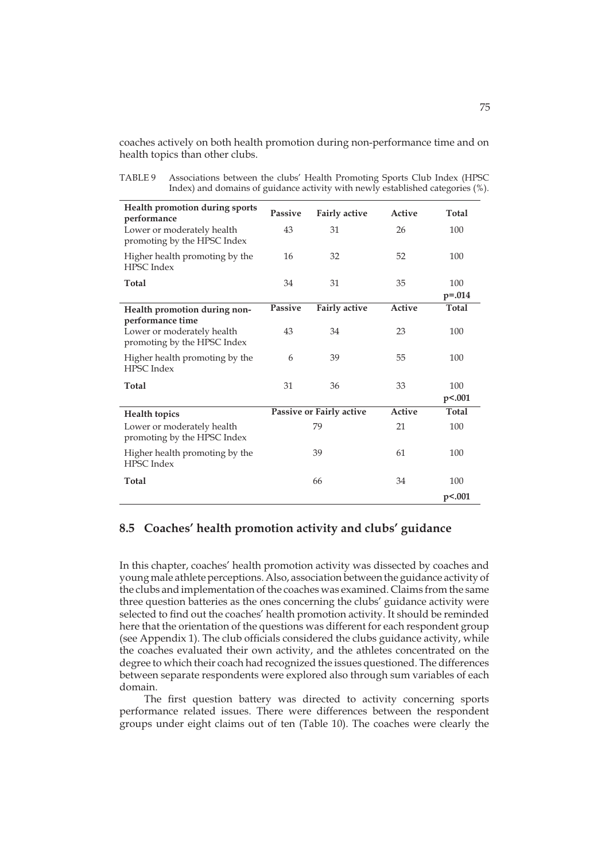coaches actively on both health promotion during non-performance time and on health topics than other clubs.

TABLE 9 Associations between the clubs' Health Promoting Sports Club Index (HPSC Index) and domains of guidance activity with newly established categories (%).

| Health promotion during sports<br>performance                                 | Passive        | <b>Fairly active</b>     | Active        | Total              |
|-------------------------------------------------------------------------------|----------------|--------------------------|---------------|--------------------|
| Lower or moderately health<br>promoting by the HPSC Index                     | 43             | 31                       | 26            | 100                |
| Higher health promoting by the<br><b>HPSC</b> Index                           | 16             | 32                       | 52            | 100                |
| Total                                                                         | 34             | 31                       | 35            | 100<br>$p = 0.014$ |
| Health promotion during non-                                                  | <b>Passive</b> | <b>Fairly active</b>     | Active        | Total              |
| performance time<br>Lower or moderately health<br>promoting by the HPSC Index | 43             | 34                       | 23            | 100                |
| Higher health promoting by the<br><b>HPSC</b> Index                           | 6              | 39                       | 55            | 100                |
| Total                                                                         | 31             | 36                       | 33            | 100                |
|                                                                               |                |                          |               | p<.001             |
| <b>Health topics</b>                                                          |                | Passive or Fairly active | <b>Active</b> | Total              |
| Lower or moderately health<br>promoting by the HPSC Index                     |                | 79                       | 21            | 100                |
| Higher health promoting by the<br><b>HPSC</b> Index                           |                | 39                       | 61            | 100                |
| Total                                                                         |                | 66                       | 34            | 100                |
|                                                                               |                |                          |               | p<.001             |

## **8.5 Coaches' health promotion activity and clubs' guidance**

In this chapter, coaches' health promotion activity was dissected by coaches and young male athlete perceptions. Also, association between the guidance activity of the clubs and implementation of the coaches was examined. Claims from the same three question batteries as the ones concerning the clubs' guidance activity were selected to find out the coaches' health promotion activity. It should be reminded here that the orientation of the questions was different for each respondent group (see Appendix 1). The club officials considered the clubs guidance activity, while the coaches evaluated their own activity, and the athletes concentrated on the degree to which their coach had recognized the issues questioned. The differences between separate respondents were explored also through sum variables of each domain.

The first question battery was directed to activity concerning sports performance related issues. There were differences between the respondent groups under eight claims out of ten (Table 10). The coaches were clearly the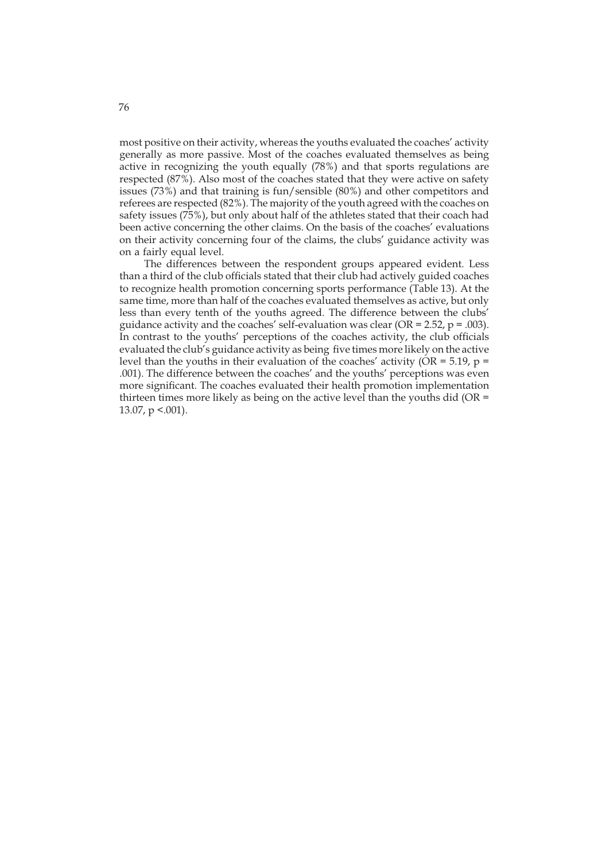most positive on their activity, whereas the youths evaluated the coaches' activity generally as more passive. Most of the coaches evaluated themselves as being active in recognizing the youth equally (78%) and that sports regulations are respected (87%). Also most of the coaches stated that they were active on safety issues (73%) and that training is fun/sensible (80%) and other competitors and referees are respected (82%). The majority of the youth agreed with the coaches on safety issues (75%), but only about half of the athletes stated that their coach had been active concerning the other claims. On the basis of the coaches' evaluations on their activity concerning four of the claims, the clubs' guidance activity was on a fairly equal level.

The differences between the respondent groups appeared evident. Less than a third of the club officials stated that their club had actively guided coaches to recognize health promotion concerning sports performance (Table 13). At the same time, more than half of the coaches evaluated themselves as active, but only less than every tenth of the youths agreed. The difference between the clubs' guidance activity and the coaches' self-evaluation was clear (OR =  $2.52$ , p = .003). In contrast to the youths' perceptions of the coaches activity, the club officials evaluated the club's guidance activity as being five times more likely on the active level than the youths in their evaluation of the coaches' activity ( $OR = 5.19$ ,  $p =$ .001). The difference between the coaches' and the youths' perceptions was even more significant. The coaches evaluated their health promotion implementation thirteen times more likely as being on the active level than the youths did (OR  $=$ 13.07,  $p < .001$ ).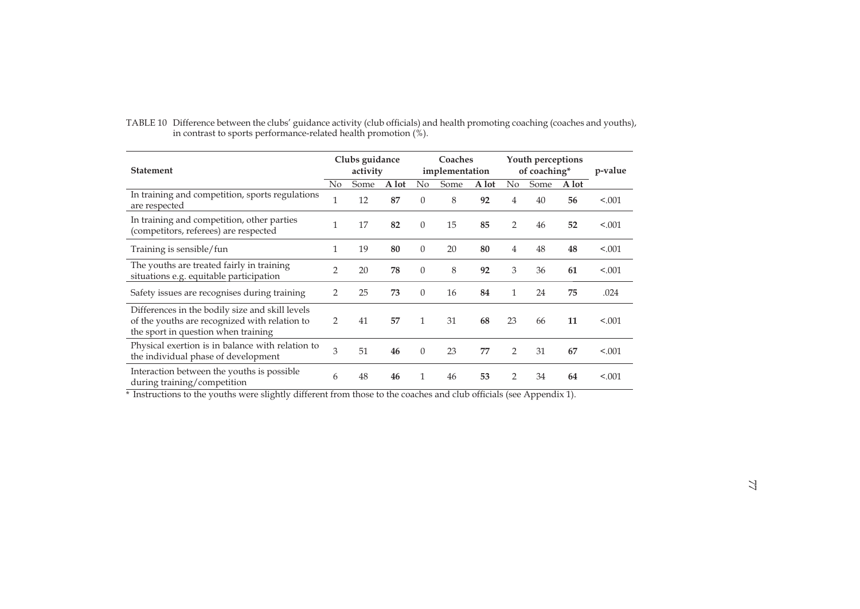| <b>Statement</b>                                                                                                                        |                | Clubs guidance<br>activity |       | Coaches<br>implementation |      |       | Youth perceptions<br>of coaching* |      |       | p-value |
|-----------------------------------------------------------------------------------------------------------------------------------------|----------------|----------------------------|-------|---------------------------|------|-------|-----------------------------------|------|-------|---------|
|                                                                                                                                         | $\rm No$       | Some                       | A lot | No                        | Some | A lot | No                                | Some | A lot |         |
| In training and competition, sports regulations<br>are respected                                                                        | 1              | 12                         | 87    | $\Omega$                  | 8    | 92    | 4                                 | 40   | 56    | < .001  |
| In training and competition, other parties<br>(competitors, referees) are respected                                                     | $\mathbf{1}$   | 17                         | 82    | $\Omega$                  | 15   | 85    | 2                                 | 46   | 52    | < .001  |
| Training is sensible/fun                                                                                                                | 1              | 19                         | 80    | $\Omega$                  | 20   | 80    | 4                                 | 48   | 48    | < .001  |
| The youths are treated fairly in training<br>situations e.g. equitable participation                                                    | $\mathfrak{D}$ | 20                         | 78    | $\Omega$                  | 8    | 92    | 3                                 | 36   | 61    | < .001  |
| Safety issues are recognises during training                                                                                            | 2              | 25                         | 73    | $\Omega$                  | 16   | 84    | 1                                 | 24   | 75    | .024    |
| Differences in the bodily size and skill levels<br>of the youths are recognized with relation to<br>the sport in question when training | 2              | 41                         | 57    | 1                         | 31   | 68    | 23                                | 66   | 11    | < .001  |
| Physical exertion is in balance with relation to<br>the individual phase of development                                                 | 3              | 51                         | 46    | $\Omega$                  | 23   | 77    | 2                                 | 31   | 67    | < .001  |
| Interaction between the youths is possible.<br>during training/competition                                                              | 6              | 48                         | 46    | 1                         | 46   | 53    | 2                                 | 34   | 64    | < .001  |

TABLE 10 Difference between the clubs' guidance activity (club officials) and health promoting coaching (coaches and youths), in contrast to sports performance-related health promotion (%).

\* Instructions to the youths were slightly different from those to the coaches and club officials (see Appendix 1).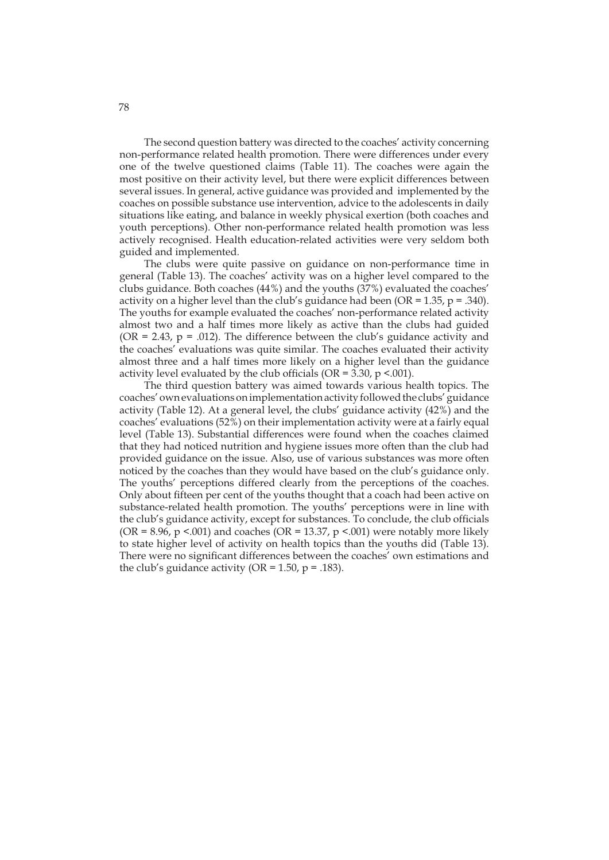The second question battery was directed to the coaches' activity concerning non-performance related health promotion. There were differences under every one of the twelve questioned claims (Table 11). The coaches were again the most positive on their activity level, but there were explicit differences between several issues. In general, active guidance was provided and implemented by the coaches on possible substance use intervention, advice to the adolescents in daily situations like eating, and balance in weekly physical exertion (both coaches and youth perceptions). Other non-performance related health promotion was less actively recognised. Health education-related activities were very seldom both guided and implemented.

The clubs were quite passive on guidance on non-performance time in general (Table 13). The coaches' activity was on a higher level compared to the clubs guidance. Both coaches (44%) and the youths (37%) evaluated the coaches' activity on a higher level than the club's guidance had been (OR = 1.35,  $p = .340$ ). The youths for example evaluated the coaches' non-performance related activity almost two and a half times more likely as active than the clubs had guided (OR = 2.43,  $p = .012$ ). The difference between the club's guidance activity and the coaches' evaluations was quite similar. The coaches evaluated their activity almost three and a half times more likely on a higher level than the guidance activity level evaluated by the club officials ( $OR = 3.30$ ,  $p < .001$ ).

The third question battery was aimed towards various health topics. The coaches' own evaluations on implementation activity followed the clubs' guidance activity (Table 12). At a general level, the clubs' guidance activity (42%) and the coaches' evaluations (52%) on their implementation activity were at a fairly equal level (Table 13). Substantial differences were found when the coaches claimed that they had noticed nutrition and hygiene issues more often than the club had provided guidance on the issue. Also, use of various substances was more often noticed by the coaches than they would have based on the club's guidance only. The youths' perceptions differed clearly from the perceptions of the coaches. Only about fifteen per cent of the youths thought that a coach had been active on substance-related health promotion. The youths' perceptions were in line with the club's guidance activity, except for substances. To conclude, the club officials (OR =  $8.96$ , p <.001) and coaches (OR = 13.37, p <.001) were notably more likely to state higher level of activity on health topics than the youths did (Table 13). There were no significant differences between the coaches' own estimations and the club's guidance activity (OR =  $1.50$ , p =  $.183$ ).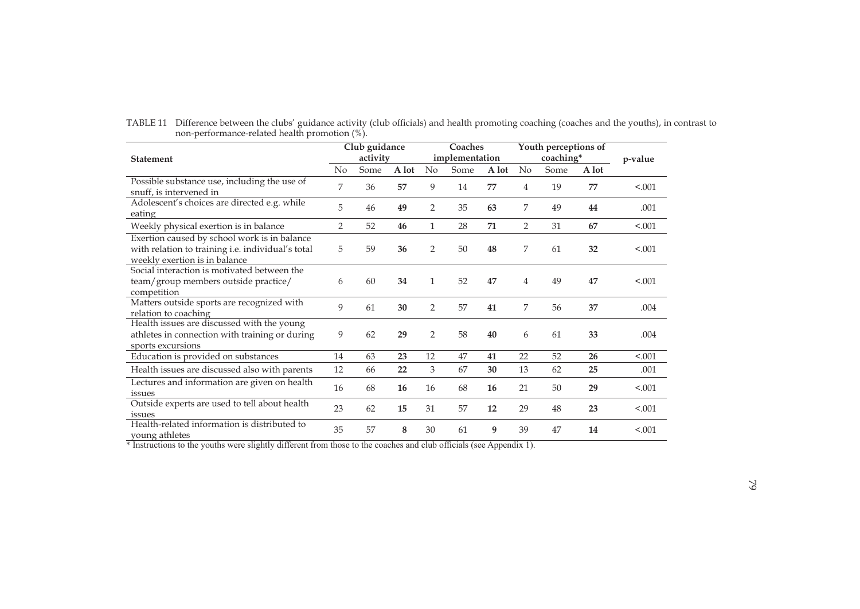|                                                                                                                                    |                | Club guidance |       | Coaches        |      |       |                | Youth perceptions of |         |         |
|------------------------------------------------------------------------------------------------------------------------------------|----------------|---------------|-------|----------------|------|-------|----------------|----------------------|---------|---------|
| <b>Statement</b>                                                                                                                   | activity       |               |       | implementation |      |       |                | coaching*            | p-value |         |
|                                                                                                                                    | No             | Some          | A lot | No             | Some | A lot | No             | Some                 | A lot   |         |
| Possible substance use, including the use of<br>snuff, is intervened in                                                            | 7              | 36            | 57    | 9              | 14   | 77    | 4              | 19                   | 77      | < .001  |
| Adolescent's choices are directed e.g. while<br>eating                                                                             | 5              | 46            | 49    | $\overline{2}$ | 35   | 63    | 7              | 49                   | 44      | .001    |
| Weekly physical exertion is in balance                                                                                             | $\overline{2}$ | 52            | 46    | 1              | 28   | 71    | $\overline{2}$ | 31                   | 67      | < 0.001 |
| Exertion caused by school work is in balance<br>with relation to training i.e. individual's total<br>weekly exertion is in balance | 5              | 59            | 36    | $\overline{2}$ | 50   | 48    | 7              | 61                   | 32      | < .001  |
| Social interaction is motivated between the<br>team/group members outside practice/<br>competition                                 | 6              | 60            | 34    | $\mathbf{1}$   | 52   | 47    | 4              | 49                   | 47      | < 0.001 |
| Matters outside sports are recognized with<br>relation to coaching                                                                 | 9              | 61            | 30    | 2              | 57   | 41    | 7              | 56                   | 37      | .004    |
| Health issues are discussed with the young<br>athletes in connection with training or during<br>sports excursions                  | 9              | 62            | 29    | $\overline{2}$ | 58   | 40    | 6              | 61                   | 33      | .004    |
| Education is provided on substances                                                                                                | 14             | 63            | 23    | 12             | 47   | 41    | 22             | 52                   | 26      | < .001  |
| Health issues are discussed also with parents                                                                                      | 12             | 66            | 22    | 3              | 67   | 30    | 13             | 62                   | 25      | .001    |
| Lectures and information are given on health<br>issues                                                                             | 16             | 68            | 16    | 16             | 68   | 16    | 21             | 50                   | 29      | < .001  |
| Outside experts are used to tell about health<br>issues                                                                            | 23             | 62            | 15    | 31             | 57   | 12    | 29             | 48                   | 23      | < .001  |
| Health-related information is distributed to<br>young athletes                                                                     | 35             | 57            | 8     | 30             | 61   | 9     | 39             | 47                   | 14      | < .001  |

TABLE 11 Difference between the clubs' guidance activity (club officials) and health promoting coaching (coaches and the youths), in contrast to non-performance-related health promotion (%).

\* Instructions to the youths were slightly different from those to the coaches and club officials (see Appendix 1).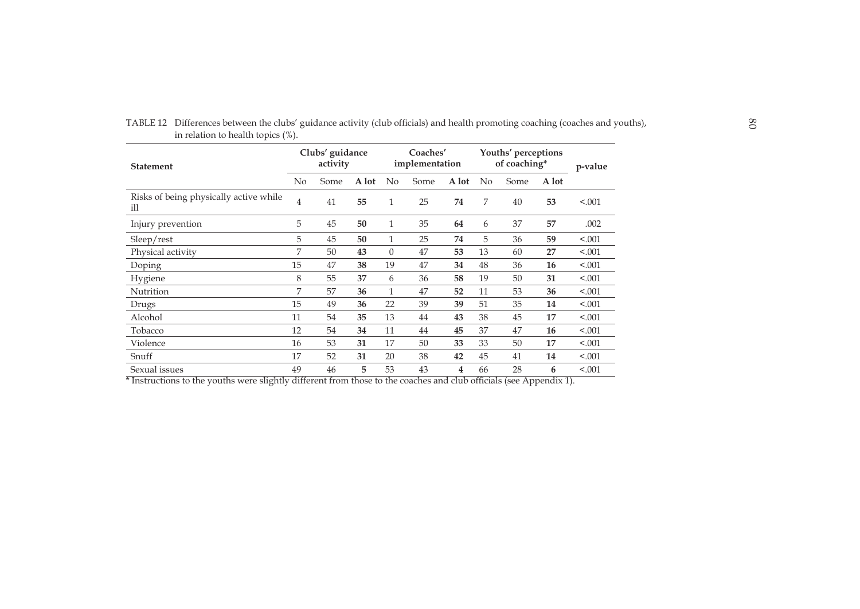| <b>Statement</b>                              |                | Clubs' guidance<br>activity |       | Coaches'<br>implementation |      |       | Youths' perceptions<br>of coaching* |      |       | p-value |
|-----------------------------------------------|----------------|-----------------------------|-------|----------------------------|------|-------|-------------------------------------|------|-------|---------|
|                                               | No             | Some                        | A lot | $\rm No$                   | Some | A lot | N <sub>0</sub>                      | Some | A lot |         |
| Risks of being physically active while<br>ill | $\overline{4}$ | 41                          | 55    | 1                          | 25   | 74    | 7                                   | 40   | 53    | < 0.001 |
| Injury prevention                             | 5              | 45                          | 50    | 1                          | 35   | 64    | 6                                   | 37   | 57    | .002    |
| Sleep/rest                                    | 5              | 45                          | 50    | 1                          | 25   | 74    | 5                                   | 36   | 59    | < .001  |
| Physical activity                             | 7              | 50                          | 43    | $\overline{0}$             | 47   | 53    | 13                                  | 60   | 27    | < .001  |
| Doping                                        | 15             | 47                          | 38    | 19                         | 47   | 34    | 48                                  | 36   | 16    | < .001  |
| Hygiene                                       | 8              | 55                          | 37    | 6                          | 36   | 58    | 19                                  | 50   | 31    | < .001  |
| Nutrition                                     | 7              | 57                          | 36    | 1                          | 47   | 52    | 11                                  | 53   | 36    | < .001  |
| Drugs                                         | 15             | 49                          | 36    | 22                         | 39   | 39    | 51                                  | 35   | 14    | < .001  |
| Alcohol                                       | 11             | 54                          | 35    | 13                         | 44   | 43    | 38                                  | 45   | 17    | < .001  |
| Tobacco                                       | 12             | 54                          | 34    | 11                         | 44   | 45    | 37                                  | 47   | 16    | < 0.001 |
| Violence                                      | 16             | 53                          | 31    | 17                         | 50   | 33    | 33                                  | 50   | 17    | < 0.001 |
| Snuff                                         | 17             | 52                          | 31    | 20                         | 38   | 42    | 45                                  | 41   | 14    | < 0.001 |
| Sexual issues                                 | 49             | 46                          | 5     | 53                         | 43   | 4     | 66                                  | 28   | 6     | < .001  |

TABLE 12 Differences between the clubs' guidance activity (club officials) and health promoting coaching (coaches and youths),  $\frac{88}{100}$ in relation to health topics (%).

\* Instructions to the youths were slightly different from those to the coaches and club officials (see Appendix 1).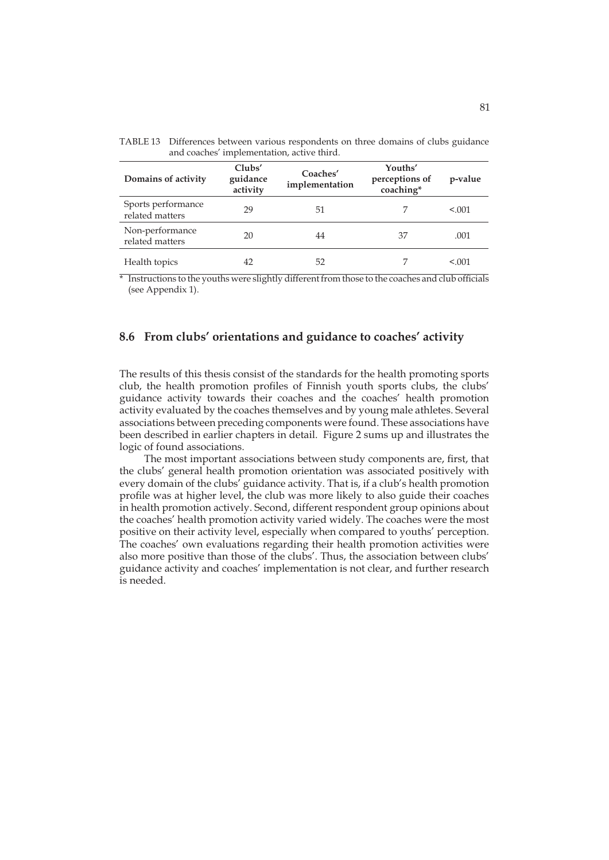| Domains of activity                   | Clubs'<br>guidance<br>activity | Coaches'<br>implementation | Youths'<br>perceptions of<br>coaching* | p-value |
|---------------------------------------|--------------------------------|----------------------------|----------------------------------------|---------|
| Sports performance<br>related matters | 29                             | 51                         |                                        | < 0.01  |
| Non-performance<br>related matters    | 20                             | 44                         | 37                                     | .001    |
| Health topics                         | 42                             | 52                         |                                        | < 0.001 |

TABLE 13 Differences between various respondents on three domains of clubs guidance and coaches' implementation, active third.

\* Instructions to the youths were slightly different from those to the coaches and club officials (see Appendix 1).

## **8.6 From clubs' orientations and guidance to coaches' activity**

The results of this thesis consist of the standards for the health promoting sports club, the health promotion profiles of Finnish youth sports clubs, the clubs' guidance activity towards their coaches and the coaches' health promotion activity evaluated by the coaches themselves and by young male athletes. Several associations between preceding components were found. These associations have been described in earlier chapters in detail. Figure 2 sums up and illustrates the logic of found associations.

The most important associations between study components are, first, that the clubs' general health promotion orientation was associated positively with every domain of the clubs' guidance activity. That is, if a club's health promotion profile was at higher level, the club was more likely to also guide their coaches in health promotion actively. Second, different respondent group opinions about the coaches' health promotion activity varied widely. The coaches were the most positive on their activity level, especially when compared to youths' perception. The coaches' own evaluations regarding their health promotion activities were also more positive than those of the clubs'. Thus, the association between clubs' guidance activity and coaches' implementation is not clear, and further research is needed.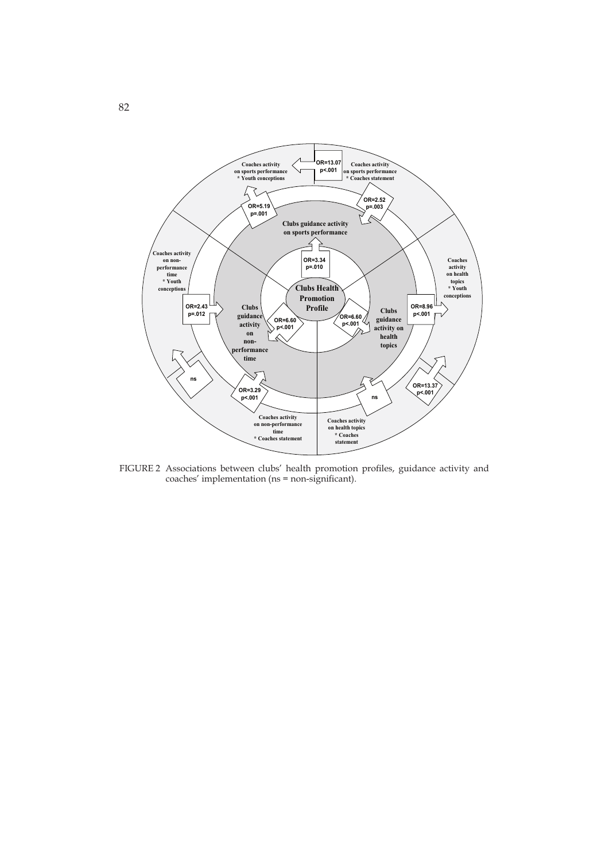

FIGURE 2 Associations between clubs' health promotion profiles, guidance activity and coaches' implementation (ns = non-significant).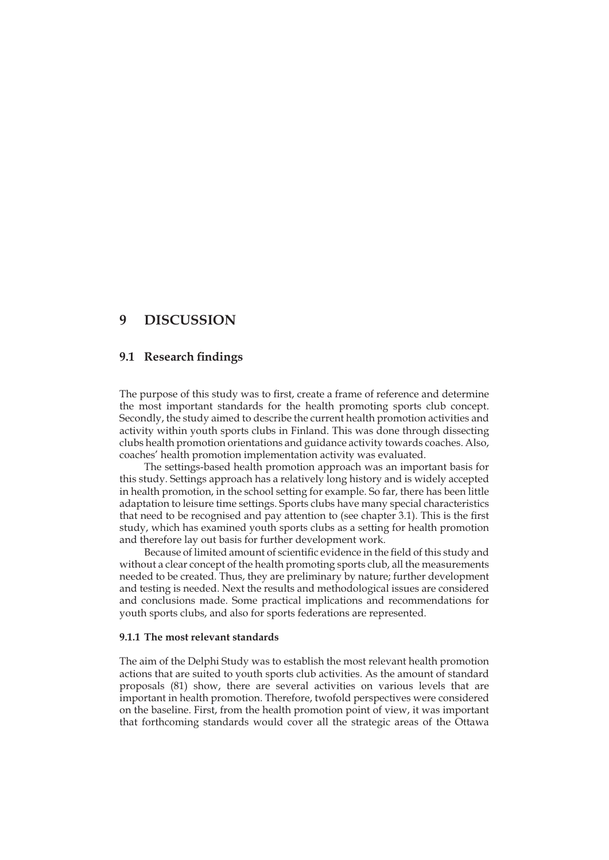# **9 DISCUSSION**

## **9.1 Research findings**

The purpose of this study was to first, create a frame of reference and determine the most important standards for the health promoting sports club concept. Secondly, the study aimed to describe the current health promotion activities and activity within youth sports clubs in Finland. This was done through dissecting clubs health promotion orientations and guidance activity towards coaches. Also, coaches' health promotion implementation activity was evaluated.

The settings-based health promotion approach was an important basis for this study. Settings approach has a relatively long history and is widely accepted in health promotion, in the school setting for example. So far, there has been little adaptation to leisure time settings. Sports clubs have many special characteristics that need to be recognised and pay attention to (see chapter 3.1). This is the first study, which has examined youth sports clubs as a setting for health promotion and therefore lay out basis for further development work.

Because of limited amount of scientific evidence in the field of this study and without a clear concept of the health promoting sports club, all the measurements needed to be created. Thus, they are preliminary by nature; further development and testing is needed. Next the results and methodological issues are considered and conclusions made. Some practical implications and recommendations for youth sports clubs, and also for sports federations are represented.

#### **9.1.1 The most relevant standards**

The aim of the Delphi Study was to establish the most relevant health promotion actions that are suited to youth sports club activities. As the amount of standard proposals (81) show, there are several activities on various levels that are important in health promotion. Therefore, twofold perspectives were considered on the baseline. First, from the health promotion point of view, it was important that forthcoming standards would cover all the strategic areas of the Ottawa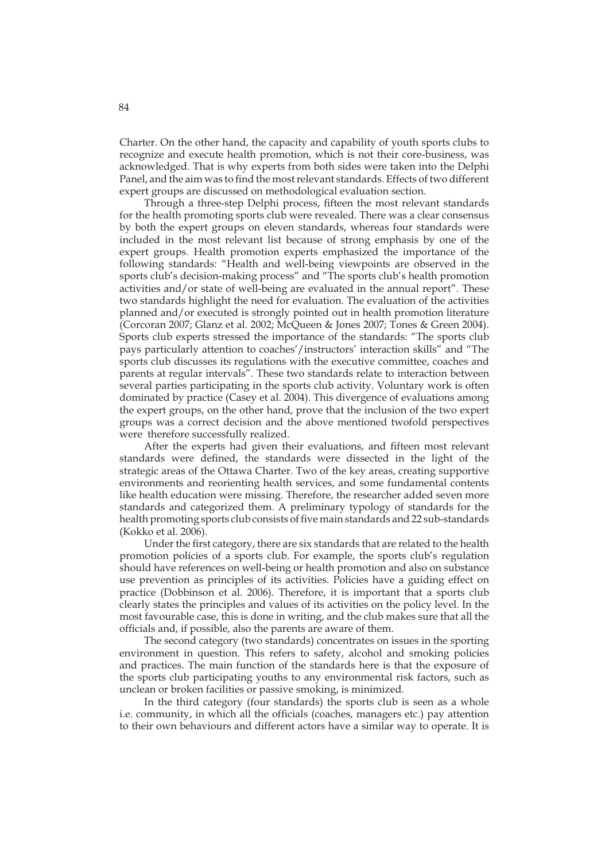Charter. On the other hand, the capacity and capability of youth sports clubs to recognize and execute health promotion, which is not their core-business, was acknowledged. That is why experts from both sides were taken into the Delphi Panel, and the aim was to find the most relevant standards. Effects of two different expert groups are discussed on methodological evaluation section.

Through a three-step Delphi process, fifteen the most relevant standards for the health promoting sports club were revealed. There was a clear consensus by both the expert groups on eleven standards, whereas four standards were included in the most relevant list because of strong emphasis by one of the expert groups. Health promotion experts emphasized the importance of the following standards: "Health and well-being viewpoints are observed in the sports club's decision-making process" and "The sports club's health promotion activities and/or state of well-being are evaluated in the annual report". These two standards highlight the need for evaluation. The evaluation of the activities planned and/or executed is strongly pointed out in health promotion literature (Corcoran 2007; Glanz et al. 2002; McQueen & Jones 2007; Tones & Green 2004). Sports club experts stressed the importance of the standards: "The sports club pays particularly attention to coaches'/instructors' interaction skills" and "The sports club discusses its regulations with the executive committee, coaches and parents at regular intervals". These two standards relate to interaction between several parties participating in the sports club activity. Voluntary work is often dominated by practice (Casey et al. 2004). This divergence of evaluations among the expert groups, on the other hand, prove that the inclusion of the two expert groups was a correct decision and the above mentioned twofold perspectives were therefore successfully realized.

After the experts had given their evaluations, and fifteen most relevant standards were defined, the standards were dissected in the light of the strategic areas of the Ottawa Charter. Two of the key areas, creating supportive environments and reorienting health services, and some fundamental contents like health education were missing. Therefore, the researcher added seven more standards and categorized them. A preliminary typology of standards for the health promoting sports club consists of five main standards and 22 sub-standards (Kokko et al. 2006).

Under the first category, there are six standards that are related to the health promotion policies of a sports club. For example, the sports club's regulation should have references on well-being or health promotion and also on substance use prevention as principles of its activities. Policies have a guiding effect on practice (Dobbinson et al. 2006). Therefore, it is important that a sports club clearly states the principles and values of its activities on the policy level. In the most favourable case, this is done in writing, and the club makes sure that all the officials and, if possible, also the parents are aware of them.

The second category (two standards) concentrates on issues in the sporting environment in question. This refers to safety, alcohol and smoking policies and practices. The main function of the standards here is that the exposure of the sports club participating youths to any environmental risk factors, such as unclean or broken facilities or passive smoking, is minimized.

In the third category (four standards) the sports club is seen as a whole i.e. community, in which all the officials (coaches, managers etc.) pay attention to their own behaviours and different actors have a similar way to operate. It is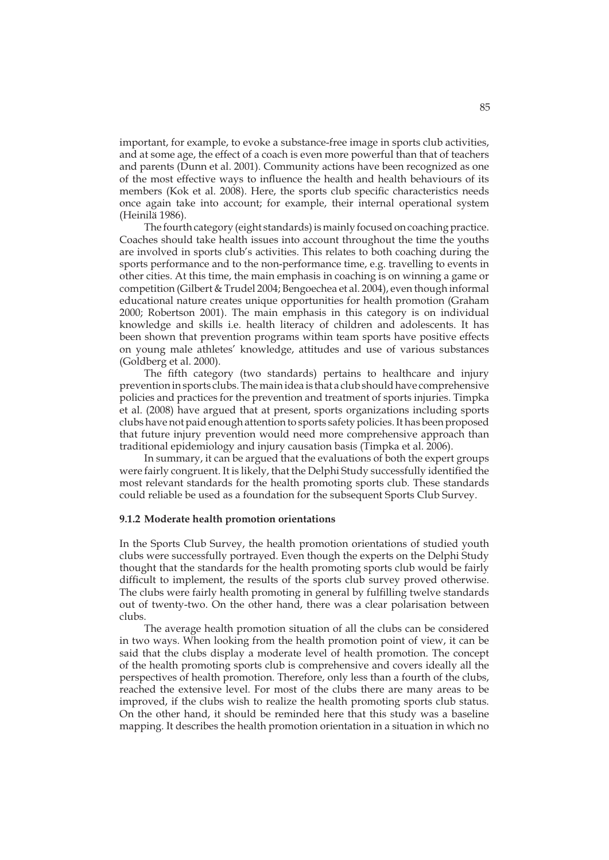important, for example, to evoke a substance-free image in sports club activities, and at some age, the effect of a coach is even more powerful than that of teachers and parents (Dunn et al. 2001). Community actions have been recognized as one of the most effective ways to influence the health and health behaviours of its members (Kok et al. 2008). Here, the sports club specific characteristics needs once again take into account; for example, their internal operational system (Heinilä 1986).

The fourth category (eight standards) is mainly focused on coaching practice. Coaches should take health issues into account throughout the time the youths are involved in sports club's activities. This relates to both coaching during the sports performance and to the non-performance time, e.g. travelling to events in other cities. At this time, the main emphasis in coaching is on winning a game or competition (Gilbert & Trudel 2004; Bengoechea et al. 2004), even though informal educational nature creates unique opportunities for health promotion (Graham 2000; Robertson 2001). The main emphasis in this category is on individual knowledge and skills i.e. health literacy of children and adolescents. It has been shown that prevention programs within team sports have positive effects on young male athletes' knowledge, attitudes and use of various substances (Goldberg et al. 2000).

The fifth category (two standards) pertains to healthcare and injury prevention in sports clubs. The main idea is that a club should have comprehensive policies and practices for the prevention and treatment of sports injuries. Timpka et al. (2008) have argued that at present, sports organizations including sports clubs have not paid enough attention to sports safety policies. It has been proposed that future injury prevention would need more comprehensive approach than traditional epidemiology and injury causation basis (Timpka et al. 2006).

In summary, it can be argued that the evaluations of both the expert groups were fairly congruent. It is likely, that the Delphi Study successfully identified the most relevant standards for the health promoting sports club. These standards could reliable be used as a foundation for the subsequent Sports Club Survey.

## **9.1.2 Moderate health promotion orientations**

In the Sports Club Survey, the health promotion orientations of studied youth clubs were successfully portrayed. Even though the experts on the Delphi Study thought that the standards for the health promoting sports club would be fairly difficult to implement, the results of the sports club survey proved otherwise. The clubs were fairly health promoting in general by fulfilling twelve standards out of twenty-two. On the other hand, there was a clear polarisation between clubs.

The average health promotion situation of all the clubs can be considered in two ways. When looking from the health promotion point of view, it can be said that the clubs display a moderate level of health promotion. The concept of the health promoting sports club is comprehensive and covers ideally all the perspectives of health promotion. Therefore, only less than a fourth of the clubs, reached the extensive level. For most of the clubs there are many areas to be improved, if the clubs wish to realize the health promoting sports club status. On the other hand, it should be reminded here that this study was a baseline mapping. It describes the health promotion orientation in a situation in which no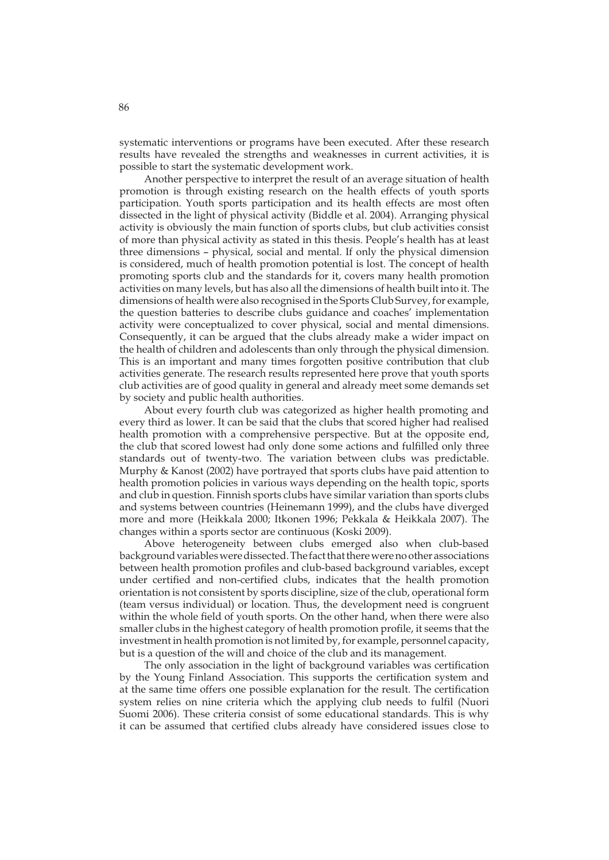systematic interventions or programs have been executed. After these research results have revealed the strengths and weaknesses in current activities, it is possible to start the systematic development work.

Another perspective to interpret the result of an average situation of health promotion is through existing research on the health effects of youth sports participation. Youth sports participation and its health effects are most often dissected in the light of physical activity (Biddle et al. 2004). Arranging physical activity is obviously the main function of sports clubs, but club activities consist of more than physical activity as stated in this thesis. People's health has at least three dimensions – physical, social and mental. If only the physical dimension is considered, much of health promotion potential is lost. The concept of health promoting sports club and the standards for it, covers many health promotion activities on many levels, but has also all the dimensions of health built into it. The dimensions of health were also recognised in the Sports Club Survey, for example, the question batteries to describe clubs guidance and coaches' implementation activity were conceptualized to cover physical, social and mental dimensions. Consequently, it can be argued that the clubs already make a wider impact on the health of children and adolescents than only through the physical dimension. This is an important and many times forgotten positive contribution that club activities generate. The research results represented here prove that youth sports club activities are of good quality in general and already meet some demands set by society and public health authorities.

About every fourth club was categorized as higher health promoting and every third as lower. It can be said that the clubs that scored higher had realised health promotion with a comprehensive perspective. But at the opposite end, the club that scored lowest had only done some actions and fulfilled only three standards out of twenty-two. The variation between clubs was predictable. Murphy & Kanost (2002) have portrayed that sports clubs have paid attention to health promotion policies in various ways depending on the health topic, sports and club in question. Finnish sports clubs have similar variation than sports clubs and systems between countries (Heinemann 1999), and the clubs have diverged more and more (Heikkala 2000; Itkonen 1996; Pekkala & Heikkala 2007). The changes within a sports sector are continuous (Koski 2009).

Above heterogeneity between clubs emerged also when club-based background variables were dissected. The fact that there were no other associations between health promotion profiles and club-based background variables, except under certified and non-certified clubs, indicates that the health promotion orientation is not consistent by sports discipline, size of the club, operational form (team versus individual) or location. Thus, the development need is congruent within the whole field of youth sports. On the other hand, when there were also smaller clubs in the highest category of health promotion profile, it seems that the investment in health promotion is not limited by, for example, personnel capacity, but is a question of the will and choice of the club and its management.

The only association in the light of background variables was certification by the Young Finland Association. This supports the certification system and at the same time offers one possible explanation for the result. The certification system relies on nine criteria which the applying club needs to fulfil (Nuori Suomi 2006). These criteria consist of some educational standards. This is why it can be assumed that certified clubs already have considered issues close to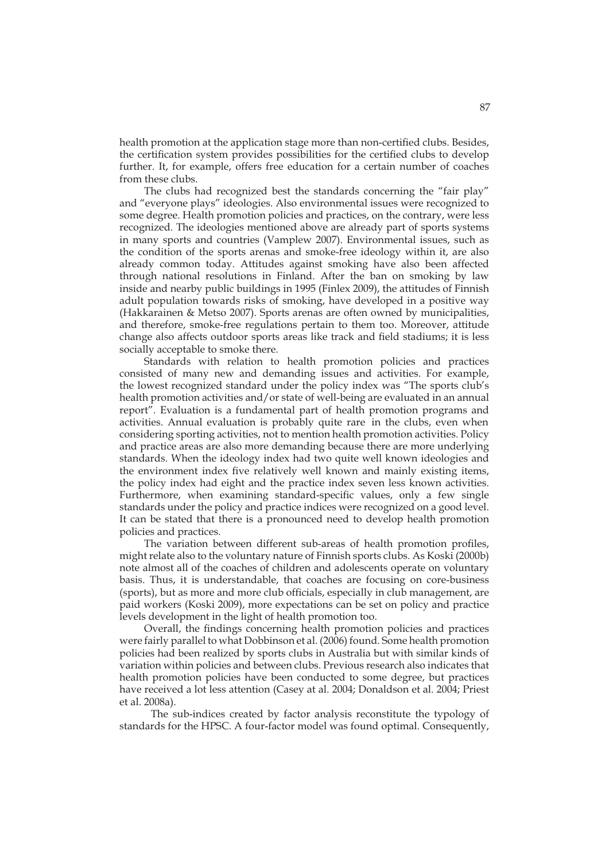health promotion at the application stage more than non-certified clubs. Besides, the certification system provides possibilities for the certified clubs to develop further. It, for example, offers free education for a certain number of coaches from these clubs.

The clubs had recognized best the standards concerning the "fair play" and "everyone plays" ideologies. Also environmental issues were recognized to some degree. Health promotion policies and practices, on the contrary, were less recognized. The ideologies mentioned above are already part of sports systems in many sports and countries (Vamplew 2007). Environmental issues, such as the condition of the sports arenas and smoke-free ideology within it, are also already common today. Attitudes against smoking have also been affected through national resolutions in Finland. After the ban on smoking by law inside and nearby public buildings in 1995 (Finlex 2009), the attitudes of Finnish adult population towards risks of smoking, have developed in a positive way (Hakkarainen & Metso 2007). Sports arenas are often owned by municipalities, and therefore, smoke-free regulations pertain to them too. Moreover, attitude change also affects outdoor sports areas like track and field stadiums; it is less socially acceptable to smoke there.

Standards with relation to health promotion policies and practices consisted of many new and demanding issues and activities. For example, the lowest recognized standard under the policy index was "The sports club's health promotion activities and/or state of well-being are evaluated in an annual report". Evaluation is a fundamental part of health promotion programs and activities. Annual evaluation is probably quite rare in the clubs, even when considering sporting activities, not to mention health promotion activities. Policy and practice areas are also more demanding because there are more underlying standards. When the ideology index had two quite well known ideologies and the environment index five relatively well known and mainly existing items, the policy index had eight and the practice index seven less known activities. Furthermore, when examining standard-specific values, only a few single standards under the policy and practice indices were recognized on a good level. It can be stated that there is a pronounced need to develop health promotion policies and practices.

The variation between different sub-areas of health promotion profiles, might relate also to the voluntary nature of Finnish sports clubs. As Koski (2000b) note almost all of the coaches of children and adolescents operate on voluntary basis. Thus, it is understandable, that coaches are focusing on core-business (sports), but as more and more club officials, especially in club management, are paid workers (Koski 2009), more expectations can be set on policy and practice levels development in the light of health promotion too.

Overall, the findings concerning health promotion policies and practices were fairly parallel to what Dobbinson et al. (2006) found. Some health promotion policies had been realized by sports clubs in Australia but with similar kinds of variation within policies and between clubs. Previous research also indicates that health promotion policies have been conducted to some degree, but practices have received a lot less attention (Casey at al. 2004; Donaldson et al. 2004; Priest et al. 2008a).

 The sub-indices created by factor analysis reconstitute the typology of standards for the HPSC. A four-factor model was found optimal. Consequently,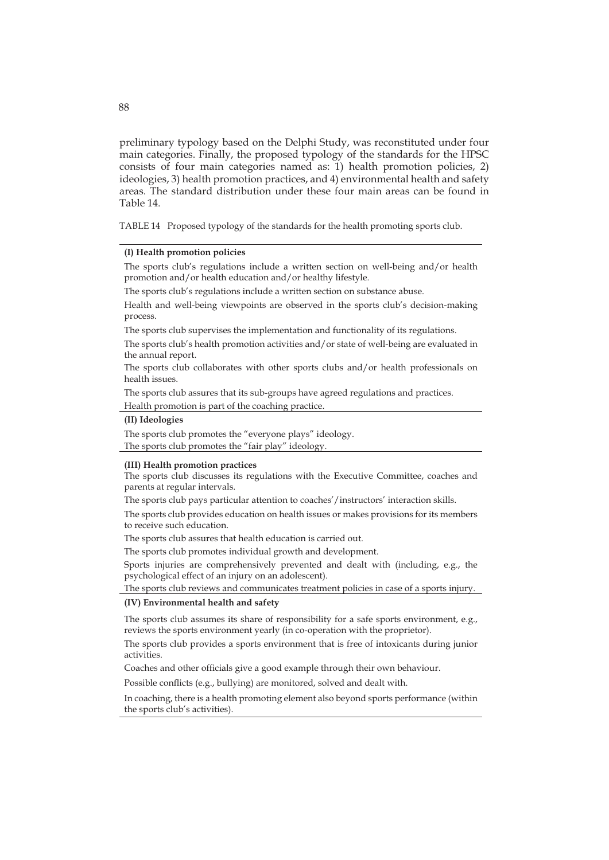preliminary typology based on the Delphi Study, was reconstituted under four main categories. Finally, the proposed typology of the standards for the HPSC consists of four main categories named as: 1) health promotion policies, 2) ideologies, 3) health promotion practices, and 4) environmental health and safety areas. The standard distribution under these four main areas can be found in Table 14.

TABLE 14 Proposed typology of the standards for the health promoting sports club.

### **(I) Health promotion policies**

The sports club's regulations include a written section on well-being and/or health promotion and/or health education and/or healthy lifestyle.

The sports club's regulations include a written section on substance abuse.

Health and well-being viewpoints are observed in the sports club's decision-making process.

The sports club supervises the implementation and functionality of its regulations.

The sports club's health promotion activities and/or state of well-being are evaluated in the annual report.

The sports club collaborates with other sports clubs and/or health professionals on health issues.

The sports club assures that its sub-groups have agreed regulations and practices. Health promotion is part of the coaching practice.

#### **(II) Ideologies**

The sports club promotes the "everyone plays" ideology. The sports club promotes the "fair play" ideology.

### **(III) Health promotion practices**

The sports club discusses its regulations with the Executive Committee, coaches and parents at regular intervals.

The sports club pays particular attention to coaches'/instructors' interaction skills.

The sports club provides education on health issues or makes provisions for its members to receive such education.

The sports club assures that health education is carried out.

The sports club promotes individual growth and development.

Sports injuries are comprehensively prevented and dealt with (including, e.g., the psychological effect of an injury on an adolescent).

The sports club reviews and communicates treatment policies in case of a sports injury.

### **(IV) Environmental health and safety**

The sports club assumes its share of responsibility for a safe sports environment, e.g., reviews the sports environment yearly (in co-operation with the proprietor).

The sports club provides a sports environment that is free of intoxicants during junior activities.

Coaches and other officials give a good example through their own behaviour.

Possible conflicts (e.g., bullying) are monitored, solved and dealt with.

In coaching, there is a health promoting element also beyond sports performance (within the sports club's activities).

## 88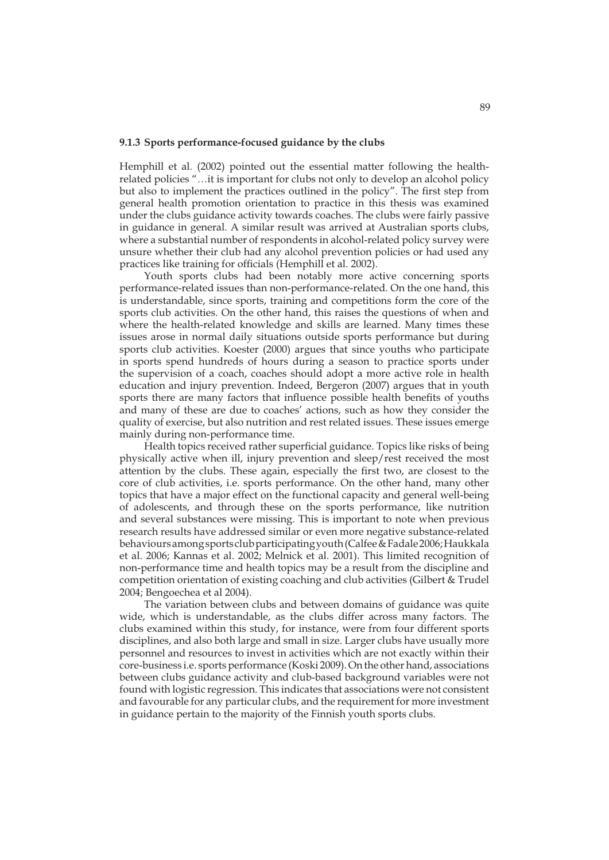### **9.1.3 Sports performance-focused guidance by the clubs**

Hemphill et al. (2002) pointed out the essential matter following the healthrelated policies "…it is important for clubs not only to develop an alcohol policy but also to implement the practices outlined in the policy". The first step from general health promotion orientation to practice in this thesis was examined under the clubs guidance activity towards coaches. The clubs were fairly passive in guidance in general. A similar result was arrived at Australian sports clubs, where a substantial number of respondents in alcohol-related policy survey were unsure whether their club had any alcohol prevention policies or had used any practices like training for officials (Hemphill et al. 2002).

Youth sports clubs had been notably more active concerning sports performance-related issues than non-performance-related. On the one hand, this is understandable, since sports, training and competitions form the core of the sports club activities. On the other hand, this raises the questions of when and where the health-related knowledge and skills are learned. Many times these issues arose in normal daily situations outside sports performance but during sports club activities. Koester (2000) argues that since youths who participate in sports spend hundreds of hours during a season to practice sports under the supervision of a coach, coaches should adopt a more active role in health education and injury prevention. Indeed, Bergeron (2007) argues that in youth sports there are many factors that influence possible health benefits of youths and many of these are due to coaches' actions, such as how they consider the quality of exercise, but also nutrition and rest related issues. These issues emerge mainly during non-performance time.

Health topics received rather superficial guidance. Topics like risks of being physically active when ill, injury prevention and sleep/rest received the most attention by the clubs. These again, especially the first two, are closest to the core of club activities, i.e. sports performance. On the other hand, many other topics that have a major effect on the functional capacity and general well-being of adolescents, and through these on the sports performance, like nutrition and several substances were missing. This is important to note when previous research results have addressed similar or even more negative substance-related behaviours among sports club participating youth (Calfee & Fadale 2006; Haukkala et al. 2006; Kannas et al. 2002; Melnick et al. 2001). This limited recognition of non-performance time and health topics may be a result from the discipline and competition orientation of existing coaching and club activities (Gilbert & Trudel 2004; Bengoechea et al 2004).

The variation between clubs and between domains of guidance was quite wide, which is understandable, as the clubs differ across many factors. The clubs examined within this study, for instance, were from four different sports disciplines, and also both large and small in size. Larger clubs have usually more personnel and resources to invest in activities which are not exactly within their core-business i.e. sports performance (Koski 2009). On the other hand, associations between clubs guidance activity and club-based background variables were not found with logistic regression. This indicates that associations were not consistent and favourable for any particular clubs, and the requirement for more investment in guidance pertain to the majority of the Finnish youth sports clubs.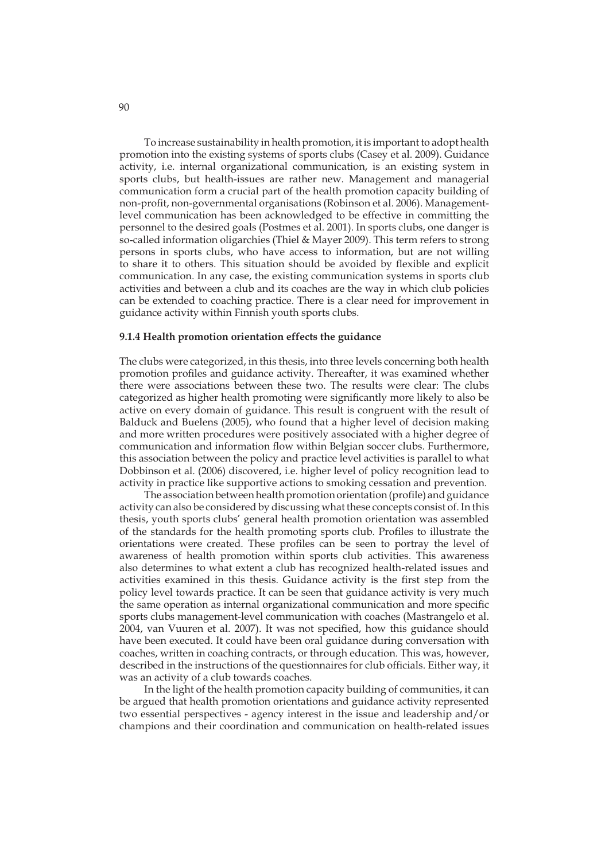To increase sustainability in health promotion, it is important to adopt health promotion into the existing systems of sports clubs (Casey et al. 2009). Guidance activity, i.e. internal organizational communication, is an existing system in sports clubs, but health-issues are rather new. Management and managerial communication form a crucial part of the health promotion capacity building of non-profit, non-governmental organisations (Robinson et al. 2006). Managementlevel communication has been acknowledged to be effective in committing the personnel to the desired goals (Postmes et al. 2001). In sports clubs, one danger is so-called information oligarchies (Thiel & Mayer 2009). This term refers to strong persons in sports clubs, who have access to information, but are not willing to share it to others. This situation should be avoided by flexible and explicit communication. In any case, the existing communication systems in sports club activities and between a club and its coaches are the way in which club policies can be extended to coaching practice. There is a clear need for improvement in guidance activity within Finnish youth sports clubs.

### **9.1.4 Health promotion orientation effects the guidance**

The clubs were categorized, in this thesis, into three levels concerning both health promotion profiles and guidance activity. Thereafter, it was examined whether there were associations between these two. The results were clear: The clubs categorized as higher health promoting were significantly more likely to also be active on every domain of guidance. This result is congruent with the result of Balduck and Buelens (2005), who found that a higher level of decision making and more written procedures were positively associated with a higher degree of communication and information flow within Belgian soccer clubs. Furthermore, this association between the policy and practice level activities is parallel to what Dobbinson et al. (2006) discovered, i.e. higher level of policy recognition lead to activity in practice like supportive actions to smoking cessation and prevention.

The association between health promotion orientation (profile) and guidance activity can also be considered by discussing what these concepts consist of. In this thesis, youth sports clubs' general health promotion orientation was assembled of the standards for the health promoting sports club. Profiles to illustrate the orientations were created. These profiles can be seen to portray the level of awareness of health promotion within sports club activities. This awareness also determines to what extent a club has recognized health-related issues and activities examined in this thesis. Guidance activity is the first step from the policy level towards practice. It can be seen that guidance activity is very much the same operation as internal organizational communication and more specific sports clubs management-level communication with coaches (Mastrangelo et al. 2004, van Vuuren et al. 2007). It was not specified, how this guidance should have been executed. It could have been oral guidance during conversation with coaches, written in coaching contracts, or through education. This was, however, described in the instructions of the questionnaires for club officials. Either way, it was an activity of a club towards coaches.

In the light of the health promotion capacity building of communities, it can be argued that health promotion orientations and guidance activity represented two essential perspectives - agency interest in the issue and leadership and/or champions and their coordination and communication on health-related issues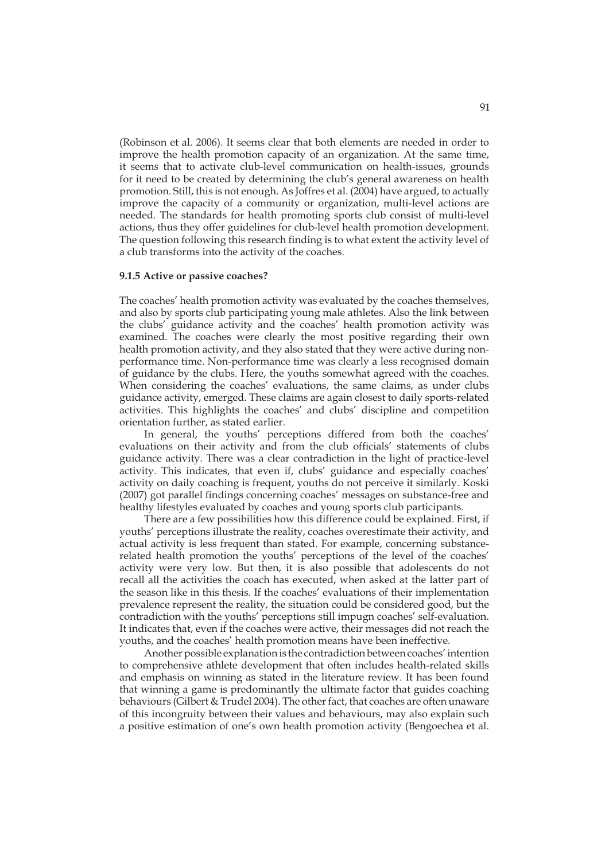(Robinson et al. 2006). It seems clear that both elements are needed in order to improve the health promotion capacity of an organization. At the same time, it seems that to activate club-level communication on health-issues, grounds for it need to be created by determining the club's general awareness on health promotion. Still, this is not enough. As Joffres et al. (2004) have argued, to actually improve the capacity of a community or organization, multi-level actions are needed. The standards for health promoting sports club consist of multi-level actions, thus they offer guidelines for club-level health promotion development. The question following this research finding is to what extent the activity level of a club transforms into the activity of the coaches.

### **9.1.5 Active or passive coaches?**

The coaches' health promotion activity was evaluated by the coaches themselves, and also by sports club participating young male athletes. Also the link between the clubs' guidance activity and the coaches' health promotion activity was examined. The coaches were clearly the most positive regarding their own health promotion activity, and they also stated that they were active during nonperformance time. Non-performance time was clearly a less recognised domain of guidance by the clubs. Here, the youths somewhat agreed with the coaches. When considering the coaches' evaluations, the same claims, as under clubs guidance activity, emerged. These claims are again closest to daily sports-related activities. This highlights the coaches' and clubs' discipline and competition orientation further, as stated earlier.

In general, the youths' perceptions differed from both the coaches' evaluations on their activity and from the club officials' statements of clubs guidance activity. There was a clear contradiction in the light of practice-level activity. This indicates, that even if, clubs' guidance and especially coaches' activity on daily coaching is frequent, youths do not perceive it similarly. Koski (2007) got parallel findings concerning coaches' messages on substance-free and healthy lifestyles evaluated by coaches and young sports club participants.

There are a few possibilities how this difference could be explained. First, if youths' perceptions illustrate the reality, coaches overestimate their activity, and actual activity is less frequent than stated. For example, concerning substancerelated health promotion the youths' perceptions of the level of the coaches' activity were very low. But then, it is also possible that adolescents do not recall all the activities the coach has executed, when asked at the latter part of the season like in this thesis. If the coaches' evaluations of their implementation prevalence represent the reality, the situation could be considered good, but the contradiction with the youths' perceptions still impugn coaches' self-evaluation. It indicates that, even if the coaches were active, their messages did not reach the youths, and the coaches' health promotion means have been ineffective.

Another possible explanation is the contradiction between coaches' intention to comprehensive athlete development that often includes health-related skills and emphasis on winning as stated in the literature review. It has been found that winning a game is predominantly the ultimate factor that guides coaching behaviours (Gilbert & Trudel 2004). The other fact, that coaches are often unaware of this incongruity between their values and behaviours, may also explain such a positive estimation of one's own health promotion activity (Bengoechea et al.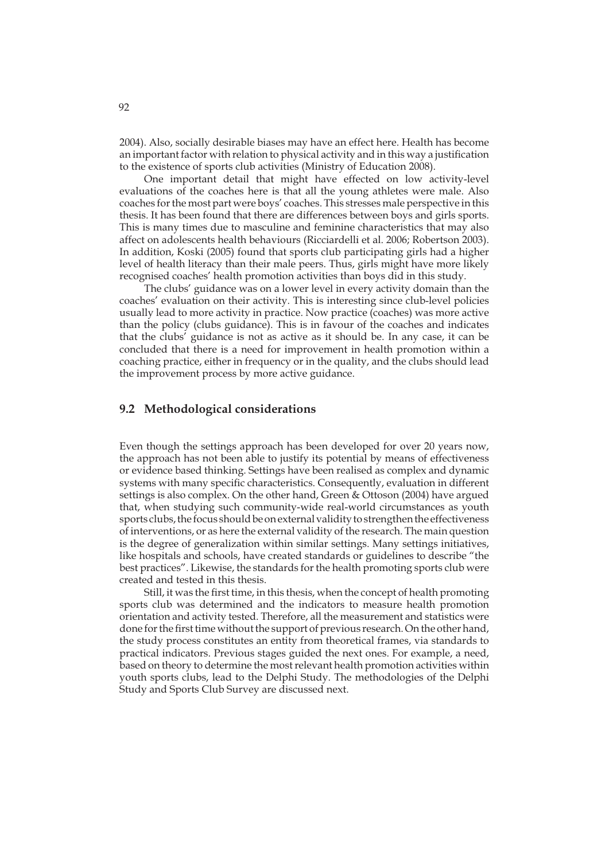2004). Also, socially desirable biases may have an effect here. Health has become an important factor with relation to physical activity and in this way a justification to the existence of sports club activities (Ministry of Education 2008).

One important detail that might have effected on low activity-level evaluations of the coaches here is that all the young athletes were male. Also coaches for the most part were boys' coaches. This stresses male perspective in this thesis. It has been found that there are differences between boys and girls sports. This is many times due to masculine and feminine characteristics that may also affect on adolescents health behaviours (Ricciardelli et al. 2006; Robertson 2003). In addition, Koski (2005) found that sports club participating girls had a higher level of health literacy than their male peers. Thus, girls might have more likely recognised coaches' health promotion activities than boys did in this study.

The clubs' guidance was on a lower level in every activity domain than the coaches' evaluation on their activity. This is interesting since club-level policies usually lead to more activity in practice. Now practice (coaches) was more active than the policy (clubs guidance). This is in favour of the coaches and indicates that the clubs' guidance is not as active as it should be. In any case, it can be concluded that there is a need for improvement in health promotion within a coaching practice, either in frequency or in the quality, and the clubs should lead the improvement process by more active guidance.

## **9.2 Methodological considerations**

Even though the settings approach has been developed for over 20 years now, the approach has not been able to justify its potential by means of effectiveness or evidence based thinking. Settings have been realised as complex and dynamic systems with many specific characteristics. Consequently, evaluation in different settings is also complex. On the other hand, Green & Ottoson (2004) have argued that, when studying such community-wide real-world circumstances as youth sports clubs, the focus should be on external validity to strengthen the effectiveness of interventions, or as here the external validity of the research. The main question is the degree of generalization within similar settings. Many settings initiatives, like hospitals and schools, have created standards or guidelines to describe "the best practices". Likewise, the standards for the health promoting sports club were created and tested in this thesis.

Still, it was the first time, in this thesis, when the concept of health promoting sports club was determined and the indicators to measure health promotion orientation and activity tested. Therefore, all the measurement and statistics were done for the first time without the support of previous research. On the other hand, the study process constitutes an entity from theoretical frames, via standards to practical indicators. Previous stages guided the next ones. For example, a need, based on theory to determine the most relevant health promotion activities within youth sports clubs, lead to the Delphi Study. The methodologies of the Delphi Study and Sports Club Survey are discussed next.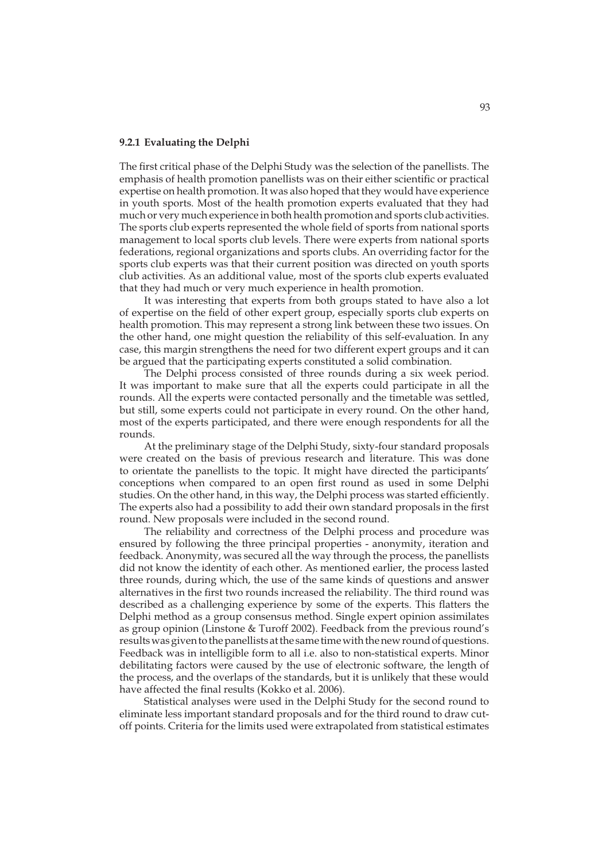### **9.2.1 Evaluating the Delphi**

The first critical phase of the Delphi Study was the selection of the panellists. The emphasis of health promotion panellists was on their either scientific or practical expertise on health promotion. It was also hoped that they would have experience in youth sports. Most of the health promotion experts evaluated that they had much or very much experience in both health promotion and sports club activities. The sports club experts represented the whole field of sports from national sports management to local sports club levels. There were experts from national sports federations, regional organizations and sports clubs. An overriding factor for the sports club experts was that their current position was directed on youth sports club activities. As an additional value, most of the sports club experts evaluated that they had much or very much experience in health promotion.

It was interesting that experts from both groups stated to have also a lot of expertise on the field of other expert group, especially sports club experts on health promotion. This may represent a strong link between these two issues. On the other hand, one might question the reliability of this self-evaluation. In any case, this margin strengthens the need for two different expert groups and it can be argued that the participating experts constituted a solid combination.

The Delphi process consisted of three rounds during a six week period. It was important to make sure that all the experts could participate in all the rounds. All the experts were contacted personally and the timetable was settled, but still, some experts could not participate in every round. On the other hand, most of the experts participated, and there were enough respondents for all the rounds.

At the preliminary stage of the Delphi Study, sixty-four standard proposals were created on the basis of previous research and literature. This was done to orientate the panellists to the topic. It might have directed the participants' conceptions when compared to an open first round as used in some Delphi studies. On the other hand, in this way, the Delphi process was started efficiently. The experts also had a possibility to add their own standard proposals in the first round. New proposals were included in the second round.

The reliability and correctness of the Delphi process and procedure was ensured by following the three principal properties - anonymity, iteration and feedback. Anonymity, was secured all the way through the process, the panellists did not know the identity of each other. As mentioned earlier, the process lasted three rounds, during which, the use of the same kinds of questions and answer alternatives in the first two rounds increased the reliability. The third round was described as a challenging experience by some of the experts. This flatters the Delphi method as a group consensus method. Single expert opinion assimilates as group opinion (Linstone & Turoff 2002). Feedback from the previous round's results was given to the panellists at the same time with the new round of questions. Feedback was in intelligible form to all i.e. also to non-statistical experts. Minor debilitating factors were caused by the use of electronic software, the length of the process, and the overlaps of the standards, but it is unlikely that these would have affected the final results (Kokko et al. 2006).

Statistical analyses were used in the Delphi Study for the second round to eliminate less important standard proposals and for the third round to draw cutoff points. Criteria for the limits used were extrapolated from statistical estimates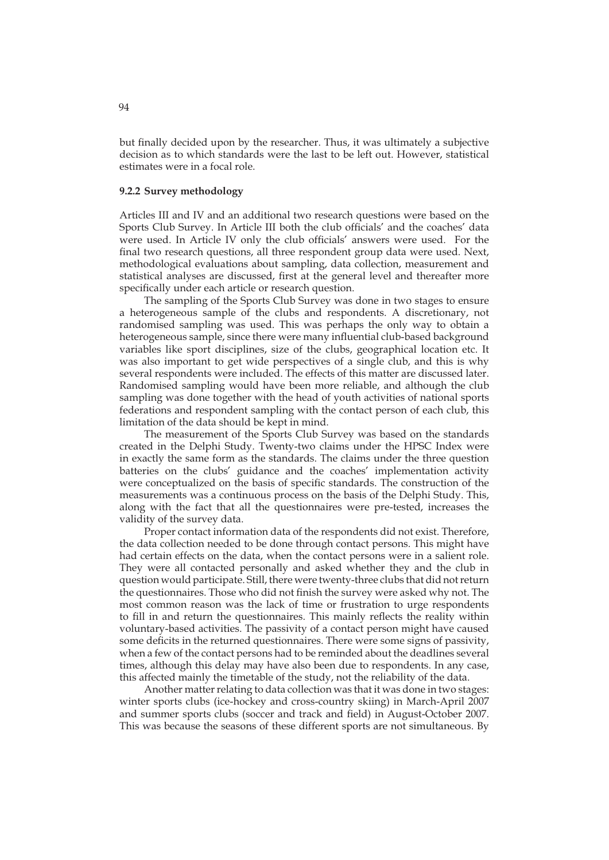but finally decided upon by the researcher. Thus, it was ultimately a subjective decision as to which standards were the last to be left out. However, statistical estimates were in a focal role.

### **9.2.2 Survey methodology**

Articles III and IV and an additional two research questions were based on the Sports Club Survey. In Article III both the club officials' and the coaches' data were used. In Article IV only the club officials' answers were used. For the final two research questions, all three respondent group data were used. Next, methodological evaluations about sampling, data collection, measurement and statistical analyses are discussed, first at the general level and thereafter more specifically under each article or research question.

The sampling of the Sports Club Survey was done in two stages to ensure a heterogeneous sample of the clubs and respondents. A discretionary, not randomised sampling was used. This was perhaps the only way to obtain a heterogeneous sample, since there were many influential club-based background variables like sport disciplines, size of the clubs, geographical location etc. It was also important to get wide perspectives of a single club, and this is why several respondents were included. The effects of this matter are discussed later. Randomised sampling would have been more reliable, and although the club sampling was done together with the head of youth activities of national sports federations and respondent sampling with the contact person of each club, this limitation of the data should be kept in mind.

The measurement of the Sports Club Survey was based on the standards created in the Delphi Study. Twenty-two claims under the HPSC Index were in exactly the same form as the standards. The claims under the three question batteries on the clubs' guidance and the coaches' implementation activity were conceptualized on the basis of specific standards. The construction of the measurements was a continuous process on the basis of the Delphi Study. This, along with the fact that all the questionnaires were pre-tested, increases the validity of the survey data.

Proper contact information data of the respondents did not exist. Therefore, the data collection needed to be done through contact persons. This might have had certain effects on the data, when the contact persons were in a salient role. They were all contacted personally and asked whether they and the club in question would participate. Still, there were twenty-three clubs that did not return the questionnaires. Those who did not finish the survey were asked why not. The most common reason was the lack of time or frustration to urge respondents to fill in and return the questionnaires. This mainly reflects the reality within voluntary-based activities. The passivity of a contact person might have caused some deficits in the returned questionnaires. There were some signs of passivity, when a few of the contact persons had to be reminded about the deadlines several times, although this delay may have also been due to respondents. In any case, this affected mainly the timetable of the study, not the reliability of the data.

Another matter relating to data collection was that it was done in two stages: winter sports clubs (ice-hockey and cross-country skiing) in March-April 2007 and summer sports clubs (soccer and track and field) in August-October 2007. This was because the seasons of these different sports are not simultaneous. By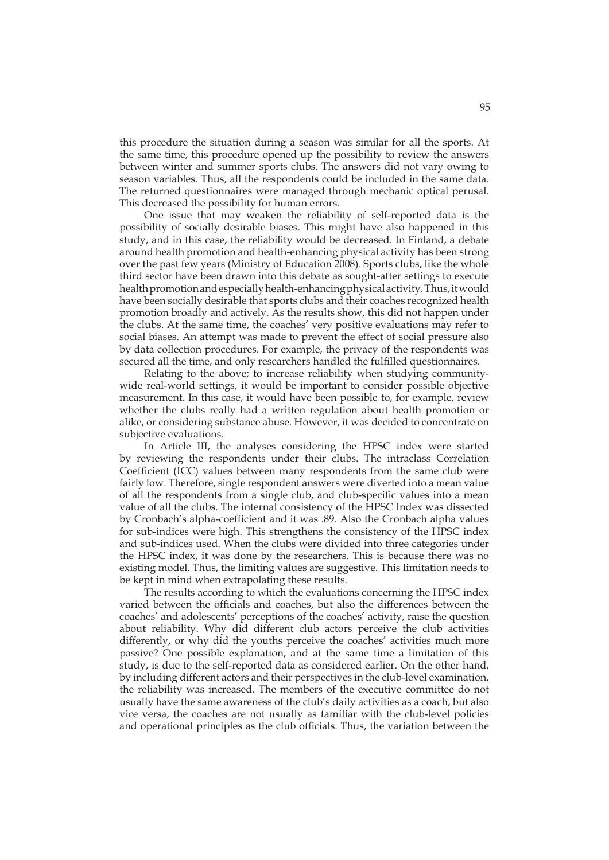this procedure the situation during a season was similar for all the sports. At the same time, this procedure opened up the possibility to review the answers between winter and summer sports clubs. The answers did not vary owing to season variables. Thus, all the respondents could be included in the same data. The returned questionnaires were managed through mechanic optical perusal. This decreased the possibility for human errors.

One issue that may weaken the reliability of self-reported data is the possibility of socially desirable biases. This might have also happened in this study, and in this case, the reliability would be decreased. In Finland, a debate around health promotion and health-enhancing physical activity has been strong over the past few years (Ministry of Education 2008). Sports clubs, like the whole third sector have been drawn into this debate as sought-after settings to execute health promotion and especially health-enhancing physical activity. Thus, it would have been socially desirable that sports clubs and their coaches recognized health promotion broadly and actively. As the results show, this did not happen under the clubs. At the same time, the coaches' very positive evaluations may refer to social biases. An attempt was made to prevent the effect of social pressure also by data collection procedures. For example, the privacy of the respondents was secured all the time, and only researchers handled the fulfilled questionnaires.

Relating to the above; to increase reliability when studying communitywide real-world settings, it would be important to consider possible objective measurement. In this case, it would have been possible to, for example, review whether the clubs really had a written regulation about health promotion or alike, or considering substance abuse. However, it was decided to concentrate on subjective evaluations.

In Article III, the analyses considering the HPSC index were started by reviewing the respondents under their clubs. The intraclass Correlation Coefficient (ICC) values between many respondents from the same club were fairly low. Therefore, single respondent answers were diverted into a mean value of all the respondents from a single club, and club-specific values into a mean value of all the clubs. The internal consistency of the HPSC Index was dissected by Cronbach's alpha-coefficient and it was .89. Also the Cronbach alpha values for sub-indices were high. This strengthens the consistency of the HPSC index and sub-indices used. When the clubs were divided into three categories under the HPSC index, it was done by the researchers. This is because there was no existing model. Thus, the limiting values are suggestive. This limitation needs to be kept in mind when extrapolating these results.

The results according to which the evaluations concerning the HPSC index varied between the officials and coaches, but also the differences between the coaches' and adolescents' perceptions of the coaches' activity, raise the question about reliability. Why did different club actors perceive the club activities differently, or why did the youths perceive the coaches' activities much more passive? One possible explanation, and at the same time a limitation of this study, is due to the self-reported data as considered earlier. On the other hand, by including different actors and their perspectives in the club-level examination, the reliability was increased. The members of the executive committee do not usually have the same awareness of the club's daily activities as a coach, but also vice versa, the coaches are not usually as familiar with the club-level policies and operational principles as the club officials. Thus, the variation between the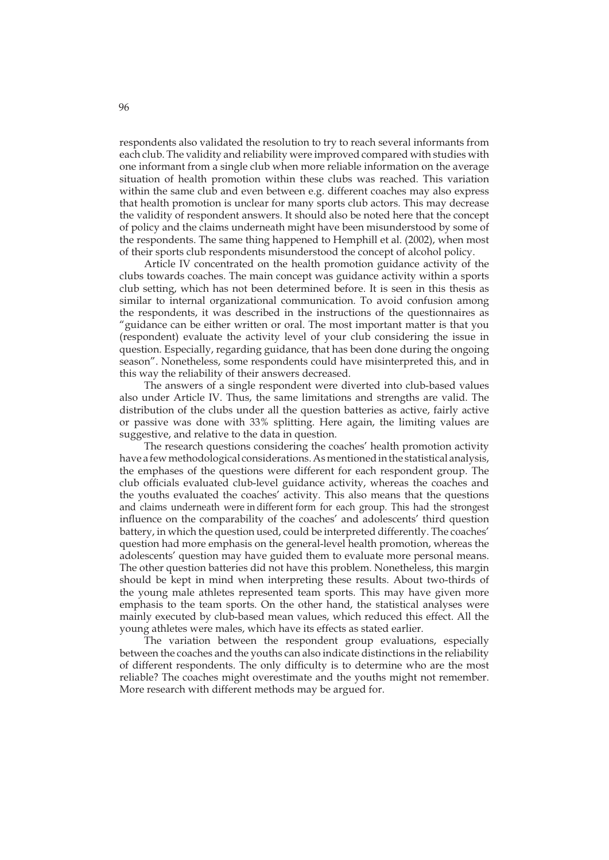respondents also validated the resolution to try to reach several informants from each club. The validity and reliability were improved compared with studies with one informant from a single club when more reliable information on the average situation of health promotion within these clubs was reached. This variation within the same club and even between e.g. different coaches may also express that health promotion is unclear for many sports club actors. This may decrease the validity of respondent answers. It should also be noted here that the concept of policy and the claims underneath might have been misunderstood by some of the respondents. The same thing happened to Hemphill et al. (2002), when most of their sports club respondents misunderstood the concept of alcohol policy.

Article IV concentrated on the health promotion guidance activity of the clubs towards coaches. The main concept was guidance activity within a sports club setting, which has not been determined before. It is seen in this thesis as similar to internal organizational communication. To avoid confusion among the respondents, it was described in the instructions of the questionnaires as "guidance can be either written or oral. The most important matter is that you (respondent) evaluate the activity level of your club considering the issue in question. Especially, regarding guidance, that has been done during the ongoing season". Nonetheless, some respondents could have misinterpreted this, and in this way the reliability of their answers decreased.

The answers of a single respondent were diverted into club-based values also under Article IV. Thus, the same limitations and strengths are valid. The distribution of the clubs under all the question batteries as active, fairly active or passive was done with 33% splitting. Here again, the limiting values are suggestive, and relative to the data in question.

The research questions considering the coaches' health promotion activity have a few methodological considerations. As mentioned in the statistical analysis, the emphases of the questions were different for each respondent group. The club officials evaluated club-level guidance activity, whereas the coaches and the youths evaluated the coaches' activity. This also means that the questions and claims underneath were in different form for each group. This had the strongest influence on the comparability of the coaches' and adolescents' third question battery, in which the question used, could be interpreted differently. The coaches' question had more emphasis on the general-level health promotion, whereas the adolescents' question may have guided them to evaluate more personal means. The other question batteries did not have this problem. Nonetheless, this margin should be kept in mind when interpreting these results. About two-thirds of the young male athletes represented team sports. This may have given more emphasis to the team sports. On the other hand, the statistical analyses were mainly executed by club-based mean values, which reduced this effect. All the young athletes were males, which have its effects as stated earlier.

The variation between the respondent group evaluations, especially between the coaches and the youths can also indicate distinctions in the reliability of different respondents. The only difficulty is to determine who are the most reliable? The coaches might overestimate and the youths might not remember. More research with different methods may be argued for.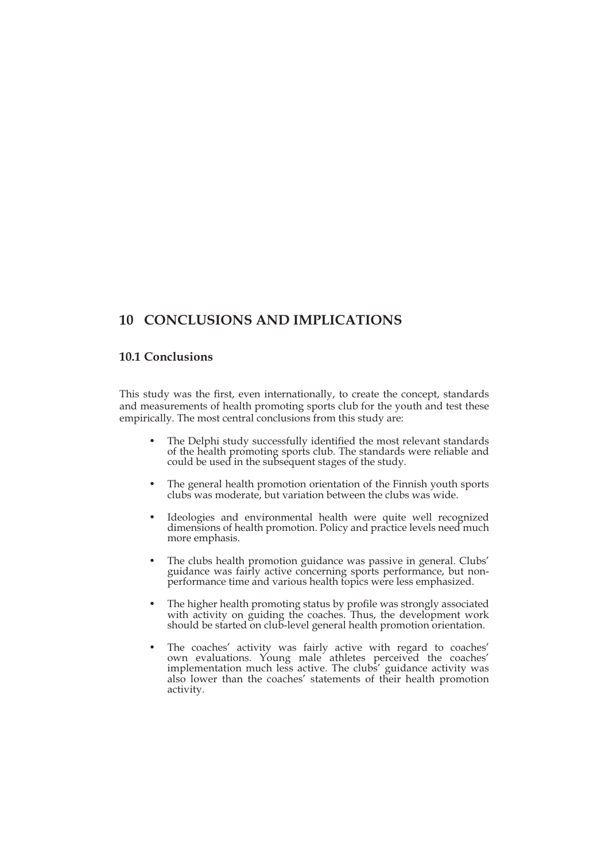# **10 CONCLUSIONS AND IMPLICATIONS**

## **10.1 Conclusions**

This study was the first, even internationally, to create the concept, standards and measurements of health promoting sports club for the youth and test these empirically. The most central conclusions from this study are:

- The Delphi study successfully identified the most relevant standards of the health promoting sports club. The standards were reliable and could be used in the subsequent stages of the study.
- The general health promotion orientation of the Finnish youth sports clubs was moderate, but variation between the clubs was wide.
- Ideologies and environmental health were quite well recognized dimensions of health promotion. Policy and practice levels need much more emphasis.
- The clubs health promotion guidance was passive in general. Clubs' guidance was fairly active concerning sports performance, but nonperformance time and various health topics were less emphasized.
- The higher health promoting status by profile was strongly associated with activity on guiding the coaches. Thus, the development work should be started on club-level general health promotion orientation.
- The coaches' activity was fairly active with regard to coaches' own evaluations. Young male athletes perceived the coaches' implementation much less active. The clubs' guidance activity was also lower than the coaches' statements of their health promotion activity.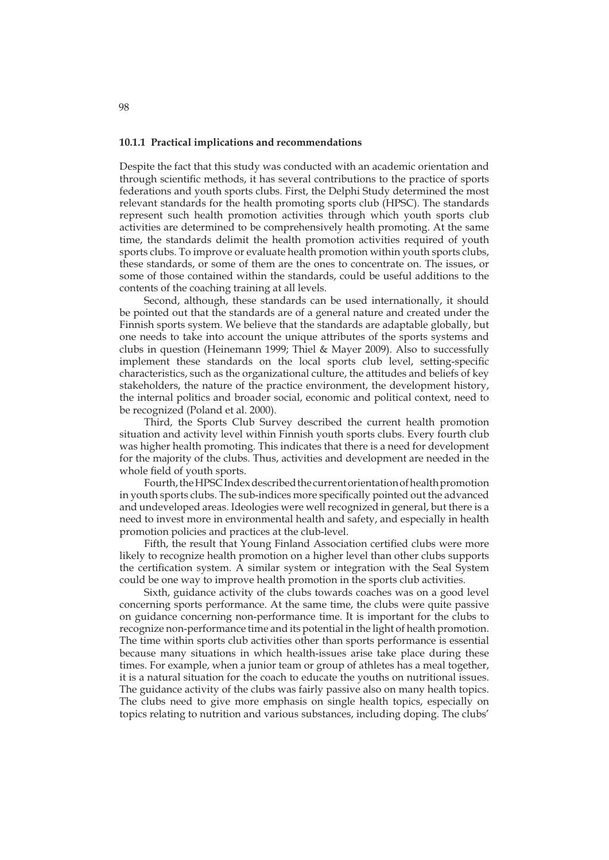### **10.1.1 Practical implications and recommendations**

Despite the fact that this study was conducted with an academic orientation and through scientific methods, it has several contributions to the practice of sports federations and youth sports clubs. First, the Delphi Study determined the most relevant standards for the health promoting sports club (HPSC). The standards represent such health promotion activities through which youth sports club activities are determined to be comprehensively health promoting. At the same time, the standards delimit the health promotion activities required of youth sports clubs. To improve or evaluate health promotion within youth sports clubs, these standards, or some of them are the ones to concentrate on. The issues, or some of those contained within the standards, could be useful additions to the contents of the coaching training at all levels.

Second, although, these standards can be used internationally, it should be pointed out that the standards are of a general nature and created under the Finnish sports system. We believe that the standards are adaptable globally, but one needs to take into account the unique attributes of the sports systems and clubs in question (Heinemann 1999; Thiel & Mayer 2009). Also to successfully implement these standards on the local sports club level, setting-specific characteristics, such as the organizational culture, the attitudes and beliefs of key stakeholders, the nature of the practice environment, the development history, the internal politics and broader social, economic and political context, need to be recognized (Poland et al. 2000).

Third, the Sports Club Survey described the current health promotion situation and activity level within Finnish youth sports clubs. Every fourth club was higher health promoting. This indicates that there is a need for development for the majority of the clubs. Thus, activities and development are needed in the whole field of youth sports.

Fourth, the HPSC Index described the current orientation of health promotion in youth sports clubs. The sub-indices more specifically pointed out the advanced and undeveloped areas. Ideologies were well recognized in general, but there is a need to invest more in environmental health and safety, and especially in health promotion policies and practices at the club-level.

Fifth, the result that Young Finland Association certified clubs were more likely to recognize health promotion on a higher level than other clubs supports the certification system. A similar system or integration with the Seal System could be one way to improve health promotion in the sports club activities.

Sixth, guidance activity of the clubs towards coaches was on a good level concerning sports performance. At the same time, the clubs were quite passive on guidance concerning non-performance time. It is important for the clubs to recognize non-performance time and its potential in the light of health promotion. The time within sports club activities other than sports performance is essential because many situations in which health-issues arise take place during these times. For example, when a junior team or group of athletes has a meal together, it is a natural situation for the coach to educate the youths on nutritional issues. The guidance activity of the clubs was fairly passive also on many health topics. The clubs need to give more emphasis on single health topics, especially on topics relating to nutrition and various substances, including doping. The clubs'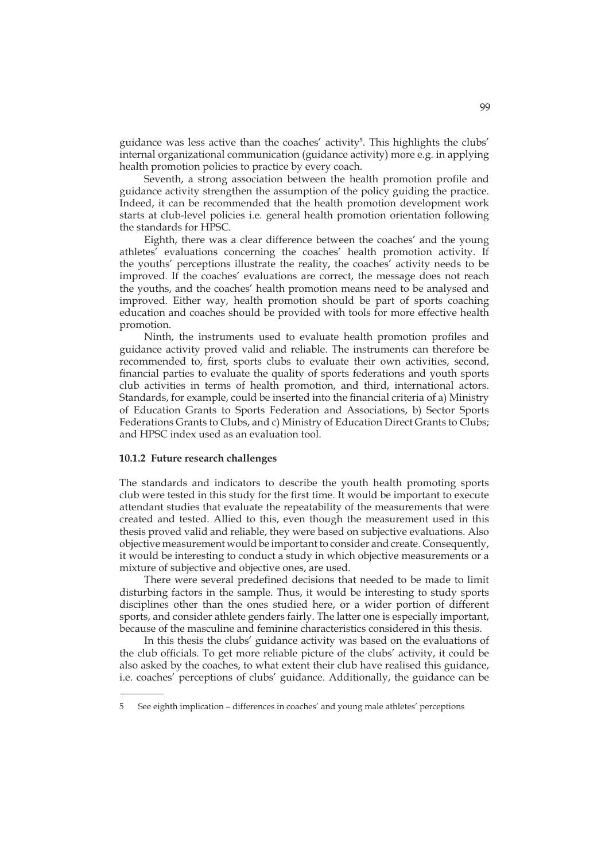guidance was less active than the coaches' activity<sup>5</sup>. This highlights the clubs' internal organizational communication (guidance activity) more e.g. in applying health promotion policies to practice by every coach.

Seventh, a strong association between the health promotion profile and guidance activity strengthen the assumption of the policy guiding the practice. Indeed, it can be recommended that the health promotion development work starts at club-level policies i.e. general health promotion orientation following the standards for HPSC.

Eighth, there was a clear difference between the coaches' and the young athletes' evaluations concerning the coaches' health promotion activity. If the youths' perceptions illustrate the reality, the coaches' activity needs to be improved. If the coaches' evaluations are correct, the message does not reach the youths, and the coaches' health promotion means need to be analysed and improved. Either way, health promotion should be part of sports coaching education and coaches should be provided with tools for more effective health promotion.

Ninth, the instruments used to evaluate health promotion profiles and guidance activity proved valid and reliable. The instruments can therefore be recommended to, first, sports clubs to evaluate their own activities, second, financial parties to evaluate the quality of sports federations and youth sports club activities in terms of health promotion, and third, international actors. Standards, for example, could be inserted into the financial criteria of a) Ministry of Education Grants to Sports Federation and Associations, b) Sector Sports Federations Grants to Clubs, and c) Ministry of Education Direct Grants to Clubs; and HPSC index used as an evaluation tool.

### **10.1.2 Future research challenges**

The standards and indicators to describe the youth health promoting sports club were tested in this study for the first time. It would be important to execute attendant studies that evaluate the repeatability of the measurements that were created and tested. Allied to this, even though the measurement used in this thesis proved valid and reliable, they were based on subjective evaluations. Also objective measurement would be important to consider and create. Consequently, it would be interesting to conduct a study in which objective measurements or a mixture of subjective and objective ones, are used.

There were several predefined decisions that needed to be made to limit disturbing factors in the sample. Thus, it would be interesting to study sports disciplines other than the ones studied here, or a wider portion of different sports, and consider athlete genders fairly. The latter one is especially important, because of the masculine and feminine characteristics considered in this thesis.

In this thesis the clubs' guidance activity was based on the evaluations of the club officials. To get more reliable picture of the clubs' activity, it could be also asked by the coaches, to what extent their club have realised this guidance, i.e. coaches' perceptions of clubs' guidance. Additionally, the guidance can be

<sup>5</sup> See eighth implication – differences in coaches' and young male athletes' perceptions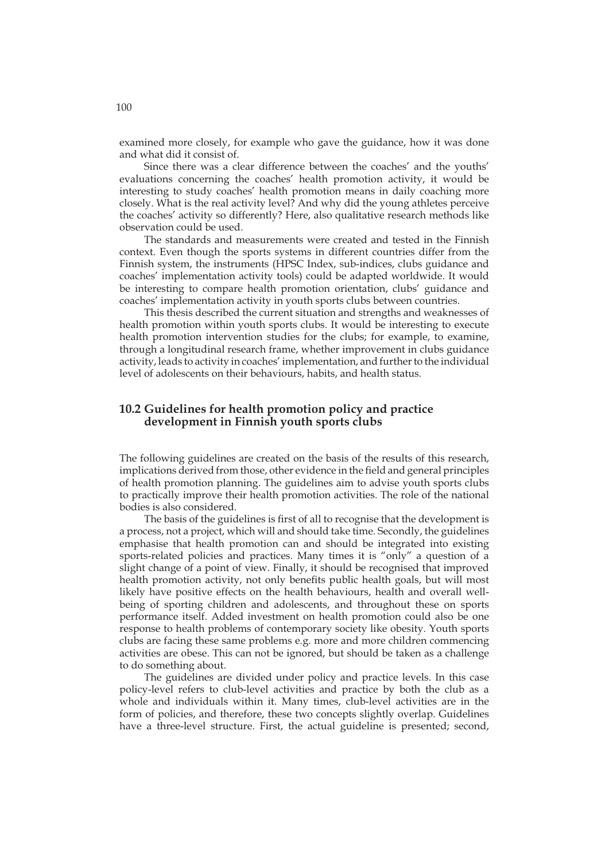examined more closely, for example who gave the guidance, how it was done and what did it consist of.

Since there was a clear difference between the coaches' and the youths' evaluations concerning the coaches' health promotion activity, it would be interesting to study coaches' health promotion means in daily coaching more closely. What is the real activity level? And why did the young athletes perceive the coaches' activity so differently? Here, also qualitative research methods like observation could be used.

The standards and measurements were created and tested in the Finnish context. Even though the sports systems in different countries differ from the Finnish system, the instruments (HPSC Index, sub-indices, clubs guidance and coaches' implementation activity tools) could be adapted worldwide. It would be interesting to compare health promotion orientation, clubs' guidance and coaches' implementation activity in youth sports clubs between countries.

This thesis described the current situation and strengths and weaknesses of health promotion within youth sports clubs. It would be interesting to execute health promotion intervention studies for the clubs; for example, to examine, through a longitudinal research frame, whether improvement in clubs guidance activity, leads to activity in coaches' implementation, and further to the individual level of adolescents on their behaviours, habits, and health status.

## **10.2 Guidelines for health promotion policy and practice development in Finnish youth sports clubs**

The following guidelines are created on the basis of the results of this research, implications derived from those, other evidence in the field and general principles of health promotion planning. The guidelines aim to advise youth sports clubs to practically improve their health promotion activities. The role of the national bodies is also considered.

The basis of the guidelines is first of all to recognise that the development is a process, not a project, which will and should take time. Secondly, the guidelines emphasise that health promotion can and should be integrated into existing sports-related policies and practices. Many times it is "only" a question of a slight change of a point of view. Finally, it should be recognised that improved health promotion activity, not only benefits public health goals, but will most likely have positive effects on the health behaviours, health and overall wellbeing of sporting children and adolescents, and throughout these on sports performance itself. Added investment on health promotion could also be one response to health problems of contemporary society like obesity. Youth sports clubs are facing these same problems e.g. more and more children commencing activities are obese. This can not be ignored, but should be taken as a challenge to do something about.

The guidelines are divided under policy and practice levels. In this case policy-level refers to club-level activities and practice by both the club as a whole and individuals within it. Many times, club-level activities are in the form of policies, and therefore, these two concepts slightly overlap. Guidelines have a three-level structure. First, the actual guideline is presented; second,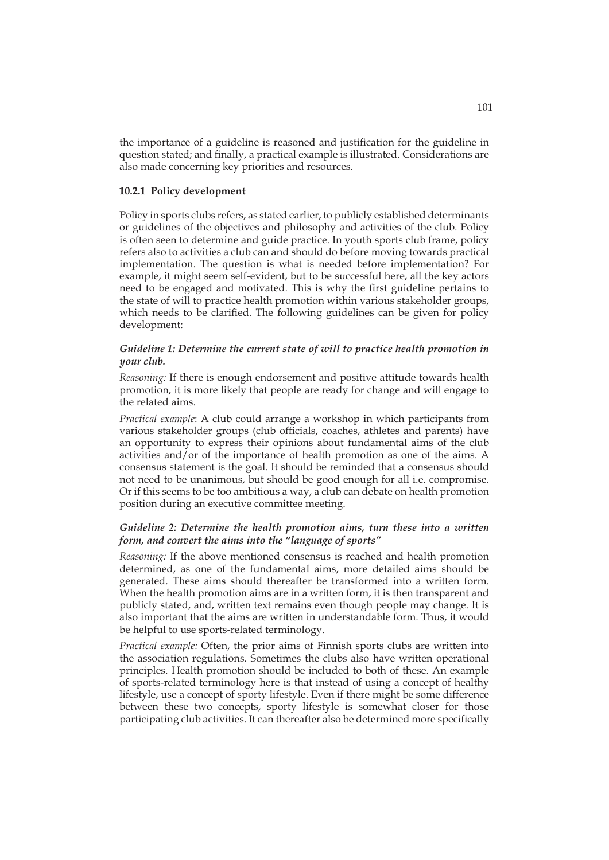the importance of a guideline is reasoned and justification for the guideline in question stated; and finally, a practical example is illustrated. Considerations are also made concerning key priorities and resources.

### **10.2.1 Policy development**

Policy in sports clubs refers, as stated earlier, to publicly established determinants or guidelines of the objectives and philosophy and activities of the club. Policy is often seen to determine and guide practice. In youth sports club frame, policy refers also to activities a club can and should do before moving towards practical implementation. The question is what is needed before implementation? For example, it might seem self-evident, but to be successful here, all the key actors need to be engaged and motivated. This is why the first guideline pertains to the state of will to practice health promotion within various stakeholder groups, which needs to be clarified. The following guidelines can be given for policy development:

## *Guideline 1: Determine the current state of will to practice health promotion in your club.*

*Reasoning:* If there is enough endorsement and positive attitude towards health promotion, it is more likely that people are ready for change and will engage to the related aims.

*Practical example*: A club could arrange a workshop in which participants from various stakeholder groups (club officials, coaches, athletes and parents) have an opportunity to express their opinions about fundamental aims of the club activities and/or of the importance of health promotion as one of the aims. A consensus statement is the goal. It should be reminded that a consensus should not need to be unanimous, but should be good enough for all i.e. compromise. Or if this seems to be too ambitious a way, a club can debate on health promotion position during an executive committee meeting.

## *Guideline 2: Determine the health promotion aims, turn these into a written form, and convert the aims into the "language of sports"*

*Reasoning:* If the above mentioned consensus is reached and health promotion determined, as one of the fundamental aims, more detailed aims should be generated. These aims should thereafter be transformed into a written form. When the health promotion aims are in a written form, it is then transparent and publicly stated, and, written text remains even though people may change. It is also important that the aims are written in understandable form. Thus, it would be helpful to use sports-related terminology.

*Practical example:* Often, the prior aims of Finnish sports clubs are written into the association regulations. Sometimes the clubs also have written operational principles. Health promotion should be included to both of these. An example of sports-related terminology here is that instead of using a concept of healthy lifestyle, use a concept of sporty lifestyle. Even if there might be some difference between these two concepts, sporty lifestyle is somewhat closer for those participating club activities. It can thereafter also be determined more specifically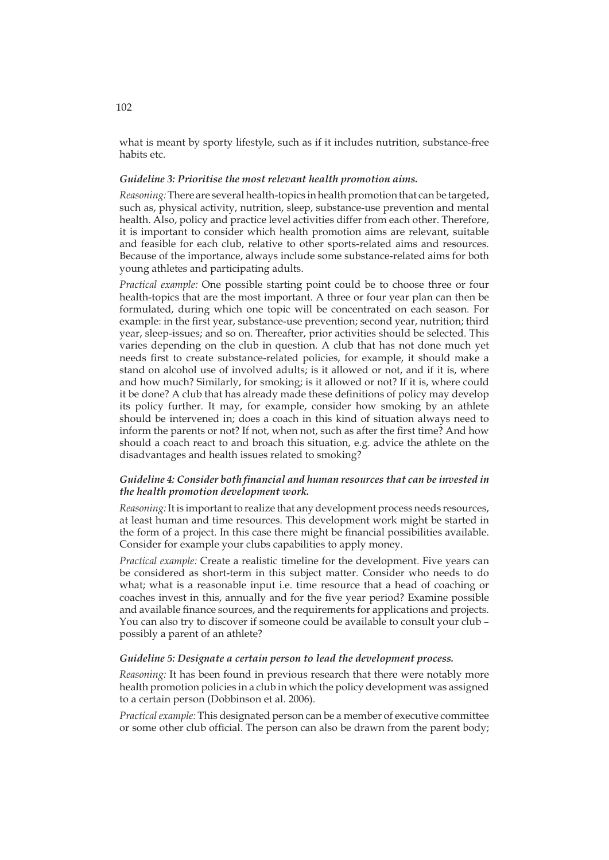what is meant by sporty lifestyle, such as if it includes nutrition, substance-free habits etc.

### *Guideline 3: Prioritise the most relevant health promotion aims.*

*Reasoning:* There are several health-topics in health promotion that can be targeted, such as, physical activity, nutrition, sleep, substance-use prevention and mental health. Also, policy and practice level activities differ from each other. Therefore, it is important to consider which health promotion aims are relevant, suitable and feasible for each club, relative to other sports-related aims and resources. Because of the importance, always include some substance-related aims for both young athletes and participating adults.

*Practical example:* One possible starting point could be to choose three or four health-topics that are the most important. A three or four year plan can then be formulated, during which one topic will be concentrated on each season. For example: in the first year, substance-use prevention; second year, nutrition; third year, sleep-issues; and so on. Thereafter, prior activities should be selected. This varies depending on the club in question. A club that has not done much yet needs first to create substance-related policies, for example, it should make a stand on alcohol use of involved adults; is it allowed or not, and if it is, where and how much? Similarly, for smoking; is it allowed or not? If it is, where could it be done? A club that has already made these definitions of policy may develop its policy further. It may, for example, consider how smoking by an athlete should be intervened in; does a coach in this kind of situation always need to inform the parents or not? If not, when not, such as after the first time? And how should a coach react to and broach this situation, e.g. advice the athlete on the disadvantages and health issues related to smoking?

### *Guideline 4: Consider both financial and human resources that can be invested in the health promotion development work.*

*Reasoning:* It is important to realize that any development process needs resources, at least human and time resources. This development work might be started in the form of a project. In this case there might be financial possibilities available. Consider for example your clubs capabilities to apply money.

*Practical example:* Create a realistic timeline for the development. Five years can be considered as short-term in this subject matter. Consider who needs to do what; what is a reasonable input i.e. time resource that a head of coaching or coaches invest in this, annually and for the five year period? Examine possible and available finance sources, and the requirements for applications and projects. You can also try to discover if someone could be available to consult your club – possibly a parent of an athlete?

### *Guideline 5: Designate a certain person to lead the development process.*

*Reasoning:* It has been found in previous research that there were notably more health promotion policies in a club in which the policy development was assigned to a certain person (Dobbinson et al. 2006).

*Practical example:* This designated person can be a member of executive committee or some other club official. The person can also be drawn from the parent body;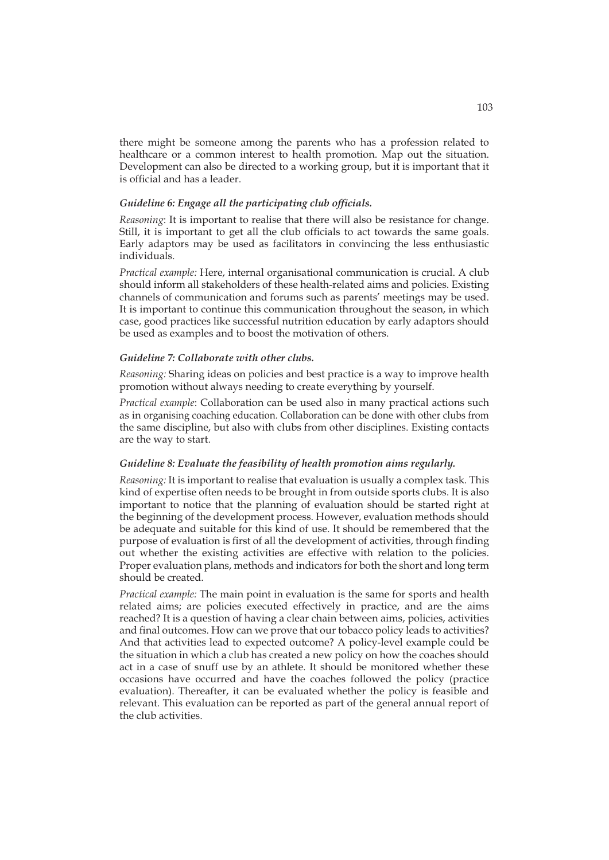there might be someone among the parents who has a profession related to healthcare or a common interest to health promotion. Map out the situation. Development can also be directed to a working group, but it is important that it is official and has a leader.

### *Guideline 6: Engage all the participating club officials.*

*Reasoning*: It is important to realise that there will also be resistance for change. Still, it is important to get all the club officials to act towards the same goals. Early adaptors may be used as facilitators in convincing the less enthusiastic individuals.

*Practical example:* Here, internal organisational communication is crucial. A club should inform all stakeholders of these health-related aims and policies. Existing channels of communication and forums such as parents' meetings may be used. It is important to continue this communication throughout the season, in which case, good practices like successful nutrition education by early adaptors should be used as examples and to boost the motivation of others.

### *Guideline 7: Collaborate with other clubs.*

*Reasoning:* Sharing ideas on policies and best practice is a way to improve health promotion without always needing to create everything by yourself.

*Practical example*: Collaboration can be used also in many practical actions such as in organising coaching education. Collaboration can be done with other clubs from the same discipline, but also with clubs from other disciplines. Existing contacts are the way to start.

### *Guideline 8: Evaluate the feasibility of health promotion aims regularly.*

*Reasoning:* It is important to realise that evaluation is usually a complex task. This kind of expertise often needs to be brought in from outside sports clubs. It is also important to notice that the planning of evaluation should be started right at the beginning of the development process. However, evaluation methods should be adequate and suitable for this kind of use. It should be remembered that the purpose of evaluation is first of all the development of activities, through finding out whether the existing activities are effective with relation to the policies. Proper evaluation plans, methods and indicators for both the short and long term should be created.

*Practical example:* The main point in evaluation is the same for sports and health related aims; are policies executed effectively in practice, and are the aims reached? It is a question of having a clear chain between aims, policies, activities and final outcomes. How can we prove that our tobacco policy leads to activities? And that activities lead to expected outcome? A policy-level example could be the situation in which a club has created a new policy on how the coaches should act in a case of snuff use by an athlete. It should be monitored whether these occasions have occurred and have the coaches followed the policy (practice evaluation). Thereafter, it can be evaluated whether the policy is feasible and relevant. This evaluation can be reported as part of the general annual report of the club activities.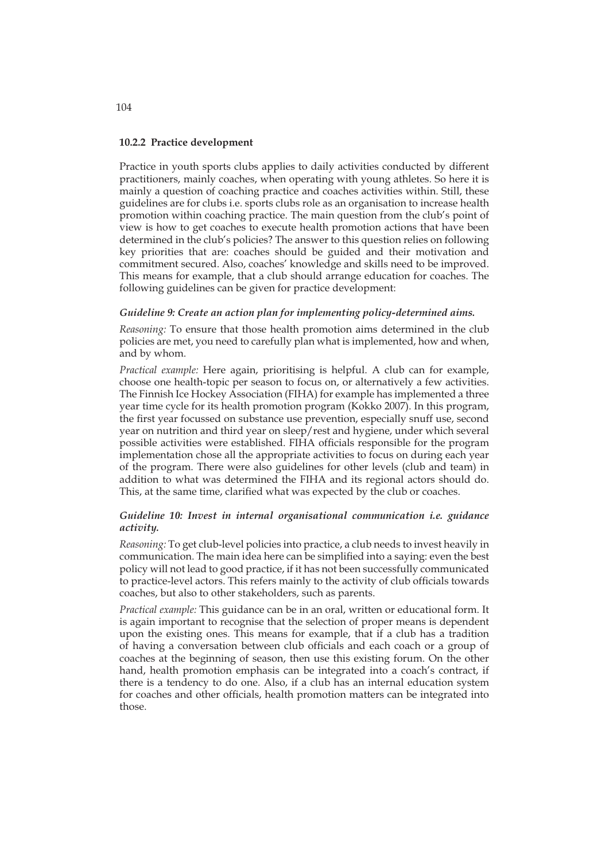### **10.2.2 Practice development**

Practice in youth sports clubs applies to daily activities conducted by different practitioners, mainly coaches, when operating with young athletes. So here it is mainly a question of coaching practice and coaches activities within. Still, these guidelines are for clubs i.e. sports clubs role as an organisation to increase health promotion within coaching practice. The main question from the club's point of view is how to get coaches to execute health promotion actions that have been determined in the club's policies? The answer to this question relies on following key priorities that are: coaches should be guided and their motivation and commitment secured. Also, coaches' knowledge and skills need to be improved. This means for example, that a club should arrange education for coaches. The following guidelines can be given for practice development:

### *Guideline 9: Create an action plan for implementing policy-determined aims.*

*Reasoning:* To ensure that those health promotion aims determined in the club policies are met, you need to carefully plan what is implemented, how and when, and by whom.

*Practical example:* Here again, prioritising is helpful. A club can for example, choose one health-topic per season to focus on, or alternatively a few activities. The Finnish Ice Hockey Association (FIHA) for example has implemented a three year time cycle for its health promotion program (Kokko 2007). In this program, the first year focussed on substance use prevention, especially snuff use, second year on nutrition and third year on sleep/rest and hygiene, under which several possible activities were established. FIHA officials responsible for the program implementation chose all the appropriate activities to focus on during each year of the program. There were also guidelines for other levels (club and team) in addition to what was determined the FIHA and its regional actors should do. This, at the same time, clarified what was expected by the club or coaches.

## *Guideline 10: Invest in internal organisational communication i.e. guidance activity.*

*Reasoning:* To get club-level policies into practice, a club needs to invest heavily in communication. The main idea here can be simplified into a saying: even the best policy will not lead to good practice, if it has not been successfully communicated to practice-level actors. This refers mainly to the activity of club officials towards coaches, but also to other stakeholders, such as parents.

*Practical example:* This guidance can be in an oral, written or educational form. It is again important to recognise that the selection of proper means is dependent upon the existing ones. This means for example, that if a club has a tradition of having a conversation between club officials and each coach or a group of coaches at the beginning of season, then use this existing forum. On the other hand, health promotion emphasis can be integrated into a coach's contract, if there is a tendency to do one. Also, if a club has an internal education system for coaches and other officials, health promotion matters can be integrated into those.

104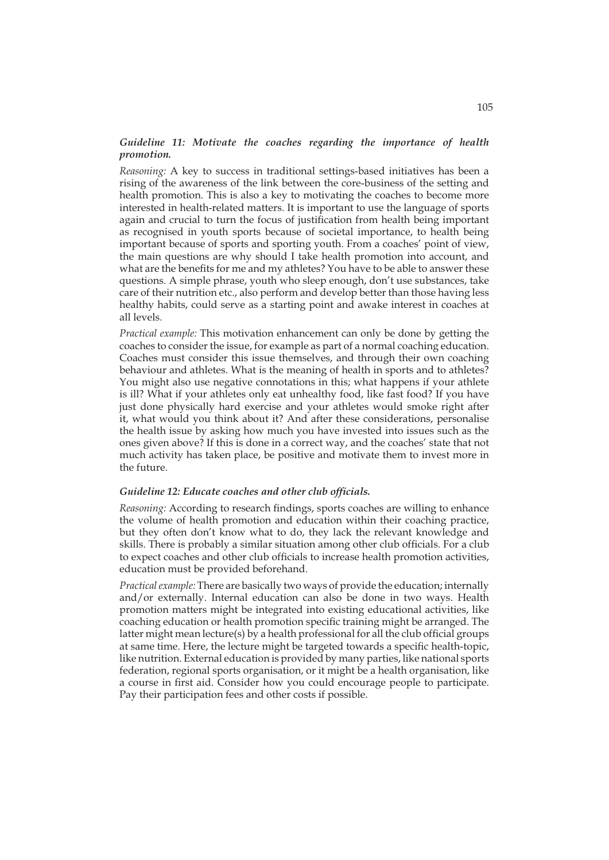## *Guideline 11: Motivate the coaches regarding the importance of health promotion.*

*Reasoning:* A key to success in traditional settings-based initiatives has been a rising of the awareness of the link between the core-business of the setting and health promotion. This is also a key to motivating the coaches to become more interested in health-related matters. It is important to use the language of sports again and crucial to turn the focus of justification from health being important as recognised in youth sports because of societal importance, to health being important because of sports and sporting youth. From a coaches' point of view, the main questions are why should I take health promotion into account, and what are the benefits for me and my athletes? You have to be able to answer these questions. A simple phrase, youth who sleep enough, don't use substances, take care of their nutrition etc., also perform and develop better than those having less healthy habits, could serve as a starting point and awake interest in coaches at all levels.

*Practical example:* This motivation enhancement can only be done by getting the coaches to consider the issue, for example as part of a normal coaching education. Coaches must consider this issue themselves, and through their own coaching behaviour and athletes. What is the meaning of health in sports and to athletes? You might also use negative connotations in this; what happens if your athlete is ill? What if your athletes only eat unhealthy food, like fast food? If you have just done physically hard exercise and your athletes would smoke right after it, what would you think about it? And after these considerations, personalise the health issue by asking how much you have invested into issues such as the ones given above? If this is done in a correct way, and the coaches' state that not much activity has taken place, be positive and motivate them to invest more in the future.

### *Guideline 12: Educate coaches and other club officials.*

*Reasoning:* According to research findings, sports coaches are willing to enhance the volume of health promotion and education within their coaching practice, but they often don't know what to do, they lack the relevant knowledge and skills. There is probably a similar situation among other club officials. For a club to expect coaches and other club officials to increase health promotion activities, education must be provided beforehand.

*Practical example:* There are basically two ways of provide the education; internally and/or externally. Internal education can also be done in two ways. Health promotion matters might be integrated into existing educational activities, like coaching education or health promotion specific training might be arranged. The latter might mean lecture(s) by a health professional for all the club official groups at same time. Here, the lecture might be targeted towards a specific health-topic, like nutrition. External education is provided by many parties, like national sports federation, regional sports organisation, or it might be a health organisation, like a course in first aid. Consider how you could encourage people to participate. Pay their participation fees and other costs if possible.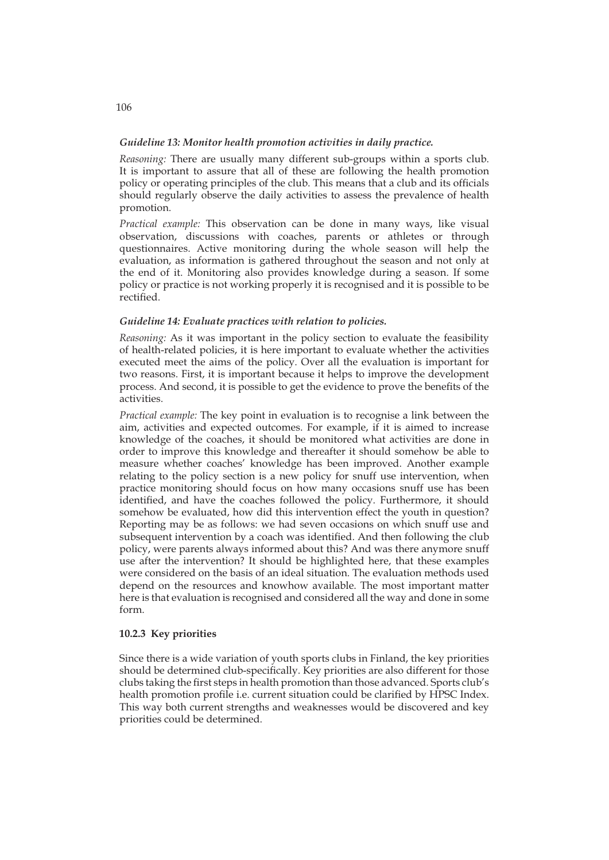## *Guideline 13: Monitor health promotion activities in daily practice.*

*Reasoning:* There are usually many different sub-groups within a sports club. It is important to assure that all of these are following the health promotion policy or operating principles of the club. This means that a club and its officials should regularly observe the daily activities to assess the prevalence of health promotion.

*Practical example:* This observation can be done in many ways, like visual observation, discussions with coaches, parents or athletes or through questionnaires. Active monitoring during the whole season will help the evaluation, as information is gathered throughout the season and not only at the end of it. Monitoring also provides knowledge during a season. If some policy or practice is not working properly it is recognised and it is possible to be rectified.

### *Guideline 14: Evaluate practices with relation to policies.*

*Reasoning:* As it was important in the policy section to evaluate the feasibility of health-related policies, it is here important to evaluate whether the activities executed meet the aims of the policy. Over all the evaluation is important for two reasons. First, it is important because it helps to improve the development process. And second, it is possible to get the evidence to prove the benefits of the activities.

*Practical example:* The key point in evaluation is to recognise a link between the aim, activities and expected outcomes. For example, if it is aimed to increase knowledge of the coaches, it should be monitored what activities are done in order to improve this knowledge and thereafter it should somehow be able to measure whether coaches' knowledge has been improved. Another example relating to the policy section is a new policy for snuff use intervention, when practice monitoring should focus on how many occasions snuff use has been identified, and have the coaches followed the policy. Furthermore, it should somehow be evaluated, how did this intervention effect the youth in question? Reporting may be as follows: we had seven occasions on which snuff use and subsequent intervention by a coach was identified. And then following the club policy, were parents always informed about this? And was there anymore snuff use after the intervention? It should be highlighted here, that these examples were considered on the basis of an ideal situation. The evaluation methods used depend on the resources and knowhow available. The most important matter here is that evaluation is recognised and considered all the way and done in some form.

## **10.2.3 Key priorities**

Since there is a wide variation of youth sports clubs in Finland, the key priorities should be determined club-specifically. Key priorities are also different for those clubs taking the first steps in health promotion than those advanced. Sports club's health promotion profile i.e. current situation could be clarified by HPSC Index. This way both current strengths and weaknesses would be discovered and key priorities could be determined.

## 106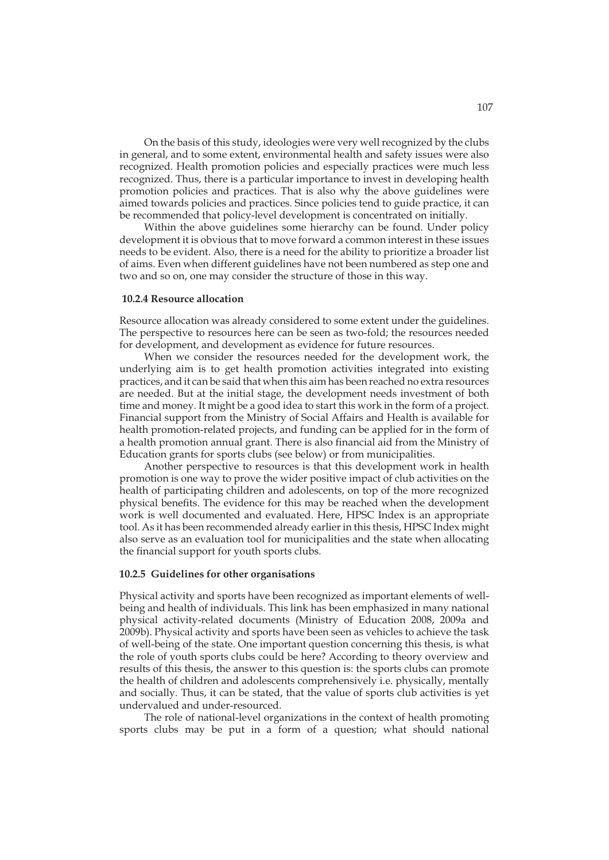On the basis of this study, ideologies were very well recognized by the clubs in general, and to some extent, environmental health and safety issues were also recognized. Health promotion policies and especially practices were much less recognized. Thus, there is a particular importance to invest in developing health promotion policies and practices. That is also why the above guidelines were aimed towards policies and practices. Since policies tend to guide practice, it can be recommended that policy-level development is concentrated on initially.

Within the above guidelines some hierarchy can be found. Under policy development it is obvious that to move forward a common interest in these issues needs to be evident. Also, there is a need for the ability to prioritize a broader list of aims. Even when different guidelines have not been numbered as step one and two and so on, one may consider the structure of those in this way.

#### **10.2.4 Resource allocation**

Resource allocation was already considered to some extent under the guidelines. The perspective to resources here can be seen as two-fold; the resources needed for development, and development as evidence for future resources.

When we consider the resources needed for the development work, the underlying aim is to get health promotion activities integrated into existing practices, and it can be said that when this aim has been reached no extra resources are needed. But at the initial stage, the development needs investment of both time and money. It might be a good idea to start this work in the form of a project. Financial support from the Ministry of Social Affairs and Health is available for health promotion-related projects, and funding can be applied for in the form of a health promotion annual grant. There is also financial aid from the Ministry of Education grants for sports clubs (see below) or from municipalities.

Another perspective to resources is that this development work in health promotion is one way to prove the wider positive impact of club activities on the health of participating children and adolescents, on top of the more recognized physical benefits. The evidence for this may be reached when the development work is well documented and evaluated. Here, HPSC Index is an appropriate tool. As it has been recommended already earlier in this thesis, HPSC Index might also serve as an evaluation tool for municipalities and the state when allocating the financial support for youth sports clubs.

## **10.2.5 Guidelines for other organisations**

Physical activity and sports have been recognized as important elements of wellbeing and health of individuals. This link has been emphasized in many national physical activity-related documents (Ministry of Education 2008, 2009a and 2009b). Physical activity and sports have been seen as vehicles to achieve the task of well-being of the state. One important question concerning this thesis, is what the role of youth sports clubs could be here? According to theory overview and results of this thesis, the answer to this question is: the sports clubs can promote the health of children and adolescents comprehensively i.e. physically, mentally and socially. Thus, it can be stated, that the value of sports club activities is yet undervalued and under-resourced.

The role of national-level organizations in the context of health promoting sports clubs may be put in a form of a question; what should national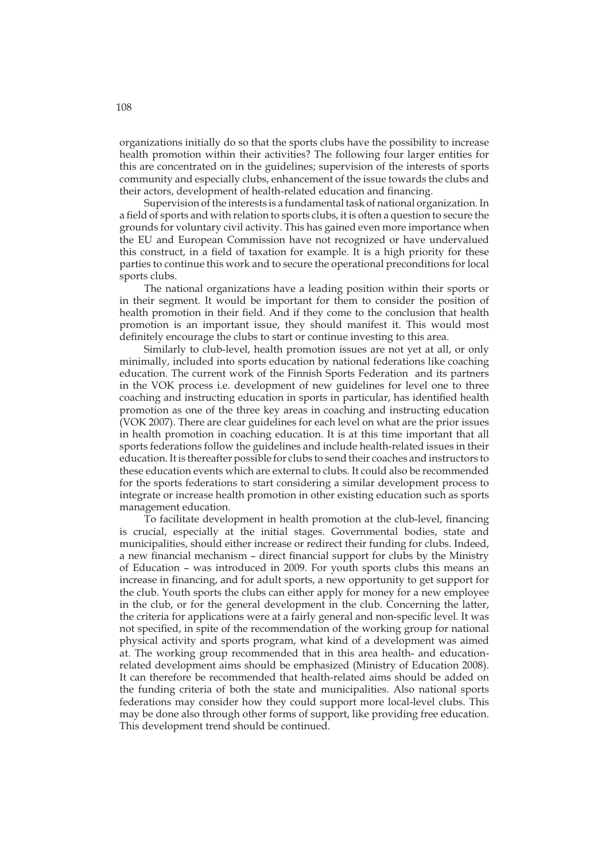organizations initially do so that the sports clubs have the possibility to increase health promotion within their activities? The following four larger entities for this are concentrated on in the guidelines; supervision of the interests of sports community and especially clubs, enhancement of the issue towards the clubs and their actors, development of health-related education and financing.

Supervision of the interests is a fundamental task of national organization. In a field of sports and with relation to sports clubs, it is often a question to secure the grounds for voluntary civil activity. This has gained even more importance when the EU and European Commission have not recognized or have undervalued this construct, in a field of taxation for example. It is a high priority for these parties to continue this work and to secure the operational preconditions for local sports clubs.

The national organizations have a leading position within their sports or in their segment. It would be important for them to consider the position of health promotion in their field. And if they come to the conclusion that health promotion is an important issue, they should manifest it. This would most definitely encourage the clubs to start or continue investing to this area.

Similarly to club-level, health promotion issues are not yet at all, or only minimally, included into sports education by national federations like coaching education. The current work of the Finnish Sports Federation and its partners in the VOK process i.e. development of new guidelines for level one to three coaching and instructing education in sports in particular, has identified health promotion as one of the three key areas in coaching and instructing education (VOK 2007). There are clear guidelines for each level on what are the prior issues in health promotion in coaching education. It is at this time important that all sports federations follow the guidelines and include health-related issues in their education. It is thereafter possible for clubs to send their coaches and instructors to these education events which are external to clubs. It could also be recommended for the sports federations to start considering a similar development process to integrate or increase health promotion in other existing education such as sports management education.

To facilitate development in health promotion at the club-level, financing is crucial, especially at the initial stages. Governmental bodies, state and municipalities, should either increase or redirect their funding for clubs. Indeed, a new financial mechanism – direct financial support for clubs by the Ministry of Education – was introduced in 2009. For youth sports clubs this means an increase in financing, and for adult sports, a new opportunity to get support for the club. Youth sports the clubs can either apply for money for a new employee in the club, or for the general development in the club. Concerning the latter, the criteria for applications were at a fairly general and non-specific level. It was not specified, in spite of the recommendation of the working group for national physical activity and sports program, what kind of a development was aimed at. The working group recommended that in this area health- and educationrelated development aims should be emphasized (Ministry of Education 2008). It can therefore be recommended that health-related aims should be added on the funding criteria of both the state and municipalities. Also national sports federations may consider how they could support more local-level clubs. This may be done also through other forms of support, like providing free education. This development trend should be continued.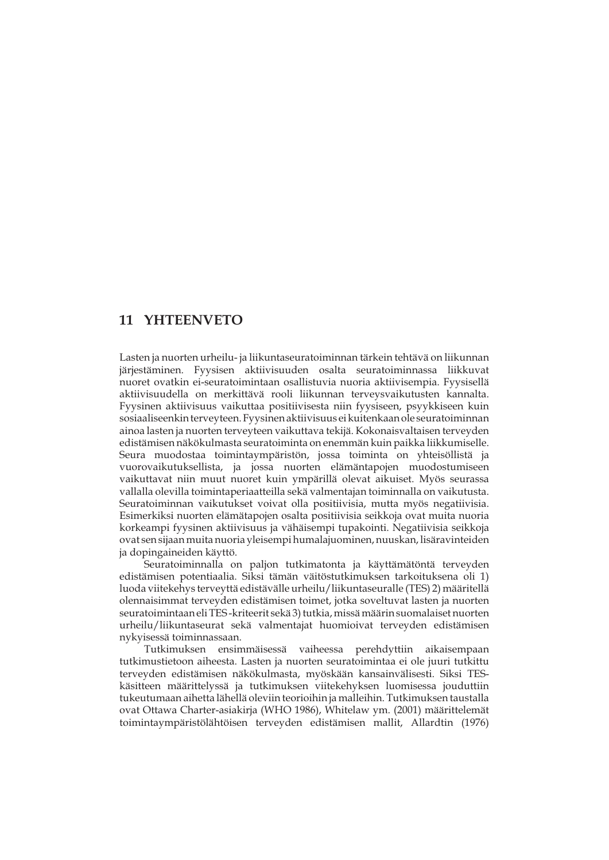# **11 YHTEENVETO**

Lasten ja nuorten urheilu- ja liikuntaseuratoiminnan tärkein tehtävä on liikunnan järjestäminen. Fyysisen aktiivisuuden osalta seuratoiminnassa liikkuvat nuoret ovatkin ei-seuratoimintaan osallistuvia nuoria aktiivisempia. Fyysisellä aktiivisuudella on merkittävä rooli liikunnan terveysvaikutusten kannalta. Fyysinen aktiivisuus vaikuttaa positiivisesta niin fyysiseen, psyykkiseen kuin sosiaaliseenkin terveyteen. Fyysinen aktiivisuus ei kuitenkaan ole seuratoiminnan ainoa lasten ja nuorten terveyteen vaikuttava tekijä. Kokonaisvaltaisen terveyden edistämisen näkökulmasta seuratoiminta on enemmän kuin paikka liikkumiselle. Seura muodostaa toimintaympäristön, jossa toiminta on yhteisöllistä ja vuorovaikutuksellista, ja jossa nuorten elämäntapojen muodostumiseen vaikuttavat niin muut nuoret kuin ympärillä olevat aikuiset. Myös seurassa vallalla olevilla toimintaperiaatteilla sekä valmentajan toiminnalla on vaikutusta. Seuratoiminnan vaikutukset voivat olla positiivisia, mutta myös negatiivisia. Esimerkiksi nuorten elämätapojen osalta positiivisia seikkoja ovat muita nuoria korkeampi fyysinen aktiivisuus ja vähäisempi tupakointi. Negatiivisia seikkoja ovat sen sijaan muita nuoria yleisempi humalajuominen, nuuskan, lisäravinteiden ja dopingaineiden käyttö.

 Seuratoiminnalla on paljon tutkimatonta ja käyttämätöntä terveyden edistämisen potentiaalia. Siksi tämän väitöstutkimuksen tarkoituksena oli 1) luoda viitekehys terveyttä edistävälle urheilu/liikuntaseuralle (TES) 2) määritellä olennaisimmat terveyden edistämisen toimet, jotka soveltuvat lasten ja nuorten seuratoimintaan eli TES -kriteerit sekä 3) tutkia, missä määrin suomalaiset nuorten urheilu/liikuntaseurat sekä valmentajat huomioivat terveyden edistämisen nykyisessä toiminnassaan.

 Tutkimuksen ensimmäisessä vaiheessa perehdyttiin aikaisempaan tutkimustietoon aiheesta. Lasten ja nuorten seuratoimintaa ei ole juuri tutkittu terveyden edistämisen näkökulmasta, myöskään kansainvälisesti. Siksi TESkäsitteen määrittelyssä ja tutkimuksen viitekehyksen luomisessa jouduttiin tukeutumaan aihetta lähellä oleviin teorioihin ja malleihin. Tutkimuksen taustalla ovat Ottawa Charter-asiakirja (WHO 1986), Whitelaw ym. (2001) määrittelemät toimintaympäristölähtöisen terveyden edistämisen mallit, Allardtin (1976)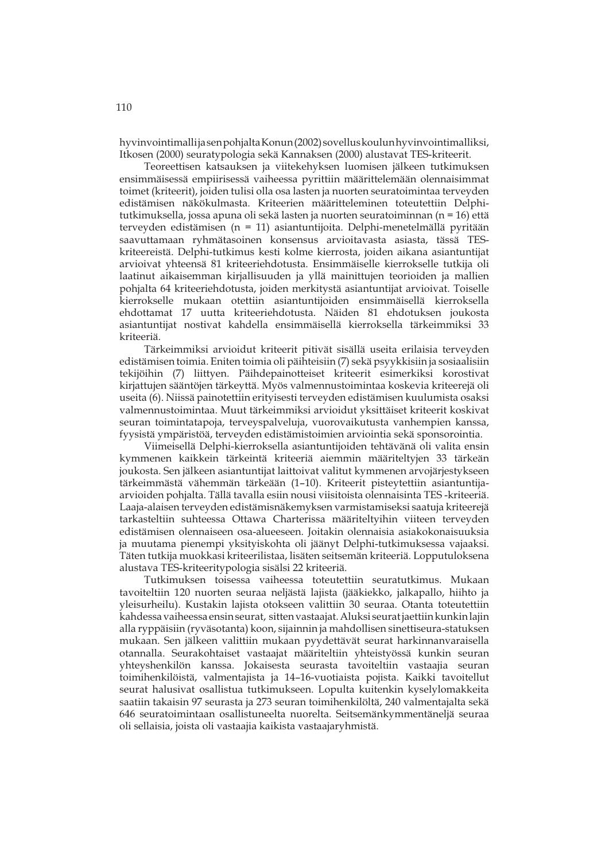hyvinvointimalli ja sen pohjalta Konun (2002) sovellus koulun hyvinvointimalliksi, Itkosen (2000) seuratypologia sekä Kannaksen (2000) alustavat TES-kriteerit.

 Teoreettisen katsauksen ja viitekehyksen luomisen jälkeen tutkimuksen ensimmäisessä empiirisessä vaiheessa pyrittiin määrittelemään olennaisimmat toimet (kriteerit), joiden tulisi olla osa lasten ja nuorten seuratoimintaa terveyden edistämisen näkökulmasta. Kriteerien määritteleminen toteutettiin Delphitutkimuksella, jossa apuna oli sekä lasten ja nuorten seuratoiminnan (n = 16) että terveyden edistämisen (n = 11) asiantuntijoita. Delphi-menetelmällä pyritään saavuttamaan ryhmätasoinen konsensus arvioitavasta asiasta, tässä TESkriteereistä. Delphi-tutkimus kesti kolme kierrosta, joiden aikana asiantuntijat arvioivat yhteensä 81 kriteeriehdotusta. Ensimmäiselle kierrokselle tutkija oli laatinut aikaisemman kirjallisuuden ja yllä mainittujen teorioiden ja mallien pohjalta 64 kriteeriehdotusta, joiden merkitystä asiantuntijat arvioivat. Toiselle kierrokselle mukaan otettiin asiantuntijoiden ensimmäisellä kierroksella ehdottamat 17 uutta kriteeriehdotusta. Näiden 81 ehdotuksen joukosta asiantuntijat nostivat kahdella ensimmäisellä kierroksella tärkeimmiksi 33 kriteeriä.

 Tärkeimmiksi arvioidut kriteerit pitivät sisällä useita erilaisia terveyden edistämisen toimia. Eniten toimia oli päihteisiin (7) sekä psyykkisiin ja sosiaalisiin tekijöihin (7) liittyen. Päihdepainotteiset kriteerit esimerkiksi korostivat kirjattujen sääntöjen tärkeyttä. Myös valmennustoimintaa koskevia kriteerejä oli useita (6). Niissä painotettiin erityisesti terveyden edistämisen kuulumista osaksi valmennustoimintaa. Muut tärkeimmiksi arvioidut yksittäiset kriteerit koskivat seuran toimintatapoja, terveyspalveluja, vuorovaikutusta vanhempien kanssa, fyysistä ympäristöä, terveyden edistämistoimien arviointia sekä sponsorointia.

 Viimeisellä Delphi-kierroksella asiantuntijoiden tehtävänä oli valita ensin kymmenen kaikkein tärkeintä kriteeriä aiemmin määriteltyjen 33 tärkeän joukosta. Sen jälkeen asiantuntijat laittoivat valitut kymmenen arvojärjestykseen tärkeimmästä vähemmän tärkeään (1–10). Kriteerit pisteytettiin asiantuntijaarvioiden pohjalta. Tällä tavalla esiin nousi viisitoista olennaisinta TES -kriteeriä. Laaja-alaisen terveyden edistämisnäkemyksen varmistamiseksi saatuja kriteerejä tarkasteltiin suhteessa Ottawa Charterissa määriteltyihin viiteen terveyden edistämisen olennaiseen osa-alueeseen. Joitakin olennaisia asiakokonaisuuksia ja muutama pienempi yksityiskohta oli jäänyt Delphi-tutkimuksessa vajaaksi. Täten tutkija muokkasi kriteerilistaa, lisäten seitsemän kriteeriä. Lopputuloksena alustava TES-kriteeritypologia sisälsi 22 kriteeriä.

 Tutkimuksen toisessa vaiheessa toteutettiin seuratutkimus. Mukaan tavoiteltiin 120 nuorten seuraa neljästä lajista (jääkiekko, jalkapallo, hiihto ja yleisurheilu). Kustakin lajista otokseen valittiin 30 seuraa. Otanta toteutettiin kahdessa vaiheessa ensin seurat, sitten vastaajat. Aluksi seurat jaettiin kunkin lajin alla ryppäisiin (ryväsotanta) koon, sijainnin ja mahdollisen sinettiseura-statuksen mukaan. Sen jälkeen valittiin mukaan pyydettävät seurat harkinnanvaraisella otannalla. Seurakohtaiset vastaajat määriteltiin yhteistyössä kunkin seuran yhteyshenkilön kanssa. Jokaisesta seurasta tavoiteltiin vastaajia seuran toimihenkilöistä, valmentajista ja 14–16-vuotiaista pojista. Kaikki tavoitellut seurat halusivat osallistua tutkimukseen. Lopulta kuitenkin kyselylomakkeita saatiin takaisin 97 seurasta ja 273 seuran toimihenkilöltä, 240 valmentajalta sekä 646 seuratoimintaan osallistuneelta nuorelta. Seitsemänkymmentäneljä seuraa oli sellaisia, joista oli vastaajia kaikista vastaajaryhmistä.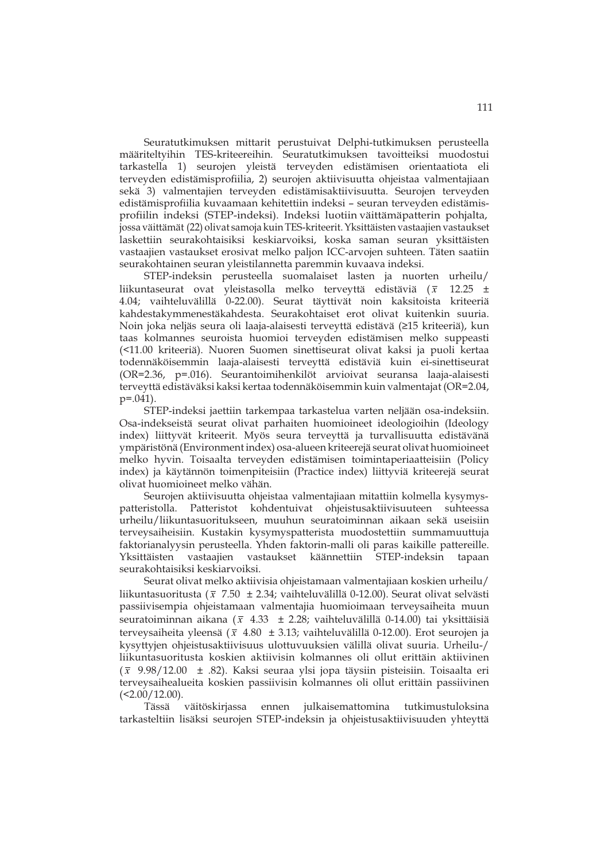Seuratutkimuksen mittarit perustuivat Delphi-tutkimuksen perusteella määriteltyihin TES-kriteereihin. Seuratutkimuksen tavoitteiksi muodostui tarkastella 1) seurojen yleistä terveyden edistämisen orientaatiota eli terveyden edistämisprofiilia, 2) seurojen aktiivisuutta ohjeistaa valmentajiaan sekä 3) valmentajien terveyden edistämisaktiivisuutta. Seurojen terveyden edistämisprofiilia kuvaamaan kehitettiin indeksi – seuran terveyden edistämisprofiilin indeksi (STEP-indeksi). Indeksi luotiin väittämäpatterin pohjalta, jossa väittämät (22) olivat samoja kuin TES-kriteerit. Yksittäisten vastaajien vastaukset laskettiin seurakohtaisiksi keskiarvoiksi, koska saman seuran yksittäisten vastaajien vastaukset erosivat melko paljon ICC-arvojen suhteen. Täten saatiin seurakohtainen seuran yleistilannetta paremmin kuvaava indeksi.

 STEP-indeksin perusteella suomalaiset lasten ja nuorten urheilu/ liikuntaseurat ovat yleistasolla melko terveyttä edistäviä ( *x* 12.25 ± 4.04; vaihteluvälillä 0-22.00). Seurat täyttivät noin kaksitoista kriteeriä kahdestakymmenestäkahdesta. Seurakohtaiset erot olivat kuitenkin suuria. Noin joka neljäs seura oli laaja-alaisesti terveyttä edistävä (≥15 kriteeriä), kun taas kolmannes seuroista huomioi terveyden edistämisen melko suppeasti (<11.00 kriteeriä). Nuoren Suomen sinettiseurat olivat kaksi ja puoli kertaa todennäköisemmin laaja-alaisesti terveyttä edistäviä kuin ei-sinettiseurat (OR=2.36, p=.016). Seurantoimihenkilöt arvioivat seuransa laaja-alaisesti terveyttä edistäväksi kaksi kertaa todennäköisemmin kuin valmentajat (OR=2.04, p=.041).

 STEP-indeksi jaettiin tarkempaa tarkastelua varten neljään osa-indeksiin. Osa-indekseistä seurat olivat parhaiten huomioineet ideologioihin (Ideology index) liittyvät kriteerit. Myös seura terveyttä ja turvallisuutta edistävänä ympäristönä (Environment index) osa-alueen kriteerejä seurat olivat huomioineet melko hyvin. Toisaalta terveyden edistämisen toimintaperiaatteisiin (Policy index) ja käytännön toimenpiteisiin (Practice index) liittyviä kriteerejä seurat olivat huomioineet melko vähän.

Seurojen aktiivisuutta ohjeistaa valmentajiaan mitattiin kolmella kysymyspatteristolla. Patteristot kohdentuivat ohjeistusaktiivisuuteen suhteessa urheilu/liikuntasuoritukseen, muuhun seuratoiminnan aikaan sekä useisiin terveysaiheisiin. Kustakin kysymyspatterista muodostettiin summamuuttuja faktorianalyysin perusteella. Yhden faktorin-malli oli paras kaikille pattereille. Yksittäisten vastaajien vastaukset käännettiin STEP-indeksin tapaan seurakohtaisiksi keskiarvoiksi.

 Seurat olivat melko aktiivisia ohjeistamaan valmentajiaan koskien urheilu/ liikuntasuoritusta ( *x* 7.50 ± 2.34; vaihteluvälillä 0-12.00). Seurat olivat selvästi passiivisempia ohjeistamaan valmentajia huomioimaan terveysaiheita muun seuratoiminnan aikana ( *x* 4.33 ± 2.28; vaihteluvälillä 0-14.00) tai yksittäisiä terveysaiheita yleensä ( $\bar{x}$  4.80  $\pm$  3.13; vaihteluvälillä 0-12.00). Erot seurojen ja kysyttyjen ohjeistusaktiivisuus ulottuvuuksien välillä olivat suuria. Urheilu-/ liikuntasuoritusta koskien aktiivisin kolmannes oli ollut erittäin aktiivinen ( *x* 9.98/12.00 ± .82). Kaksi seuraa ylsi jopa täysiin pisteisiin. Toisaalta eri terveysaihealueita koskien passiivisin kolmannes oli ollut erittäin passiivinen  $(<2.00/12.00)$ .

 Tässä väitöskirjassa ennen julkaisemattomina tutkimustuloksina tarkasteltiin lisäksi seurojen STEP-indeksin ja ohjeistusaktiivisuuden yhteyttä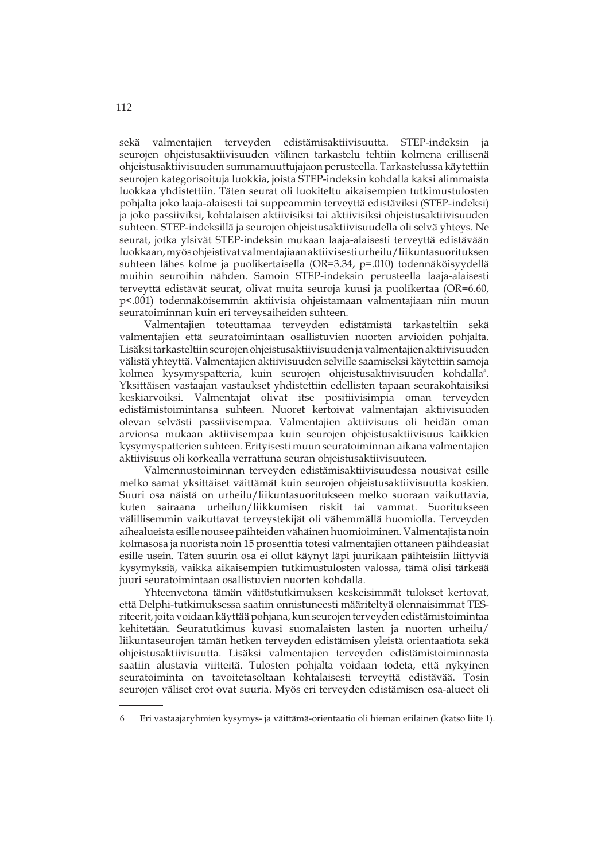sekä valmentajien terveyden edistämisaktiivisuutta. STEP-indeksin ja seurojen ohjeistusaktiivisuuden välinen tarkastelu tehtiin kolmena erillisenä ohjeistusaktiivisuuden summamuuttujajaon perusteella. Tarkastelussa käytettiin seurojen kategorisoituja luokkia, joista STEP-indeksin kohdalla kaksi alimmaista luokkaa yhdistettiin. Täten seurat oli luokiteltu aikaisempien tutkimustulosten pohjalta joko laaja-alaisesti tai suppeammin terveyttä edistäviksi (STEP-indeksi) ja joko passiiviksi, kohtalaisen aktiivisiksi tai aktiivisiksi ohjeistusaktiivisuuden suhteen. STEP-indeksillä ja seurojen ohjeistusaktiivisuudella oli selvä yhteys. Ne seurat, jotka ylsivät STEP-indeksin mukaan laaja-alaisesti terveyttä edistävään luokkaan, myös ohjeistivat valmentajiaan aktiivisesti urheilu/liikuntasuorituksen suhteen lähes kolme ja puolikertaisella (OR=3.34, p=.010) todennäköisyydellä muihin seuroihin nähden. Samoin STEP-indeksin perusteella laaja-alaisesti terveyttä edistävät seurat, olivat muita seuroja kuusi ja puolikertaa (OR=6.60, p<.001) todennäköisemmin aktiivisia ohjeistamaan valmentajiaan niin muun seuratoiminnan kuin eri terveysaiheiden suhteen.

 Valmentajien toteuttamaa terveyden edistämistä tarkasteltiin sekä valmentajien että seuratoimintaan osallistuvien nuorten arvioiden pohjalta. Lisäksi tarkasteltiin seurojen ohjeistusaktiivisuuden ja valmentajien aktiivisuuden välistä yhteyttä. Valmentajien aktiivisuuden selville saamiseksi käytettiin samoja kolmea kysymyspatteria, kuin seurojen ohjeistusaktiivisuuden kohdalla<sup>6</sup>. Yksittäisen vastaajan vastaukset yhdistettiin edellisten tapaan seurakohtaisiksi keskiarvoiksi. Valmentajat olivat itse positiivisimpia oman terveyden edistämistoimintansa suhteen. Nuoret kertoivat valmentajan aktiivisuuden olevan selvästi passiivisempaa. Valmentajien aktiivisuus oli heidän oman arvionsa mukaan aktiivisempaa kuin seurojen ohjeistusaktiivisuus kaikkien kysymyspatterien suhteen. Erityisesti muun seuratoiminnan aikana valmentajien aktiivisuus oli korkealla verrattuna seuran ohjeistusaktiivisuuteen.

 Valmennustoiminnan terveyden edistämisaktiivisuudessa nousivat esille melko samat yksittäiset väittämät kuin seurojen ohjeistusaktiivisuutta koskien. Suuri osa näistä on urheilu/liikuntasuoritukseen melko suoraan vaikuttavia, kuten sairaana urheilun/liikkumisen riskit tai vammat. Suoritukseen välillisemmin vaikuttavat terveystekijät oli vähemmällä huomiolla. Terveyden aihealueista esille nousee päihteiden vähäinen huomioiminen. Valmentajista noin kolmasosa ja nuorista noin 15 prosenttia totesi valmentajien ottaneen päihdeasiat esille usein. Täten suurin osa ei ollut käynyt läpi juurikaan päihteisiin liittyviä kysymyksiä, vaikka aikaisempien tutkimustulosten valossa, tämä olisi tärkeää juuri seuratoimintaan osallistuvien nuorten kohdalla.

 Yhteenvetona tämän väitöstutkimuksen keskeisimmät tulokset kertovat, että Delphi-tutkimuksessa saatiin onnistuneesti määriteltyä olennaisimmat TESriteerit, joita voidaan käyttää pohjana, kun seurojen terveyden edistämistoimintaa kehitetään. Seuratutkimus kuvasi suomalaisten lasten ja nuorten urheilu/ liikuntaseurojen tämän hetken terveyden edistämisen yleistä orientaatiota sekä ohjeistusaktiivisuutta. Lisäksi valmentajien terveyden edistämistoiminnasta saatiin alustavia viitteitä. Tulosten pohjalta voidaan todeta, että nykyinen seuratoiminta on tavoitetasoltaan kohtalaisesti terveyttä edistävää. Tosin seurojen väliset erot ovat suuria. Myös eri terveyden edistämisen osa-alueet oli

<sup>6</sup> Eri vastaajaryhmien kysymys- ja väittämä-orientaatio oli hieman erilainen (katso liite 1).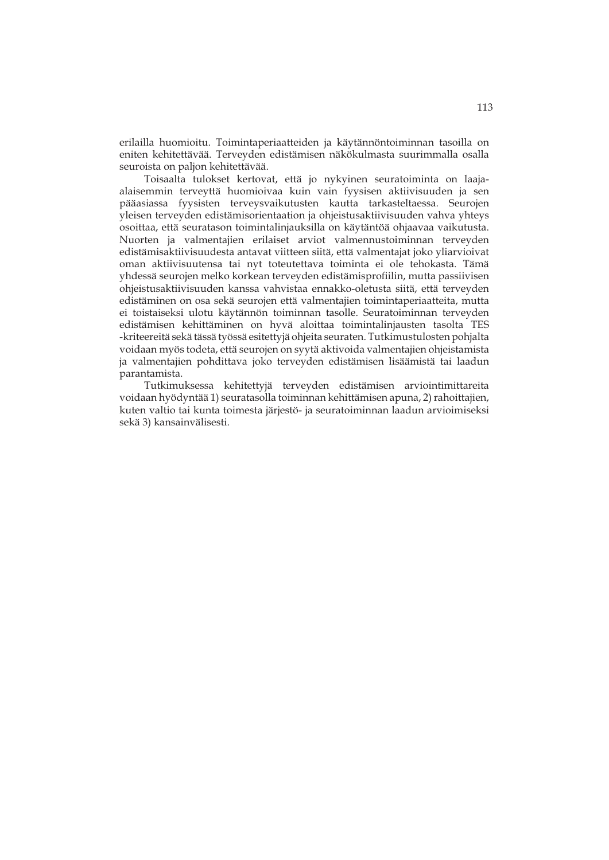erilailla huomioitu. Toimintaperiaatteiden ja käytännöntoiminnan tasoilla on eniten kehitettävää. Terveyden edistämisen näkökulmasta suurimmalla osalla seuroista on paljon kehitettävää.

 Toisaalta tulokset kertovat, että jo nykyinen seuratoiminta on laajaalaisemmin terveyttä huomioivaa kuin vain fyysisen aktiivisuuden ja sen pääasiassa fyysisten terveysvaikutusten kautta tarkasteltaessa. Seurojen yleisen terveyden edistämisorientaation ja ohjeistusaktiivisuuden vahva yhteys osoittaa, että seuratason toimintalinjauksilla on käytäntöä ohjaavaa vaikutusta. Nuorten ja valmentajien erilaiset arviot valmennustoiminnan terveyden edistämisaktiivisuudesta antavat viitteen siitä, että valmentajat joko yliarvioivat oman aktiivisuutensa tai nyt toteutettava toiminta ei ole tehokasta. Tämä yhdessä seurojen melko korkean terveyden edistämisprofiilin, mutta passiivisen ohjeistusaktiivisuuden kanssa vahvistaa ennakko-oletusta siitä, että terveyden edistäminen on osa sekä seurojen että valmentajien toimintaperiaatteita, mutta ei toistaiseksi ulotu käytännön toiminnan tasolle. Seuratoiminnan terveyden edistämisen kehittäminen on hyvä aloittaa toimintalinjausten tasolta TES -kriteereitä sekä tässä työssä esitettyjä ohjeita seuraten. Tutkimustulosten pohjalta voidaan myös todeta, että seurojen on syytä aktivoida valmentajien ohjeistamista ja valmentajien pohdittava joko terveyden edistämisen lisäämistä tai laadun parantamista.

Tutkimuksessa kehitettyjä terveyden edistämisen arviointimittareita voidaan hyödyntää 1) seuratasolla toiminnan kehittämisen apuna, 2) rahoittajien, kuten valtio tai kunta toimesta järjestö- ja seuratoiminnan laadun arvioimiseksi sekä 3) kansainvälisesti.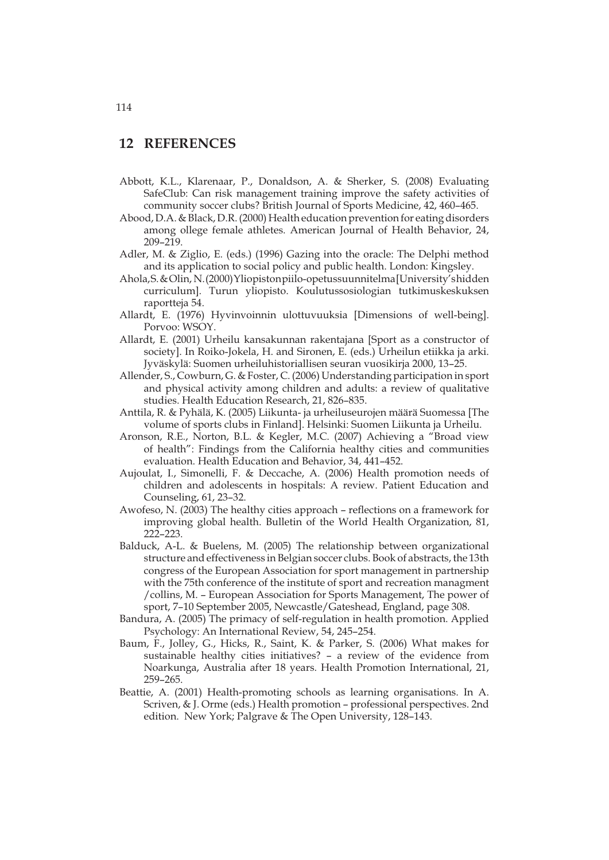## **12 REFERENCES**

- Abbott, K.L., Klarenaar, P., Donaldson, A. & Sherker, S. (2008) Evaluating SafeClub: Can risk management training improve the safety activities of community soccer clubs? British Journal of Sports Medicine, 42, 460–465.
- Abood, D.A. & Black, D.R. (2000) Health education prevention for eating disorders among ollege female athletes. American Journal of Health Behavior, 24, 209–219.
- Adler, M. & Ziglio, E. (eds.) (1996) Gazing into the oracle: The Delphi method and its application to social policy and public health. London: Kingsley.
- Ahola, S. & Olin, N. (2000) Yliopiston piilo-opetussuunnitelma [University's hidden curriculum]. Turun yliopisto. Koulutussosiologian tutkimuskeskuksen raportteja 54.
- Allardt, E. (1976) Hyvinvoinnin ulottuvuuksia [Dimensions of well-being]. Porvoo: WSOY.
- Allardt, E. (2001) Urheilu kansakunnan rakentajana [Sport as a constructor of society]. In Roiko-Jokela, H. and Sironen, E. (eds.) Urheilun etiikka ja arki. Jyväskylä: Suomen urheiluhistoriallisen seuran vuosikirja 2000, 13–25.
- Allender, S., Cowburn, G. & Foster, C. (2006) Understanding participation in sport and physical activity among children and adults: a review of qualitative studies. Health Education Research, 21, 826–835.
- Anttila, R. & Pyhälä, K. (2005) Liikunta- ja urheiluseurojen määrä Suomessa [The volume of sports clubs in Finland]. Helsinki: Suomen Liikunta ja Urheilu.
- Aronson, R.E., Norton, B.L. & Kegler, M.C. (2007) Achieving a "Broad view of health": Findings from the California healthy cities and communities evaluation. Health Education and Behavior, 34, 441–452.
- Aujoulat, I., Simonelli, F. & Deccache, A. (2006) Health promotion needs of children and adolescents in hospitals: A review. Patient Education and Counseling, 61, 23–32.
- Awofeso, N. (2003) The healthy cities approach reflections on a framework for improving global health. Bulletin of the World Health Organization, 81, 222–223.
- Balduck, A-L. & Buelens, M. (2005) The relationship between organizational structure and effectiveness in Belgian soccer clubs. Book of abstracts, the 13th congress of the European Association for sport management in partnership with the 75th conference of the institute of sport and recreation managment /collins, M. – European Association for Sports Management, The power of sport, 7–10 September 2005, Newcastle/Gateshead, England, page 308.
- Bandura, A. (2005) The primacy of self-regulation in health promotion. Applied Psychology: An International Review, 54, 245–254.
- Baum, F., Jolley, G., Hicks, R., Saint, K. & Parker, S. (2006) What makes for sustainable healthy cities initiatives? – a review of the evidence from Noarkunga, Australia after 18 years. Health Promotion International, 21, 259–265.
- Beattie, A. (2001) Health-promoting schools as learning organisations. In A. Scriven, & J. Orme (eds.) Health promotion – professional perspectives. 2nd edition. New York; Palgrave & The Open University, 128–143.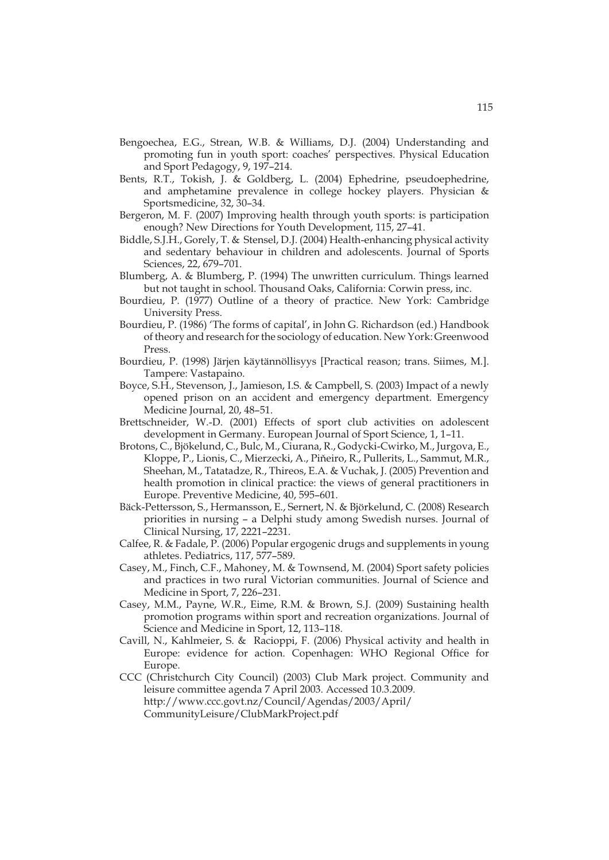- Bengoechea, E.G., Strean, W.B. & Williams, D.J. (2004) Understanding and promoting fun in youth sport: coaches' perspectives. Physical Education and Sport Pedagogy, 9, 197–214.
- Bents, R.T., Tokish, J. & Goldberg, L. (2004) Ephedrine, pseudoephedrine, and amphetamine prevalence in college hockey players. Physician & Sportsmedicine, 32, 30–34.
- Bergeron, M. F. (2007) Improving health through youth sports: is participation enough? New Directions for Youth Development, 115, 27–41.
- Biddle, S.J.H., Gorely, T. & Stensel, D.J. (2004) Health-enhancing physical activity and sedentary behaviour in children and adolescents. Journal of Sports Sciences, 22, 679–701.
- Blumberg, A. & Blumberg, P. (1994) The unwritten curriculum. Things learned but not taught in school. Thousand Oaks, California: Corwin press, inc.
- Bourdieu, P. (1977) Outline of a theory of practice. New York: Cambridge University Press.
- Bourdieu, P. (1986) 'The forms of capital', in John G. Richardson (ed.) Handbook of theory and research for the sociology of education. New York: Greenwood Press.
- Bourdieu, P. (1998) Järjen käytännöllisyys [Practical reason; trans. Siimes, M.]. Tampere: Vastapaino.
- Boyce, S.H., Stevenson, J., Jamieson, I.S. & Campbell, S. (2003) Impact of a newly opened prison on an accident and emergency department. Emergency Medicine Journal, 20, 48–51.
- Brettschneider, W.-D. (2001) Effects of sport club activities on adolescent development in Germany. European Journal of Sport Science, 1, 1–11.
- Brotons, C., Bjökelund, C., Bulc, M., Ciurana, R., Godycki-Cwirko, M., Jurgova, E., Kloppe, P., Lionis, C., Mierzecki, A., Piňeiro, R., Pullerits, L., Sammut, M.R., Sheehan, M., Tatatadze, R., Thireos, E.A. & Vuchak, J. (2005) Prevention and health promotion in clinical practice: the views of general practitioners in Europe. Preventive Medicine, 40, 595–601.
- Bäck-Pettersson, S., Hermansson, E., Sernert, N. & Björkelund, C. (2008) Research priorities in nursing – a Delphi study among Swedish nurses. Journal of Clinical Nursing, 17, 2221–2231.
- Calfee, R. & Fadale, P. (2006) Popular ergogenic drugs and supplements in young athletes. Pediatrics, 117, 577–589.
- Casey, M., Finch, C.F., Mahoney, M. & Townsend, M. (2004) Sport safety policies and practices in two rural Victorian communities. Journal of Science and Medicine in Sport, 7, 226–231.
- Casey, M.M., Payne, W.R., Eime, R.M. & Brown, S.J. (2009) Sustaining health promotion programs within sport and recreation organizations. Journal of Science and Medicine in Sport, 12, 113–118.
- Cavill, N., Kahlmeier, S. & Racioppi, F. (2006) Physical activity and health in Europe: evidence for action. Copenhagen: WHO Regional Office for Europe.
- CCC (Christchurch City Council) (2003) Club Mark project. Community and leisure committee agenda 7 April 2003. Accessed 10.3.2009. http://www.ccc.govt.nz/Council/Agendas/2003/April/ CommunityLeisure/ClubMarkProject.pdf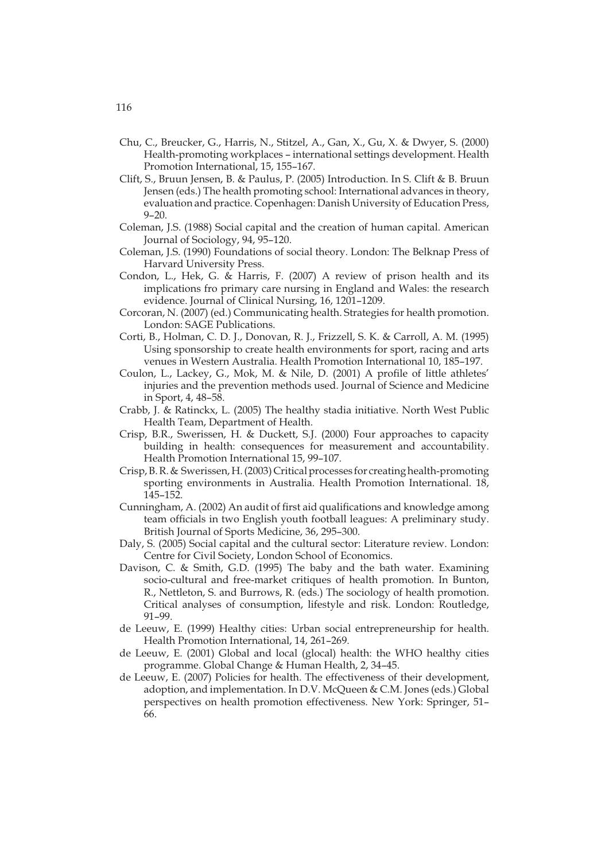- Chu, C., Breucker, G., Harris, N., Stitzel, A., Gan, X., Gu, X. & Dwyer, S. (2000) Health-promoting workplaces – international settings development. Health Promotion International, 15, 155–167.
- Clift, S., Bruun Jensen, B. & Paulus, P. (2005) Introduction. In S. Clift & B. Bruun Jensen (eds.) The health promoting school: International advances in theory, evaluation and practice. Copenhagen: Danish University of Education Press, 9–20.
- Coleman, J.S. (1988) Social capital and the creation of human capital. American Journal of Sociology, 94, 95–120.
- Coleman, J.S. (1990) Foundations of social theory. London: The Belknap Press of Harvard University Press.
- Condon, L., Hek, G. & Harris, F. (2007) A review of prison health and its implications fro primary care nursing in England and Wales: the research evidence. Journal of Clinical Nursing, 16, 1201–1209.
- Corcoran, N. (2007) (ed.) Communicating health. Strategies for health promotion. London: SAGE Publications.
- Corti, B., Holman, C. D. J., Donovan, R. J., Frizzell, S. K. & Carroll, A. M. (1995) Using sponsorship to create health environments for sport, racing and arts venues in Western Australia. Health Promotion International 10, 185–197.
- Coulon, L., Lackey, G., Mok, M. & Nile, D. (2001) A profile of little athletes' injuries and the prevention methods used. Journal of Science and Medicine in Sport, 4, 48–58.
- Crabb, J. & Ratinckx, L. (2005) The healthy stadia initiative. North West Public Health Team, Department of Health.
- Crisp, B.R., Swerissen, H. & Duckett, S.J. (2000) Four approaches to capacity building in health: consequences for measurement and accountability. Health Promotion International 15, 99–107.
- Crisp, B. R. & Swerissen, H. (2003) Critical processes for creating health-promoting sporting environments in Australia. Health Promotion International. 18, 145–152.
- Cunningham, A. (2002) An audit of first aid qualifications and knowledge among team officials in two English youth football leagues: A preliminary study. British Journal of Sports Medicine, 36, 295–300.
- Daly, S. (2005) Social capital and the cultural sector: Literature review. London: Centre for Civil Society, London School of Economics.
- Davison, C. & Smith, G.D. (1995) The baby and the bath water. Examining socio-cultural and free-market critiques of health promotion. In Bunton, R., Nettleton, S. and Burrows, R. (eds.) The sociology of health promotion. Critical analyses of consumption, lifestyle and risk. London: Routledge, 91–99.
- de Leeuw, E. (1999) Healthy cities: Urban social entrepreneurship for health. Health Promotion International, 14, 261–269.
- de Leeuw, E. (2001) Global and local (glocal) health: the WHO healthy cities programme. Global Change & Human Health, 2, 34–45.
- de Leeuw, E. (2007) Policies for health. The effectiveness of their development, adoption, and implementation. In D.V. McQueen & C.M. Jones (eds.) Global perspectives on health promotion effectiveness. New York: Springer, 51– 66.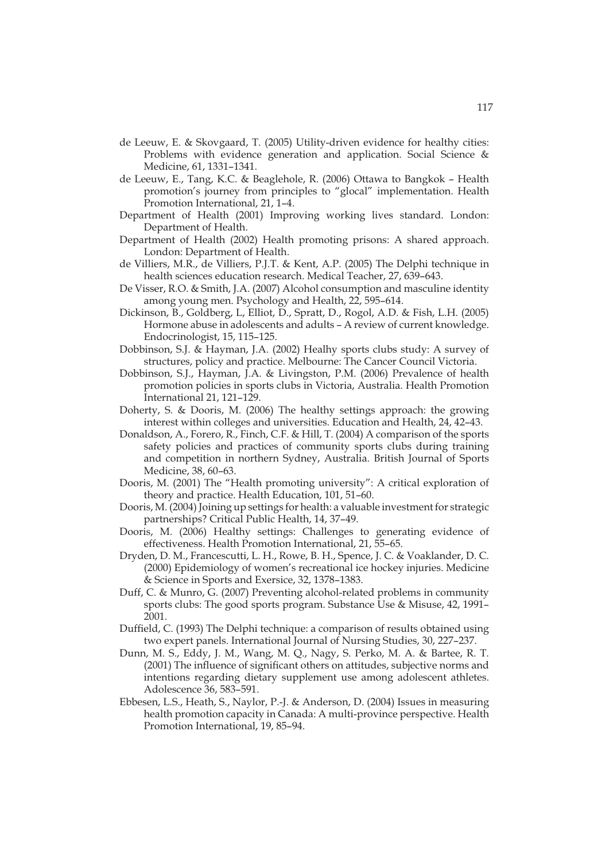- de Leeuw, E. & Skovgaard, T. (2005) Utility-driven evidence for healthy cities: Problems with evidence generation and application. Social Science & Medicine, 61, 1331–1341.
- de Leeuw, E., Tang, K.C. & Beaglehole, R. (2006) Ottawa to Bangkok Health promotion's journey from principles to "glocal" implementation. Health Promotion International, 21, 1–4.
- Department of Health (2001) Improving working lives standard. London: Department of Health.
- Department of Health (2002) Health promoting prisons: A shared approach. London: Department of Health.
- de Villiers, M.R., de Villiers, P.J.T. & Kent, A.P. (2005) The Delphi technique in health sciences education research. Medical Teacher, 27, 639–643.
- De Visser, R.O. & Smith, J.A. (2007) Alcohol consumption and masculine identity among young men. Psychology and Health, 22, 595–614.
- Dickinson, B., Goldberg, L, Elliot, D., Spratt, D., Rogol, A.D. & Fish, L.H. (2005) Hormone abuse in adolescents and adults – A review of current knowledge. Endocrinologist, 15, 115–125.
- Dobbinson, S.J. & Hayman, J.A. (2002) Healhy sports clubs study: A survey of structures, policy and practice. Melbourne: The Cancer Council Victoria.
- Dobbinson, S.J., Hayman, J.A. & Livingston, P.M. (2006) Prevalence of health promotion policies in sports clubs in Victoria, Australia. Health Promotion International 21, 121–129.
- Doherty, S. & Dooris, M. (2006) The healthy settings approach: the growing interest within colleges and universities. Education and Health, 24, 42–43.
- Donaldson, A., Forero, R., Finch, C.F. & Hill, T. (2004) A comparison of the sports safety policies and practices of community sports clubs during training and competition in northern Sydney, Australia. British Journal of Sports Medicine, 38, 60–63.
- Dooris, M. (2001) The "Health promoting university": A critical exploration of theory and practice. Health Education, 101, 51–60.
- Dooris, M. (2004) Joining up settings for health: a valuable investment for strategic partnerships? Critical Public Health, 14, 37–49.
- Dooris, M. (2006) Healthy settings: Challenges to generating evidence of effectiveness. Health Promotion International, 21, 55–65.
- Dryden, D. M., Francescutti, L. H., Rowe, B. H., Spence, J. C. & Voaklander, D. C. (2000) Epidemiology of women's recreational ice hockey injuries. Medicine & Science in Sports and Exersice, 32, 1378–1383.
- Duff, C. & Munro, G. (2007) Preventing alcohol-related problems in community sports clubs: The good sports program. Substance Use & Misuse, 42, 1991– 2001.
- Duffield, C. (1993) The Delphi technique: a comparison of results obtained using two expert panels. International Journal of Nursing Studies, 30, 227–237.
- Dunn, M. S., Eddy, J. M., Wang, M. Q., Nagy, S. Perko, M. A. & Bartee, R. T. (2001) The influence of significant others on attitudes, subjective norms and intentions regarding dietary supplement use among adolescent athletes. Adolescence 36, 583–591.
- Ebbesen, L.S., Heath, S., Naylor, P.-J. & Anderson, D. (2004) Issues in measuring health promotion capacity in Canada: A multi-province perspective. Health Promotion International, 19, 85–94.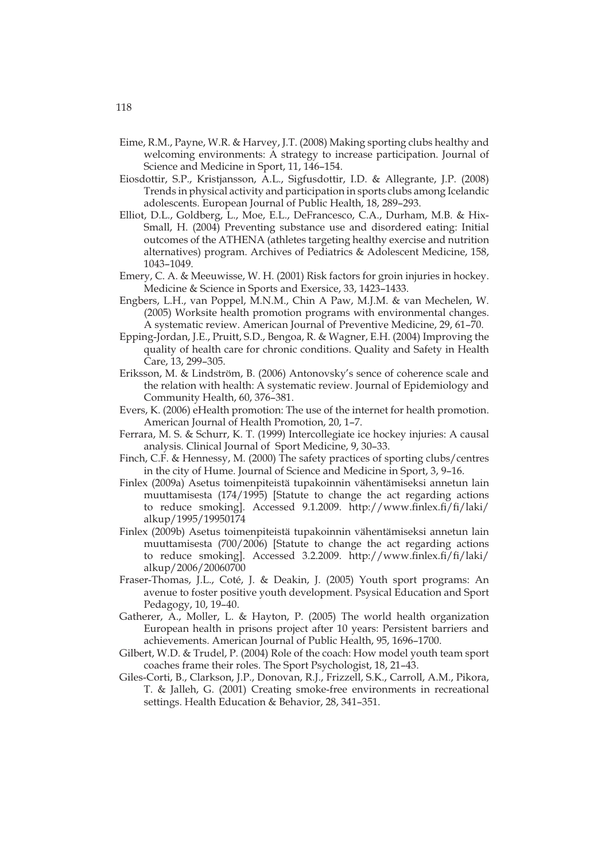- Eime, R.M., Payne, W.R. & Harvey, J.T. (2008) Making sporting clubs healthy and welcoming environments: A strategy to increase participation. Journal of Science and Medicine in Sport, 11, 146–154.
- Eiosdottir, S.P., Kristjansson, A.L., Sigfusdottir, I.D. & Allegrante, J.P. (2008) Trends in physical activity and participation in sports clubs among Icelandic adolescents. European Journal of Public Health, 18, 289–293.
- Elliot, D.L., Goldberg, L., Moe, E.L., DeFrancesco, C.A., Durham, M.B. & Hix-Small, H. (2004) Preventing substance use and disordered eating: Initial outcomes of the ATHENA (athletes targeting healthy exercise and nutrition alternatives) program. Archives of Pediatrics & Adolescent Medicine, 158, 1043–1049.
- Emery, C. A. & Meeuwisse, W. H. (2001) Risk factors for groin injuries in hockey. Medicine & Science in Sports and Exersice, 33, 1423–1433.
- Engbers, L.H., van Poppel, M.N.M., Chin A Paw, M.J.M. & van Mechelen, W. (2005) Worksite health promotion programs with environmental changes. A systematic review. American Journal of Preventive Medicine, 29, 61–70.
- Epping-Jordan, J.E., Pruitt, S.D., Bengoa, R. & Wagner, E.H. (2004) Improving the quality of health care for chronic conditions. Quality and Safety in Health Care, 13, 299–305.
- Eriksson, M. & Lindström, B. (2006) Antonovsky's sence of coherence scale and the relation with health: A systematic review. Journal of Epidemiology and Community Health, 60, 376–381.
- Evers, K. (2006) eHealth promotion: The use of the internet for health promotion. American Journal of Health Promotion, 20, 1–7.
- Ferrara, M. S. & Schurr, K. T. (1999) Intercollegiate ice hockey injuries: A causal analysis. Clinical Journal of Sport Medicine, 9, 30–33.
- Finch, C.F. & Hennessy, M. (2000) The safety practices of sporting clubs/centres in the city of Hume. Journal of Science and Medicine in Sport, 3, 9–16.
- Finlex (2009a) Asetus toimenpiteistä tupakoinnin vähentämiseksi annetun lain muuttamisesta (174/1995) [Statute to change the act regarding actions to reduce smoking]. Accessed 9.1.2009. http://www.finlex.fi/fi/laki/ alkup/1995/19950174
- Finlex (2009b) Asetus toimenpiteistä tupakoinnin vähentämiseksi annetun lain muuttamisesta (700/2006) [Statute to change the act regarding actions to reduce smoking]. Accessed 3.2.2009. http://www.finlex.fi/fi/laki/ alkup/2006/20060700
- Fraser-Thomas, J.L., Coté, J. & Deakin, J. (2005) Youth sport programs: An avenue to foster positive youth development. Psysical Education and Sport Pedagogy, 10, 19–40.
- Gatherer, A., Moller, L. & Hayton, P. (2005) The world health organization European health in prisons project after 10 years: Persistent barriers and achievements. American Journal of Public Health, 95, 1696–1700.
- Gilbert, W.D. & Trudel, P. (2004) Role of the coach: How model youth team sport coaches frame their roles. The Sport Psychologist, 18, 21–43.
- Giles-Corti, B., Clarkson, J.P., Donovan, R.J., Frizzell, S.K., Carroll, A.M., Pikora, T. & Jalleh, G. (2001) Creating smoke-free environments in recreational settings. Health Education & Behavior, 28, 341–351.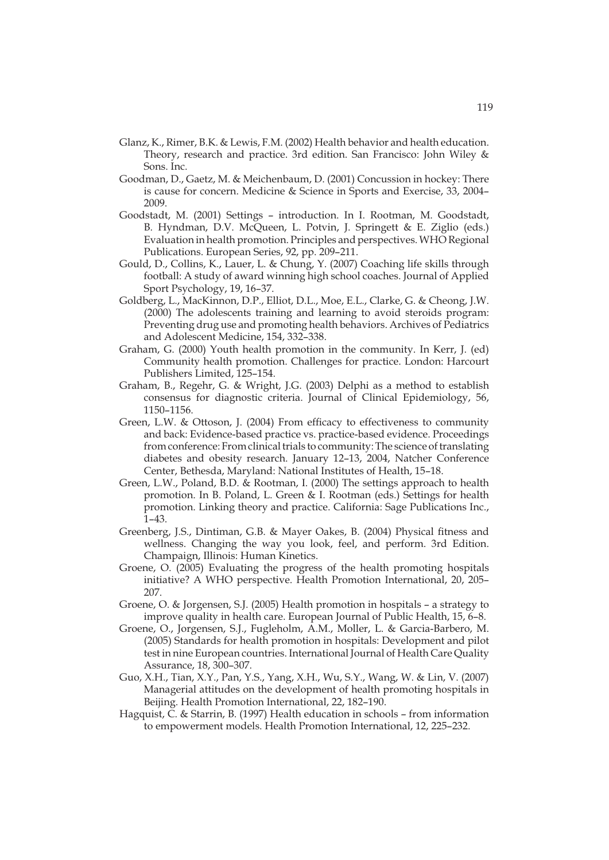- Glanz, K., Rimer, B.K. & Lewis, F.M. (2002) Health behavior and health education. Theory, research and practice. 3rd edition. San Francisco: John Wiley & Sons. Inc.
- Goodman, D., Gaetz, M. & Meichenbaum, D. (2001) Concussion in hockey: There is cause for concern. Medicine & Science in Sports and Exercise, 33, 2004– 2009.
- Goodstadt, M. (2001) Settings introduction. In I. Rootman, M. Goodstadt, B. Hyndman, D.V. McQueen, L. Potvin, J. Springett & E. Ziglio (eds.) Evaluation in health promotion. Principles and perspectives. WHO Regional Publications. European Series, 92, pp. 209–211.
- Gould, D., Collins, K., Lauer, L. & Chung, Y. (2007) Coaching life skills through football: A study of award winning high school coaches. Journal of Applied Sport Psychology, 19, 16–37.
- Goldberg, L., MacKinnon, D.P., Elliot, D.L., Moe, E.L., Clarke, G. & Cheong, J.W. (2000) The adolescents training and learning to avoid steroids program: Preventing drug use and promoting health behaviors. Archives of Pediatrics and Adolescent Medicine, 154, 332–338.
- Graham, G. (2000) Youth health promotion in the community. In Kerr, J. (ed) Community health promotion. Challenges for practice. London: Harcourt Publishers Limited, 125–154.
- Graham, B., Regehr, G. & Wright, J.G. (2003) Delphi as a method to establish consensus for diagnostic criteria. Journal of Clinical Epidemiology, 56, 1150–1156.
- Green, L.W. & Ottoson, J. (2004) From efficacy to effectiveness to community and back: Evidence-based practice vs. practice-based evidence. Proceedings from conference: From clinical trials to community: The science of translating diabetes and obesity research. January 12–13, 2004, Natcher Conference Center, Bethesda, Maryland: National Institutes of Health, 15–18.
- Green, L.W., Poland, B.D. & Rootman, I. (2000) The settings approach to health promotion. In B. Poland, L. Green & I. Rootman (eds.) Settings for health promotion. Linking theory and practice. California: Sage Publications Inc., 1–43.
- Greenberg, J.S., Dintiman, G.B. & Mayer Oakes, B. (2004) Physical fitness and wellness. Changing the way you look, feel, and perform. 3rd Edition. Champaign, Illinois: Human Kinetics.
- Groene, O. (2005) Evaluating the progress of the health promoting hospitals initiative? A WHO perspective. Health Promotion International, 20, 205– 207.
- Groene, O. & Jorgensen, S.J. (2005) Health promotion in hospitals a strategy to improve quality in health care. European Journal of Public Health, 15, 6–8.
- Groene, O., Jorgensen, S.J., Fugleholm, A.M., Moller, L. & Garcia-Barbero, M. (2005) Standards for health promotion in hospitals: Development and pilot test in nine European countries. International Journal of Health Care Quality Assurance, 18, 300–307.
- Guo, X.H., Tian, X.Y., Pan, Y.S., Yang, X.H., Wu, S.Y., Wang, W. & Lin, V. (2007) Managerial attitudes on the development of health promoting hospitals in Beijing. Health Promotion International, 22, 182–190.
- Hagquist, C. & Starrin, B. (1997) Health education in schools from information to empowerment models. Health Promotion International, 12, 225–232.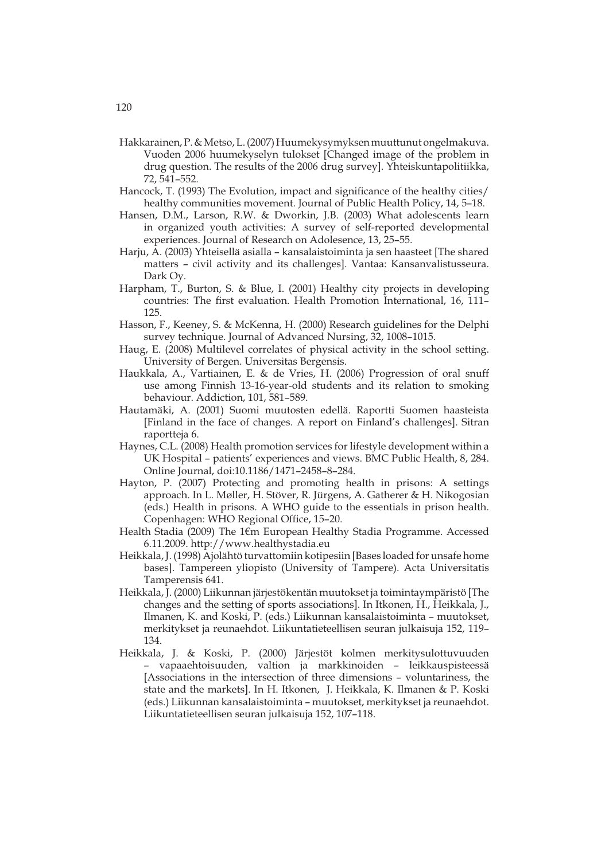- Hakkarainen, P. & Metso, L. (2007) Huumekysymyksen muuttunut ongelmakuva. Vuoden 2006 huumekyselyn tulokset [Changed image of the problem in drug question. The results of the 2006 drug survey]. Yhteiskuntapolitiikka, 72, 541–552.
- Hancock, T. (1993) The Evolution, impact and significance of the healthy cities/ healthy communities movement. Journal of Public Health Policy, 14, 5–18.
- Hansen, D.M., Larson, R.W. & Dworkin, J.B. (2003) What adolescents learn in organized youth activities: A survey of self-reported developmental experiences. Journal of Research on Adolesence, 13, 25–55.
- Harju, A. (2003) Yhteisellä asialla kansalaistoiminta ja sen haasteet [The shared matters – civil activity and its challenges]. Vantaa: Kansanvalistusseura. Dark Oy.
- Harpham, T., Burton, S. & Blue, I. (2001) Healthy city projects in developing countries: The first evaluation. Health Promotion International, 16, 111– 125.
- Hasson, F., Keeney, S. & McKenna, H. (2000) Research guidelines for the Delphi survey technique. Journal of Advanced Nursing, 32, 1008–1015.
- Haug, E. (2008) Multilevel correlates of physical activity in the school setting. University of Bergen. Universitas Bergensis.
- Haukkala, A., Vartiainen, E. & de Vries, H. (2006) Progression of oral snuff use among Finnish 13-16-year-old students and its relation to smoking behaviour. Addiction, 101, 581–589.
- Hautamäki, A. (2001) Suomi muutosten edellä. Raportti Suomen haasteista [Finland in the face of changes. A report on Finland's challenges]. Sitran raportteja 6.
- Haynes, C.L. (2008) Health promotion services for lifestyle development within a UK Hospital – patients' experiences and views. BMC Public Health, 8, 284. Online Journal, doi:10.1186/1471–2458–8–284.
- Hayton, P. (2007) Protecting and promoting health in prisons: A settings approach. In L. Møller, H. Stöver, R. Jürgens, A. Gatherer & H. Nikogosian (eds.) Health in prisons. A WHO guide to the essentials in prison health. Copenhagen: WHO Regional Office, 15–20.
- Health Stadia (2009) The 1€m European Healthy Stadia Programme. Accessed 6.11.2009. http://www.healthystadia.eu
- Heikkala, J. (1998) Ajolähtö turvattomiin kotipesiin [Bases loaded for unsafe home bases]. Tampereen yliopisto (University of Tampere). Acta Universitatis Tamperensis 641.
- Heikkala, J. (2000) Liikunnan järjestökentän muutokset ja toimintaympäristö [The changes and the setting of sports associations]. In Itkonen, H., Heikkala, J., Ilmanen, K. and Koski, P. (eds.) Liikunnan kansalaistoiminta – muutokset, merkitykset ja reunaehdot. Liikuntatieteellisen seuran julkaisuja 152, 119– 134.
- Heikkala, J. & Koski, P. (2000) Järjestöt kolmen merkitysulottuvuuden – vapaaehtoisuuden, valtion ja markkinoiden – leikkauspisteessä [Associations in the intersection of three dimensions – voluntariness, the state and the markets]. In H. Itkonen, J. Heikkala, K. Ilmanen & P. Koski (eds.) Liikunnan kansalaistoiminta – muutokset, merkitykset ja reunaehdot. Liikuntatieteellisen seuran julkaisuja 152, 107–118.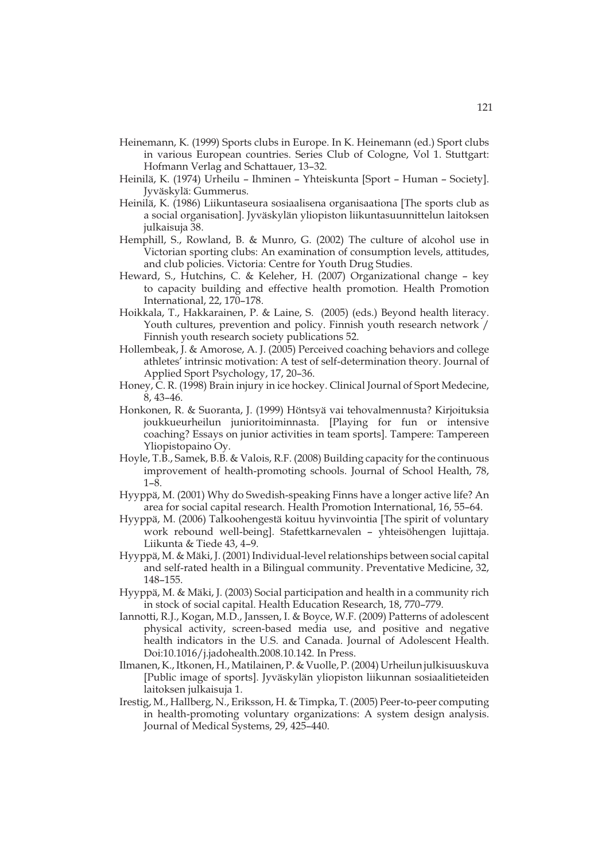- Heinemann, K. (1999) Sports clubs in Europe. In K. Heinemann (ed.) Sport clubs in various European countries. Series Club of Cologne, Vol 1. Stuttgart: Hofmann Verlag and Schattauer, 13–32.
- Heinilä, K. (1974) Urheilu Ihminen Yhteiskunta [Sport Human Society]. Jyväskylä: Gummerus.
- Heinilä, K. (1986) Liikuntaseura sosiaalisena organisaationa [The sports club as a social organisation]. Jyväskylän yliopiston liikuntasuunnittelun laitoksen julkaisuja 38.
- Hemphill, S., Rowland, B. & Munro, G. (2002) The culture of alcohol use in Victorian sporting clubs: An examination of consumption levels, attitudes, and club policies. Victoria: Centre for Youth Drug Studies.
- Heward, S., Hutchins, C. & Keleher, H. (2007) Organizational change key to capacity building and effective health promotion. Health Promotion International, 22, 170–178.
- Hoikkala, T., Hakkarainen, P. & Laine, S. (2005) (eds.) Beyond health literacy. Youth cultures, prevention and policy. Finnish youth research network / Finnish youth research society publications 52.
- Hollembeak, J. & Amorose, A. J. (2005) Perceived coaching behaviors and college athletes' intrinsic motivation: A test of self-determination theory. Journal of Applied Sport Psychology, 17, 20–36.
- Honey, C. R. (1998) Brain injury in ice hockey. Clinical Journal of Sport Medecine, 8, 43–46.
- Honkonen, R. & Suoranta, J. (1999) Höntsyä vai tehovalmennusta? Kirjoituksia joukkueurheilun junioritoiminnasta. [Playing for fun or intensive coaching? Essays on junior activities in team sports]. Tampere: Tampereen Yliopistopaino Oy.
- Hoyle, T.B., Samek, B.B. & Valois, R.F. (2008) Building capacity for the continuous improvement of health-promoting schools. Journal of School Health, 78, 1–8.
- Hyyppä, M. (2001) Why do Swedish-speaking Finns have a longer active life? An area for social capital research. Health Promotion International, 16, 55–64.
- Hyyppä, M. (2006) Talkoohengestä koituu hyvinvointia [The spirit of voluntary work rebound well-being]. Stafettkarnevalen – yhteisöhengen lujittaja. Liikunta & Tiede 43, 4–9.
- Hyyppä, M. & Mäki, J. (2001) Individual-level relationships between social capital and self-rated health in a Bilingual community. Preventative Medicine, 32, 148–155.
- Hyyppä, M. & Mäki, J. (2003) Social participation and health in a community rich in stock of social capital. Health Education Research, 18, 770–779.
- Iannotti, R.J., Kogan, M.D., Janssen, I. & Boyce, W.F. (2009) Patterns of adolescent physical activity, screen-based media use, and positive and negative health indicators in the U.S. and Canada. Journal of Adolescent Health. Doi:10.1016/j.jadohealth.2008.10.142. In Press.
- Ilmanen, K., Itkonen, H., Matilainen, P. & Vuolle, P. (2004) Urheilun julkisuuskuva [Public image of sports]. Jyväskylän yliopiston liikunnan sosiaalitieteiden laitoksen julkaisuja 1.
- Irestig, M., Hallberg, N., Eriksson, H. & Timpka, T. (2005) Peer-to-peer computing in health-promoting voluntary organizations: A system design analysis. Journal of Medical Systems, 29, 425–440.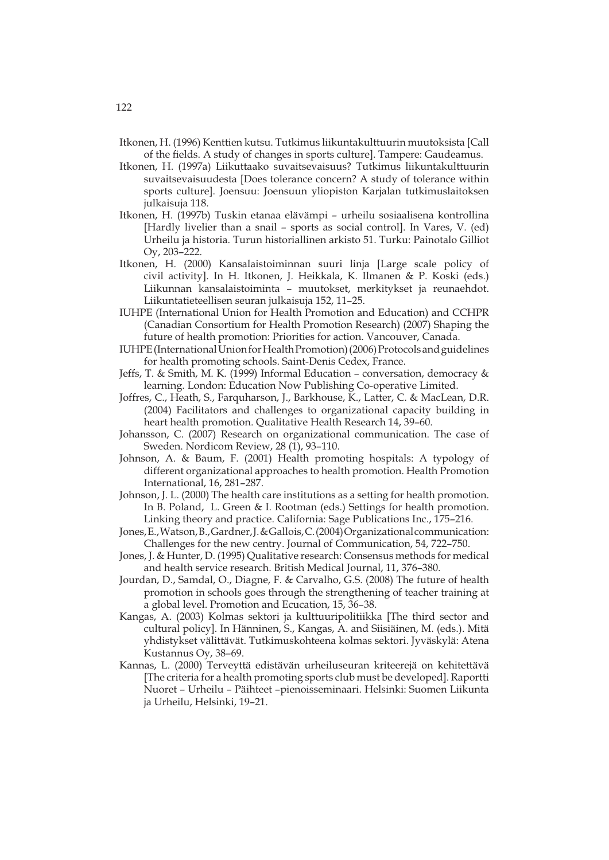- Itkonen, H. (1996) Kenttien kutsu. Tutkimus liikuntakulttuurin muutoksista [Call of the fields. A study of changes in sports culture]. Tampere: Gaudeamus.
- Itkonen, H. (1997a) Liikuttaako suvaitsevaisuus? Tutkimus liikuntakulttuurin suvaitsevaisuudesta [Does tolerance concern? A study of tolerance within sports culture]. Joensuu: Joensuun yliopiston Karjalan tutkimuslaitoksen julkaisuja 118.
- Itkonen, H. (1997b) Tuskin etanaa elävämpi urheilu sosiaalisena kontrollina [Hardly livelier than a snail – sports as social control]. In Vares, V. (ed) Urheilu ja historia. Turun historiallinen arkisto 51. Turku: Painotalo Gilliot Oy, 203–222.
- Itkonen, H. (2000) Kansalaistoiminnan suuri linja [Large scale policy of civil activity]. In H. Itkonen, J. Heikkala, K. Ilmanen & P. Koski (eds.) Liikunnan kansalaistoiminta – muutokset, merkitykset ja reunaehdot. Liikuntatieteellisen seuran julkaisuja 152, 11–25.
- IUHPE (International Union for Health Promotion and Education) and CCHPR (Canadian Consortium for Health Promotion Research) (2007) Shaping the future of health promotion: Priorities for action. Vancouver, Canada.
- IUHPE (International Union for Health Promotion) (2006) Protocols and guidelines for health promoting schools. Saint-Denis Cedex, France.
- Jeffs, T. & Smith, M. K. (1999) Informal Education conversation, democracy & learning. London: Education Now Publishing Co-operative Limited.
- Joffres, C., Heath, S., Farquharson, J., Barkhouse, K., Latter, C. & MacLean, D.R. (2004) Facilitators and challenges to organizational capacity building in heart health promotion. Qualitative Health Research 14, 39–60.
- Johansson, C. (2007) Research on organizational communication. The case of Sweden. Nordicom Review, 28 (1), 93–110.
- Johnson, A. & Baum, F. (2001) Health promoting hospitals: A typology of different organizational approaches to health promotion. Health Promotion International, 16, 281–287.
- Johnson, J. L. (2000) The health care institutions as a setting for health promotion. In B. Poland, L. Green & I. Rootman (eds.) Settings for health promotion. Linking theory and practice. California: Sage Publications Inc., 175–216.
- Jones, E., Watson, B., Gardner, J. & Gallois, C. (2004) Organizational communication: Challenges for the new centry. Journal of Communication, 54, 722–750.
- Jones, J. & Hunter, D. (1995) Qualitative research: Consensus methods for medical and health service research. British Medical Journal, 11, 376–380.
- Jourdan, D., Samdal, O., Diagne, F. & Carvalho, G.S. (2008) The future of health promotion in schools goes through the strengthening of teacher training at a global level. Promotion and Ecucation, 15, 36–38.
- Kangas, A. (2003) Kolmas sektori ja kulttuuripolitiikka [The third sector and cultural policy]. In Hänninen, S., Kangas, A. and Siisiäinen, M. (eds.). Mitä yhdistykset välittävät. Tutkimuskohteena kolmas sektori. Jyväskylä: Atena Kustannus Oy, 38–69.
- Kannas, L. (2000) Terveyttä edistävän urheiluseuran kriteerejä on kehitettävä [The criteria for a health promoting sports club must be developed]. Raportti Nuoret – Urheilu – Päihteet –pienoisseminaari. Helsinki: Suomen Liikunta ja Urheilu, Helsinki, 19–21.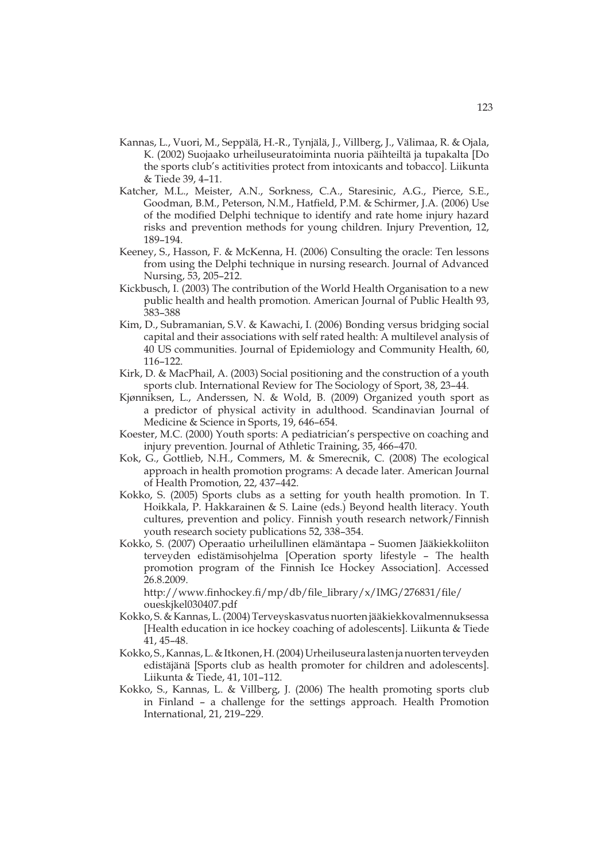- Kannas, L., Vuori, M., Seppälä, H.-R., Tynjälä, J., Villberg, J., Välimaa, R. & Ojala, K. (2002) Suojaako urheiluseuratoiminta nuoria päihteiltä ja tupakalta [Do the sports club's actitivities protect from intoxicants and tobacco]. Liikunta & Tiede 39, 4–11.
- Katcher, M.L., Meister, A.N., Sorkness, C.A., Staresinic, A.G., Pierce, S.E., Goodman, B.M., Peterson, N.M., Hatfield, P.M. & Schirmer, J.A. (2006) Use of the modified Delphi technique to identify and rate home injury hazard risks and prevention methods for young children. Injury Prevention, 12, 189–194.
- Keeney, S., Hasson, F. & McKenna, H. (2006) Consulting the oracle: Ten lessons from using the Delphi technique in nursing research. Journal of Advanced Nursing, 53, 205–212.
- Kickbusch, I. (2003) The contribution of the World Health Organisation to a new public health and health promotion. American Journal of Public Health 93, 383–388
- Kim, D., Subramanian, S.V. & Kawachi, I. (2006) Bonding versus bridging social capital and their associations with self rated health: A multilevel analysis of 40 US communities. Journal of Epidemiology and Community Health, 60, 116–122.
- Kirk, D. & MacPhail, A. (2003) Social positioning and the construction of a youth sports club. International Review for The Sociology of Sport, 38, 23–44.
- Kjønniksen, L., Anderssen, N. & Wold, B. (2009) Organized youth sport as a predictor of physical activity in adulthood. Scandinavian Journal of Medicine & Science in Sports, 19, 646–654.
- Koester, M.C. (2000) Youth sports: A pediatrician's perspective on coaching and injury prevention. Journal of Athletic Training, 35, 466–470.
- Kok, G., Gottlieb, N.H., Commers, M. & Smerecnik, C. (2008) The ecological approach in health promotion programs: A decade later. American Journal of Health Promotion, 22, 437–442.
- Kokko, S. (2005) Sports clubs as a setting for youth health promotion. In T. Hoikkala, P. Hakkarainen & S. Laine (eds.) Beyond health literacy. Youth cultures, prevention and policy. Finnish youth research network/Finnish youth research society publications 52, 338–354.
- Kokko, S. (2007) Operaatio urheilullinen elämäntapa Suomen Jääkiekkoliiton terveyden edistämisohjelma [Operation sporty lifestyle – The health promotion program of the Finnish Ice Hockey Association]. Accessed 26.8.2009.

 http://www.finhockey.fi/mp/db/file\_library/x/IMG/276831/file/ oueskjkel030407.pdf

- Kokko, S. & Kannas, L. (2004) Terveyskasvatus nuorten jääkiekkovalmennuksessa [Health education in ice hockey coaching of adolescents]. Liikunta & Tiede 41, 45–48.
- Kokko, S., Kannas, L. & Itkonen, H. (2004) Urheiluseura lasten ja nuorten terveyden edistäjänä [Sports club as health promoter for children and adolescents]. Liikunta & Tiede, 41, 101–112.
- Kokko, S., Kannas, L. & Villberg, J. (2006) The health promoting sports club in Finland – a challenge for the settings approach. Health Promotion International, 21, 219–229.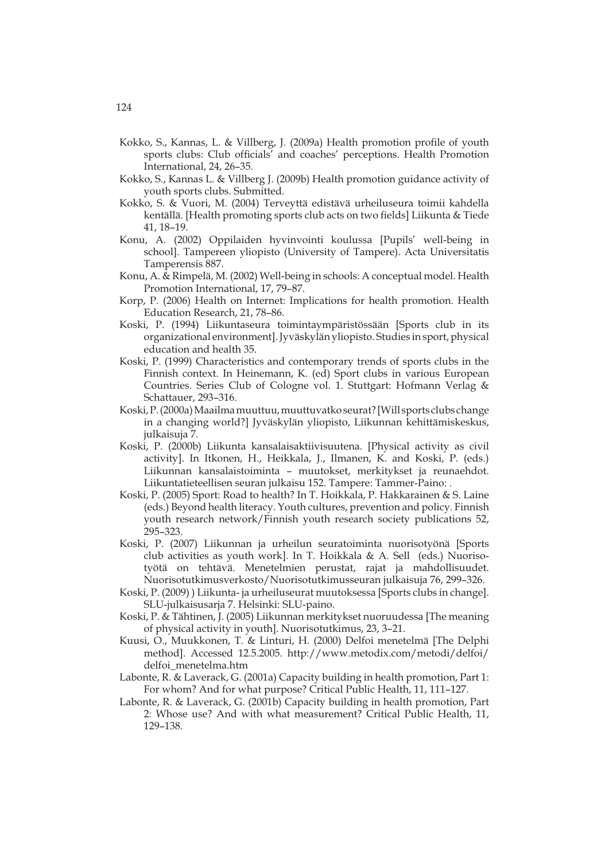- Kokko, S., Kannas, L. & Villberg, J. (2009a) Health promotion profile of youth sports clubs: Club officials' and coaches' perceptions. Health Promotion International, 24, 26–35.
- Kokko, S., Kannas L. & Villberg J. (2009b) Health promotion guidance activity of youth sports clubs. Submitted.
- Kokko, S. & Vuori, M. (2004) Terveyttä edistävä urheiluseura toimii kahdella kentällä. [Health promoting sports club acts on two fields] Liikunta & Tiede 41, 18–19.
- Konu, A. (2002) Oppilaiden hyvinvointi koulussa [Pupils' well-being in school]. Tampereen yliopisto (University of Tampere). Acta Universitatis Tamperensis 887.
- Konu, A. & Rimpelä, M. (2002) Well-being in schools: A conceptual model. Health Promotion International, 17, 79–87.
- Korp, P. (2006) Health on Internet: Implications for health promotion. Health Education Research, 21, 78–86.
- Koski, P. (1994) Liikuntaseura toimintaympäristössään [Sports club in its organizational environment]. Jyväskylän yliopisto. Studies in sport, physical education and health 35.
- Koski, P. (1999) Characteristics and contemporary trends of sports clubs in the Finnish context. In Heinemann, K. (ed) Sport clubs in various European Countries. Series Club of Cologne vol. 1. Stuttgart: Hofmann Verlag & Schattauer, 293–316.
- Koski, P. (2000a) Maailma muuttuu, muuttuvatko seurat? [Will sports clubs change in a changing world?] Jyväskylän yliopisto, Liikunnan kehittämiskeskus, julkaisuja 7.
- Koski, P. (2000b) Liikunta kansalaisaktiivisuutena. [Physical activity as civil activity]. In Itkonen, H., Heikkala, J., Ilmanen, K. and Koski, P. (eds.) Liikunnan kansalaistoiminta – muutokset, merkitykset ja reunaehdot. Liikuntatieteellisen seuran julkaisu 152. Tampere: Tammer-Paino: .
- Koski, P. (2005) Sport: Road to health? In T. Hoikkala, P. Hakkarainen & S. Laine (eds.) Beyond health literacy. Youth cultures, prevention and policy. Finnish youth research network/Finnish youth research society publications 52, 295–323.
- Koski, P. (2007) Liikunnan ja urheilun seuratoiminta nuorisotyönä [Sports club activities as youth work]. In T. Hoikkala & A. Sell (eds.) Nuorisotyötä on tehtävä. Menetelmien perustat, rajat ja mahdollisuudet. Nuorisotutkimusverkosto/Nuorisotutkimusseuran julkaisuja 76, 299–326.
- Koski, P. (2009) ) Liikunta- ja urheiluseurat muutoksessa [Sports clubs in change]. SLU-julkaisusarja 7. Helsinki: SLU-paino.
- Koski, P. & Tähtinen, J. (2005) Liikunnan merkitykset nuoruudessa [The meaning of physical activity in youth]. Nuorisotutkimus, 23, 3–21.
- Kuusi, O., Muukkonen, T. & Linturi, H. (2000) Delfoi menetelmä [The Delphi method]. Accessed 12.5.2005. http://www.metodix.com/metodi/delfoi/ delfoi\_menetelma.htm
- Labonte, R. & Laverack, G. (2001a) Capacity building in health promotion, Part 1: For whom? And for what purpose? Critical Public Health, 11, 111–127.
- Labonte, R. & Laverack, G. (2001b) Capacity building in health promotion, Part 2: Whose use? And with what measurement? Critical Public Health, 11, 129–138.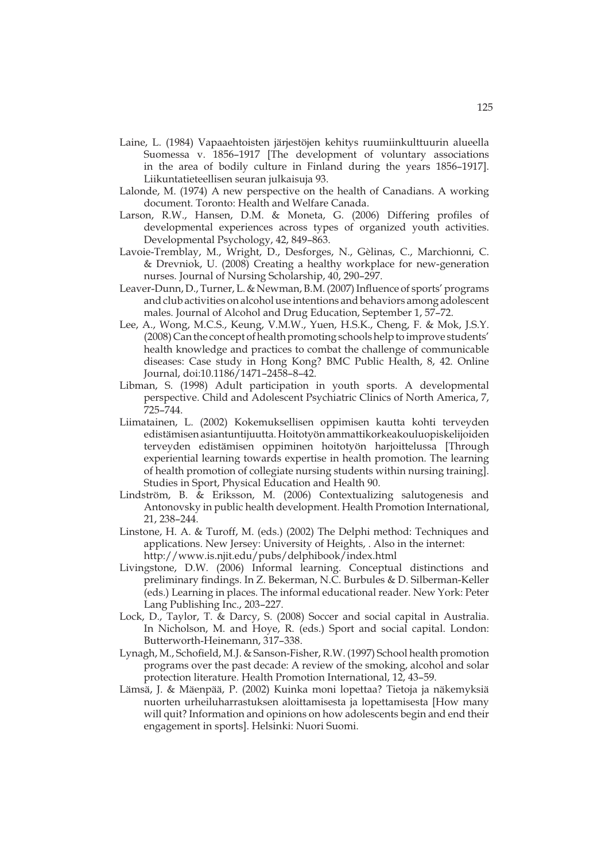- Laine, L. (1984) Vapaaehtoisten järjestöjen kehitys ruumiinkulttuurin alueella Suomessa v. 1856–1917 [The development of voluntary associations in the area of bodily culture in Finland during the years 1856–1917]. Liikuntatieteellisen seuran julkaisuja 93.
- Lalonde, M. (1974) A new perspective on the health of Canadians. A working document. Toronto: Health and Welfare Canada.
- Larson, R.W., Hansen, D.M. & Moneta, G. (2006) Differing profiles of developmental experiences across types of organized youth activities. Developmental Psychology, 42, 849–863.
- Lavoie-Tremblay, M., Wright, D., Desforges, N., Gèlinas, C., Marchionni, C. & Drevniok, U. (2008) Creating a healthy workplace for new-generation nurses. Journal of Nursing Scholarship, 40, 290–297.
- Leaver-Dunn, D., Turner, L. & Newman, B.M. (2007) Influence of sports' programs and club activities on alcohol use intentions and behaviors among adolescent males. Journal of Alcohol and Drug Education, September 1, 57–72.
- Lee, A., Wong, M.C.S., Keung, V.M.W., Yuen, H.S.K., Cheng, F. & Mok, J.S.Y. (2008) Can the concept of health promoting schools help to improve students' health knowledge and practices to combat the challenge of communicable diseases: Case study in Hong Kong? BMC Public Health, 8, 42. Online Journal, doi:10.1186/1471–2458–8–42.
- Libman, S. (1998) Adult participation in youth sports. A developmental perspective. Child and Adolescent Psychiatric Clinics of North America, 7, 725–744.
- Liimatainen, L. (2002) Kokemuksellisen oppimisen kautta kohti terveyden edistämisen asiantuntijuutta. Hoitotyön ammattikorkeakouluopiskelijoiden terveyden edistämisen oppiminen hoitotyön harjoittelussa [Through experiential learning towards expertise in health promotion. The learning of health promotion of collegiate nursing students within nursing training]. Studies in Sport, Physical Education and Health 90.
- Lindström, B. & Eriksson, M. (2006) Contextualizing salutogenesis and Antonovsky in public health development. Health Promotion International, 21, 238–244.
- Linstone, H. A. & Turoff, M. (eds.) (2002) The Delphi method: Techniques and applications. New Jersey: University of Heights, . Also in the internet: http://www.is.njit.edu/pubs/delphibook/index.html
- Livingstone, D.W. (2006) Informal learning. Conceptual distinctions and preliminary findings. In Z. Bekerman, N.C. Burbules & D. Silberman-Keller (eds.) Learning in places. The informal educational reader. New York: Peter Lang Publishing Inc., 203–227.
- Lock, D., Taylor, T. & Darcy, S. (2008) Soccer and social capital in Australia. In Nicholson, M. and Hoye, R. (eds.) Sport and social capital. London: Butterworth-Heinemann, 317–338.
- Lynagh, M., Schofield, M.J. & Sanson-Fisher, R.W. (1997) School health promotion programs over the past decade: A review of the smoking, alcohol and solar protection literature. Health Promotion International, 12, 43–59.
- Lämsä, J. & Mäenpää, P. (2002) Kuinka moni lopettaa? Tietoja ja näkemyksiä nuorten urheiluharrastuksen aloittamisesta ja lopettamisesta [How many will quit? Information and opinions on how adolescents begin and end their engagement in sports]. Helsinki: Nuori Suomi.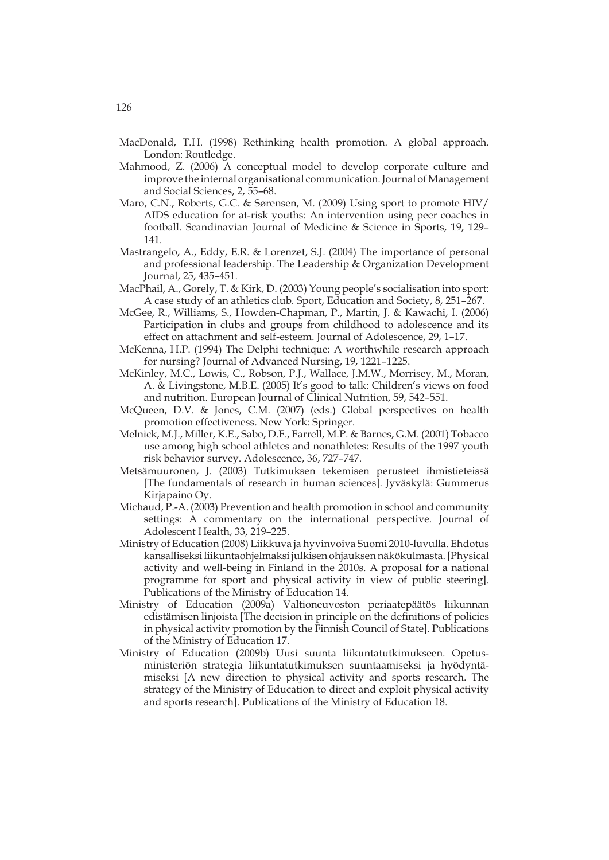- MacDonald, T.H. (1998) Rethinking health promotion. A global approach. London: Routledge.
- Mahmood, Z. (2006) A conceptual model to develop corporate culture and improve the internal organisational communication. Journal of Management and Social Sciences, 2, 55–68.
- Maro, C.N., Roberts, G.C. & Sørensen, M. (2009) Using sport to promote HIV/ AIDS education for at-risk youths: An intervention using peer coaches in football. Scandinavian Journal of Medicine & Science in Sports, 19, 129– 141.
- Mastrangelo, A., Eddy, E.R. & Lorenzet, S.J. (2004) The importance of personal and professional leadership. The Leadership & Organization Development Journal, 25, 435–451.
- MacPhail, A., Gorely, T. & Kirk, D. (2003) Young people's socialisation into sport: A case study of an athletics club. Sport, Education and Society, 8, 251–267.
- McGee, R., Williams, S., Howden-Chapman, P., Martin, J. & Kawachi, I. (2006) Participation in clubs and groups from childhood to adolescence and its effect on attachment and self-esteem. Journal of Adolescence, 29, 1–17.
- McKenna, H.P. (1994) The Delphi technique: A worthwhile research approach for nursing? Journal of Advanced Nursing, 19, 1221–1225.
- McKinley, M.C., Lowis, C., Robson, P.J., Wallace, J.M.W., Morrisey, M., Moran, A. & Livingstone, M.B.E. (2005) It's good to talk: Children's views on food and nutrition. European Journal of Clinical Nutrition, 59, 542–551.
- McQueen, D.V. & Jones, C.M. (2007) (eds.) Global perspectives on health promotion effectiveness. New York: Springer.
- Melnick, M.J., Miller, K.E., Sabo, D.F., Farrell, M.P. & Barnes, G.M. (2001) Tobacco use among high school athletes and nonathletes: Results of the 1997 youth risk behavior survey. Adolescence, 36, 727–747.
- Metsämuuronen, J. (2003) Tutkimuksen tekemisen perusteet ihmistieteissä [The fundamentals of research in human sciences]. Jyväskylä: Gummerus Kirjapaino Oy.
- Michaud, P.-A. (2003) Prevention and health promotion in school and community settings: A commentary on the international perspective. Journal of Adolescent Health, 33, 219–225.
- Ministry of Education (2008) Liikkuva ja hyvinvoiva Suomi 2010-luvulla. Ehdotus kansalliseksi liikuntaohjelmaksi julkisen ohjauksen näkökulmasta. [Physical activity and well-being in Finland in the 2010s. A proposal for a national programme for sport and physical activity in view of public steering]. Publications of the Ministry of Education 14.
- Ministry of Education (2009a) Valtioneuvoston periaatepäätös liikunnan edistämisen linjoista [The decision in principle on the definitions of policies in physical activity promotion by the Finnish Council of State]. Publications of the Ministry of Education 17.
- Ministry of Education (2009b) Uusi suunta liikuntatutkimukseen. Opetusministeriön strategia liikuntatutkimuksen suuntaamiseksi ja hyödyntämiseksi [A new direction to physical activity and sports research. The strategy of the Ministry of Education to direct and exploit physical activity and sports research]. Publications of the Ministry of Education 18.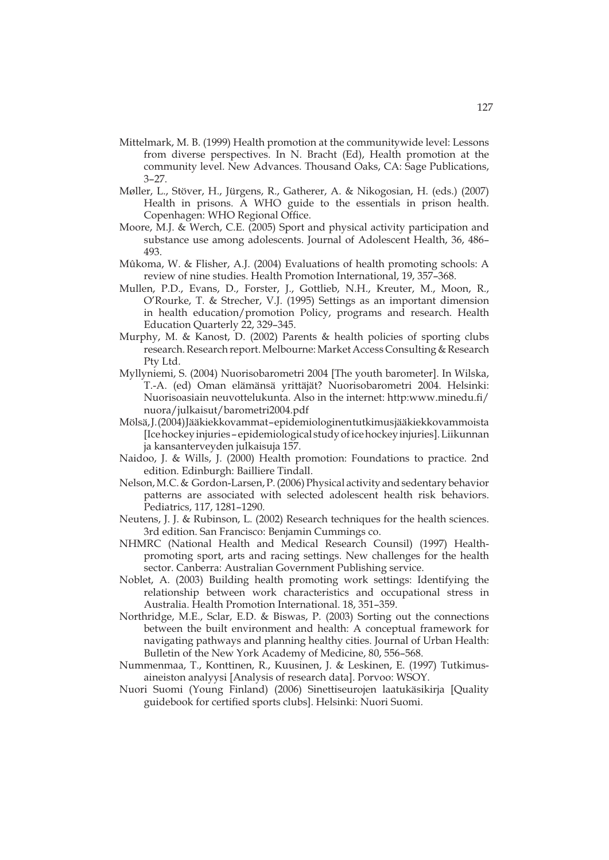- Mittelmark, M. B. (1999) Health promotion at the communitywide level: Lessons from diverse perspectives. In N. Bracht (Ed), Health promotion at the community level. New Advances. Thousand Oaks, CA: Sage Publications, 3–27.
- Møller, L., Stöver, H., Jürgens, R., Gatherer, A. & Nikogosian, H. (eds.) (2007) Health in prisons. A WHO guide to the essentials in prison health. Copenhagen: WHO Regional Office.
- Moore, M.J. & Werch, C.E. (2005) Sport and physical activity participation and substance use among adolescents. Journal of Adolescent Health, 36, 486– 493.
- Mûkoma, W. & Flisher, A.J. (2004) Evaluations of health promoting schools: A review of nine studies. Health Promotion International, 19, 357–368.
- Mullen, P.D., Evans, D., Forster, J., Gottlieb, N.H., Kreuter, M., Moon, R., O'Rourke, T. & Strecher, V.J. (1995) Settings as an important dimension in health education/promotion Policy, programs and research. Health Education Quarterly 22, 329–345.
- Murphy, M. & Kanost, D. (2002) Parents & health policies of sporting clubs research. Research report. Melbourne: Market Access Consulting & Research Pty Ltd.
- Myllyniemi, S. (2004) Nuorisobarometri 2004 [The youth barometer]. In Wilska, T.-A. (ed) Oman elämänsä yrittäjät? Nuorisobarometri 2004. Helsinki: Nuorisoasiain neuvottelukunta. Also in the internet: http:www.minedu.fi/ nuora/julkaisut/barometri2004.pdf
- Mölsä, J. (2004) Jääkiekkovammat epidemiologinen tutkimus jääkiekkovammoista [Ice hockey injuries – epidemiological study of ice hockey injuries]. Liikunnan ja kansanterveyden julkaisuja 157.
- Naidoo, J. & Wills, J. (2000) Health promotion: Foundations to practice. 2nd edition. Edinburgh: Bailliere Tindall.
- Nelson, M.C. & Gordon-Larsen, P. (2006) Physical activity and sedentary behavior patterns are associated with selected adolescent health risk behaviors. Pediatrics, 117, 1281–1290.
- Neutens, J. J. & Rubinson, L. (2002) Research techniques for the health sciences. 3rd edition. San Francisco: Benjamin Cummings co.
- NHMRC (National Health and Medical Research Counsil) (1997) Healthpromoting sport, arts and racing settings. New challenges for the health sector. Canberra: Australian Government Publishing service.
- Noblet, A. (2003) Building health promoting work settings: Identifying the relationship between work characteristics and occupational stress in Australia. Health Promotion International. 18, 351–359.
- Northridge, M.E., Sclar, E.D. & Biswas, P. (2003) Sorting out the connections between the built environment and health: A conceptual framework for navigating pathways and planning healthy cities. Journal of Urban Health: Bulletin of the New York Academy of Medicine, 80, 556–568.
- Nummenmaa, T., Konttinen, R., Kuusinen, J. & Leskinen, E. (1997) Tutkimusaineiston analyysi [Analysis of research data]. Porvoo: WSOY.
- Nuori Suomi (Young Finland) (2006) Sinettiseurojen laatukäsikirja [Quality guidebook for certified sports clubs]. Helsinki: Nuori Suomi.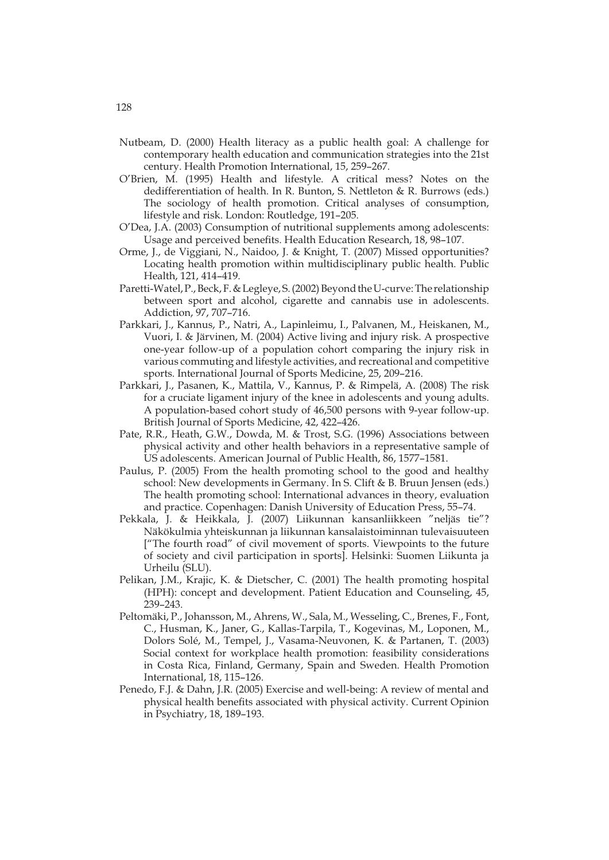- Nutbeam, D. (2000) Health literacy as a public health goal: A challenge for contemporary health education and communication strategies into the 21st century. Health Promotion International, 15, 259–267.
- O'Brien, M. (1995) Health and lifestyle. A critical mess? Notes on the dedifferentiation of health. In R. Bunton, S. Nettleton & R. Burrows (eds.) The sociology of health promotion. Critical analyses of consumption, lifestyle and risk. London: Routledge, 191–205.
- O'Dea, J.A. (2003) Consumption of nutritional supplements among adolescents: Usage and perceived benefits. Health Education Research, 18, 98–107.
- Orme, J., de Viggiani, N., Naidoo, J. & Knight, T. (2007) Missed opportunities? Locating health promotion within multidisciplinary public health. Public Health, 121, 414–419.
- Paretti-Watel, P., Beck, F. & Legleye, S. (2002) Beyond the U-curve: The relationship between sport and alcohol, cigarette and cannabis use in adolescents. Addiction, 97, 707–716.
- Parkkari, J., Kannus, P., Natri, A., Lapinleimu, I., Palvanen, M., Heiskanen, M., Vuori, I. & Järvinen, M. (2004) Active living and injury risk. A prospective one-year follow-up of a population cohort comparing the injury risk in various commuting and lifestyle activities, and recreational and competitive sports. International Journal of Sports Medicine, 25, 209–216.
- Parkkari, J., Pasanen, K., Mattila, V., Kannus, P. & Rimpelä, A. (2008) The risk for a cruciate ligament injury of the knee in adolescents and young adults. A population-based cohort study of 46,500 persons with 9-year follow-up. British Journal of Sports Medicine, 42, 422–426.
- Pate, R.R., Heath, G.W., Dowda, M. & Trost, S.G. (1996) Associations between physical activity and other health behaviors in a representative sample of US adolescents. American Journal of Public Health, 86, 1577–1581.
- Paulus, P. (2005) From the health promoting school to the good and healthy school: New developments in Germany. In S. Clift & B. Bruun Jensen (eds.) The health promoting school: International advances in theory, evaluation and practice. Copenhagen: Danish University of Education Press, 55–74.
- Pekkala, J. & Heikkala, J. (2007) Liikunnan kansanliikkeen "neljäs tie"? Näkökulmia yhteiskunnan ja liikunnan kansalaistoiminnan tulevaisuuteen ["The fourth road" of civil movement of sports. Viewpoints to the future of society and civil participation in sports]. Helsinki: Suomen Liikunta ja Urheilu (SLU).
- Pelikan, J.M., Krajic, K. & Dietscher, C. (2001) The health promoting hospital (HPH): concept and development. Patient Education and Counseling, 45, 239–243.
- Peltomäki, P., Johansson, M., Ahrens, W., Sala, M., Wesseling, C., Brenes, F., Font, C., Husman, K., Janer, G., Kallas-Tarpila, T., Kogevinas, M., Loponen, M., Dolors Solé, M., Tempel, J., Vasama-Neuvonen, K. & Partanen, T. (2003) Social context for workplace health promotion: feasibility considerations in Costa Rica, Finland, Germany, Spain and Sweden. Health Promotion International, 18, 115–126.
- Penedo, F.J. & Dahn, J.R. (2005) Exercise and well-being: A review of mental and physical health benefits associated with physical activity. Current Opinion in Psychiatry, 18, 189–193.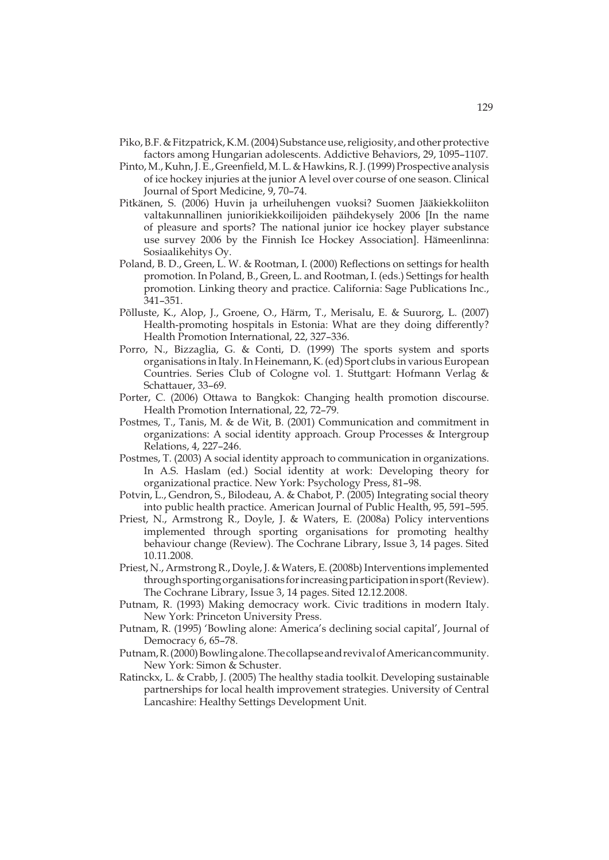- Piko, B.F. & Fitzpatrick, K.M. (2004) Substance use, religiosity, and other protective factors among Hungarian adolescents. Addictive Behaviors, 29, 1095–1107.
- Pinto, M., Kuhn, J. E., Greenfield, M. L. & Hawkins, R. J. (1999) Prospective analysis of ice hockey injuries at the junior A level over course of one season. Clinical Journal of Sport Medicine, 9, 70–74.
- Pitkänen, S. (2006) Huvin ja urheiluhengen vuoksi? Suomen Jääkiekkoliiton valtakunnallinen juniorikiekkoilijoiden päihdekysely 2006 [In the name of pleasure and sports? The national junior ice hockey player substance use survey 2006 by the Finnish Ice Hockey Association]. Hämeenlinna: Sosiaalikehitys Oy.
- Poland, B. D., Green, L. W. & Rootman, I. (2000) Reflections on settings for health promotion. In Poland, B., Green, L. and Rootman, I. (eds.) Settings for health promotion. Linking theory and practice. California: Sage Publications Inc., 341–351.
- Põlluste, K., Alop, J., Groene, O., Härm, T., Merisalu, E. & Suurorg, L. (2007) Health-promoting hospitals in Estonia: What are they doing differently? Health Promotion International, 22, 327–336.
- Porro, N., Bizzaglia, G. & Conti, D. (1999) The sports system and sports organisations in Italy. In Heinemann, K. (ed) Sport clubs in various European Countries. Series Club of Cologne vol. 1. Stuttgart: Hofmann Verlag & Schattauer, 33–69.
- Porter, C. (2006) Ottawa to Bangkok: Changing health promotion discourse. Health Promotion International, 22, 72–79.
- Postmes, T., Tanis, M. & de Wit, B. (2001) Communication and commitment in organizations: A social identity approach. Group Processes & Intergroup Relations, 4, 227–246.
- Postmes, T. (2003) A social identity approach to communication in organizations. In A.S. Haslam (ed.) Social identity at work: Developing theory for organizational practice. New York: Psychology Press, 81–98.
- Potvin, L., Gendron, S., Bilodeau, A. & Chabot, P. (2005) Integrating social theory into public health practice. American Journal of Public Health, 95, 591–595.
- Priest, N., Armstrong R., Doyle, J. & Waters, E. (2008a) Policy interventions implemented through sporting organisations for promoting healthy behaviour change (Review). The Cochrane Library, Issue 3, 14 pages. Sited 10.11.2008.
- Priest, N., Armstrong R., Doyle, J. & Waters, E. (2008b) Interventions implemented through sporting organisations for increasing participation in sport (Review). The Cochrane Library, Issue 3, 14 pages. Sited 12.12.2008.
- Putnam, R. (1993) Making democracy work. Civic traditions in modern Italy. New York: Princeton University Press.
- Putnam, R. (1995) 'Bowling alone: America's declining social capital', Journal of Democracy 6, 65–78.
- Putnam, R. (2000) Bowling alone. The collapse and revival of American community. New York: Simon & Schuster.
- Ratinckx, L. & Crabb, J. (2005) The healthy stadia toolkit. Developing sustainable partnerships for local health improvement strategies. University of Central Lancashire: Healthy Settings Development Unit.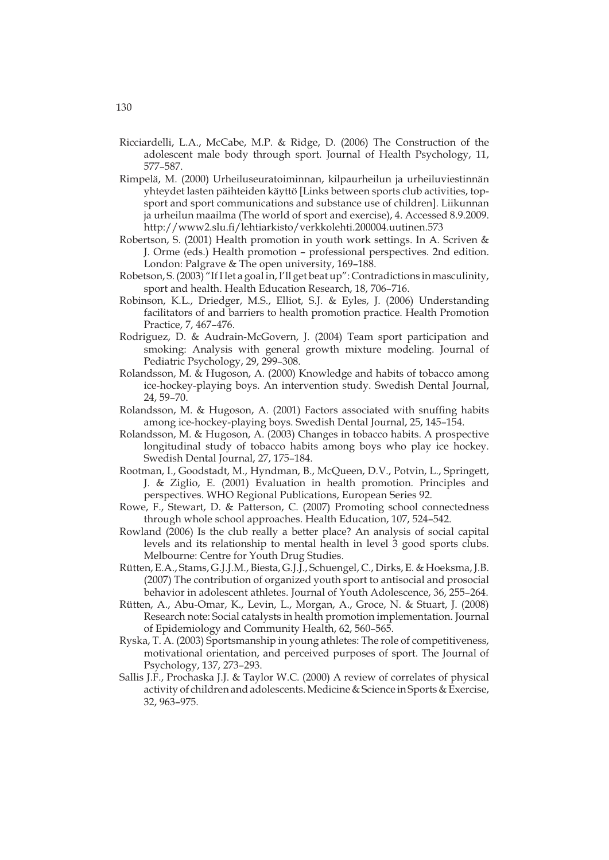- Ricciardelli, L.A., McCabe, M.P. & Ridge, D. (2006) The Construction of the adolescent male body through sport. Journal of Health Psychology, 11, 577–587.
- Rimpelä, M. (2000) Urheiluseuratoiminnan, kilpaurheilun ja urheiluviestinnän yhteydet lasten päihteiden käyttö [Links between sports club activities, topsport and sport communications and substance use of children]. Liikunnan ja urheilun maailma (The world of sport and exercise), 4. Accessed 8.9.2009. http://www2.slu.fi/lehtiarkisto/verkkolehti.200004.uutinen.573
- Robertson, S. (2001) Health promotion in youth work settings. In A. Scriven & J. Orme (eds.) Health promotion – professional perspectives. 2nd edition. London: Palgrave & The open university, 169–188.
- Robetson, S. (2003) "If I let a goal in, I'll get beat up": Contradictions in masculinity, sport and health. Health Education Research, 18, 706–716.
- Robinson, K.L., Driedger, M.S., Elliot, S.J. & Eyles, J. (2006) Understanding facilitators of and barriers to health promotion practice. Health Promotion Practice, 7, 467–476.
- Rodriguez, D. & Audrain-McGovern, J. (2004) Team sport participation and smoking: Analysis with general growth mixture modeling. Journal of Pediatric Psychology, 29, 299–308.
- Rolandsson, M. & Hugoson, A. (2000) Knowledge and habits of tobacco among ice-hockey-playing boys. An intervention study. Swedish Dental Journal, 24, 59–70.
- Rolandsson, M. & Hugoson, A. (2001) Factors associated with snuffing habits among ice-hockey-playing boys. Swedish Dental Journal, 25, 145–154.
- Rolandsson, M. & Hugoson, A. (2003) Changes in tobacco habits. A prospective longitudinal study of tobacco habits among boys who play ice hockey. Swedish Dental Journal, 27, 175–184.
- Rootman, I., Goodstadt, M., Hyndman, B., McQueen, D.V., Potvin, L., Springett, J. & Ziglio, E. (2001) Evaluation in health promotion. Principles and perspectives. WHO Regional Publications, European Series 92.
- Rowe, F., Stewart, D. & Patterson, C. (2007) Promoting school connectedness through whole school approaches. Health Education, 107, 524–542.
- Rowland (2006) Is the club really a better place? An analysis of social capital levels and its relationship to mental health in level 3 good sports clubs. Melbourne: Centre for Youth Drug Studies.
- Rütten, E.A., Stams, G.J.J.M., Biesta, G.J.J., Schuengel, C., Dirks, E. & Hoeksma, J.B. (2007) The contribution of organized youth sport to antisocial and prosocial behavior in adolescent athletes. Journal of Youth Adolescence, 36, 255–264.
- Rütten, A., Abu-Omar, K., Levin, L., Morgan, A., Groce, N. & Stuart, J. (2008) Research note: Social catalysts in health promotion implementation. Journal of Epidemiology and Community Health, 62, 560–565.
- Ryska, T. A. (2003) Sportsmanship in young athletes: The role of competitiveness, motivational orientation, and perceived purposes of sport. The Journal of Psychology, 137, 273–293.
- Sallis J.F., Prochaska J.J. & Taylor W.C. (2000) A review of correlates of physical activity of children and adolescents. Medicine & Science in Sports & Exercise, 32, 963–975.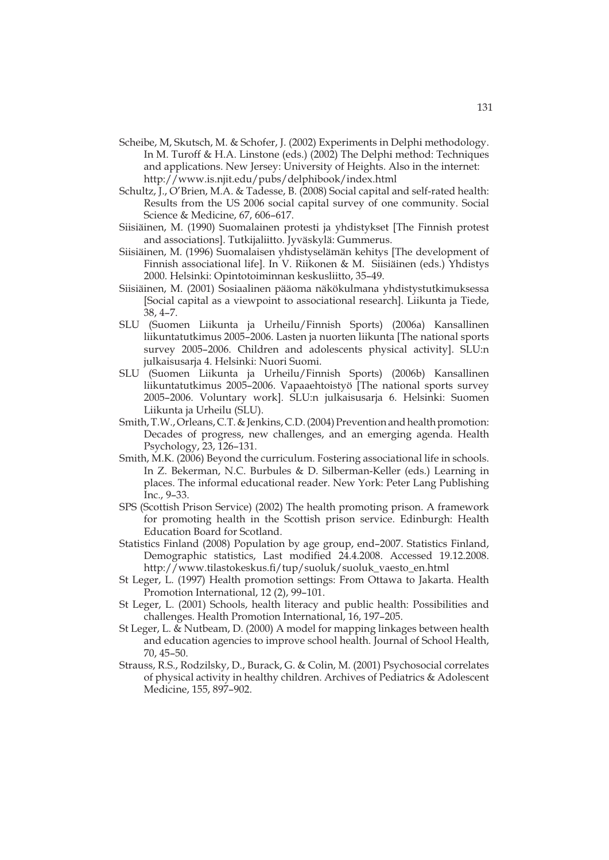- Scheibe, M, Skutsch, M. & Schofer, J. (2002) Experiments in Delphi methodology. In M. Turoff & H.A. Linstone (eds.) (2002) The Delphi method: Techniques and applications. New Jersey: University of Heights. Also in the internet: http://www.is.njit.edu/pubs/delphibook/index.html
- Schultz, J., O'Brien, M.A. & Tadesse, B. (2008) Social capital and self-rated health: Results from the US 2006 social capital survey of one community. Social Science & Medicine, 67, 606–617.
- Siisiäinen, M. (1990) Suomalainen protesti ja yhdistykset [The Finnish protest and associations]. Tutkijaliitto. Jyväskylä: Gummerus.
- Siisiäinen, M. (1996) Suomalaisen yhdistyselämän kehitys [The development of Finnish associational life]. In V. Riikonen & M. Siisiäinen (eds.) Yhdistys 2000. Helsinki: Opintotoiminnan keskusliitto, 35–49.
- Siisiäinen, M. (2001) Sosiaalinen pääoma näkökulmana yhdistystutkimuksessa [Social capital as a viewpoint to associational research]. Liikunta ja Tiede, 38, 4–7.
- SLU (Suomen Liikunta ja Urheilu/Finnish Sports) (2006a) Kansallinen liikuntatutkimus 2005–2006. Lasten ja nuorten liikunta [The national sports survey 2005–2006. Children and adolescents physical activity]. SLU:n julkaisusarja 4. Helsinki: Nuori Suomi.
- SLU (Suomen Liikunta ja Urheilu/Finnish Sports) (2006b) Kansallinen liikuntatutkimus 2005–2006. Vapaaehtoistyö [The national sports survey 2005–2006. Voluntary work]. SLU:n julkaisusarja 6. Helsinki: Suomen Liikunta ja Urheilu (SLU).
- Smith, T.W., Orleans, C.T. & Jenkins, C.D. (2004) Prevention and health promotion: Decades of progress, new challenges, and an emerging agenda. Health Psychology, 23, 126–131.
- Smith, M.K. (2006) Beyond the curriculum. Fostering associational life in schools. In Z. Bekerman, N.C. Burbules & D. Silberman-Keller (eds.) Learning in places. The informal educational reader. New York: Peter Lang Publishing Inc., 9–33.
- SPS (Scottish Prison Service) (2002) The health promoting prison. A framework for promoting health in the Scottish prison service. Edinburgh: Health Education Board for Scotland.
- Statistics Finland (2008) Population by age group, end–2007. Statistics Finland, Demographic statistics, Last modified 24.4.2008. Accessed 19.12.2008. http://www.tilastokeskus.fi/tup/suoluk/suoluk\_vaesto\_en.html
- St Leger, L. (1997) Health promotion settings: From Ottawa to Jakarta. Health Promotion International, 12 (2), 99–101.
- St Leger, L. (2001) Schools, health literacy and public health: Possibilities and challenges. Health Promotion International, 16, 197–205.
- St Leger, L. & Nutbeam, D. (2000) A model for mapping linkages between health and education agencies to improve school health. Journal of School Health, 70, 45–50.
- Strauss, R.S., Rodzilsky, D., Burack, G. & Colin, M. (2001) Psychosocial correlates of physical activity in healthy children. Archives of Pediatrics & Adolescent Medicine, 155, 897–902.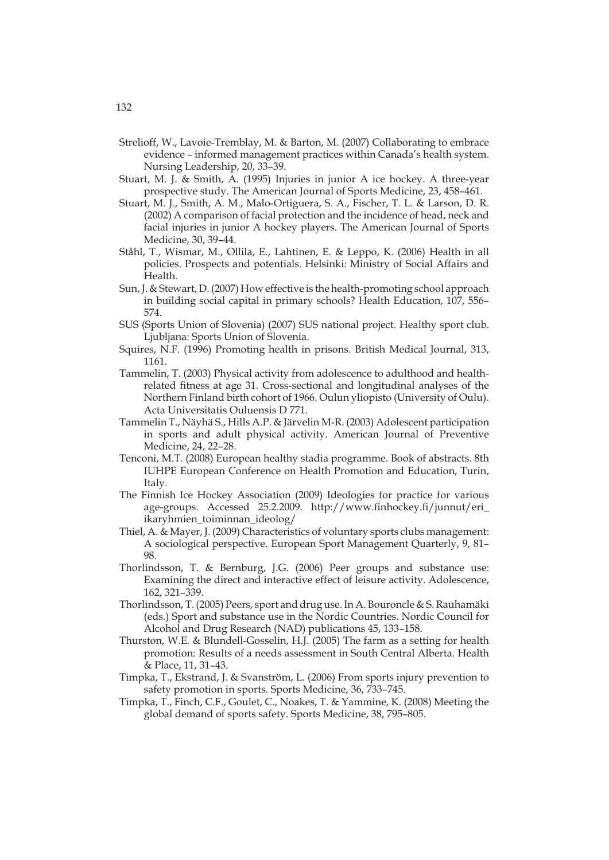- Strelioff, W., Lavoie-Tremblay, M. & Barton, M. (2007) Collaborating to embrace evidence – informed management practices within Canada's health system. Nursing Leadership, 20, 33–39.
- Stuart, M. J. & Smith, A. (1995) Injuries in junior A ice hockey. A three-year prospective study. The American Journal of Sports Medicine, 23, 458–461.
- Stuart, M. J., Smith, A. M., Malo-Ortiguera, S. A., Fischer, T. L. & Larson, D. R. (2002) A comparison of facial protection and the incidence of head, neck and facial injuries in junior A hockey players. The American Journal of Sports Medicine, 30, 39–44.
- Ståhl, T., Wismar, M., Ollila, E., Lahtinen, E. & Leppo, K. (2006) Health in all policies. Prospects and potentials. Helsinki: Ministry of Social Affairs and Health.
- Sun, J. & Stewart, D. (2007) How effective is the health-promoting school approach in building social capital in primary schools? Health Education, 107, 556– 574.
- SUS (Sports Union of Slovenia) (2007) SUS national project. Healthy sport club. Ljubljana: Sports Union of Slovenia.
- Squires, N.F. (1996) Promoting health in prisons. British Medical Journal, 313, 1161.
- Tammelin, T. (2003) Physical activity from adolescence to adulthood and healthrelated fitness at age 31. Cross-sectional and longitudinal analyses of the Northern Finland birth cohort of 1966. Oulun yliopisto (University of Oulu). Acta Universitatis Ouluensis D 771.
- Tammelin T., Näyhä S., Hills A.P. & Järvelin M-R. (2003) Adolescent participation in sports and adult physical activity. American Journal of Preventive Medicine, 24, 22–28.
- Tenconi, M.T. (2008) European healthy stadia programme. Book of abstracts. 8th IUHPE European Conference on Health Promotion and Education, Turin, Italy.
- The Finnish Ice Hockey Association (2009) Ideologies for practice for various age-groups. Accessed 25.2.2009. http://www.finhockey.fi/junnut/eri\_ ikaryhmien\_toiminnan\_ideolog/
- Thiel, A. & Mayer, J. (2009) Characteristics of voluntary sports clubs management: A sociological perspective. European Sport Management Quarterly, 9, 81– 98.
- Thorlindsson, T. & Bernburg, J.G. (2006) Peer groups and substance use: Examining the direct and interactive effect of leisure activity. Adolescence, 162, 321–339.
- Thorlindsson, T. (2005) Peers, sport and drug use. In A. Bouroncle & S. Rauhamäki (eds.) Sport and substance use in the Nordic Countries. Nordic Council for Alcohol and Drug Research (NAD) publications 45, 133–158.
- Thurston, W.E. & Blundell-Gosselin, H.J. (2005) The farm as a setting for health promotion: Results of a needs assessment in South Central Alberta. Health & Place, 11, 31–43.
- Timpka, T., Ekstrand, J. & Svanström, L. (2006) From sports injury prevention to safety promotion in sports. Sports Medicine, 36, 733–745.
- Timpka, T., Finch, C.F., Goulet, C., Noakes, T. & Yammine, K. (2008) Meeting the global demand of sports safety. Sports Medicine, 38, 795–805.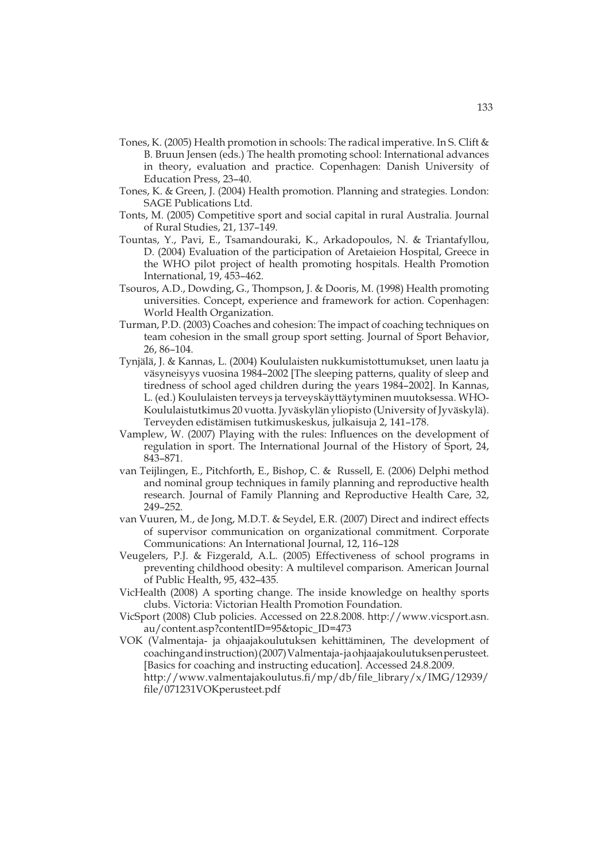- Tones, K. (2005) Health promotion in schools: The radical imperative. In S. Clift & B. Bruun Jensen (eds.) The health promoting school: International advances in theory, evaluation and practice. Copenhagen: Danish University of Education Press, 23–40.
- Tones, K. & Green, J. (2004) Health promotion. Planning and strategies. London: SAGE Publications Ltd.
- Tonts, M. (2005) Competitive sport and social capital in rural Australia. Journal of Rural Studies, 21, 137–149.
- Tountas, Y., Pavi, E., Tsamandouraki, K., Arkadopoulos, N. & Triantafyllou, D. (2004) Evaluation of the participation of Aretaieion Hospital, Greece in the WHO pilot project of health promoting hospitals. Health Promotion International, 19, 453–462.
- Tsouros, A.D., Dowding, G., Thompson, J. & Dooris, M. (1998) Health promoting universities. Concept, experience and framework for action. Copenhagen: World Health Organization.
- Turman, P.D. (2003) Coaches and cohesion: The impact of coaching techniques on team cohesion in the small group sport setting. Journal of Sport Behavior, 26, 86–104.
- Tynjälä, J. & Kannas, L. (2004) Koululaisten nukkumistottumukset, unen laatu ja väsyneisyys vuosina 1984–2002 [The sleeping patterns, quality of sleep and tiredness of school aged children during the years 1984–2002]. In Kannas, L. (ed.) Koululaisten terveys ja terveyskäyttäytyminen muutoksessa. WHO-Koululaistutkimus 20 vuotta. Jyväskylän yliopisto (University of Jyväskylä). Terveyden edistämisen tutkimuskeskus, julkaisuja 2, 141–178.
- Vamplew, W. (2007) Playing with the rules: Influences on the development of regulation in sport. The International Journal of the History of Sport, 24, 843–871.
- van Teijlingen, E., Pitchforth, E., Bishop, C. & Russell, E. (2006) Delphi method and nominal group techniques in family planning and reproductive health research. Journal of Family Planning and Reproductive Health Care, 32, 249–252.
- van Vuuren, M., de Jong, M.D.T. & Seydel, E.R. (2007) Direct and indirect effects of supervisor communication on organizational commitment. Corporate Communications: An International Journal, 12, 116–128
- Veugelers, P.J. & Fizgerald, A.L. (2005) Effectiveness of school programs in preventing childhood obesity: A multilevel comparison. American Journal of Public Health, 95, 432–435.
- VicHealth (2008) A sporting change. The inside knowledge on healthy sports clubs. Victoria: Victorian Health Promotion Foundation.
- VicSport (2008) Club policies. Accessed on 22.8.2008. http://www.vicsport.asn. au/content.asp?contentID=95&topic\_ID=473
- VOK (Valmentaja- ja ohjaajakoulutuksen kehittäminen, The development of coaching and instruction) (2007) Valmentaja- ja ohjaajakoulutuksen perusteet. [Basics for coaching and instructing education]. Accessed 24.8.2009. http://www.valmentajakoulutus.fi/mp/db/file\_library/x/IMG/12939/ file/071231VOKperusteet.pdf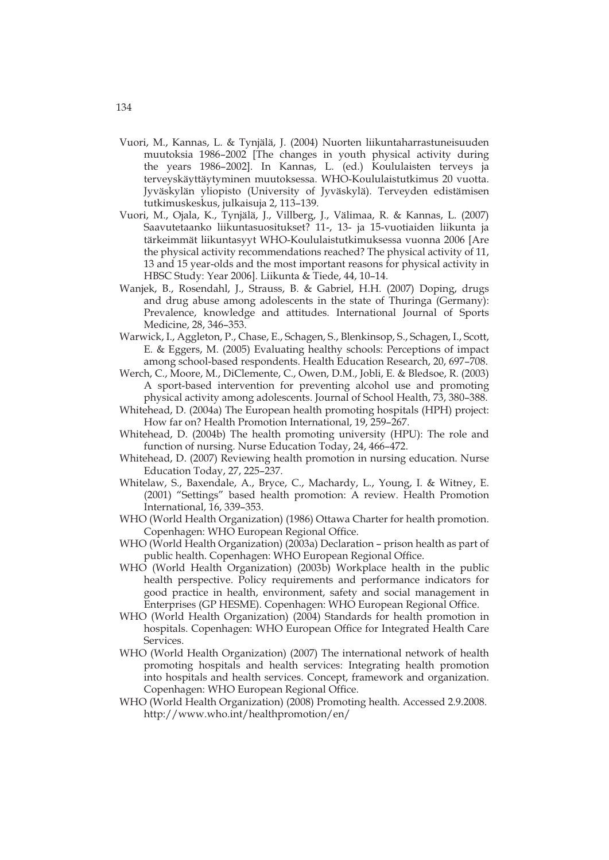- Vuori, M., Kannas, L. & Tynjälä, J. (2004) Nuorten liikuntaharrastuneisuuden muutoksia 1986–2002 [The changes in youth physical activity during the years 1986–2002]. In Kannas, L. (ed.) Koululaisten terveys ja terveyskäyttäytyminen muutoksessa. WHO-Koululaistutkimus 20 vuotta. Jyväskylän yliopisto (University of Jyväskylä). Terveyden edistämisen tutkimuskeskus, julkaisuja 2, 113–139.
- Vuori, M., Ojala, K., Tynjälä, J., Villberg, J., Välimaa, R. & Kannas, L. (2007) Saavutetaanko liikuntasuositukset? 11-, 13- ja 15-vuotiaiden liikunta ja tärkeimmät liikuntasyyt WHO-Koululaistutkimuksessa vuonna 2006 [Are the physical activity recommendations reached? The physical activity of 11, 13 and 15 year-olds and the most important reasons for physical activity in HBSC Study: Year 2006]. Liikunta & Tiede, 44, 10–14.
- Wanjek, B., Rosendahl, J., Strauss, B. & Gabriel, H.H. (2007) Doping, drugs and drug abuse among adolescents in the state of Thuringa (Germany): Prevalence, knowledge and attitudes. International Journal of Sports Medicine, 28, 346–353.
- Warwick, I., Aggleton, P., Chase, E., Schagen, S., Blenkinsop, S., Schagen, I., Scott, E. & Eggers, M. (2005) Evaluating healthy schools: Perceptions of impact among school-based respondents. Health Education Research, 20, 697–708.
- Werch, C., Moore, M., DiClemente, C., Owen, D.M., Jobli, E. & Bledsoe, R. (2003) A sport-based intervention for preventing alcohol use and promoting physical activity among adolescents. Journal of School Health, 73, 380–388.
- Whitehead, D. (2004a) The European health promoting hospitals (HPH) project: How far on? Health Promotion International, 19, 259–267.
- Whitehead, D. (2004b) The health promoting university (HPU): The role and function of nursing. Nurse Education Today, 24, 466–472.
- Whitehead, D. (2007) Reviewing health promotion in nursing education. Nurse Education Today, 27, 225–237.
- Whitelaw, S., Baxendale, A., Bryce, C., Machardy, L., Young, I. & Witney, E. (2001) "Settings" based health promotion: A review. Health Promotion International, 16, 339–353.
- WHO (World Health Organization) (1986) Ottawa Charter for health promotion. Copenhagen: WHO European Regional Office.
- WHO (World Health Organization) (2003a) Declaration prison health as part of public health. Copenhagen: WHO European Regional Office.
- WHO (World Health Organization) (2003b) Workplace health in the public health perspective. Policy requirements and performance indicators for good practice in health, environment, safety and social management in Enterprises (GP HESME). Copenhagen: WHO European Regional Office.
- WHO (World Health Organization) (2004) Standards for health promotion in hospitals. Copenhagen: WHO European Office for Integrated Health Care Services.
- WHO (World Health Organization) (2007) The international network of health promoting hospitals and health services: Integrating health promotion into hospitals and health services. Concept, framework and organization. Copenhagen: WHO European Regional Office.
- WHO (World Health Organization) (2008) Promoting health. Accessed 2.9.2008. http://www.who.int/healthpromotion/en/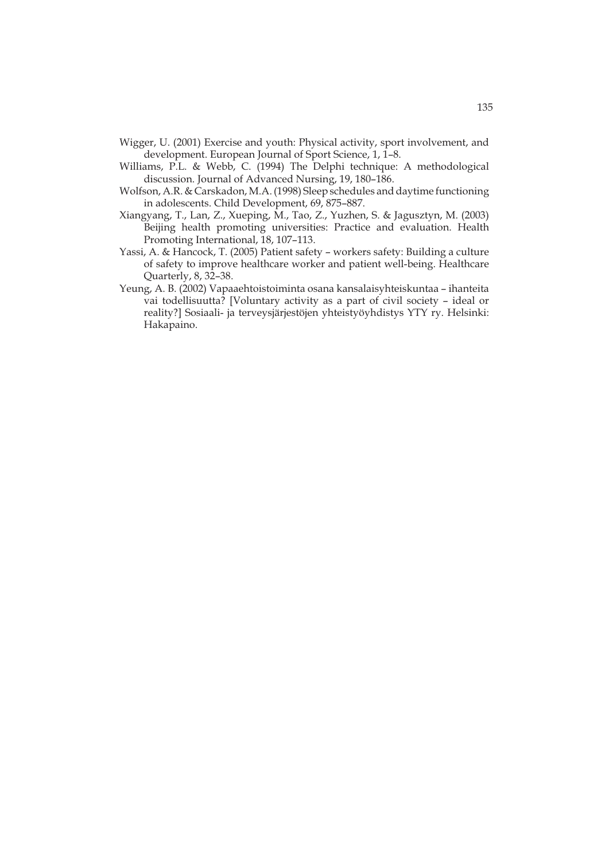- Wigger, U. (2001) Exercise and youth: Physical activity, sport involvement, and development. European Journal of Sport Science, 1, 1–8.
- Williams, P.L. & Webb, C. (1994) The Delphi technique: A methodological discussion. Journal of Advanced Nursing, 19, 180–186.
- Wolfson, A.R. & Carskadon, M.A. (1998) Sleep schedules and daytime functioning in adolescents. Child Development, 69, 875–887.
- Xiangyang, T., Lan, Z., Xueping, M., Tao, Z., Yuzhen, S. & Jagusztyn, M. (2003) Beijing health promoting universities: Practice and evaluation. Health Promoting International, 18, 107–113.
- Yassi, A. & Hancock, T. (2005) Patient safety workers safety: Building a culture of safety to improve healthcare worker and patient well-being. Healthcare Quarterly, 8, 32–38.
- Yeung, A. B. (2002) Vapaaehtoistoiminta osana kansalaisyhteiskuntaa ihanteita vai todellisuutta? [Voluntary activity as a part of civil society – ideal or reality?] Sosiaali- ja terveysjärjestöjen yhteistyöyhdistys YTY ry. Helsinki: Hakapaino.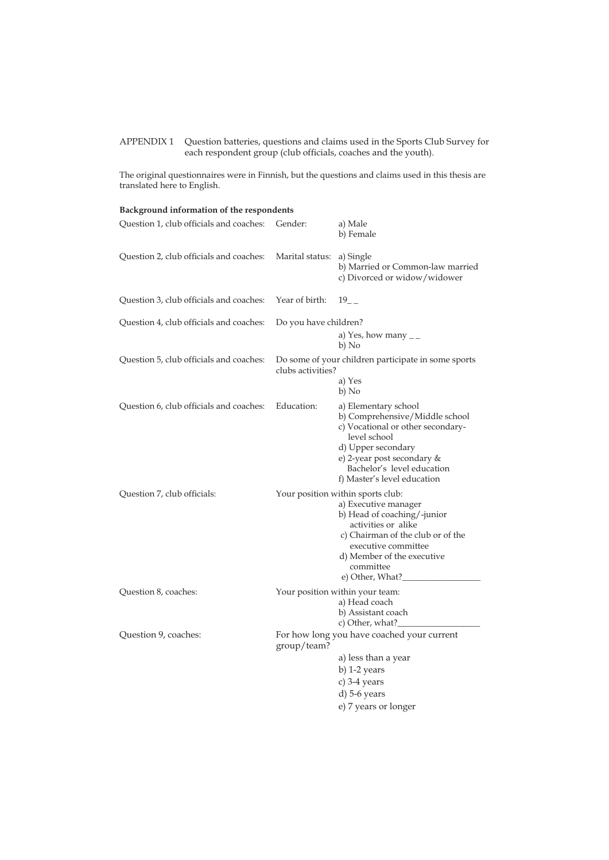APPENDIX 1 Question batteries, questions and claims used in the Sports Club Survey for each respondent group (club officials, coaches and the youth).

The original questionnaires were in Finnish, but the questions and claims used in this thesis are translated here to English.

| Background information of the respondents |                       |                                                                                                                                                                                                                                            |  |  |
|-------------------------------------------|-----------------------|--------------------------------------------------------------------------------------------------------------------------------------------------------------------------------------------------------------------------------------------|--|--|
| Question 1, club officials and coaches:   | Gender:               | a) Male<br>b) Female                                                                                                                                                                                                                       |  |  |
| Question 2, club officials and coaches:   | Marital status:       | a) Single<br>b) Married or Common-law married<br>c) Divorced or widow/widower                                                                                                                                                              |  |  |
| Question 3, club officials and coaches:   | Year of birth:        | $19$ <sub>--</sub>                                                                                                                                                                                                                         |  |  |
| Question 4, club officials and coaches:   | Do you have children? |                                                                                                                                                                                                                                            |  |  |
|                                           |                       | a) Yes, how many $_{-}$<br>b) No                                                                                                                                                                                                           |  |  |
| Question 5, club officials and coaches:   | clubs activities?     | Do some of your children participate in some sports                                                                                                                                                                                        |  |  |
|                                           |                       | a) Yes<br>b) No                                                                                                                                                                                                                            |  |  |
| Question 6, club officials and coaches:   | Education:            | a) Elementary school<br>b) Comprehensive/Middle school<br>c) Vocational or other secondary-<br>level school<br>d) Upper secondary<br>e) 2-year post secondary &<br>Bachelor's level education<br>f) Master's level education               |  |  |
| Question 7, club officials:               |                       | Your position within sports club:<br>a) Executive manager<br>b) Head of coaching/-junior<br>activities or alike<br>c) Chairman of the club or of the<br>executive committee<br>d) Member of the executive<br>committee<br>e) Other, What?_ |  |  |
| Question 8, coaches:                      |                       | Your position within your team:<br>a) Head coach<br>b) Assistant coach<br>c) Other, what?_                                                                                                                                                 |  |  |
| Question 9, coaches:                      | group/team?           | For how long you have coached your current                                                                                                                                                                                                 |  |  |
|                                           |                       | a) less than a year                                                                                                                                                                                                                        |  |  |
|                                           |                       | b) $1-2$ years                                                                                                                                                                                                                             |  |  |
|                                           |                       | c) 3-4 years                                                                                                                                                                                                                               |  |  |
|                                           |                       | $d$ ) 5-6 years                                                                                                                                                                                                                            |  |  |
|                                           |                       | e) 7 years or longer                                                                                                                                                                                                                       |  |  |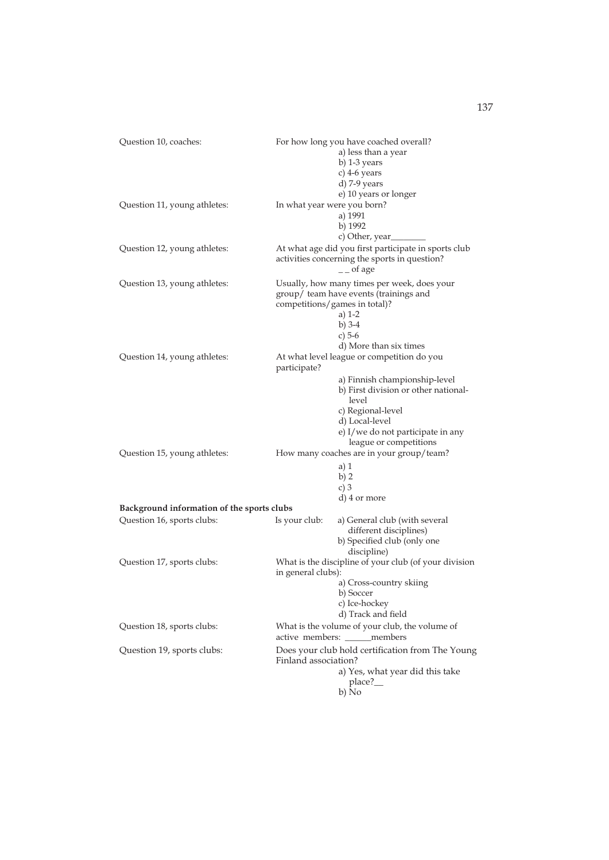| Question 10, coaches:                      | For how long you have coached overall?<br>a) less than a year<br>b) 1-3 years<br>c) $4-6$ years<br>d) 7-9 years<br>e) 10 years or longer                                             |  |  |  |
|--------------------------------------------|--------------------------------------------------------------------------------------------------------------------------------------------------------------------------------------|--|--|--|
| Question 11, young athletes:               | In what year were you born?<br>a) 1991<br>b) 1992<br>c) Other, year                                                                                                                  |  |  |  |
| Question 12, young athletes:               | At what age did you first participate in sports club<br>activities concerning the sports in question?<br>$\mathcal{L}$ of age                                                        |  |  |  |
| Question 13, young athletes:               | Usually, how many times per week, does your<br>group/ team have events (trainings and<br>competitions/games in total)?<br>a) $1-2$<br>b) $3-4$<br>c) $5-6$<br>d) More than six times |  |  |  |
| Question 14, young athletes:               | At what level league or competition do you<br>participate?                                                                                                                           |  |  |  |
|                                            | a) Finnish championship-level<br>b) First division or other national-<br>level<br>c) Regional-level<br>d) Local-level<br>e) I/we do not participate in any<br>league or competitions |  |  |  |
| Question 15, young athletes:               | How many coaches are in your group/team?<br>$a)$ 1<br>b) 2<br>c) $3$<br>d) 4 or more                                                                                                 |  |  |  |
| Background information of the sports clubs |                                                                                                                                                                                      |  |  |  |
| Question 16, sports clubs:                 | Is your club:<br>a) General club (with several<br>different disciplines)<br>b) Specified club (only one<br>discipline)                                                               |  |  |  |
| Question 17, sports clubs:                 | What is the discipline of your club (of your division<br>in general clubs):<br>a) Cross-country skiing<br>b) Soccer<br>c) Ice-hockey<br>d) Track and field                           |  |  |  |
| Question 18, sports clubs:                 | What is the volume of your club, the volume of<br>active members: _____members                                                                                                       |  |  |  |
| Question 19, sports clubs:                 | Does your club hold certification from The Young<br>Finland association?<br>a) Yes, what year did this take<br>place?_<br>b) No                                                      |  |  |  |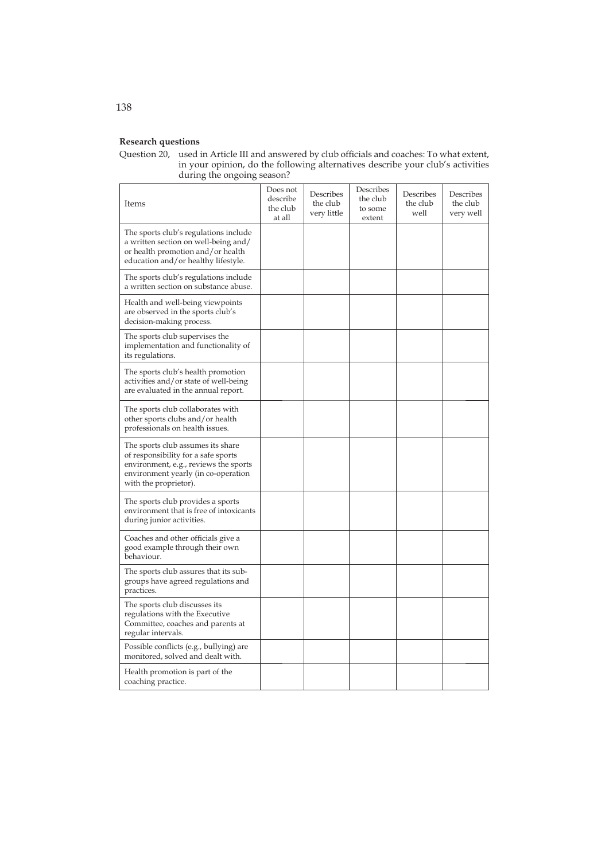## **Research questions**

Question 20, used in Article III and answered by club officials and coaches: To what extent, in your opinion, do the following alternatives describe your club's activities during the ongoing season?

| Items                                                                                                                                                                             | Does not<br>describe<br>the club<br>at all | Describes<br>the club<br>very little | Describes<br>the club<br>to some<br>extent | Describes<br>the club<br>well | Describes<br>the club<br>very well |
|-----------------------------------------------------------------------------------------------------------------------------------------------------------------------------------|--------------------------------------------|--------------------------------------|--------------------------------------------|-------------------------------|------------------------------------|
| The sports club's regulations include<br>a written section on well-being and/<br>or health promotion and/or health<br>education and/or healthy lifestyle.                         |                                            |                                      |                                            |                               |                                    |
| The sports club's regulations include<br>a written section on substance abuse.                                                                                                    |                                            |                                      |                                            |                               |                                    |
| Health and well-being viewpoints<br>are observed in the sports club's<br>decision-making process.                                                                                 |                                            |                                      |                                            |                               |                                    |
| The sports club supervises the<br>implementation and functionality of<br>its regulations.                                                                                         |                                            |                                      |                                            |                               |                                    |
| The sports club's health promotion<br>activities and/or state of well-being<br>are evaluated in the annual report.                                                                |                                            |                                      |                                            |                               |                                    |
| The sports club collaborates with<br>other sports clubs and/or health<br>professionals on health issues.                                                                          |                                            |                                      |                                            |                               |                                    |
| The sports club assumes its share<br>of responsibility for a safe sports<br>environment, e.g., reviews the sports<br>environment yearly (in co-operation<br>with the proprietor). |                                            |                                      |                                            |                               |                                    |
| The sports club provides a sports<br>environment that is free of intoxicants<br>during junior activities.                                                                         |                                            |                                      |                                            |                               |                                    |
| Coaches and other officials give a<br>good example through their own<br>behaviour.                                                                                                |                                            |                                      |                                            |                               |                                    |
| The sports club assures that its sub-<br>groups have agreed regulations and<br>practices.                                                                                         |                                            |                                      |                                            |                               |                                    |
| The sports club discusses its<br>regulations with the Executive<br>Committee, coaches and parents at<br>regular intervals.                                                        |                                            |                                      |                                            |                               |                                    |
| Possible conflicts (e.g., bullying) are<br>monitored, solved and dealt with.                                                                                                      |                                            |                                      |                                            |                               |                                    |
| Health promotion is part of the<br>coaching practice.                                                                                                                             |                                            |                                      |                                            |                               |                                    |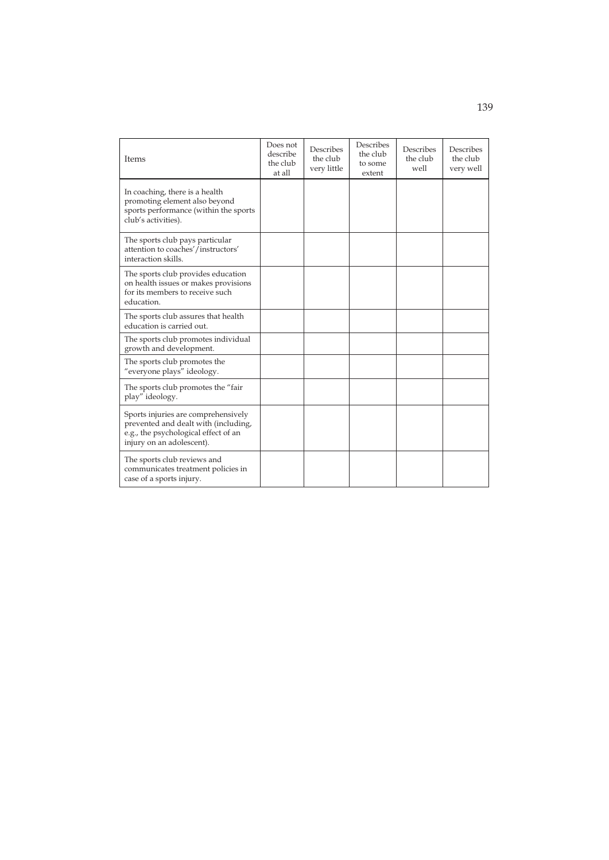| Items                                                                                                                                            | Does not<br>describe<br>the club<br>at all | Describes<br>the club<br>very little | Describes<br>the club<br>to some<br>extent | Describes<br>the club<br>well | Describes<br>the club<br>very well |
|--------------------------------------------------------------------------------------------------------------------------------------------------|--------------------------------------------|--------------------------------------|--------------------------------------------|-------------------------------|------------------------------------|
| In coaching, there is a health<br>promoting element also beyond<br>sports performance (within the sports<br>club's activities).                  |                                            |                                      |                                            |                               |                                    |
| The sports club pays particular<br>attention to coaches'/instructors'<br>interaction skills.                                                     |                                            |                                      |                                            |                               |                                    |
| The sports club provides education<br>on health issues or makes provisions<br>for its members to receive such<br>education.                      |                                            |                                      |                                            |                               |                                    |
| The sports club assures that health<br>education is carried out.                                                                                 |                                            |                                      |                                            |                               |                                    |
| The sports club promotes individual<br>growth and development.                                                                                   |                                            |                                      |                                            |                               |                                    |
| The sports club promotes the<br>"everyone plays" ideology.                                                                                       |                                            |                                      |                                            |                               |                                    |
| The sports club promotes the "fair"<br>play" ideology.                                                                                           |                                            |                                      |                                            |                               |                                    |
| Sports injuries are comprehensively<br>prevented and dealt with (including,<br>e.g., the psychological effect of an<br>injury on an adolescent). |                                            |                                      |                                            |                               |                                    |
| The sports club reviews and<br>communicates treatment policies in<br>case of a sports injury.                                                    |                                            |                                      |                                            |                               |                                    |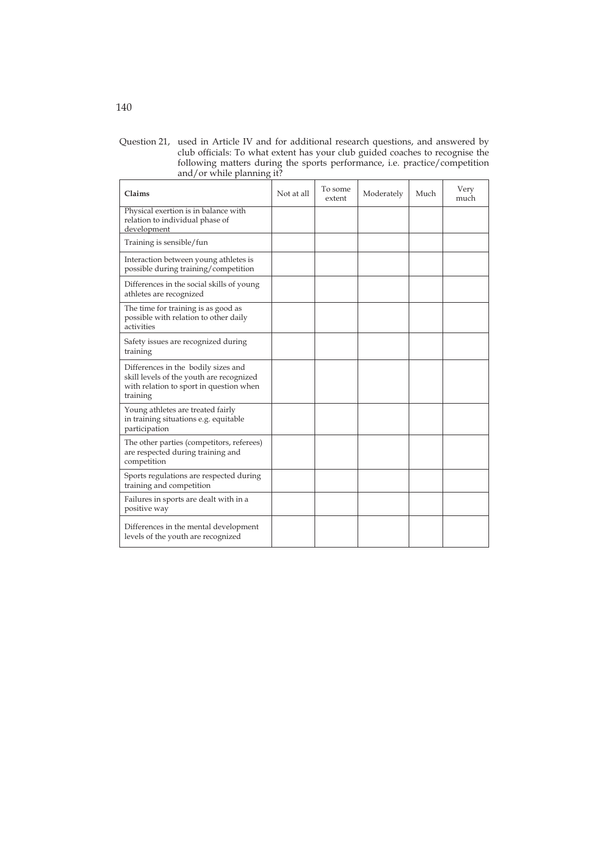Question 21, used in Article IV and for additional research questions, and answered by club officials: To what extent has your club guided coaches to recognise the following matters during the sports performance, i.e. practice/competition and/or while planning it?

| Claims                                                                                                                                 | Not at all | To some<br>extent | Moderately | Much | Very<br>much |
|----------------------------------------------------------------------------------------------------------------------------------------|------------|-------------------|------------|------|--------------|
| Physical exertion is in balance with<br>relation to individual phase of<br>development                                                 |            |                   |            |      |              |
| Training is sensible/fun                                                                                                               |            |                   |            |      |              |
| Interaction between young athletes is<br>possible during training/competition                                                          |            |                   |            |      |              |
| Differences in the social skills of young<br>athletes are recognized                                                                   |            |                   |            |      |              |
| The time for training is as good as<br>possible with relation to other daily<br>activities                                             |            |                   |            |      |              |
| Safety issues are recognized during<br>training                                                                                        |            |                   |            |      |              |
| Differences in the bodily sizes and<br>skill levels of the youth are recognized<br>with relation to sport in question when<br>training |            |                   |            |      |              |
| Young athletes are treated fairly<br>in training situations e.g. equitable<br>participation                                            |            |                   |            |      |              |
| The other parties (competitors, referees)<br>are respected during training and<br>competition                                          |            |                   |            |      |              |
| Sports regulations are respected during<br>training and competition                                                                    |            |                   |            |      |              |
| Failures in sports are dealt with in a<br>positive way                                                                                 |            |                   |            |      |              |
| Differences in the mental development<br>levels of the youth are recognized                                                            |            |                   |            |      |              |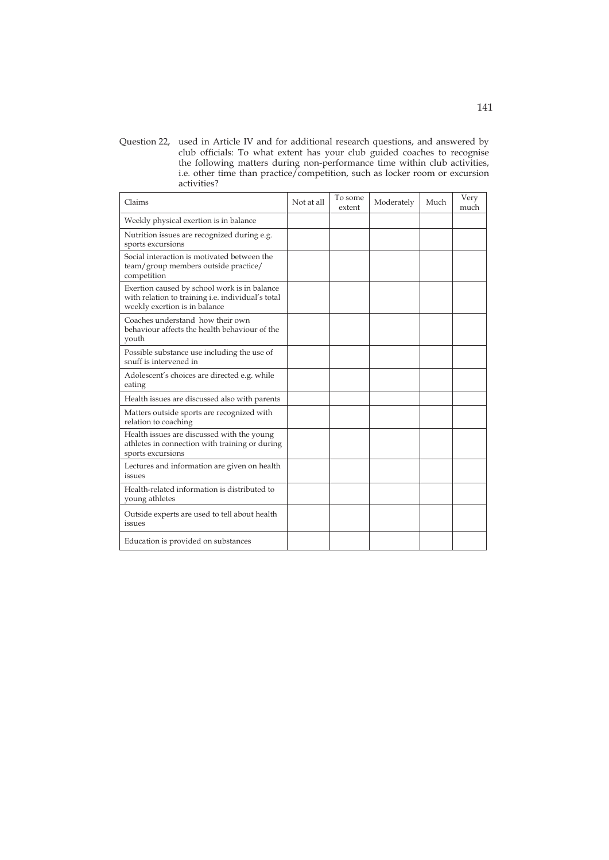Question 22, used in Article IV and for additional research questions, and answered by club officials: To what extent has your club guided coaches to recognise the following matters during non-performance time within club activities, i.e. other time than practice/competition, such as locker room or excursion activities?

| Claims                                                                                                                             | Not at all | To some<br>extent | Moderately | Much | Very<br>much |
|------------------------------------------------------------------------------------------------------------------------------------|------------|-------------------|------------|------|--------------|
| Weekly physical exertion is in balance                                                                                             |            |                   |            |      |              |
| Nutrition issues are recognized during e.g.<br>sports excursions                                                                   |            |                   |            |      |              |
| Social interaction is motivated between the<br>team/group members outside practice/<br>competition                                 |            |                   |            |      |              |
| Exertion caused by school work is in balance<br>with relation to training i.e. individual's total<br>weekly exertion is in balance |            |                   |            |      |              |
| Coaches understand how their own<br>behaviour affects the health behaviour of the<br>youth                                         |            |                   |            |      |              |
| Possible substance use including the use of<br>snuff is intervened in                                                              |            |                   |            |      |              |
| Adolescent's choices are directed e.g. while<br>eating                                                                             |            |                   |            |      |              |
| Health issues are discussed also with parents                                                                                      |            |                   |            |      |              |
| Matters outside sports are recognized with<br>relation to coaching                                                                 |            |                   |            |      |              |
| Health issues are discussed with the young<br>athletes in connection with training or during<br>sports excursions                  |            |                   |            |      |              |
| Lectures and information are given on health<br>issues                                                                             |            |                   |            |      |              |
| Health-related information is distributed to<br>young athletes                                                                     |            |                   |            |      |              |
| Outside experts are used to tell about health<br>issues                                                                            |            |                   |            |      |              |
| Education is provided on substances                                                                                                |            |                   |            |      |              |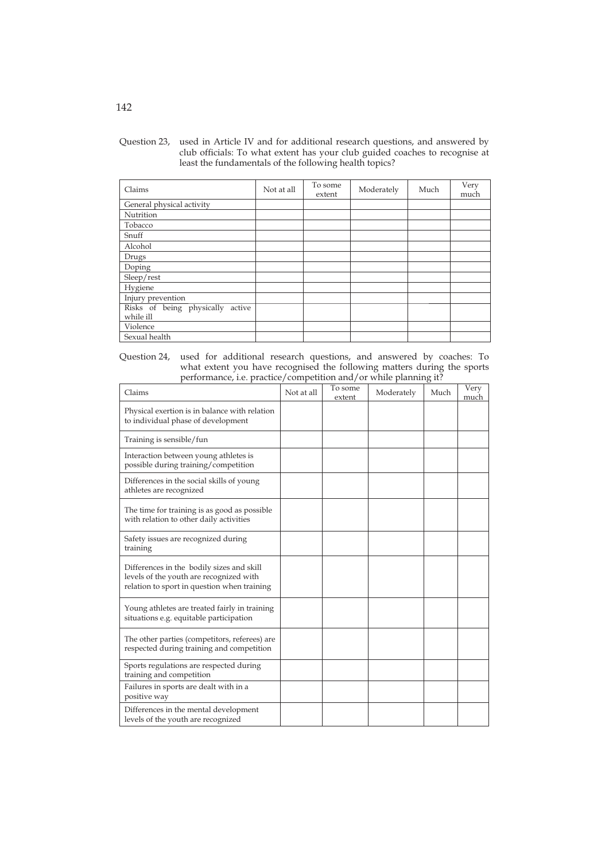| Question 23, used in Article IV and for additional research questions, and answered by |
|----------------------------------------------------------------------------------------|
| club officials: To what extent has your club guided coaches to recognise at            |
| least the fundamentals of the following health topics?                                 |

| Claims                              | Not at all | To some<br>extent | Moderately | Much | Very<br>much |
|-------------------------------------|------------|-------------------|------------|------|--------------|
| General physical activity           |            |                   |            |      |              |
| Nutrition                           |            |                   |            |      |              |
| Tobacco                             |            |                   |            |      |              |
| Snuff                               |            |                   |            |      |              |
| Alcohol                             |            |                   |            |      |              |
| Drugs                               |            |                   |            |      |              |
| Doping                              |            |                   |            |      |              |
| Sleep/rest                          |            |                   |            |      |              |
| Hygiene                             |            |                   |            |      |              |
| Injury prevention                   |            |                   |            |      |              |
| Risks of being physically<br>active |            |                   |            |      |              |
| while ill                           |            |                   |            |      |              |
| Violence                            |            |                   |            |      |              |
| Sexual health                       |            |                   |            |      |              |

Question 24, used for additional research questions, and answered by coaches: To what extent you have recognised the following matters during the sports performance, i.e. practice/competition and/or while planning it?

| Claims                                                                                                                              | Not at all | To some<br>extent | Moderately | Much | Very<br>much |
|-------------------------------------------------------------------------------------------------------------------------------------|------------|-------------------|------------|------|--------------|
| Physical exertion is in balance with relation<br>to individual phase of development                                                 |            |                   |            |      |              |
| Training is sensible/fun                                                                                                            |            |                   |            |      |              |
| Interaction between young athletes is<br>possible during training/competition                                                       |            |                   |            |      |              |
| Differences in the social skills of young<br>athletes are recognized                                                                |            |                   |            |      |              |
| The time for training is as good as possible<br>with relation to other daily activities                                             |            |                   |            |      |              |
| Safety issues are recognized during<br>training                                                                                     |            |                   |            |      |              |
| Differences in the bodily sizes and skill<br>levels of the youth are recognized with<br>relation to sport in question when training |            |                   |            |      |              |
| Young athletes are treated fairly in training<br>situations e.g. equitable participation                                            |            |                   |            |      |              |
| The other parties (competitors, referees) are<br>respected during training and competition                                          |            |                   |            |      |              |
| Sports regulations are respected during<br>training and competition                                                                 |            |                   |            |      |              |
| Failures in sports are dealt with in a<br>positive way                                                                              |            |                   |            |      |              |
| Differences in the mental development<br>levels of the youth are recognized                                                         |            |                   |            |      |              |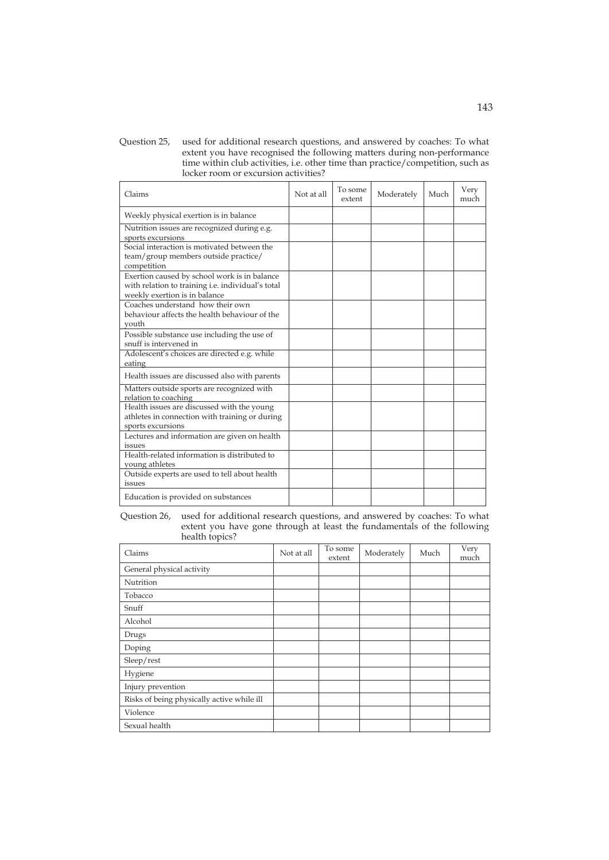Question 25, used for additional research questions, and answered by coaches: To what extent you have recognised the following matters during non-performance time within club activities, i.e. other time than practice/competition, such as locker room or excursion activities?

| Claims                                                                                                                             | Not at all | To some<br>extent | Moderately | Much | Very<br>much |
|------------------------------------------------------------------------------------------------------------------------------------|------------|-------------------|------------|------|--------------|
| Weekly physical exertion is in balance                                                                                             |            |                   |            |      |              |
| Nutrition issues are recognized during e.g.<br>sports excursions                                                                   |            |                   |            |      |              |
| Social interaction is motivated between the<br>team/group members outside practice/<br>competition                                 |            |                   |            |      |              |
| Exertion caused by school work is in balance<br>with relation to training i.e. individual's total<br>weekly exertion is in balance |            |                   |            |      |              |
| Coaches understand how their own<br>behaviour affects the health behaviour of the<br>vouth                                         |            |                   |            |      |              |
| Possible substance use including the use of<br>snuff is intervened in                                                              |            |                   |            |      |              |
| Adolescent's choices are directed e.g. while<br>eating                                                                             |            |                   |            |      |              |
| Health issues are discussed also with parents                                                                                      |            |                   |            |      |              |
| Matters outside sports are recognized with<br>relation to coaching                                                                 |            |                   |            |      |              |
| Health issues are discussed with the young<br>athletes in connection with training or during<br>sports excursions                  |            |                   |            |      |              |
| Lectures and information are given on health<br>issues                                                                             |            |                   |            |      |              |
| Health-related information is distributed to<br>young athletes                                                                     |            |                   |            |      |              |
| Outside experts are used to tell about health<br>issues                                                                            |            |                   |            |      |              |
| Education is provided on substances                                                                                                |            |                   |            |      |              |

Question 26, used for additional research questions, and answered by coaches: To what extent you have gone through at least the fundamentals of the following health topics?

| Claims                                     | Not at all | To some<br>extent | Moderately | Much | Very<br>much |
|--------------------------------------------|------------|-------------------|------------|------|--------------|
| General physical activity                  |            |                   |            |      |              |
| Nutrition                                  |            |                   |            |      |              |
| Tobacco                                    |            |                   |            |      |              |
| Snuff                                      |            |                   |            |      |              |
| Alcohol                                    |            |                   |            |      |              |
| Drugs                                      |            |                   |            |      |              |
| Doping                                     |            |                   |            |      |              |
| Sleep/rest                                 |            |                   |            |      |              |
| Hygiene                                    |            |                   |            |      |              |
| Injury prevention                          |            |                   |            |      |              |
| Risks of being physically active while ill |            |                   |            |      |              |
| Violence                                   |            |                   |            |      |              |
| Sexual health                              |            |                   |            |      |              |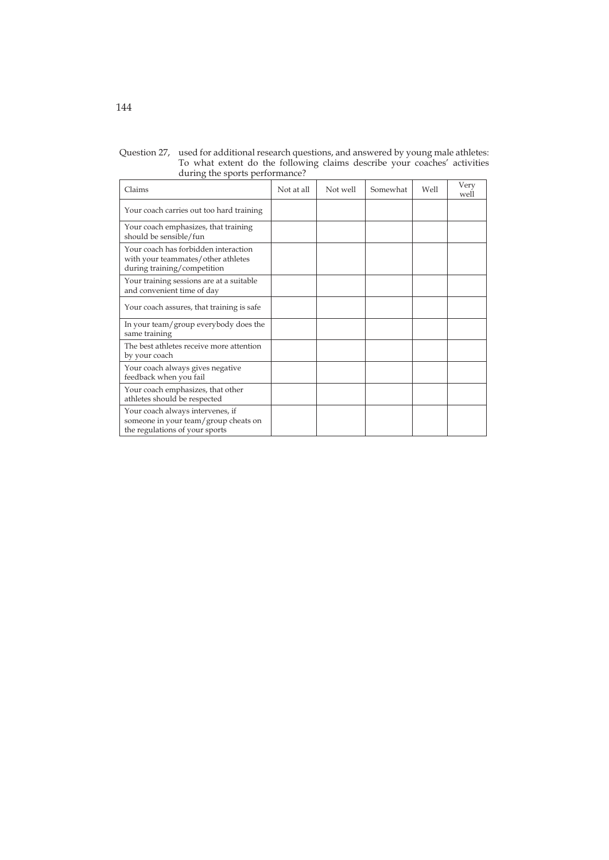| Claims                                                                                                     | Not at all | Not well | Somewhat | Well | Very<br>well |
|------------------------------------------------------------------------------------------------------------|------------|----------|----------|------|--------------|
| Your coach carries out too hard training                                                                   |            |          |          |      |              |
| Your coach emphasizes, that training<br>should be sensible/fun                                             |            |          |          |      |              |
| Your coach has forbidden interaction<br>with your teammates/other athletes<br>during training/competition  |            |          |          |      |              |
| Your training sessions are at a suitable<br>and convenient time of day                                     |            |          |          |      |              |
| Your coach assures, that training is safe                                                                  |            |          |          |      |              |
| In your team/group everybody does the<br>same training                                                     |            |          |          |      |              |
| The best athletes receive more attention<br>by your coach                                                  |            |          |          |      |              |
| Your coach always gives negative<br>feedback when you fail                                                 |            |          |          |      |              |
| Your coach emphasizes, that other<br>athletes should be respected                                          |            |          |          |      |              |
| Your coach always intervenes, if<br>someone in your team/group cheats on<br>the regulations of your sports |            |          |          |      |              |

Question 27, used for additional research questions, and answered by young male athletes: To what extent do the following claims describe your coaches' activities during the sports performance?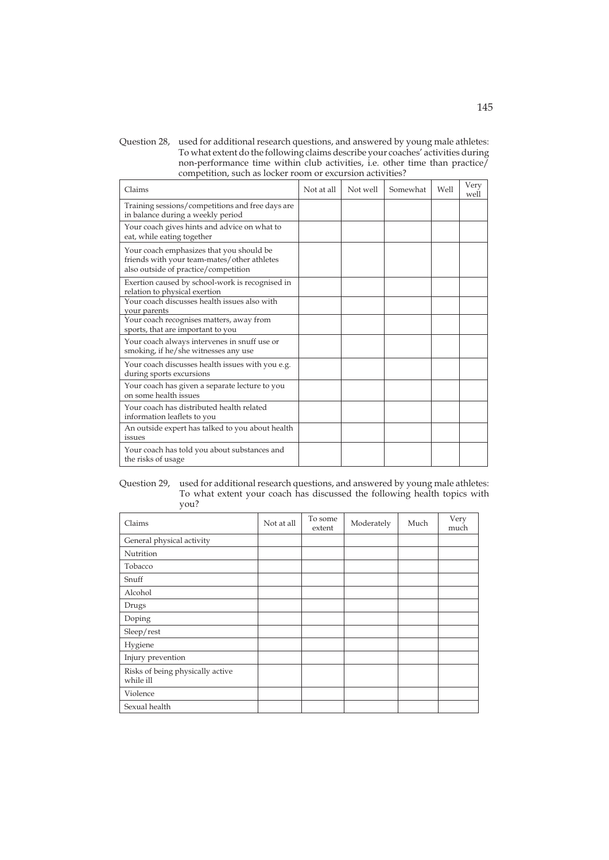Question 28, used for additional research questions, and answered by young male athletes: To what extent do the following claims describe your coaches' activities during non-performance time within club activities, i.e. other time than practice/ competition, such as locker room or excursion activities?

| Claims                                                                                                                          | Not at all | Not well | Somewhat | Well | Very<br>well |
|---------------------------------------------------------------------------------------------------------------------------------|------------|----------|----------|------|--------------|
| Training sessions/competitions and free days are<br>in balance during a weekly period                                           |            |          |          |      |              |
| Your coach gives hints and advice on what to<br>eat, while eating together                                                      |            |          |          |      |              |
| Your coach emphasizes that you should be<br>friends with your team-mates/other athletes<br>also outside of practice/competition |            |          |          |      |              |
| Exertion caused by school-work is recognised in<br>relation to physical exertion                                                |            |          |          |      |              |
| Your coach discusses health issues also with<br>your parents                                                                    |            |          |          |      |              |
| Your coach recognises matters, away from<br>sports, that are important to you                                                   |            |          |          |      |              |
| Your coach always intervenes in snuff use or<br>smoking, if he/she witnesses any use                                            |            |          |          |      |              |
| Your coach discusses health issues with you e.g.<br>during sports excursions                                                    |            |          |          |      |              |
| Your coach has given a separate lecture to you<br>on some health issues                                                         |            |          |          |      |              |
| Your coach has distributed health related<br>information leaflets to you                                                        |            |          |          |      |              |
| An outside expert has talked to you about health<br>issues                                                                      |            |          |          |      |              |
| Your coach has told you about substances and<br>the risks of usage                                                              |            |          |          |      |              |

Question 29, used for additional research questions, and answered by young male athletes: To what extent your coach has discussed the following health topics with you?

| Claims                                        | Not at all | To some<br>extent | Moderately | Much | Very<br>much |
|-----------------------------------------------|------------|-------------------|------------|------|--------------|
| General physical activity                     |            |                   |            |      |              |
| Nutrition                                     |            |                   |            |      |              |
| Tobacco                                       |            |                   |            |      |              |
| Snuff                                         |            |                   |            |      |              |
| Alcohol                                       |            |                   |            |      |              |
| Drugs                                         |            |                   |            |      |              |
| Doping                                        |            |                   |            |      |              |
| Sleep/rest                                    |            |                   |            |      |              |
| Hygiene                                       |            |                   |            |      |              |
| Injury prevention                             |            |                   |            |      |              |
| Risks of being physically active<br>while ill |            |                   |            |      |              |
| Violence                                      |            |                   |            |      |              |
| Sexual health                                 |            |                   |            |      |              |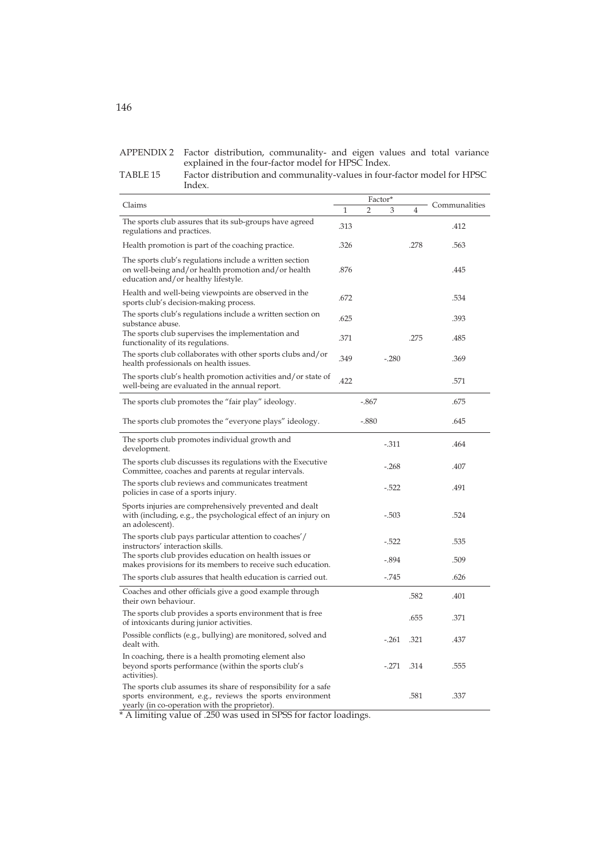|              | APPENDIX 2 Factor distribution, communality- and eigen values and total variance                                                                                                                                                                                                                                                                              |
|--------------|---------------------------------------------------------------------------------------------------------------------------------------------------------------------------------------------------------------------------------------------------------------------------------------------------------------------------------------------------------------|
|              | explained in the four-factor model for HPSC Index.                                                                                                                                                                                                                                                                                                            |
| T A D T T 4F | $\Gamma$ , $\Gamma$ , $\Gamma$ , $\Gamma$ , $\Gamma$ , $\Gamma$ , $\Gamma$ , $\Gamma$ , $\Gamma$ , $\Gamma$ , $\Gamma$ , $\Gamma$ , $\Gamma$ , $\Gamma$ , $\Gamma$ , $\Gamma$ , $\Gamma$ , $\Gamma$ , $\Gamma$ , $\Gamma$ , $\Gamma$ , $\Gamma$ , $\Gamma$ , $\Gamma$ , $\Gamma$ , $\Gamma$ , $\Gamma$ , $\Gamma$ , $\Gamma$ , $\Gamma$ , $\Gamma$ , $\Gamma$ |

| TABLE 15 | Factor distribution and communality-values in four-factor model for HPSC |
|----------|--------------------------------------------------------------------------|
|          | Index.                                                                   |

|                                                                                                                                                                             |      | Factor* |         |      |               |  |
|-----------------------------------------------------------------------------------------------------------------------------------------------------------------------------|------|---------|---------|------|---------------|--|
| Claims                                                                                                                                                                      | 1    | 2       | 3       | 4    | Communalities |  |
| The sports club assures that its sub-groups have agreed<br>regulations and practices.                                                                                       | .313 |         |         |      | .412          |  |
| Health promotion is part of the coaching practice.                                                                                                                          | .326 |         |         | .278 | .563          |  |
| The sports club's regulations include a written section<br>on well-being and/or health promotion and/or health<br>education and/or healthy lifestyle.                       | .876 |         |         |      | .445          |  |
| Health and well-being viewpoints are observed in the<br>sports club's decision-making process.                                                                              | .672 |         |         |      | .534          |  |
| The sports club's regulations include a written section on<br>substance abuse.                                                                                              | .625 |         |         |      | .393          |  |
| The sports club supervises the implementation and<br>functionality of its regulations.                                                                                      | .371 |         |         | .275 | .485          |  |
| The sports club collaborates with other sports clubs and/or<br>health professionals on health issues.                                                                       | .349 |         | $-.280$ |      | .369          |  |
| The sports club's health promotion activities and/or state of<br>well-being are evaluated in the annual report.                                                             | .422 |         |         |      | .571          |  |
| The sports club promotes the "fair play" ideology.                                                                                                                          |      | -.867   |         |      | .675          |  |
| The sports club promotes the "everyone plays" ideology.                                                                                                                     |      | $-.880$ |         |      | .645          |  |
| The sports club promotes individual growth and<br>development.                                                                                                              |      |         | $-.311$ |      | .464          |  |
| The sports club discusses its regulations with the Executive<br>Committee, coaches and parents at regular intervals.                                                        |      |         | $-.268$ |      | .407          |  |
| The sports club reviews and communicates treatment<br>policies in case of a sports injury.                                                                                  |      |         | -.522   |      | .491          |  |
| Sports injuries are comprehensively prevented and dealt<br>with (including, e.g., the psychological effect of an injury on<br>an adolescent).                               |      |         | $-.503$ |      | .524          |  |
| The sports club pays particular attention to coaches'/<br>instructors' interaction skills.                                                                                  |      |         | $-.522$ |      | .535          |  |
| The sports club provides education on health issues or<br>makes provisions for its members to receive such education.                                                       |      |         | $-.894$ |      | .509          |  |
| The sports club assures that health education is carried out.                                                                                                               |      |         | $-745$  |      | .626          |  |
| Coaches and other officials give a good example through<br>their own behaviour.                                                                                             |      |         |         | .582 | .401          |  |
| The sports club provides a sports environment that is free.<br>of intoxicants during junior activities.                                                                     |      |         |         | .655 | .371          |  |
| Possible conflicts (e.g., bullying) are monitored, solved and<br>dealt with.                                                                                                |      |         | $-.261$ | .321 | .437          |  |
| In coaching, there is a health promoting element also<br>beyond sports performance (within the sports club's<br>activities).                                                |      |         | $-.271$ | .314 | .555          |  |
| The sports club assumes its share of responsibility for a safe<br>sports environment, e.g., reviews the sports environment<br>yearly (in co-operation with the proprietor). |      |         |         | .581 | .337          |  |

A limiting value of .250 was used in SPSS for factor loadings.